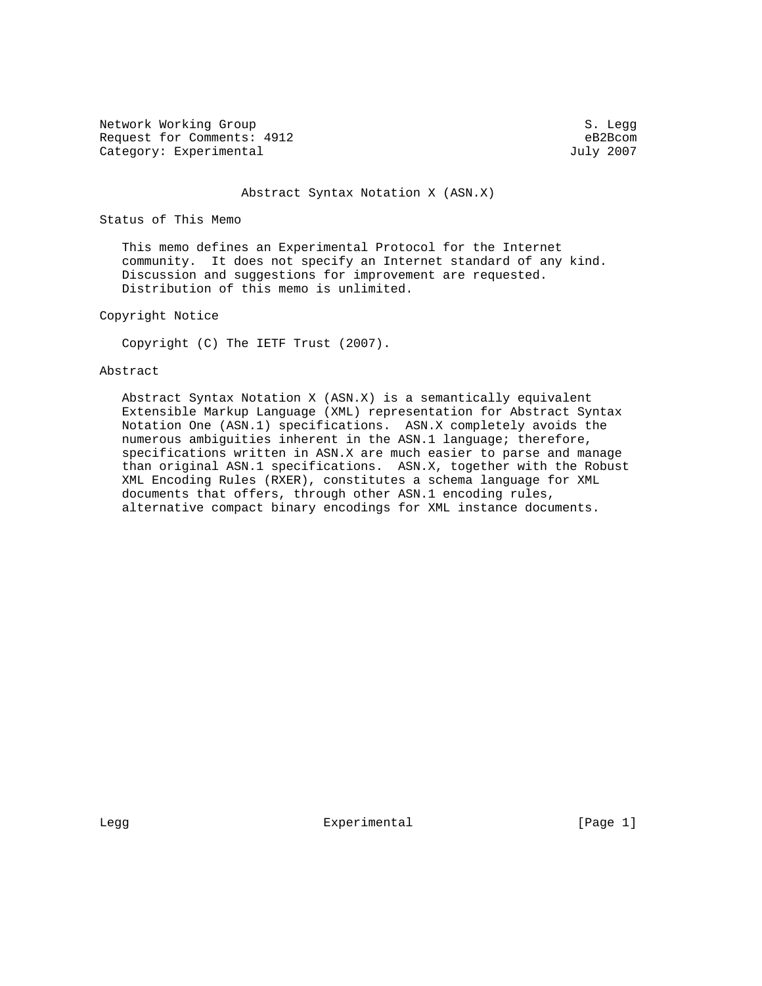Network Working Group S. Legg Request for Comments: 4912 eB2Bcom<br>
Category: Experimental and July 2007 Category: Experimental

#### Abstract Syntax Notation X (ASN.X)

Status of This Memo

 This memo defines an Experimental Protocol for the Internet community. It does not specify an Internet standard of any kind. Discussion and suggestions for improvement are requested. Distribution of this memo is unlimited.

Copyright Notice

Copyright (C) The IETF Trust (2007).

#### Abstract

 Abstract Syntax Notation X (ASN.X) is a semantically equivalent Extensible Markup Language (XML) representation for Abstract Syntax Notation One (ASN.1) specifications. ASN.X completely avoids the numerous ambiguities inherent in the ASN.1 language; therefore, specifications written in ASN.X are much easier to parse and manage than original ASN.1 specifications. ASN.X, together with the Robust XML Encoding Rules (RXER), constitutes a schema language for XML documents that offers, through other ASN.1 encoding rules, alternative compact binary encodings for XML instance documents.

Legg **Experimental** Experimental [Page 1]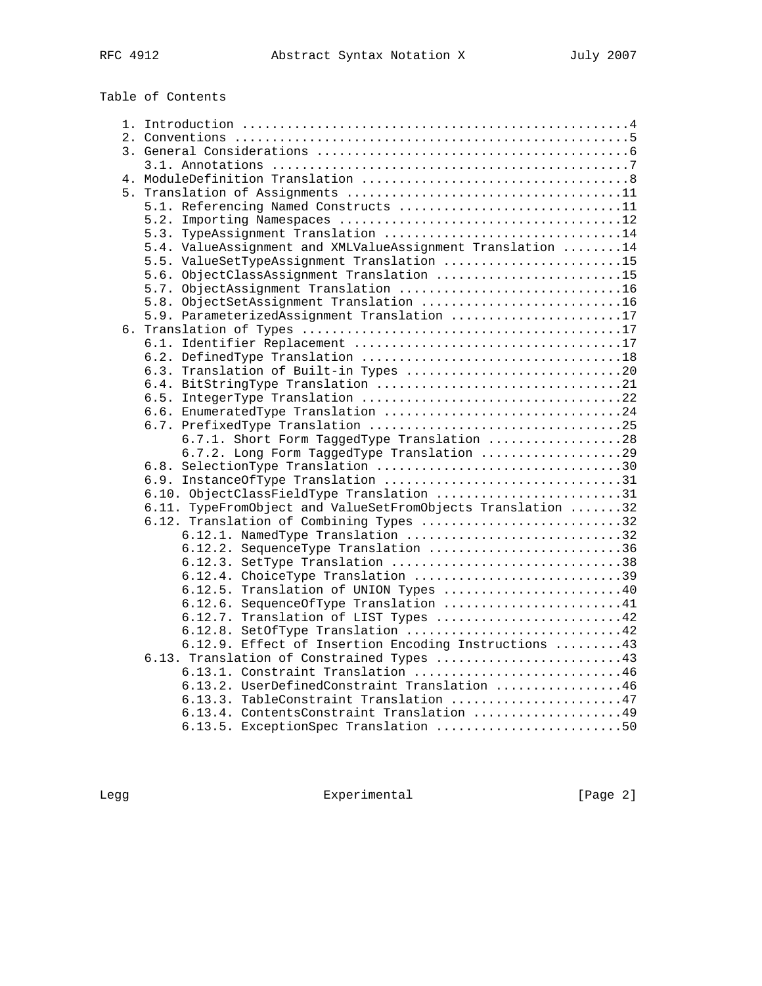Table of Contents

| 5.1. Referencing Named Constructs 11                        |  |
|-------------------------------------------------------------|--|
|                                                             |  |
| 5.3. TypeAssignment Translation 14                          |  |
| 5.4. ValueAssignment and XMLValueAssignment Translation 14  |  |
| 5.5. ValueSetTypeAssignment Translation 15                  |  |
| 5.6. ObjectClassAssignment Translation 15                   |  |
| 5.7. ObjectAssignment Translation 16                        |  |
| 5.8. ObjectSetAssignment Translation 16                     |  |
| 5.9. ParameterizedAssignment Translation 17                 |  |
|                                                             |  |
|                                                             |  |
|                                                             |  |
| 6.3. Translation of Built-in Types 20                       |  |
|                                                             |  |
|                                                             |  |
| 6.6. EnumeratedType Translation 24                          |  |
|                                                             |  |
| 6.7.1. Short Form TaggedType Translation 28                 |  |
| 6.7.2. Long Form TaggedType Translation 29                  |  |
|                                                             |  |
|                                                             |  |
| 6.10. ObjectClassFieldType Translation 31                   |  |
| 6.11. TypeFromObject and ValueSetFromObjects Translation 32 |  |
| 6.12. Translation of Combining Types 32                     |  |
| 6.12.1. NamedType Translation 32                            |  |
| 6.12.2. SequenceType Translation 36                         |  |
| 6.12.3. SetType Translation 38                              |  |
| 6.12.4. ChoiceType Translation 39                           |  |
| 6.12.5. Translation of UNION Types 40                       |  |
| 6.12.6. Sequence Of Type Translation 41                     |  |
| 6.12.7. Translation of LIST Types 42                        |  |
| 6.12.8. SetOfType Translation 42                            |  |
| 6.12.9. Effect of Insertion Encoding Instructions  43       |  |
| 6.13. Translation of Constrained Types 43                   |  |
| 6.13.1. Constraint Translation 46                           |  |
| 6.13.2. UserDefinedConstraint Translation 46                |  |
| 6.13.3. TableConstraint Translation 47                      |  |
| 6.13.4. ContentsConstraint Translation 49                   |  |
| 6.13.5. ExceptionSpec Translation 50                        |  |

Legg Experimental Experimental [Page 2]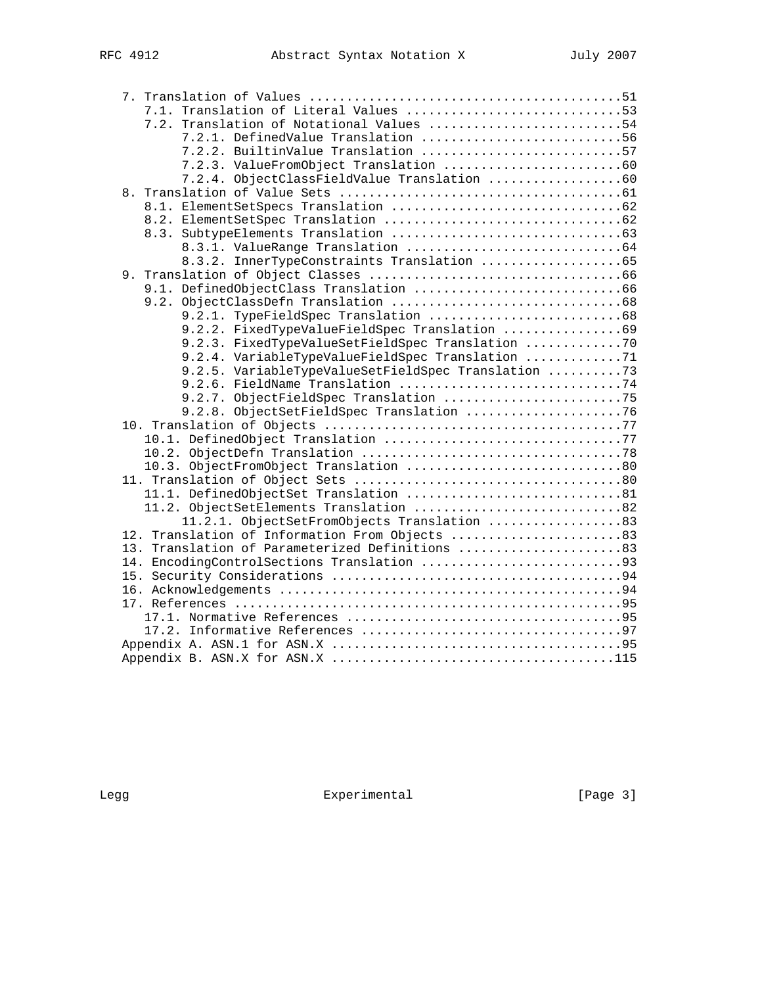|  | 7.1. Translation of Literal Values 53                                                 |
|--|---------------------------------------------------------------------------------------|
|  | 7.2. Translation of Notational Values 54                                              |
|  | 7.2.1. DefinedValue Translation 56                                                    |
|  | 7.2.2. BuiltinValue Translation 57                                                    |
|  |                                                                                       |
|  |                                                                                       |
|  |                                                                                       |
|  |                                                                                       |
|  |                                                                                       |
|  |                                                                                       |
|  |                                                                                       |
|  | 8.3.2. InnerTypeConstraints Translation 65                                            |
|  |                                                                                       |
|  |                                                                                       |
|  |                                                                                       |
|  |                                                                                       |
|  | 9.2.2. FixedTypeValueFieldSpec Translation 69                                         |
|  | 9.2.3. FixedTypeValueSetFieldSpec Translation 70                                      |
|  | 9.2.4. VariableTypeValueFieldSpec Translation 71                                      |
|  | 9.2.5. VariableTypeValueSetFieldSpec Translation 73                                   |
|  | 9.2.6. FieldName Translation 74                                                       |
|  |                                                                                       |
|  | 9.2.8. ObjectSetFieldSpec Translation 76                                              |
|  |                                                                                       |
|  |                                                                                       |
|  |                                                                                       |
|  |                                                                                       |
|  |                                                                                       |
|  |                                                                                       |
|  | 11.2. ObjectSetElements Translation 82<br>11.2.1. ObjectSetFromObjects Translation 83 |
|  | 12. Translation of Information From Objects 83                                        |
|  | 13. Translation of Parameterized Definitions 83                                       |
|  | 14. EncodingControlSections Translation 93                                            |
|  |                                                                                       |
|  |                                                                                       |
|  |                                                                                       |
|  |                                                                                       |
|  |                                                                                       |
|  |                                                                                       |
|  |                                                                                       |
|  |                                                                                       |

Legg Experimental Experimental [Page 3]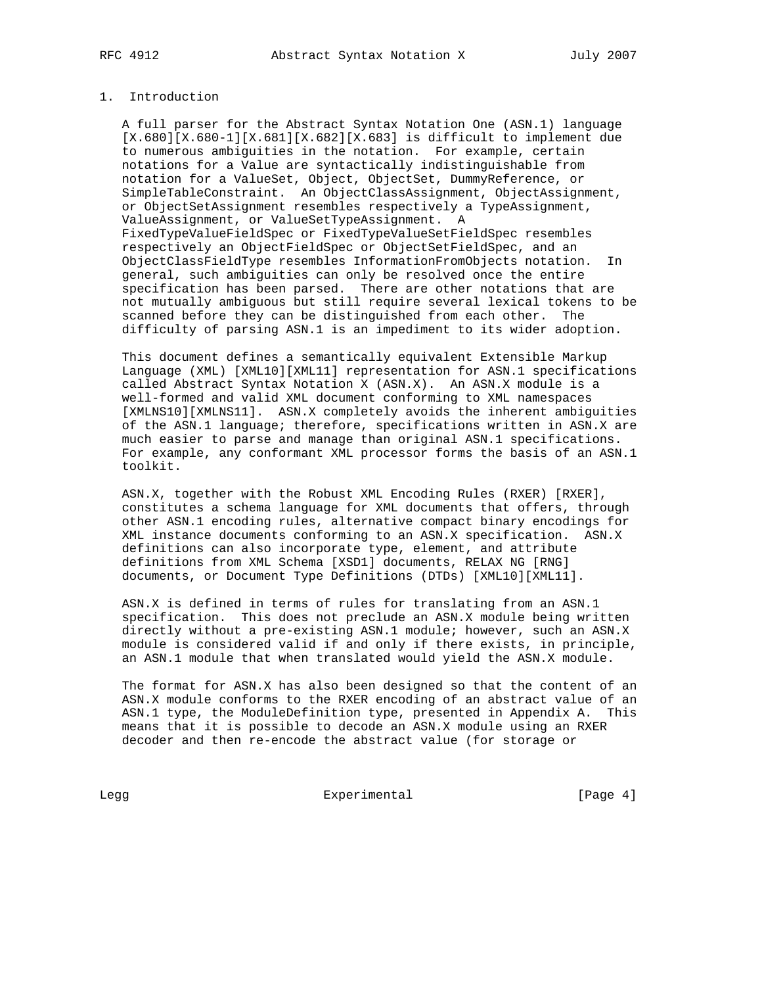# 1. Introduction

 A full parser for the Abstract Syntax Notation One (ASN.1) language [X.680][X.680-1][X.681][X.682][X.683] is difficult to implement due to numerous ambiguities in the notation. For example, certain notations for a Value are syntactically indistinguishable from notation for a ValueSet, Object, ObjectSet, DummyReference, or SimpleTableConstraint. An ObjectClassAssignment, ObjectAssignment, or ObjectSetAssignment resembles respectively a TypeAssignment, ValueAssignment, or ValueSetTypeAssignment. A FixedTypeValueFieldSpec or FixedTypeValueSetFieldSpec resembles respectively an ObjectFieldSpec or ObjectSetFieldSpec, and an ObjectClassFieldType resembles InformationFromObjects notation. In general, such ambiguities can only be resolved once the entire specification has been parsed. There are other notations that are not mutually ambiguous but still require several lexical tokens to be scanned before they can be distinguished from each other. The difficulty of parsing ASN.1 is an impediment to its wider adoption.

 This document defines a semantically equivalent Extensible Markup Language (XML) [XML10][XML11] representation for ASN.1 specifications called Abstract Syntax Notation X (ASN.X). An ASN.X module is a well-formed and valid XML document conforming to XML namespaces [XMLNS10][XMLNS11]. ASN.X completely avoids the inherent ambiguities of the ASN.1 language; therefore, specifications written in ASN.X are much easier to parse and manage than original ASN.1 specifications. For example, any conformant XML processor forms the basis of an ASN.1 toolkit.

 ASN.X, together with the Robust XML Encoding Rules (RXER) [RXER], constitutes a schema language for XML documents that offers, through other ASN.1 encoding rules, alternative compact binary encodings for XML instance documents conforming to an ASN.X specification. ASN.X definitions can also incorporate type, element, and attribute definitions from XML Schema [XSD1] documents, RELAX NG [RNG] documents, or Document Type Definitions (DTDs) [XML10][XML11].

 ASN.X is defined in terms of rules for translating from an ASN.1 specification. This does not preclude an ASN.X module being written directly without a pre-existing ASN.1 module; however, such an ASN.X module is considered valid if and only if there exists, in principle, an ASN.1 module that when translated would yield the ASN.X module.

 The format for ASN.X has also been designed so that the content of an ASN.X module conforms to the RXER encoding of an abstract value of an ASN.1 type, the ModuleDefinition type, presented in Appendix A. This means that it is possible to decode an ASN.X module using an RXER decoder and then re-encode the abstract value (for storage or

Legg Experimental Experimental [Page 4]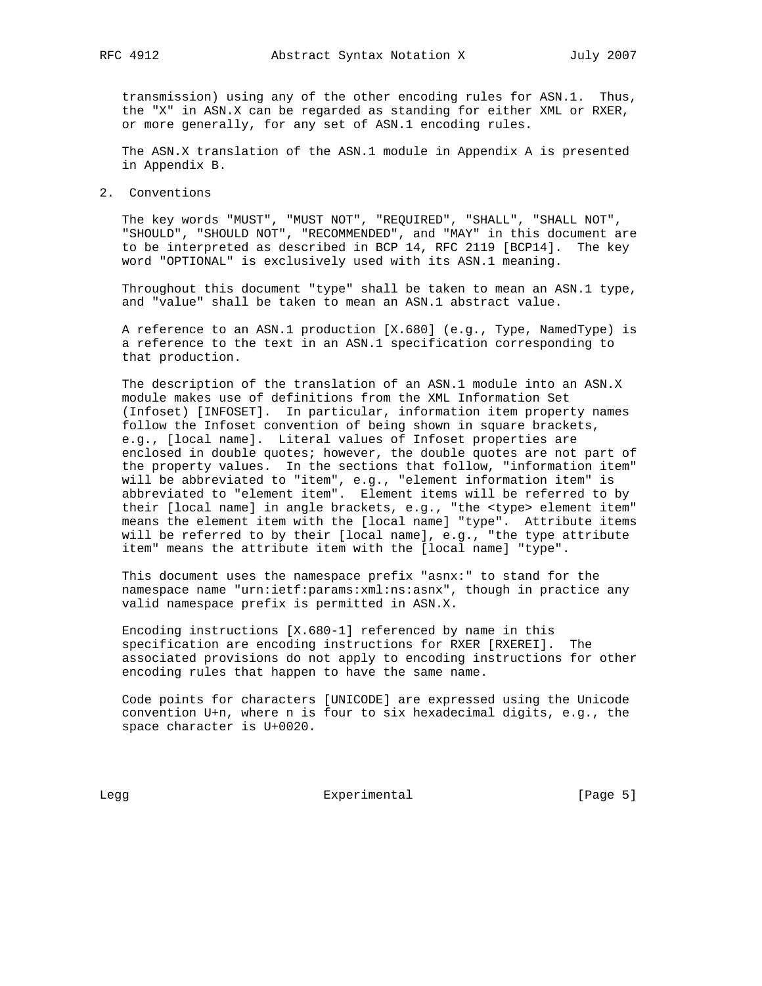transmission) using any of the other encoding rules for ASN.1. Thus, the "X" in ASN.X can be regarded as standing for either XML or RXER, or more generally, for any set of ASN.1 encoding rules.

 The ASN.X translation of the ASN.1 module in Appendix A is presented in Appendix B.

2. Conventions

 The key words "MUST", "MUST NOT", "REQUIRED", "SHALL", "SHALL NOT", "SHOULD", "SHOULD NOT", "RECOMMENDED", and "MAY" in this document are to be interpreted as described in BCP 14, RFC 2119 [BCP14]. The key word "OPTIONAL" is exclusively used with its ASN.1 meaning.

 Throughout this document "type" shall be taken to mean an ASN.1 type, and "value" shall be taken to mean an ASN.1 abstract value.

 A reference to an ASN.1 production [X.680] (e.g., Type, NamedType) is a reference to the text in an ASN.1 specification corresponding to that production.

 The description of the translation of an ASN.1 module into an ASN.X module makes use of definitions from the XML Information Set (Infoset) [INFOSET]. In particular, information item property names follow the Infoset convention of being shown in square brackets, e.g., [local name]. Literal values of Infoset properties are enclosed in double quotes; however, the double quotes are not part of the property values. In the sections that follow, "information item" will be abbreviated to "item", e.g., "element information item" is abbreviated to "element item". Element items will be referred to by their [local name] in angle brackets, e.g., "the <type> element item" means the element item with the [local name] "type". Attribute items will be referred to by their [local name], e.g., "the type attribute item" means the attribute item with the [local name] "type".

 This document uses the namespace prefix "asnx:" to stand for the namespace name "urn:ietf:params:xml:ns:asnx", though in practice any valid namespace prefix is permitted in ASN.X.

 Encoding instructions [X.680-1] referenced by name in this specification are encoding instructions for RXER [RXEREI]. The associated provisions do not apply to encoding instructions for other encoding rules that happen to have the same name.

 Code points for characters [UNICODE] are expressed using the Unicode convention U+n, where n is four to six hexadecimal digits, e.g., the space character is U+0020.

Legg Experimental Experimental [Page 5]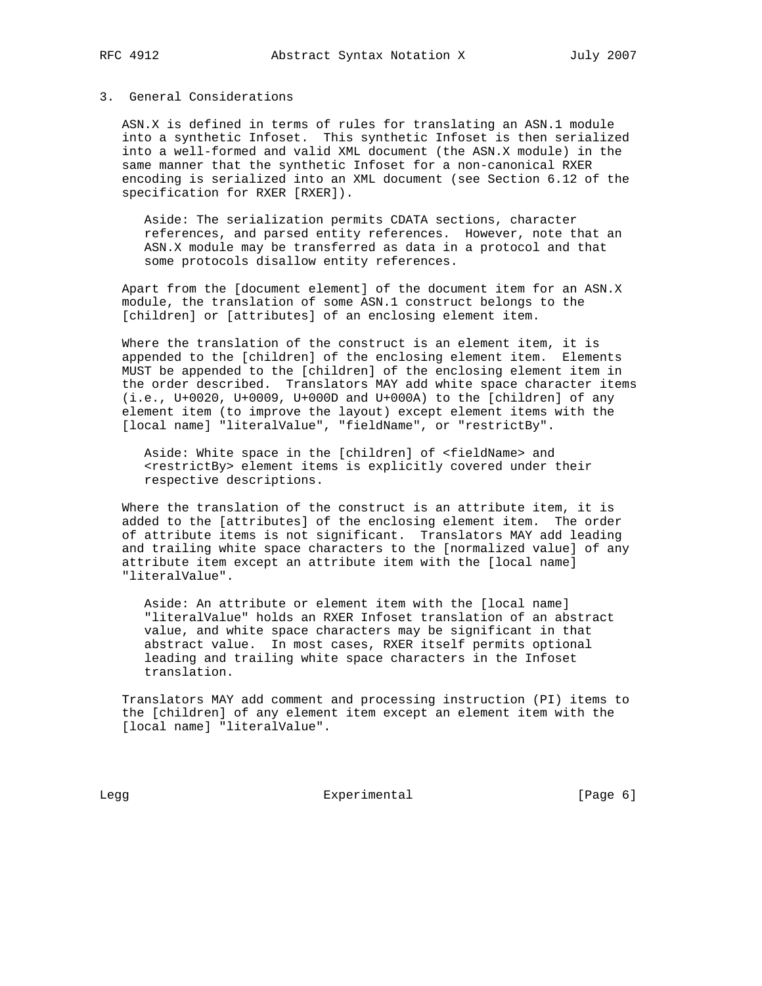## 3. General Considerations

 ASN.X is defined in terms of rules for translating an ASN.1 module into a synthetic Infoset. This synthetic Infoset is then serialized into a well-formed and valid XML document (the ASN.X module) in the same manner that the synthetic Infoset for a non-canonical RXER encoding is serialized into an XML document (see Section 6.12 of the specification for RXER [RXER]).

 Aside: The serialization permits CDATA sections, character references, and parsed entity references. However, note that an ASN.X module may be transferred as data in a protocol and that some protocols disallow entity references.

 Apart from the [document element] of the document item for an ASN.X module, the translation of some ASN.1 construct belongs to the [children] or [attributes] of an enclosing element item.

 Where the translation of the construct is an element item, it is appended to the [children] of the enclosing element item. Elements MUST be appended to the [children] of the enclosing element item in the order described. Translators MAY add white space character items (i.e., U+0020, U+0009, U+000D and U+000A) to the [children] of any element item (to improve the layout) except element items with the [local name] "literalValue", "fieldName", or "restrictBy".

 Aside: White space in the [children] of <fieldName> and <restrictBy> element items is explicitly covered under their respective descriptions.

 Where the translation of the construct is an attribute item, it is added to the [attributes] of the enclosing element item. The order of attribute items is not significant. Translators MAY add leading and trailing white space characters to the [normalized value] of any attribute item except an attribute item with the [local name] "literalValue".

 Aside: An attribute or element item with the [local name] "literalValue" holds an RXER Infoset translation of an abstract value, and white space characters may be significant in that abstract value. In most cases, RXER itself permits optional leading and trailing white space characters in the Infoset translation.

 Translators MAY add comment and processing instruction (PI) items to the [children] of any element item except an element item with the [local name] "literalValue".

Legg **Experimental** Experimental [Page 6]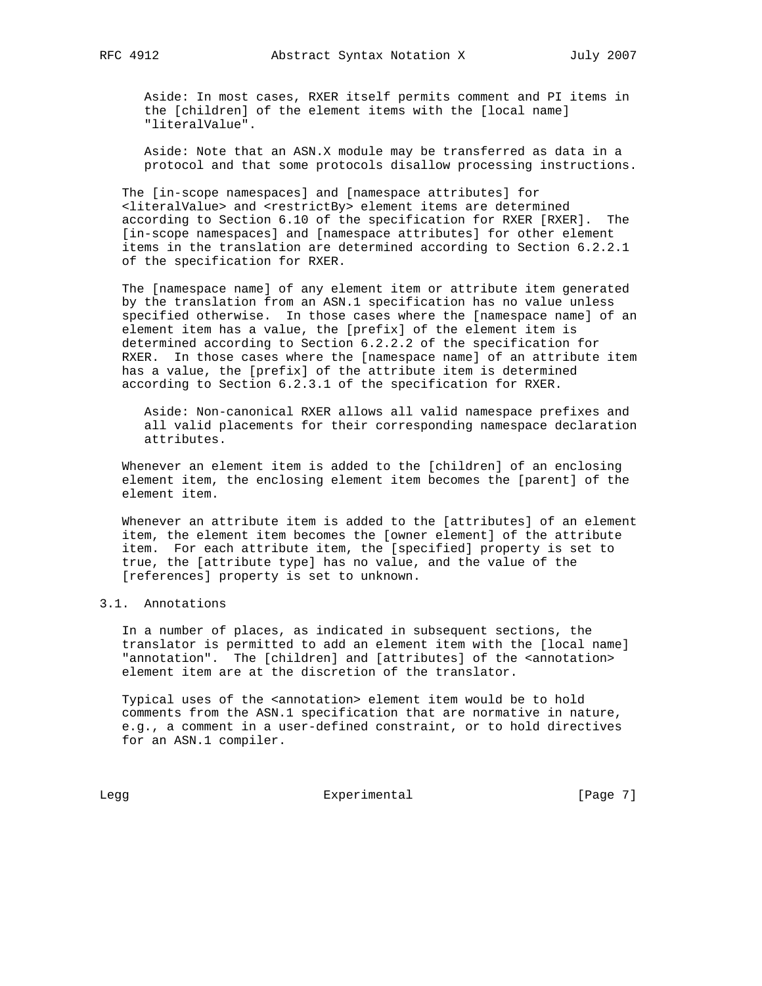Aside: In most cases, RXER itself permits comment and PI items in the [children] of the element items with the [local name] "literalValue".

 Aside: Note that an ASN.X module may be transferred as data in a protocol and that some protocols disallow processing instructions.

 The [in-scope namespaces] and [namespace attributes] for <literalValue> and <restrictBy> element items are determined according to Section 6.10 of the specification for RXER [RXER]. The [in-scope namespaces] and [namespace attributes] for other element items in the translation are determined according to Section 6.2.2.1 of the specification for RXER.

 The [namespace name] of any element item or attribute item generated by the translation from an ASN.1 specification has no value unless specified otherwise. In those cases where the [namespace name] of an element item has a value, the [prefix] of the element item is determined according to Section 6.2.2.2 of the specification for RXER. In those cases where the [namespace name] of an attribute item has a value, the [prefix] of the attribute item is determined according to Section 6.2.3.1 of the specification for RXER.

 Aside: Non-canonical RXER allows all valid namespace prefixes and all valid placements for their corresponding namespace declaration attributes.

 Whenever an element item is added to the [children] of an enclosing element item, the enclosing element item becomes the [parent] of the element item.

 Whenever an attribute item is added to the [attributes] of an element item, the element item becomes the [owner element] of the attribute item. For each attribute item, the [specified] property is set to true, the [attribute type] has no value, and the value of the [references] property is set to unknown.

# 3.1. Annotations

 In a number of places, as indicated in subsequent sections, the translator is permitted to add an element item with the [local name] "annotation". The [children] and [attributes] of the <annotation> element item are at the discretion of the translator.

 Typical uses of the <annotation> element item would be to hold comments from the ASN.1 specification that are normative in nature, e.g., a comment in a user-defined constraint, or to hold directives for an ASN.1 compiler.

Legg Experimental Experimental [Page 7]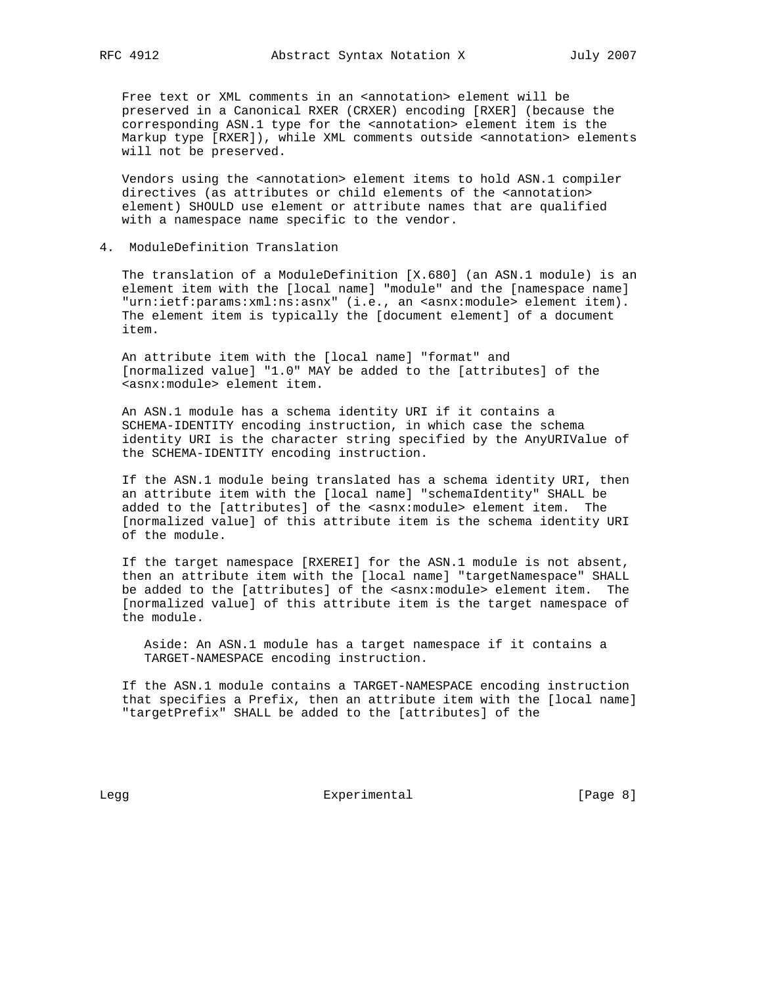Free text or XML comments in an <annotation> element will be preserved in a Canonical RXER (CRXER) encoding [RXER] (because the corresponding ASN.1 type for the <annotation> element item is the Markup type [RXER]), while XML comments outside <annotation> elements will not be preserved.

Vendors using the <annotation> element items to hold ASN.1 compiler directives (as attributes or child elements of the <annotation> element) SHOULD use element or attribute names that are qualified with a namespace name specific to the vendor.

#### 4. ModuleDefinition Translation

 The translation of a ModuleDefinition [X.680] (an ASN.1 module) is an element item with the [local name] "module" and the [namespace name] "urn:ietf:params:xml:ns:asnx" (i.e., an <asnx:module> element item). The element item is typically the [document element] of a document item.

 An attribute item with the [local name] "format" and [normalized value] "1.0" MAY be added to the [attributes] of the <asnx:module> element item.

 An ASN.1 module has a schema identity URI if it contains a SCHEMA-IDENTITY encoding instruction, in which case the schema identity URI is the character string specified by the AnyURIValue of the SCHEMA-IDENTITY encoding instruction.

 If the ASN.1 module being translated has a schema identity URI, then an attribute item with the [local name] "schemaIdentity" SHALL be added to the [attributes] of the <asnx:module> element item. The [normalized value] of this attribute item is the schema identity URI of the module.

 If the target namespace [RXEREI] for the ASN.1 module is not absent, then an attribute item with the [local name] "targetNamespace" SHALL be added to the [attributes] of the <asnx:module> element item. The [normalized value] of this attribute item is the target namespace of the module.

 Aside: An ASN.1 module has a target namespace if it contains a TARGET-NAMESPACE encoding instruction.

 If the ASN.1 module contains a TARGET-NAMESPACE encoding instruction that specifies a Prefix, then an attribute item with the [local name] "targetPrefix" SHALL be added to the [attributes] of the

Legg Experimental Experimental [Page 8]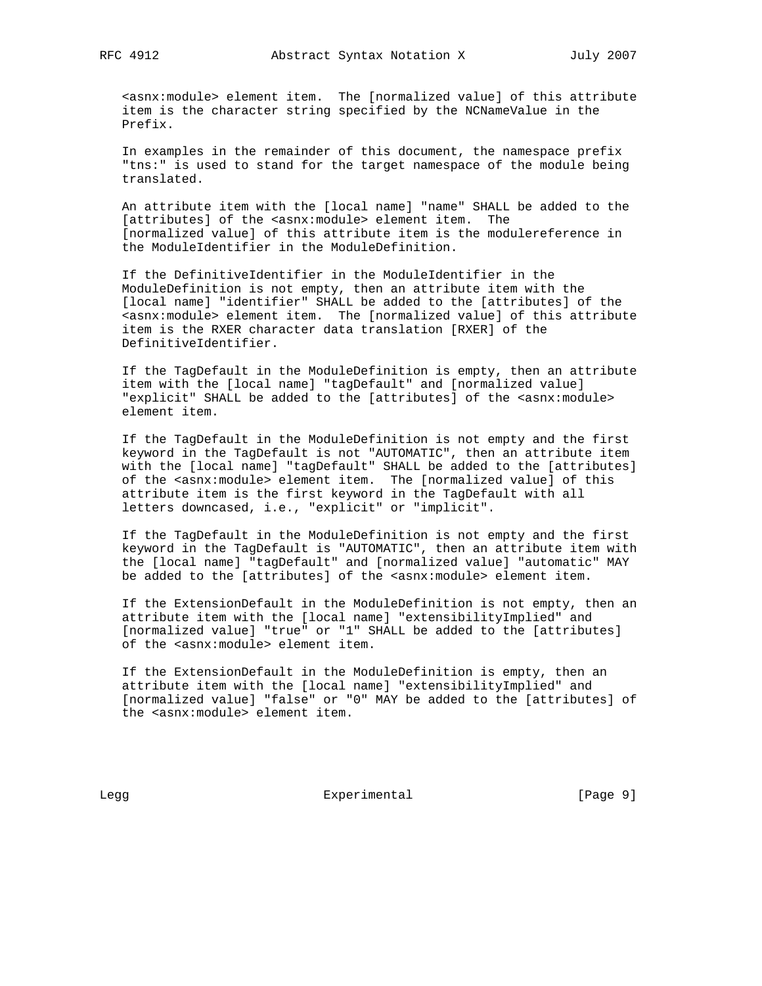<asnx:module> element item. The [normalized value] of this attribute item is the character string specified by the NCNameValue in the Prefix.

 In examples in the remainder of this document, the namespace prefix "tns:" is used to stand for the target namespace of the module being translated.

 An attribute item with the [local name] "name" SHALL be added to the [attributes] of the <asnx:module> element item. The [normalized value] of this attribute item is the modulereference in the ModuleIdentifier in the ModuleDefinition.

 If the DefinitiveIdentifier in the ModuleIdentifier in the ModuleDefinition is not empty, then an attribute item with the [local name] "identifier" SHALL be added to the [attributes] of the <asnx:module> element item. The [normalized value] of this attribute item is the RXER character data translation [RXER] of the DefinitiveIdentifier.

 If the TagDefault in the ModuleDefinition is empty, then an attribute item with the [local name] "tagDefault" and [normalized value] "explicit" SHALL be added to the [attributes] of the <asnx:module> element item.

 If the TagDefault in the ModuleDefinition is not empty and the first keyword in the TagDefault is not "AUTOMATIC", then an attribute item with the [local name] "tagDefault" SHALL be added to the [attributes] of the <asnx:module> element item. The [normalized value] of this attribute item is the first keyword in the TagDefault with all letters downcased, i.e., "explicit" or "implicit".

 If the TagDefault in the ModuleDefinition is not empty and the first keyword in the TagDefault is "AUTOMATIC", then an attribute item with the [local name] "tagDefault" and [normalized value] "automatic" MAY be added to the [attributes] of the <asnx:module> element item.

 If the ExtensionDefault in the ModuleDefinition is not empty, then an attribute item with the [local name] "extensibilityImplied" and [normalized value] "true" or "1" SHALL be added to the [attributes] of the <asnx:module> element item.

 If the ExtensionDefault in the ModuleDefinition is empty, then an attribute item with the [local name] "extensibilityImplied" and [normalized value] "false" or "0" MAY be added to the [attributes] of the <asnx:module> element item.

Legg **Experimental** Experimental [Page 9]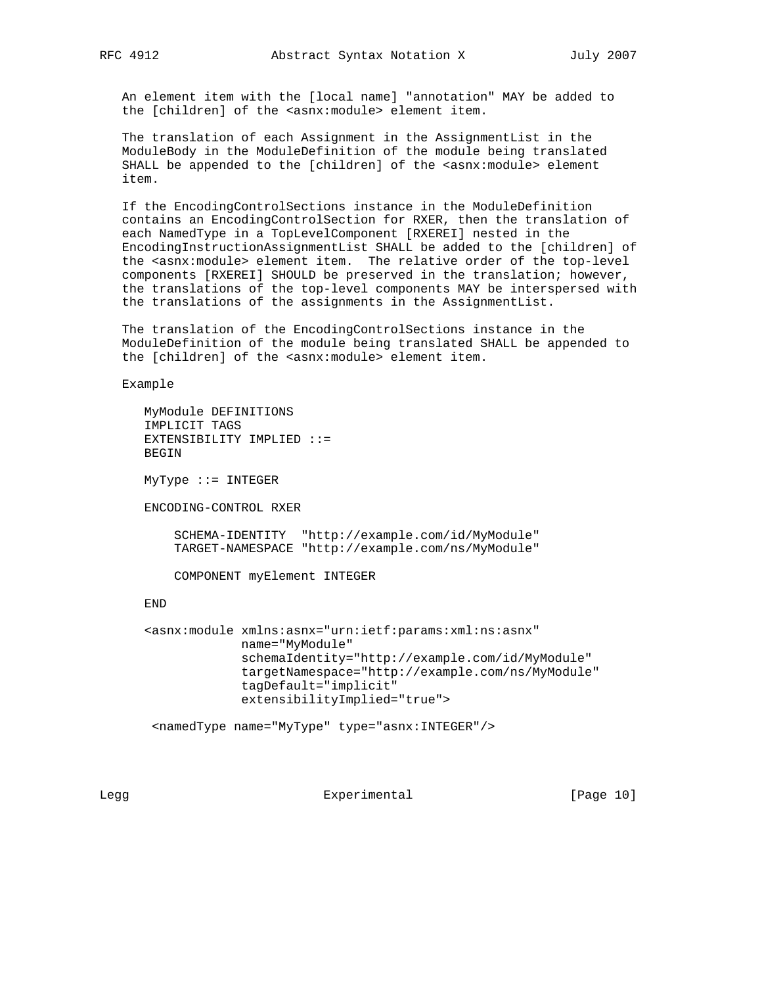An element item with the [local name] "annotation" MAY be added to the [children] of the <asnx:module> element item.

 The translation of each Assignment in the AssignmentList in the ModuleBody in the ModuleDefinition of the module being translated SHALL be appended to the [children] of the <asnx:module> element item.

 If the EncodingControlSections instance in the ModuleDefinition contains an EncodingControlSection for RXER, then the translation of each NamedType in a TopLevelComponent [RXEREI] nested in the EncodingInstructionAssignmentList SHALL be added to the [children] of the <asnx:module> element item. The relative order of the top-level components [RXEREI] SHOULD be preserved in the translation; however, the translations of the top-level components MAY be interspersed with the translations of the assignments in the AssignmentList.

 The translation of the EncodingControlSections instance in the ModuleDefinition of the module being translated SHALL be appended to the [children] of the <asnx:module> element item.

Example

```
 MyModule DEFINITIONS
 IMPLICIT TAGS
 EXTENSIBILITY IMPLIED ::=
 BEGIN
```
MyType ::= INTEGER

ENCODING-CONTROL RXER

 SCHEMA-IDENTITY "http://example.com/id/MyModule" TARGET-NAMESPACE "http://example.com/ns/MyModule"

COMPONENT myElement INTEGER

END

```
 <asnx:module xmlns:asnx="urn:ietf:params:xml:ns:asnx"
              name="MyModule"
              schemaIdentity="http://example.com/id/MyModule"
              targetNamespace="http://example.com/ns/MyModule"
              tagDefault="implicit"
              extensibilityImplied="true">
```
<namedType name="MyType" type="asnx:INTEGER"/>

Legg Experimental [Page 10]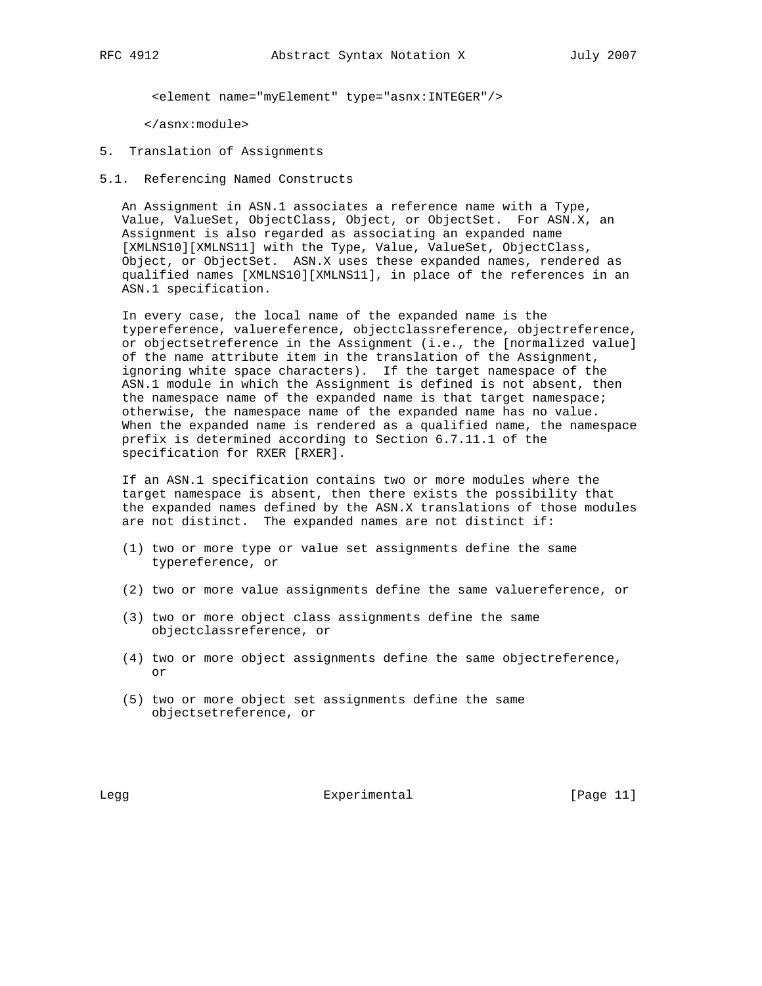<element name="myElement" type="asnx:INTEGER"/>

</asnx:module>

- 5. Translation of Assignments
- 5.1. Referencing Named Constructs

 An Assignment in ASN.1 associates a reference name with a Type, Value, ValueSet, ObjectClass, Object, or ObjectSet. For ASN.X, an Assignment is also regarded as associating an expanded name [XMLNS10][XMLNS11] with the Type, Value, ValueSet, ObjectClass, Object, or ObjectSet. ASN.X uses these expanded names, rendered as qualified names [XMLNS10][XMLNS11], in place of the references in an ASN.1 specification.

 In every case, the local name of the expanded name is the typereference, valuereference, objectclassreference, objectreference, or objectsetreference in the Assignment (i.e., the [normalized value] of the name attribute item in the translation of the Assignment, ignoring white space characters). If the target namespace of the ASN.1 module in which the Assignment is defined is not absent, then the namespace name of the expanded name is that target namespace; otherwise, the namespace name of the expanded name has no value. When the expanded name is rendered as a qualified name, the namespace prefix is determined according to Section 6.7.11.1 of the specification for RXER [RXER].

 If an ASN.1 specification contains two or more modules where the target namespace is absent, then there exists the possibility that the expanded names defined by the ASN.X translations of those modules are not distinct. The expanded names are not distinct if:

- (1) two or more type or value set assignments define the same typereference, or
- (2) two or more value assignments define the same valuereference, or
- (3) two or more object class assignments define the same objectclassreference, or
- (4) two or more object assignments define the same objectreference, or
- (5) two or more object set assignments define the same objectsetreference, or

Legg **Experimental** Experimental [Page 11]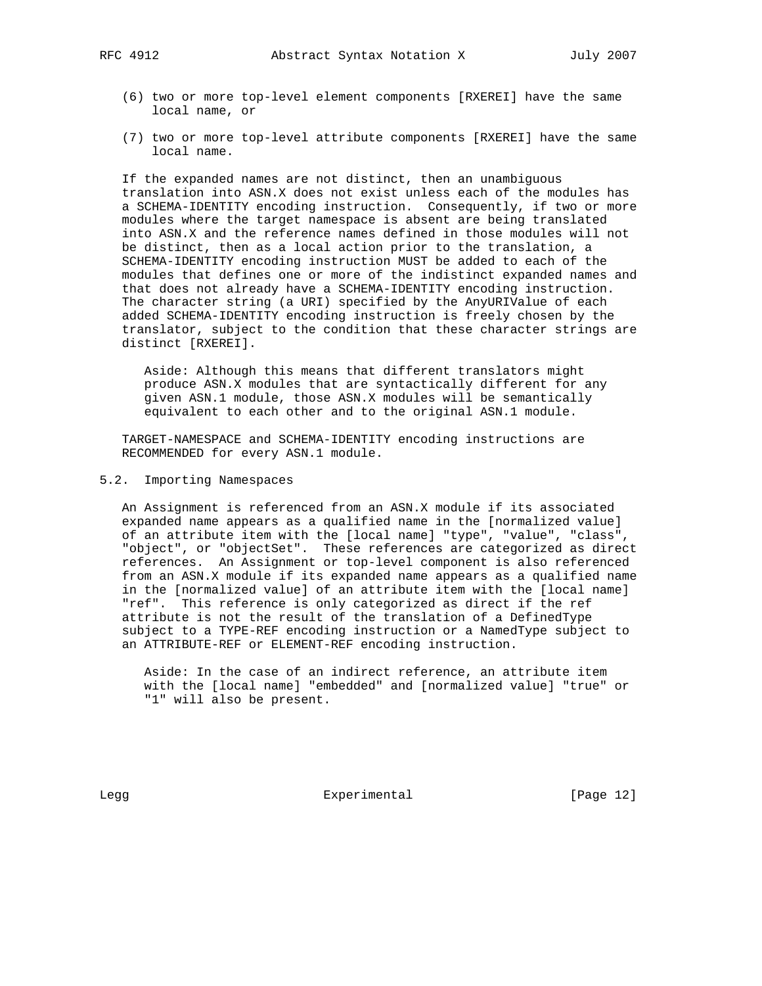- (6) two or more top-level element components [RXEREI] have the same local name, or
- (7) two or more top-level attribute components [RXEREI] have the same local name.

 If the expanded names are not distinct, then an unambiguous translation into ASN.X does not exist unless each of the modules has a SCHEMA-IDENTITY encoding instruction. Consequently, if two or more modules where the target namespace is absent are being translated into ASN.X and the reference names defined in those modules will not be distinct, then as a local action prior to the translation, a SCHEMA-IDENTITY encoding instruction MUST be added to each of the modules that defines one or more of the indistinct expanded names and that does not already have a SCHEMA-IDENTITY encoding instruction. The character string (a URI) specified by the AnyURIValue of each added SCHEMA-IDENTITY encoding instruction is freely chosen by the translator, subject to the condition that these character strings are distinct [RXEREI].

 Aside: Although this means that different translators might produce ASN.X modules that are syntactically different for any given ASN.1 module, those ASN.X modules will be semantically equivalent to each other and to the original ASN.1 module.

 TARGET-NAMESPACE and SCHEMA-IDENTITY encoding instructions are RECOMMENDED for every ASN.1 module.

## 5.2. Importing Namespaces

 An Assignment is referenced from an ASN.X module if its associated expanded name appears as a qualified name in the [normalized value] of an attribute item with the [local name] "type", "value", "class", "object", or "objectSet". These references are categorized as direct references. An Assignment or top-level component is also referenced from an ASN.X module if its expanded name appears as a qualified name in the [normalized value] of an attribute item with the [local name] "ref". This reference is only categorized as direct if the ref attribute is not the result of the translation of a DefinedType subject to a TYPE-REF encoding instruction or a NamedType subject to an ATTRIBUTE-REF or ELEMENT-REF encoding instruction.

 Aside: In the case of an indirect reference, an attribute item with the [local name] "embedded" and [normalized value] "true" or "1" will also be present.

Legg **Experimental** Experimental [Page 12]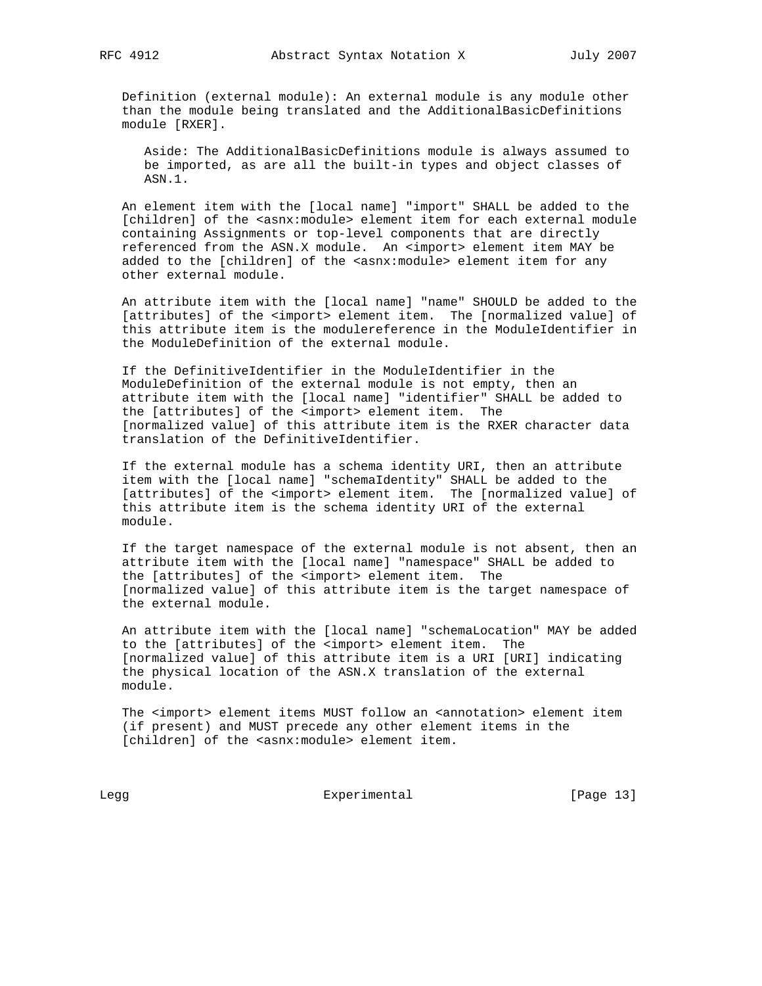Definition (external module): An external module is any module other than the module being translated and the AdditionalBasicDefinitions module [RXER].

 Aside: The AdditionalBasicDefinitions module is always assumed to be imported, as are all the built-in types and object classes of ASN.1.

 An element item with the [local name] "import" SHALL be added to the [children] of the <asnx:module> element item for each external module containing Assignments or top-level components that are directly referenced from the ASN.X module. An <import> element item MAY be added to the [children] of the <asnx:module> element item for any other external module.

 An attribute item with the [local name] "name" SHOULD be added to the [attributes] of the <import> element item. The [normalized value] of this attribute item is the modulereference in the ModuleIdentifier in the ModuleDefinition of the external module.

 If the DefinitiveIdentifier in the ModuleIdentifier in the ModuleDefinition of the external module is not empty, then an attribute item with the [local name] "identifier" SHALL be added to the [attributes] of the <import> element item. The [normalized value] of this attribute item is the RXER character data translation of the DefinitiveIdentifier.

 If the external module has a schema identity URI, then an attribute item with the [local name] "schemaIdentity" SHALL be added to the [attributes] of the <import> element item. The [normalized value] of this attribute item is the schema identity URI of the external module.

 If the target namespace of the external module is not absent, then an attribute item with the [local name] "namespace" SHALL be added to the [attributes] of the <import> element item. The [normalized value] of this attribute item is the target namespace of the external module.

 An attribute item with the [local name] "schemaLocation" MAY be added to the [attributes] of the <import> element item. The [normalized value] of this attribute item is a URI [URI] indicating the physical location of the ASN.X translation of the external module.

The <import> element items MUST follow an <annotation> element item (if present) and MUST precede any other element items in the [children] of the <asnx:module> element item.

Legg Experimental Experimental [Page 13]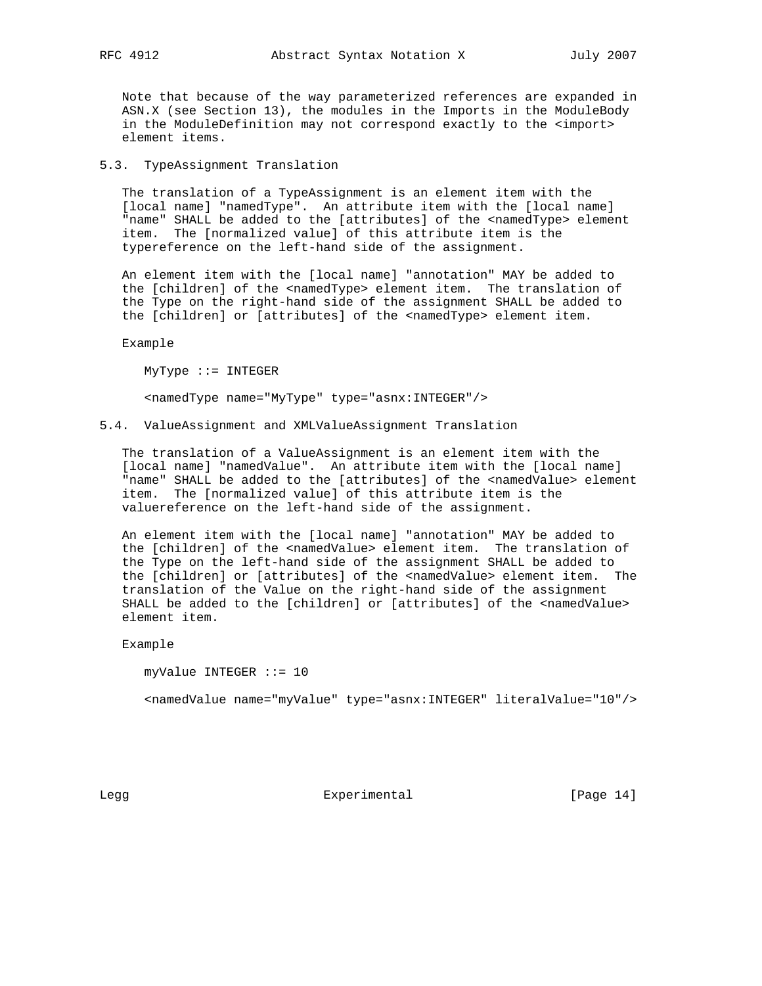Note that because of the way parameterized references are expanded in ASN.X (see Section 13), the modules in the Imports in the ModuleBody in the ModuleDefinition may not correspond exactly to the <import> element items.

5.3. TypeAssignment Translation

 The translation of a TypeAssignment is an element item with the [local name] "namedType". An attribute item with the [local name] "name" SHALL be added to the [attributes] of the <namedType> element item. The [normalized value] of this attribute item is the typereference on the left-hand side of the assignment.

 An element item with the [local name] "annotation" MAY be added to the [children] of the <namedType> element item. The translation of the Type on the right-hand side of the assignment SHALL be added to the [children] or [attributes] of the <namedType> element item.

Example

MyType ::= INTEGER

<namedType name="MyType" type="asnx:INTEGER"/>

5.4. ValueAssignment and XMLValueAssignment Translation

 The translation of a ValueAssignment is an element item with the [local name] "namedValue". An attribute item with the [local name] "name" SHALL be added to the [attributes] of the <namedValue> element item. The [normalized value] of this attribute item is the valuereference on the left-hand side of the assignment.

 An element item with the [local name] "annotation" MAY be added to the [children] of the <namedValue> element item. The translation of the Type on the left-hand side of the assignment SHALL be added to the [children] or [attributes] of the <namedValue> element item. The translation of the Value on the right-hand side of the assignment SHALL be added to the [children] or [attributes] of the <namedValue> element item.

Example

 myValue INTEGER ::= 10 <namedValue name="myValue" type="asnx:INTEGER" literalValue="10"/>

Legg Experimental [Page 14]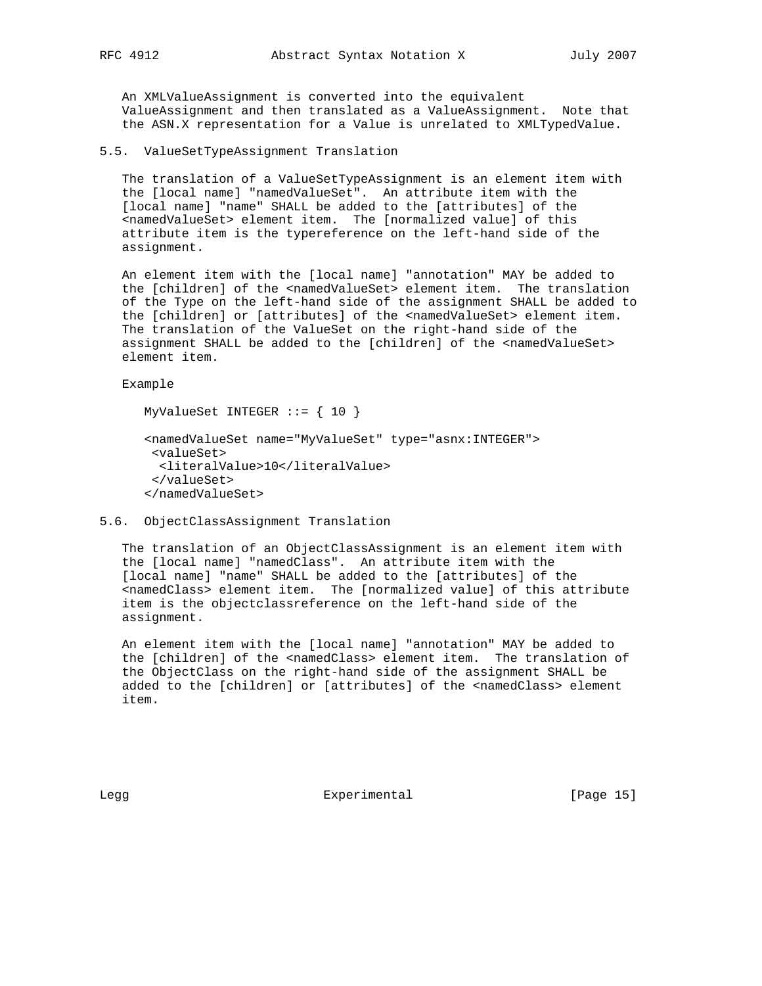An XMLValueAssignment is converted into the equivalent ValueAssignment and then translated as a ValueAssignment. Note that the ASN.X representation for a Value is unrelated to XMLTypedValue.

### 5.5. ValueSetTypeAssignment Translation

 The translation of a ValueSetTypeAssignment is an element item with the [local name] "namedValueSet". An attribute item with the [local name] "name" SHALL be added to the [attributes] of the <namedValueSet> element item. The [normalized value] of this attribute item is the typereference on the left-hand side of the assignment.

 An element item with the [local name] "annotation" MAY be added to the [children] of the <namedValueSet> element item. The translation of the Type on the left-hand side of the assignment SHALL be added to the [children] or [attributes] of the <namedValueSet> element item. The translation of the ValueSet on the right-hand side of the assignment SHALL be added to the [children] of the <namedValueSet> element item.

Example

```
 MyValueSet INTEGER ::= { 10 }
```

```
 <namedValueSet name="MyValueSet" type="asnx:INTEGER">
 <valueSet>
  <literalValue>10</literalValue>
 </valueSet>
 </namedValueSet>
```
## 5.6. ObjectClassAssignment Translation

 The translation of an ObjectClassAssignment is an element item with the [local name] "namedClass". An attribute item with the [local name] "name" SHALL be added to the [attributes] of the <namedClass> element item. The [normalized value] of this attribute item is the objectclassreference on the left-hand side of the assignment.

 An element item with the [local name] "annotation" MAY be added to the [children] of the <namedClass> element item. The translation of the ObjectClass on the right-hand side of the assignment SHALL be added to the [children] or [attributes] of the <namedClass> element item.

Legg **Experimental** Experimental [Page 15]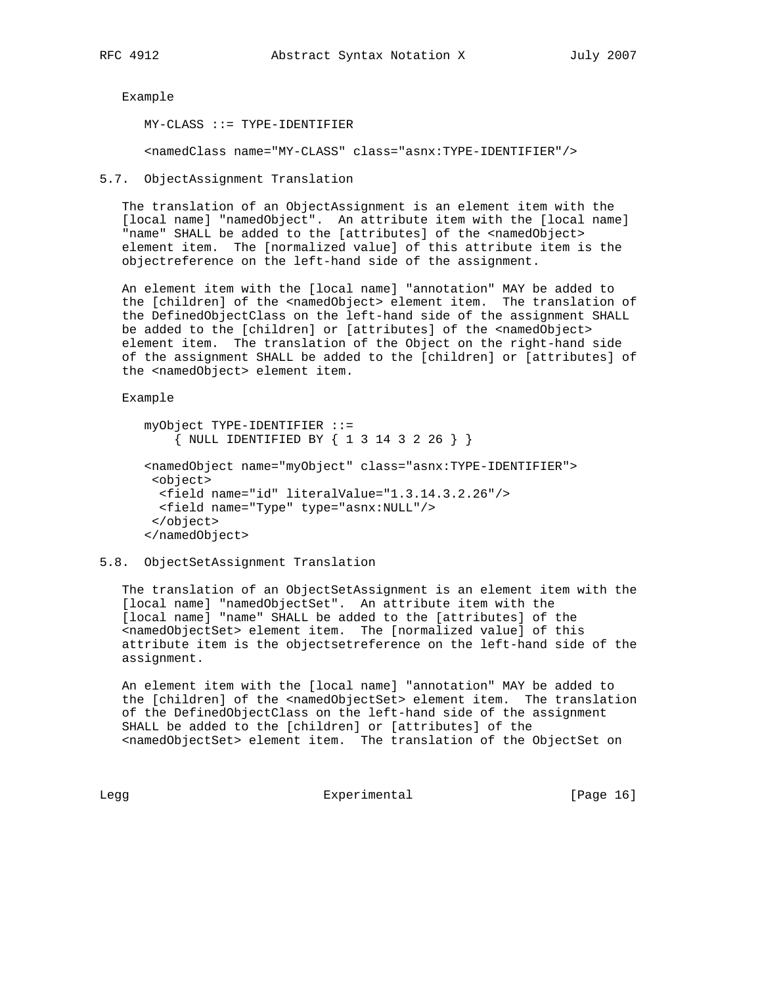Example

MY-CLASS ::= TYPE-IDENTIFIER

<namedClass name="MY-CLASS" class="asnx:TYPE-IDENTIFIER"/>

```
5.7. ObjectAssignment Translation
```
 The translation of an ObjectAssignment is an element item with the [local name] "namedObject". An attribute item with the [local name] "name" SHALL be added to the [attributes] of the <namedObject> element item. The [normalized value] of this attribute item is the objectreference on the left-hand side of the assignment.

 An element item with the [local name] "annotation" MAY be added to the [children] of the <namedObject> element item. The translation of the DefinedObjectClass on the left-hand side of the assignment SHALL be added to the [children] or [attributes] of the <namedObject> element item. The translation of the Object on the right-hand side of the assignment SHALL be added to the [children] or [attributes] of the <namedObject> element item.

Example

```
 myObject TYPE-IDENTIFIER ::=
     { NULL IDENTIFIED BY { 1 3 14 3 2 26 } }
 <namedObject name="myObject" class="asnx:TYPE-IDENTIFIER">
  <object>
   <field name="id" literalValue="1.3.14.3.2.26"/>
   <field name="Type" type="asnx:NULL"/>
  </object>
 </namedObject>
```
### 5.8. ObjectSetAssignment Translation

 The translation of an ObjectSetAssignment is an element item with the [local name] "namedObjectSet". An attribute item with the [local name] "name" SHALL be added to the [attributes] of the <namedObjectSet> element item. The [normalized value] of this attribute item is the objectsetreference on the left-hand side of the assignment.

 An element item with the [local name] "annotation" MAY be added to the [children] of the <namedObjectSet> element item. The translation of the DefinedObjectClass on the left-hand side of the assignment SHALL be added to the [children] or [attributes] of the <namedObjectSet> element item. The translation of the ObjectSet on

Legg **Experimental** Experimental [Page 16]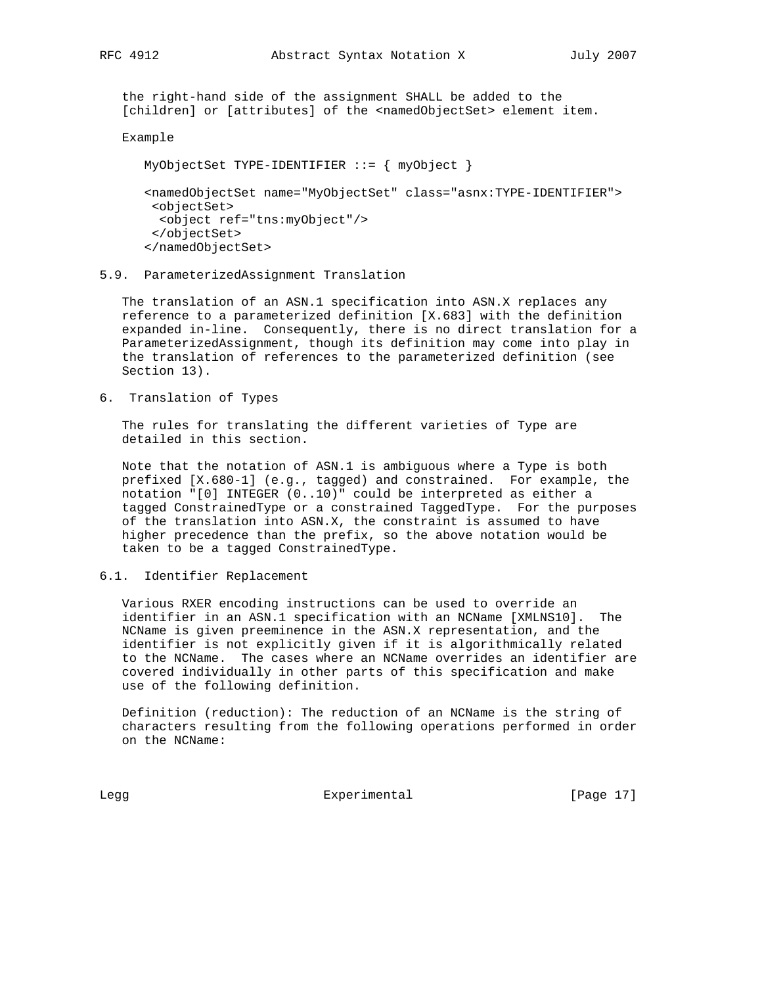the right-hand side of the assignment SHALL be added to the [children] or [attributes] of the <namedObjectSet> element item.

#### Example

MyObjectSet TYPE-IDENTIFIER ::= { myObject }

 <namedObjectSet name="MyObjectSet" class="asnx:TYPE-IDENTIFIER"> <objectSet> <object ref="tns:myObject"/> </objectSet> </namedObjectSet>

5.9. ParameterizedAssignment Translation

 The translation of an ASN.1 specification into ASN.X replaces any reference to a parameterized definition [X.683] with the definition expanded in-line. Consequently, there is no direct translation for a ParameterizedAssignment, though its definition may come into play in the translation of references to the parameterized definition (see Section 13).

6. Translation of Types

 The rules for translating the different varieties of Type are detailed in this section.

 Note that the notation of ASN.1 is ambiguous where a Type is both prefixed [X.680-1] (e.g., tagged) and constrained. For example, the notation "[0] INTEGER (0..10)" could be interpreted as either a tagged ConstrainedType or a constrained TaggedType. For the purposes of the translation into ASN.X, the constraint is assumed to have higher precedence than the prefix, so the above notation would be taken to be a tagged ConstrainedType.

6.1. Identifier Replacement

 Various RXER encoding instructions can be used to override an identifier in an ASN.1 specification with an NCName [XMLNS10]. The NCName is given preeminence in the ASN.X representation, and the identifier is not explicitly given if it is algorithmically related to the NCName. The cases where an NCName overrides an identifier are covered individually in other parts of this specification and make use of the following definition.

 Definition (reduction): The reduction of an NCName is the string of characters resulting from the following operations performed in order on the NCName:

Legg Experimental [Page 17]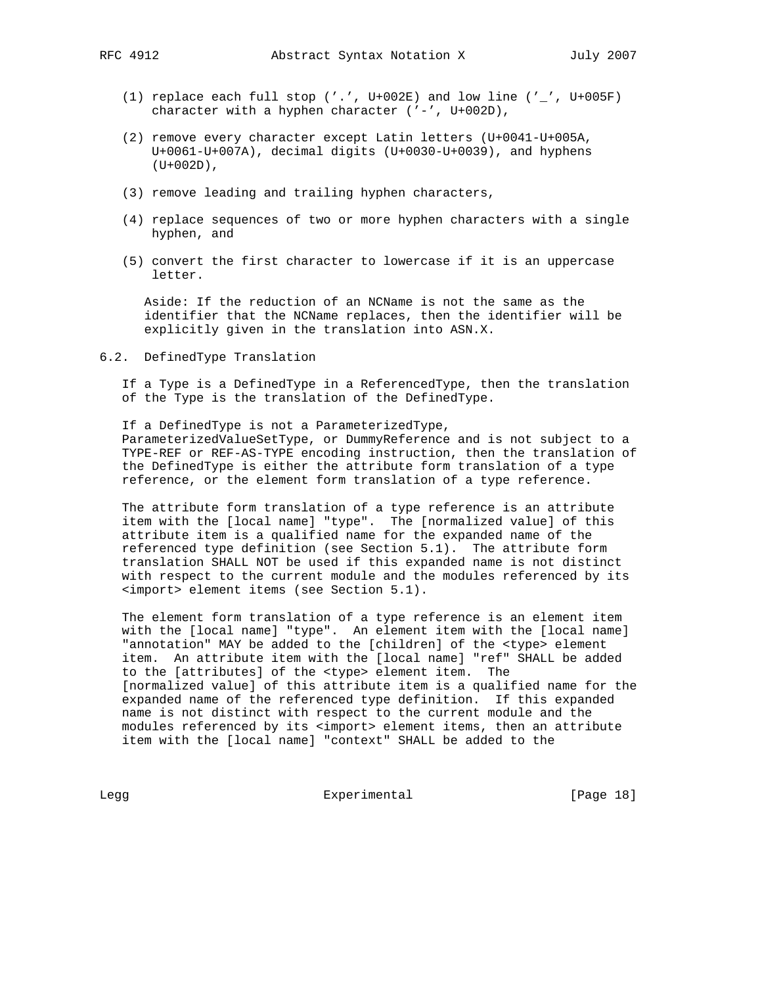- (1) replace each full stop ('.', U+002E) and low line ('\_', U+005F) character with a hyphen character ('-', U+002D),
- (2) remove every character except Latin letters (U+0041-U+005A, U+0061-U+007A), decimal digits (U+0030-U+0039), and hyphens  $(U+002D)$ ,
- (3) remove leading and trailing hyphen characters,
- (4) replace sequences of two or more hyphen characters with a single hyphen, and
- (5) convert the first character to lowercase if it is an uppercase letter.

 Aside: If the reduction of an NCName is not the same as the identifier that the NCName replaces, then the identifier will be explicitly given in the translation into ASN.X.

6.2. DefinedType Translation

 If a Type is a DefinedType in a ReferencedType, then the translation of the Type is the translation of the DefinedType.

 If a DefinedType is not a ParameterizedType, ParameterizedValueSetType, or DummyReference and is not subject to a TYPE-REF or REF-AS-TYPE encoding instruction, then the translation of the DefinedType is either the attribute form translation of a type reference, or the element form translation of a type reference.

 The attribute form translation of a type reference is an attribute item with the [local name] "type". The [normalized value] of this attribute item is a qualified name for the expanded name of the referenced type definition (see Section 5.1). The attribute form translation SHALL NOT be used if this expanded name is not distinct with respect to the current module and the modules referenced by its <import> element items (see Section 5.1).

 The element form translation of a type reference is an element item with the [local name] "type". An element item with the [local name] "annotation" MAY be added to the [children] of the <type> element item. An attribute item with the [local name] "ref" SHALL be added to the [attributes] of the <type> element item. The [normalized value] of this attribute item is a qualified name for the expanded name of the referenced type definition. If this expanded name is not distinct with respect to the current module and the modules referenced by its <import> element items, then an attribute item with the [local name] "context" SHALL be added to the

Legg Experimental Experimental [Page 18]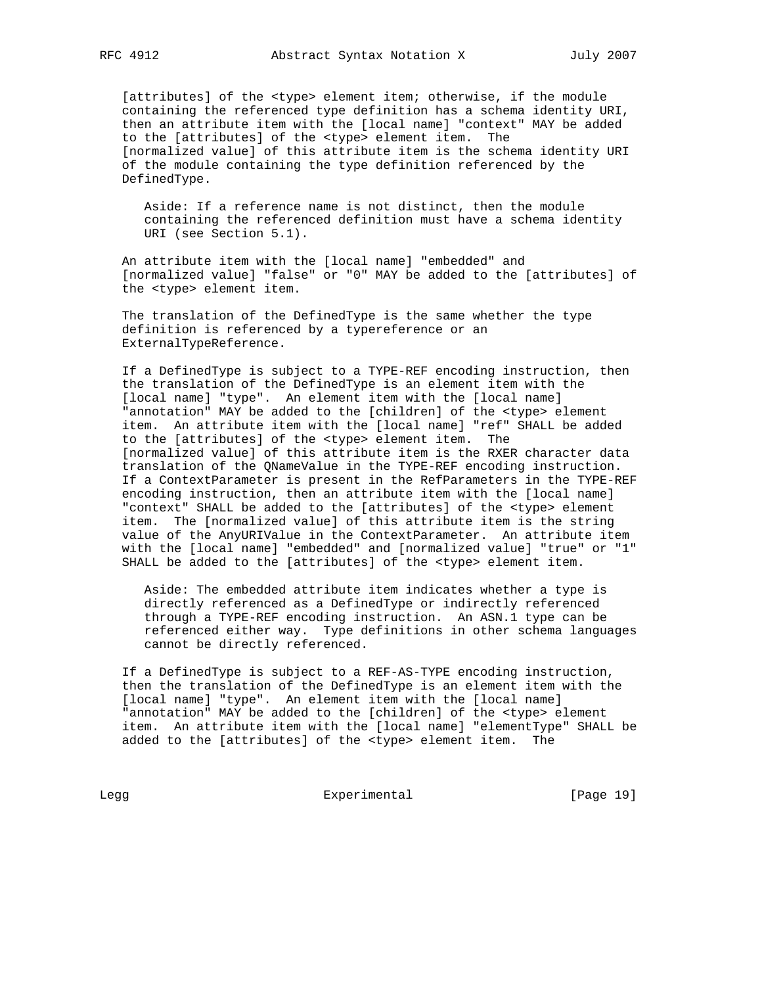[attributes] of the <type> element item; otherwise, if the module containing the referenced type definition has a schema identity URI, then an attribute item with the [local name] "context" MAY be added to the [attributes] of the <type> element item. The [normalized value] of this attribute item is the schema identity URI of the module containing the type definition referenced by the DefinedType.

 Aside: If a reference name is not distinct, then the module containing the referenced definition must have a schema identity URI (see Section 5.1).

 An attribute item with the [local name] "embedded" and [normalized value] "false" or "0" MAY be added to the [attributes] of the <type> element item.

 The translation of the DefinedType is the same whether the type definition is referenced by a typereference or an ExternalTypeReference.

 If a DefinedType is subject to a TYPE-REF encoding instruction, then the translation of the DefinedType is an element item with the [local name] "type". An element item with the [local name] "annotation" MAY be added to the [children] of the <type> element item. An attribute item with the [local name] "ref" SHALL be added to the [attributes] of the <type> element item. The [normalized value] of this attribute item is the RXER character data translation of the QNameValue in the TYPE-REF encoding instruction. If a ContextParameter is present in the RefParameters in the TYPE-REF encoding instruction, then an attribute item with the [local name] "context" SHALL be added to the [attributes] of the <type> element item. The [normalized value] of this attribute item is the string value of the AnyURIValue in the ContextParameter. An attribute item with the [local name] "embedded" and [normalized value] "true" or "1" SHALL be added to the [attributes] of the <type> element item.

 Aside: The embedded attribute item indicates whether a type is directly referenced as a DefinedType or indirectly referenced through a TYPE-REF encoding instruction. An ASN.1 type can be referenced either way. Type definitions in other schema languages cannot be directly referenced.

 If a DefinedType is subject to a REF-AS-TYPE encoding instruction, then the translation of the DefinedType is an element item with the [local name] "type". An element item with the [local name] "annotation" MAY be added to the [children] of the <type> element item. An attribute item with the [local name] "elementType" SHALL be added to the [attributes] of the <type> element item. The

Legg Experimental Experimental [Page 19]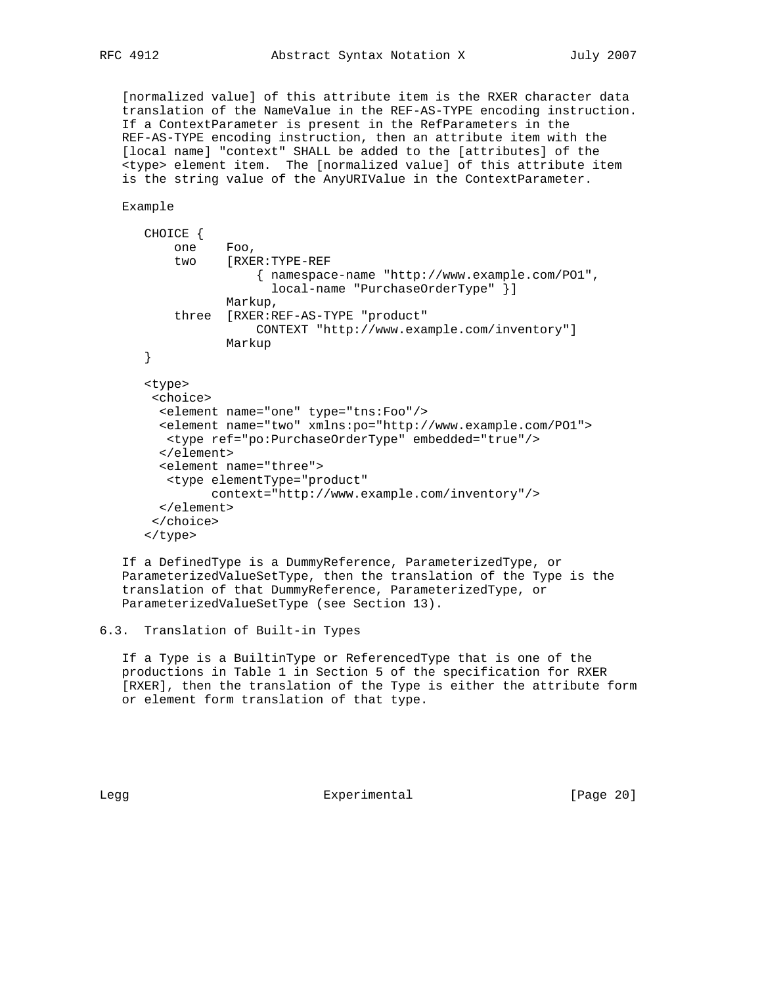[normalized value] of this attribute item is the RXER character data translation of the NameValue in the REF-AS-TYPE encoding instruction. If a ContextParameter is present in the RefParameters in the REF-AS-TYPE encoding instruction, then an attribute item with the [local name] "context" SHALL be added to the [attributes] of the <type> element item. The [normalized value] of this attribute item is the string value of the AnyURIValue in the ContextParameter.

Example

```
 CHOICE {
     one Foo,
     two [RXER:TYPE-REF
                { namespace-name "http://www.example.com/PO1",
                  local-name "PurchaseOrderType" }]
            Markup,
     three [RXER:REF-AS-TYPE "product"
                CONTEXT "http://www.example.com/inventory"]
            Markup
 }
 <type>
  <choice>
   <element name="one" type="tns:Foo"/>
   <element name="two" xmlns:po="http://www.example.com/PO1">
   <type ref="po:PurchaseOrderType" embedded="true"/>
   </element>
   <element name="three">
    <type elementType="product"
          context="http://www.example.com/inventory"/>
  </element>
  </choice>
 </type>
```
 If a DefinedType is a DummyReference, ParameterizedType, or ParameterizedValueSetType, then the translation of the Type is the translation of that DummyReference, ParameterizedType, or ParameterizedValueSetType (see Section 13).

```
6.3. Translation of Built-in Types
```
 If a Type is a BuiltinType or ReferencedType that is one of the productions in Table 1 in Section 5 of the specification for RXER [RXER], then the translation of the Type is either the attribute form or element form translation of that type.

Legg **Experimental** Experimental [Page 20]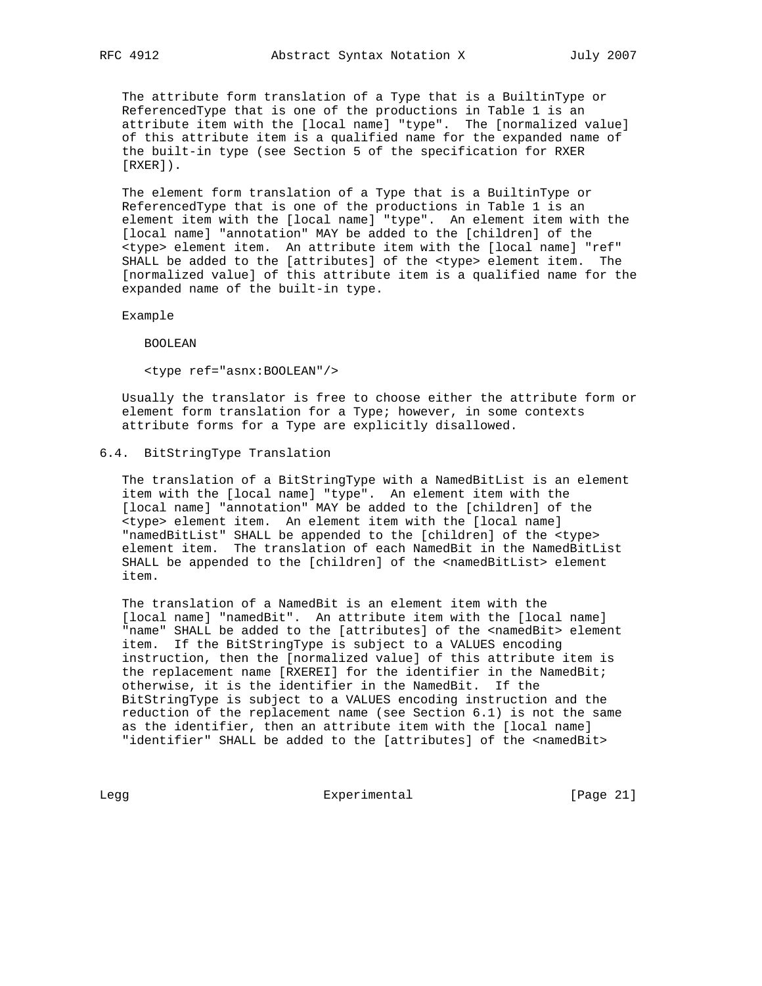The attribute form translation of a Type that is a BuiltinType or ReferencedType that is one of the productions in Table 1 is an attribute item with the [local name] "type". The [normalized value] of this attribute item is a qualified name for the expanded name of the built-in type (see Section 5 of the specification for RXER [RXER]).

 The element form translation of a Type that is a BuiltinType or ReferencedType that is one of the productions in Table 1 is an element item with the [local name] "type". An element item with the [local name] "annotation" MAY be added to the [children] of the <type> element item. An attribute item with the [local name] "ref" SHALL be added to the [attributes] of the <type> element item. The [normalized value] of this attribute item is a qualified name for the expanded name of the built-in type.

Example

BOOLEAN

<type ref="asnx:BOOLEAN"/>

 Usually the translator is free to choose either the attribute form or element form translation for a Type; however, in some contexts attribute forms for a Type are explicitly disallowed.

## 6.4. BitStringType Translation

 The translation of a BitStringType with a NamedBitList is an element item with the [local name] "type". An element item with the [local name] "annotation" MAY be added to the [children] of the <type> element item. An element item with the [local name] "namedBitList" SHALL be appended to the [children] of the <type> element item. The translation of each NamedBit in the NamedBitList SHALL be appended to the [children] of the <namedBitList> element item.

 The translation of a NamedBit is an element item with the [local name] "namedBit". An attribute item with the [local name] "name" SHALL be added to the [attributes] of the <namedBit> element item. If the BitStringType is subject to a VALUES encoding instruction, then the [normalized value] of this attribute item is the replacement name [RXEREI] for the identifier in the NamedBit; otherwise, it is the identifier in the NamedBit. If the BitStringType is subject to a VALUES encoding instruction and the reduction of the replacement name (see Section 6.1) is not the same as the identifier, then an attribute item with the [local name] "identifier" SHALL be added to the [attributes] of the <namedBit>

Legg Experimental [Page 21]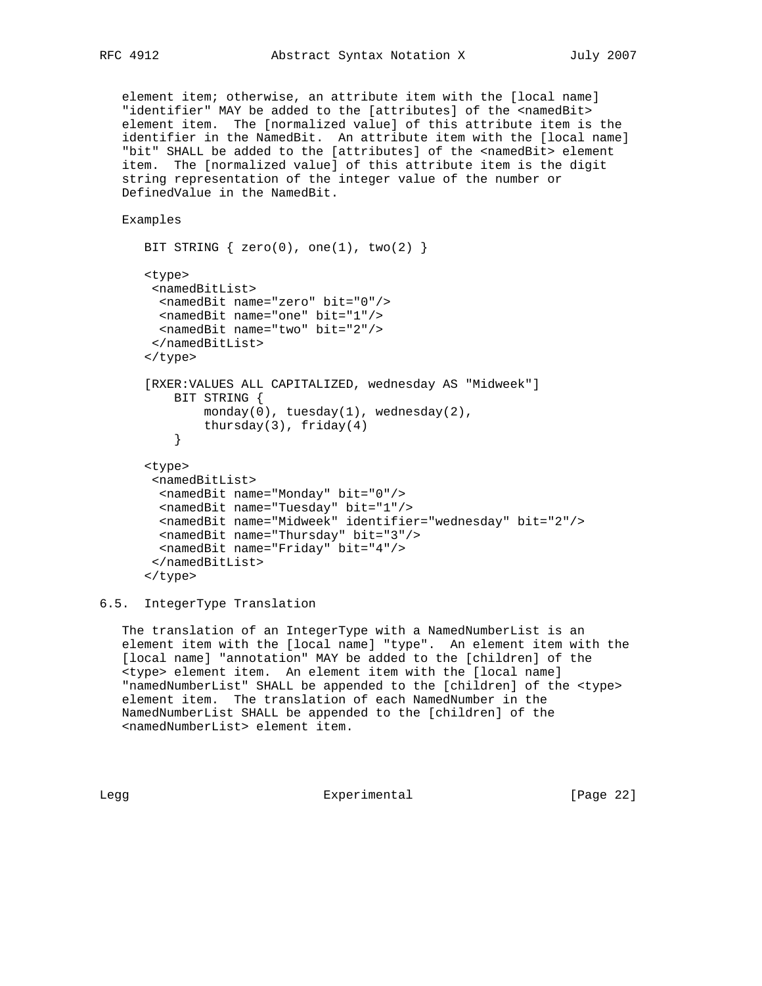element item; otherwise, an attribute item with the [local name] "identifier" MAY be added to the [attributes] of the <namedBit> element item. The [normalized value] of this attribute item is the identifier in the NamedBit. An attribute item with the [local name] "bit" SHALL be added to the [attributes] of the <namedBit> element item. The [normalized value] of this attribute item is the digit string representation of the integer value of the number or DefinedValue in the NamedBit.

Examples

```
BIT STRING \{ zero(0), one(1), two(2) \} <type>
       <namedBitList>
        <namedBit name="zero" bit="0"/>
        <namedBit name="one" bit="1"/>
        <namedBit name="two" bit="2"/>
       </namedBitList>
       </type>
       [RXER:VALUES ALL CAPITALIZED, wednesday AS "Midweek"]
          BIT STRING {
              monday(0), tuesday(1), wednesday(2),
          thursday(3), friday(4) }
      <type>
        <namedBitList>
        <namedBit name="Monday" bit="0"/>
        <namedBit name="Tuesday" bit="1"/>
        <namedBit name="Midweek" identifier="wednesday" bit="2"/>
        <namedBit name="Thursday" bit="3"/>
        <namedBit name="Friday" bit="4"/>
       </namedBitList>
      </type>
```
#### 6.5. IntegerType Translation

 The translation of an IntegerType with a NamedNumberList is an element item with the [local name] "type". An element item with the [local name] "annotation" MAY be added to the [children] of the <type> element item. An element item with the [local name] "namedNumberList" SHALL be appended to the [children] of the <type> element item. The translation of each NamedNumber in the NamedNumberList SHALL be appended to the [children] of the <namedNumberList> element item.

Legg Experimental [Page 22]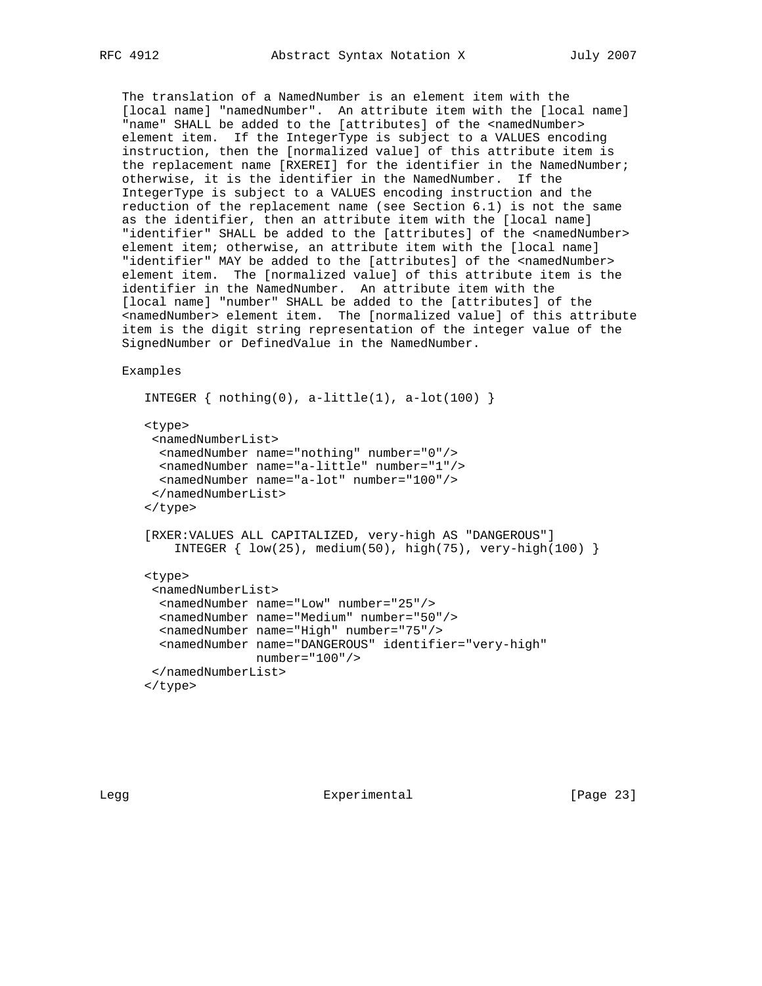The translation of a NamedNumber is an element item with the [local name] "namedNumber". An attribute item with the [local name] "name" SHALL be added to the [attributes] of the <namedNumber> element item. If the IntegerType is subject to a VALUES encoding instruction, then the [normalized value] of this attribute item is the replacement name [RXEREI] for the identifier in the NamedNumber; otherwise, it is the identifier in the NamedNumber. If the IntegerType is subject to a VALUES encoding instruction and the reduction of the replacement name (see Section 6.1) is not the same as the identifier, then an attribute item with the [local name] "identifier" SHALL be added to the [attributes] of the <namedNumber> element item; otherwise, an attribute item with the [local name] "identifier" MAY be added to the [attributes] of the <namedNumber> element item. The [normalized value] of this attribute item is the identifier in the NamedNumber. An attribute item with the [local name] "number" SHALL be added to the [attributes] of the <namedNumber> element item. The [normalized value] of this attribute item is the digit string representation of the integer value of the SignedNumber or DefinedValue in the NamedNumber.

Examples

```
INTEGER \{ \text{nothing}(0), \text{a-little}(1), \text{a-lot}(100) \} <type>
 <namedNumberList>
   <namedNumber name="nothing" number="0"/>
   <namedNumber name="a-little" number="1"/>
  <namedNumber name="a-lot" number="100"/>
  </namedNumberList>
 </type>
 [RXER:VALUES ALL CAPITALIZED, very-high AS "DANGEROUS"]
    INTEGER \{ low(25), medium(50), high(75), very-high(100) \} <type>
  <namedNumberList>
   <namedNumber name="Low" number="25"/>
   <namedNumber name="Medium" number="50"/>
   <namedNumber name="High" number="75"/>
   <namedNumber name="DANGEROUS" identifier="very-high"
                number="100"/>
 </namedNumberList>
 </type>
```
Legg **Experimental** Experimental [Page 23]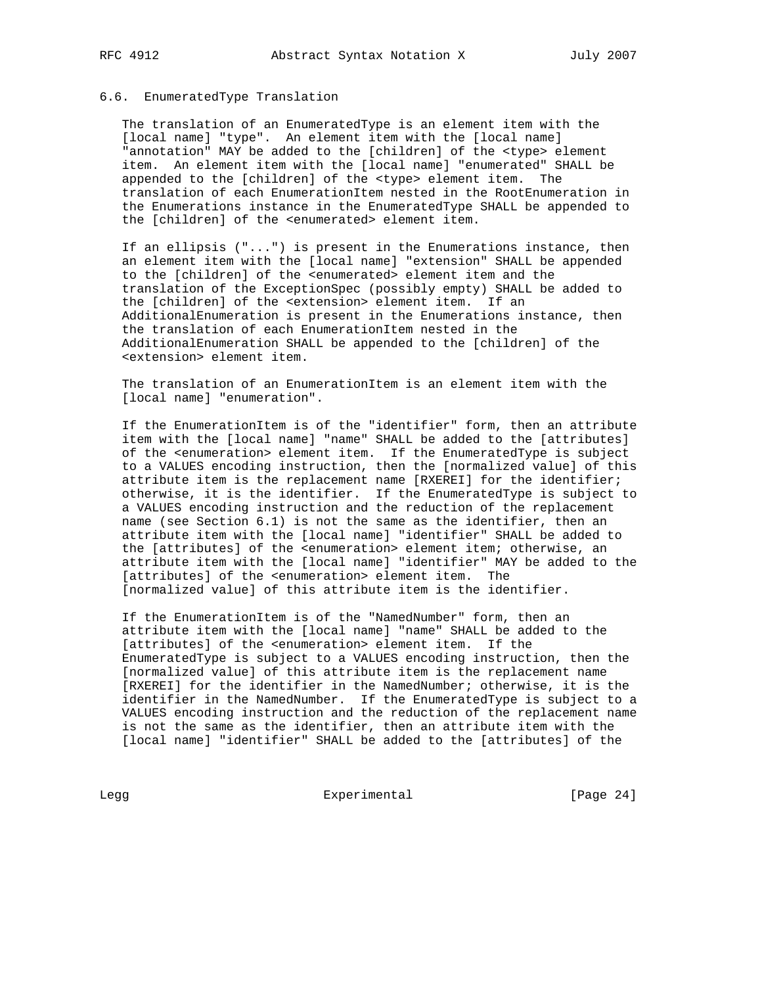## 6.6. EnumeratedType Translation

 The translation of an EnumeratedType is an element item with the [local name] "type". An element item with the [local name] "annotation" MAY be added to the [children] of the <type> element item. An element item with the [local name] "enumerated" SHALL be appended to the [children] of the <type> element item. The translation of each EnumerationItem nested in the RootEnumeration in the Enumerations instance in the EnumeratedType SHALL be appended to the [children] of the <enumerated> element item.

 If an ellipsis ("...") is present in the Enumerations instance, then an element item with the [local name] "extension" SHALL be appended to the [children] of the <enumerated> element item and the translation of the ExceptionSpec (possibly empty) SHALL be added to the [children] of the <extension> element item. If an AdditionalEnumeration is present in the Enumerations instance, then the translation of each EnumerationItem nested in the AdditionalEnumeration SHALL be appended to the [children] of the <extension> element item.

 The translation of an EnumerationItem is an element item with the [local name] "enumeration".

 If the EnumerationItem is of the "identifier" form, then an attribute item with the [local name] "name" SHALL be added to the [attributes] of the <enumeration> element item. If the EnumeratedType is subject to a VALUES encoding instruction, then the [normalized value] of this attribute item is the replacement name [RXEREI] for the identifier; otherwise, it is the identifier. If the EnumeratedType is subject to a VALUES encoding instruction and the reduction of the replacement name (see Section 6.1) is not the same as the identifier, then an attribute item with the [local name] "identifier" SHALL be added to the [attributes] of the <enumeration> element item; otherwise, an attribute item with the [local name] "identifier" MAY be added to the [attributes] of the <enumeration> element item. The [normalized value] of this attribute item is the identifier.

 If the EnumerationItem is of the "NamedNumber" form, then an attribute item with the [local name] "name" SHALL be added to the [attributes] of the <enumeration> element item. If the EnumeratedType is subject to a VALUES encoding instruction, then the [normalized value] of this attribute item is the replacement name [RXEREI] for the identifier in the NamedNumber; otherwise, it is the identifier in the NamedNumber. If the EnumeratedType is subject to a VALUES encoding instruction and the reduction of the replacement name is not the same as the identifier, then an attribute item with the [local name] "identifier" SHALL be added to the [attributes] of the

Legg Experimental Experimental [Page 24]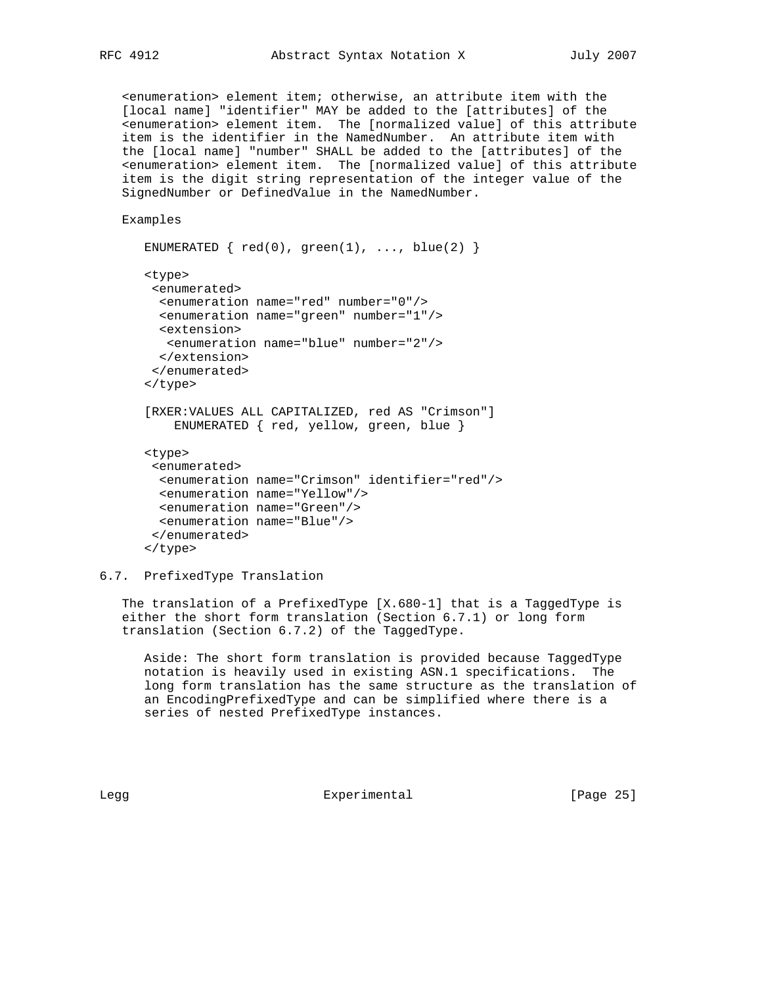<enumeration> element item; otherwise, an attribute item with the [local name] "identifier" MAY be added to the [attributes] of the <enumeration> element item. The [normalized value] of this attribute item is the identifier in the NamedNumber. An attribute item with the [local name] "number" SHALL be added to the [attributes] of the <enumeration> element item. The [normalized value] of this attribute item is the digit string representation of the integer value of the SignedNumber or DefinedValue in the NamedNumber.

Examples

```
ENUMERATED \{red(0), green(1), ..., blue(2) \} <type>
  <enumerated>
   <enumeration name="red" number="0"/>
   <enumeration name="green" number="1"/>
  <extension>
    <enumeration name="blue" number="2"/>
  </extension>
  </enumerated>
 </type>
 [RXER:VALUES ALL CAPITALIZED, red AS "Crimson"]
     ENUMERATED { red, yellow, green, blue }
 <type>
  <enumerated>
   <enumeration name="Crimson" identifier="red"/>
  <enumeration name="Yellow"/>
  <enumeration name="Green"/>
  <enumeration name="Blue"/>
  </enumerated>
```

```
 </type>
```
6.7. PrefixedType Translation

 The translation of a PrefixedType [X.680-1] that is a TaggedType is either the short form translation (Section 6.7.1) or long form translation (Section 6.7.2) of the TaggedType.

 Aside: The short form translation is provided because TaggedType notation is heavily used in existing ASN.1 specifications. The long form translation has the same structure as the translation of an EncodingPrefixedType and can be simplified where there is a series of nested PrefixedType instances.

Legg Experimental [Page 25]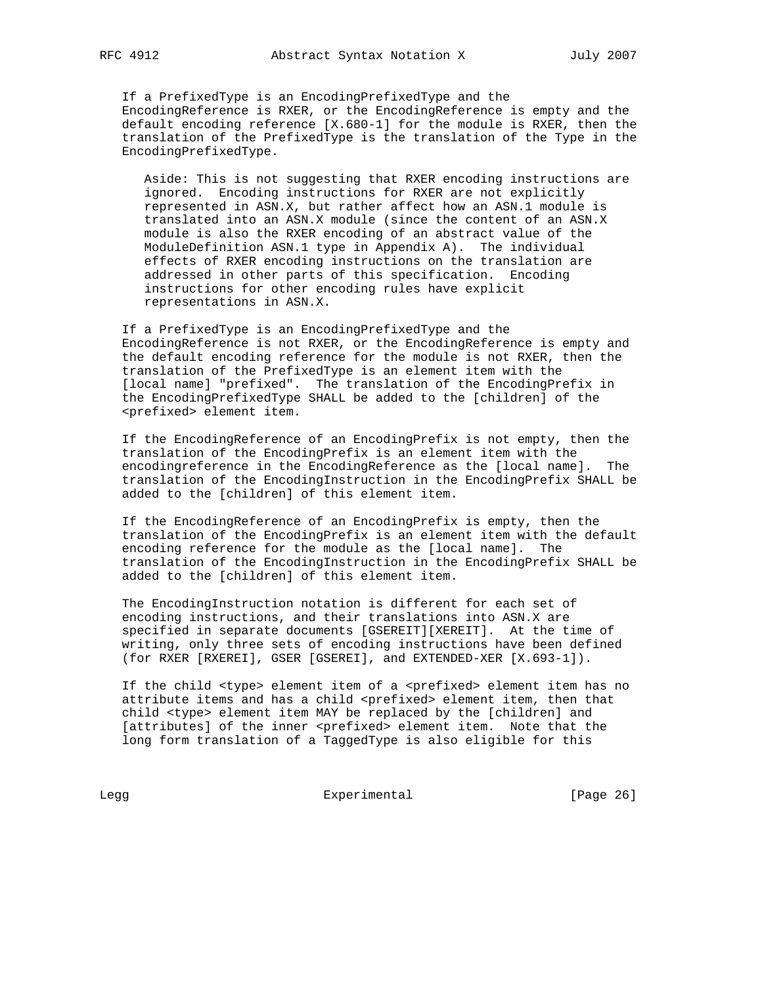If a PrefixedType is an EncodingPrefixedType and the EncodingReference is RXER, or the EncodingReference is empty and the default encoding reference [X.680-1] for the module is RXER, then the translation of the PrefixedType is the translation of the Type in the EncodingPrefixedType.

 Aside: This is not suggesting that RXER encoding instructions are ignored. Encoding instructions for RXER are not explicitly represented in ASN.X, but rather affect how an ASN.1 module is translated into an ASN.X module (since the content of an ASN.X module is also the RXER encoding of an abstract value of the ModuleDefinition ASN.1 type in Appendix A). The individual effects of RXER encoding instructions on the translation are addressed in other parts of this specification. Encoding instructions for other encoding rules have explicit representations in ASN.X.

 If a PrefixedType is an EncodingPrefixedType and the EncodingReference is not RXER, or the EncodingReference is empty and the default encoding reference for the module is not RXER, then the translation of the PrefixedType is an element item with the [local name] "prefixed". The translation of the EncodingPrefix in the EncodingPrefixedType SHALL be added to the [children] of the <prefixed> element item.

 If the EncodingReference of an EncodingPrefix is not empty, then the translation of the EncodingPrefix is an element item with the encodingreference in the EncodingReference as the [local name]. The translation of the EncodingInstruction in the EncodingPrefix SHALL be added to the [children] of this element item.

 If the EncodingReference of an EncodingPrefix is empty, then the translation of the EncodingPrefix is an element item with the default encoding reference for the module as the [local name]. The translation of the EncodingInstruction in the EncodingPrefix SHALL be added to the [children] of this element item.

 The EncodingInstruction notation is different for each set of encoding instructions, and their translations into ASN.X are specified in separate documents [GSEREIT][XEREIT]. At the time of writing, only three sets of encoding instructions have been defined (for RXER [RXEREI], GSER [GSEREI], and EXTENDED-XER [X.693-1]).

If the child <type> element item of a <prefixed> element item has no attribute items and has a child <prefixed> element item, then that child <type> element item MAY be replaced by the [children] and [attributes] of the inner <prefixed> element item. Note that the long form translation of a TaggedType is also eligible for this

Legg Experimental Experimental [Page 26]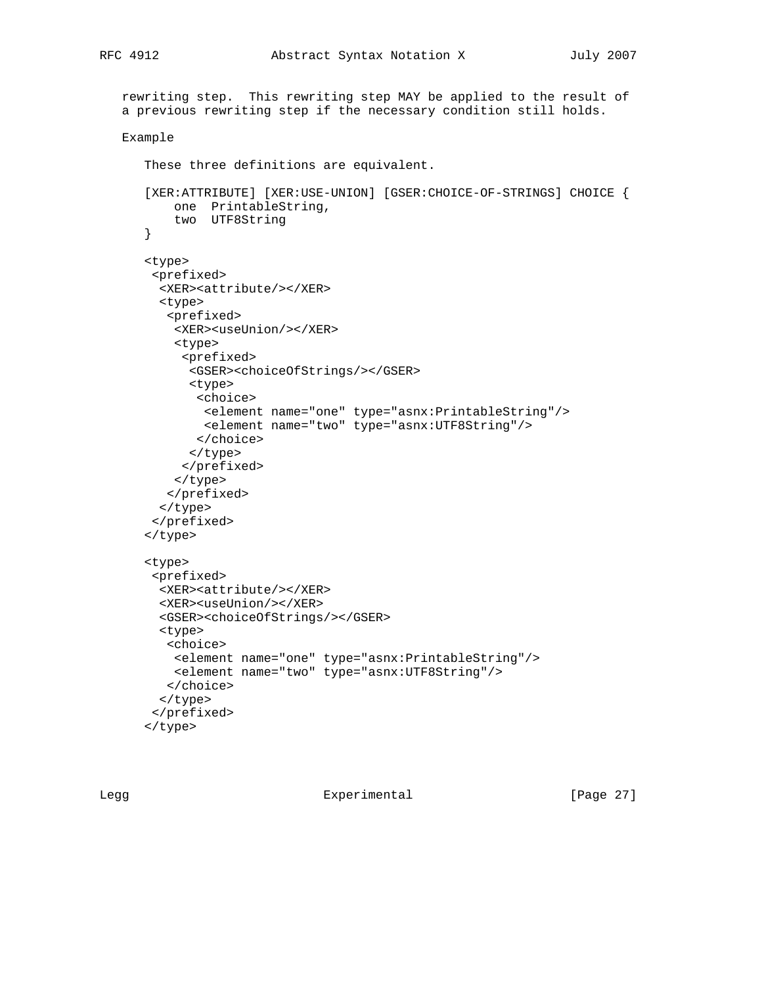```
 rewriting step. This rewriting step MAY be applied to the result of
 a previous rewriting step if the necessary condition still holds.
 Example
    These three definitions are equivalent.
    [XER:ATTRIBUTE] [XER:USE-UNION] [GSER:CHOICE-OF-STRINGS] CHOICE {
       one PrintableString,
        two UTF8String
    }
    <type>
     <prefixed>
      <XER><attribute/></XER>
      <type>
       <prefixed>
        <XER><useUnion/></XER>
        <type>
         <prefixed>
          <GSER><choiceOfStrings/></GSER>
          <type>
           <choice>
            <element name="one" type="asnx:PrintableString"/>
            <element name="two" type="asnx:UTF8String"/>
           </choice>
          </type>
         </prefixed>
        </type>
       </prefixed>
      </type>
     </prefixed>
    </type>
    <type>
     <prefixed>
      <XER><attribute/></XER>
      <XER><useUnion/></XER>
      <GSER><choiceOfStrings/></GSER>
      <type>
       <choice>
        <element name="one" type="asnx:PrintableString"/>
        <element name="two" type="asnx:UTF8String"/>
       </choice>
      </type>
     </prefixed>
    </type>
```
Legg Experimental [Page 27]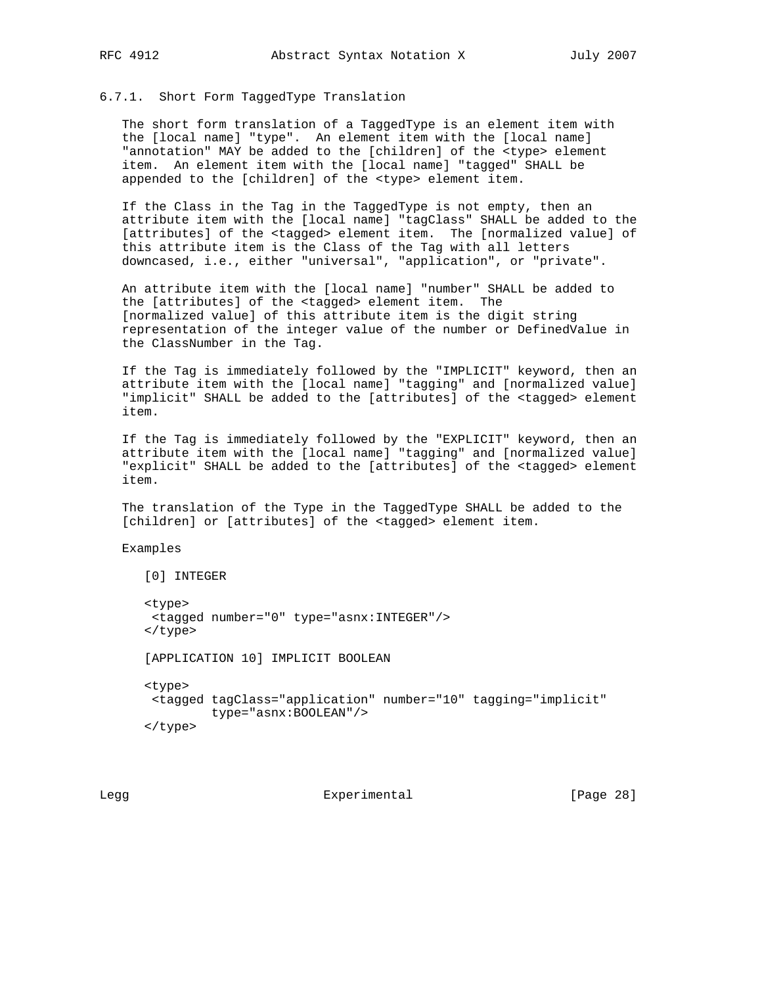## 6.7.1. Short Form TaggedType Translation

 The short form translation of a TaggedType is an element item with the [local name] "type". An element item with the [local name] "annotation" MAY be added to the [children] of the <type> element item. An element item with the [local name] "tagged" SHALL be appended to the [children] of the <type> element item.

 If the Class in the Tag in the TaggedType is not empty, then an attribute item with the [local name] "tagClass" SHALL be added to the [attributes] of the <tagged> element item. The [normalized value] of this attribute item is the Class of the Tag with all letters downcased, i.e., either "universal", "application", or "private".

 An attribute item with the [local name] "number" SHALL be added to the [attributes] of the <tagged> element item. The [normalized value] of this attribute item is the digit string representation of the integer value of the number or DefinedValue in the ClassNumber in the Tag.

 If the Tag is immediately followed by the "IMPLICIT" keyword, then an attribute item with the [local name] "tagging" and [normalized value] "implicit" SHALL be added to the [attributes] of the <tagged> element item.

 If the Tag is immediately followed by the "EXPLICIT" keyword, then an attribute item with the [local name] "tagging" and [normalized value] "explicit" SHALL be added to the [attributes] of the <tagged> element item.

 The translation of the Type in the TaggedType SHALL be added to the [children] or [attributes] of the <tagged> element item.

Examples

```
 [0] INTEGER
 <type>
  <tagged number="0" type="asnx:INTEGER"/>
 </type>
 [APPLICATION 10] IMPLICIT BOOLEAN
 <type>
 <tagged tagClass="application" number="10" tagging="implicit"
         type="asnx:BOOLEAN"/>
 </type>
```
Legg Experimental [Page 28]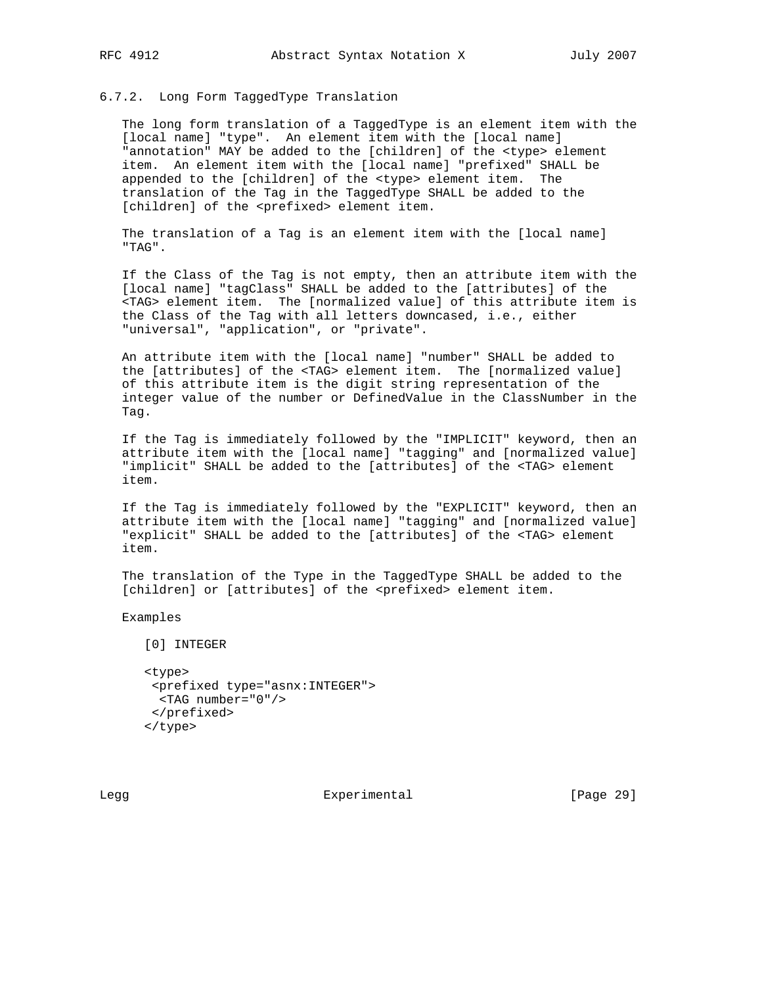#### 6.7.2. Long Form TaggedType Translation

 The long form translation of a TaggedType is an element item with the [local name] "type". An element item with the [local name] "annotation" MAY be added to the [children] of the <type> element item. An element item with the [local name] "prefixed" SHALL be appended to the [children] of the <type> element item. The translation of the Tag in the TaggedType SHALL be added to the [children] of the <prefixed> element item.

 The translation of a Tag is an element item with the [local name] "TAG".

 If the Class of the Tag is not empty, then an attribute item with the [local name] "tagClass" SHALL be added to the [attributes] of the <TAG> element item. The [normalized value] of this attribute item is the Class of the Tag with all letters downcased, i.e., either "universal", "application", or "private".

 An attribute item with the [local name] "number" SHALL be added to the [attributes] of the <TAG> element item. The [normalized value] of this attribute item is the digit string representation of the integer value of the number or DefinedValue in the ClassNumber in the Tag.

 If the Tag is immediately followed by the "IMPLICIT" keyword, then an attribute item with the [local name] "tagging" and [normalized value] "implicit" SHALL be added to the [attributes] of the <TAG> element item.

 If the Tag is immediately followed by the "EXPLICIT" keyword, then an attribute item with the [local name] "tagging" and [normalized value] "explicit" SHALL be added to the [attributes] of the <TAG> element item.

 The translation of the Type in the TaggedType SHALL be added to the [children] or [attributes] of the <prefixed> element item.

Examples

[0] INTEGER

 <type> <prefixed type="asnx:INTEGER"> <TAG number="0"/> </prefixed> </type>

Legg **Experimental** Experimental [Page 29]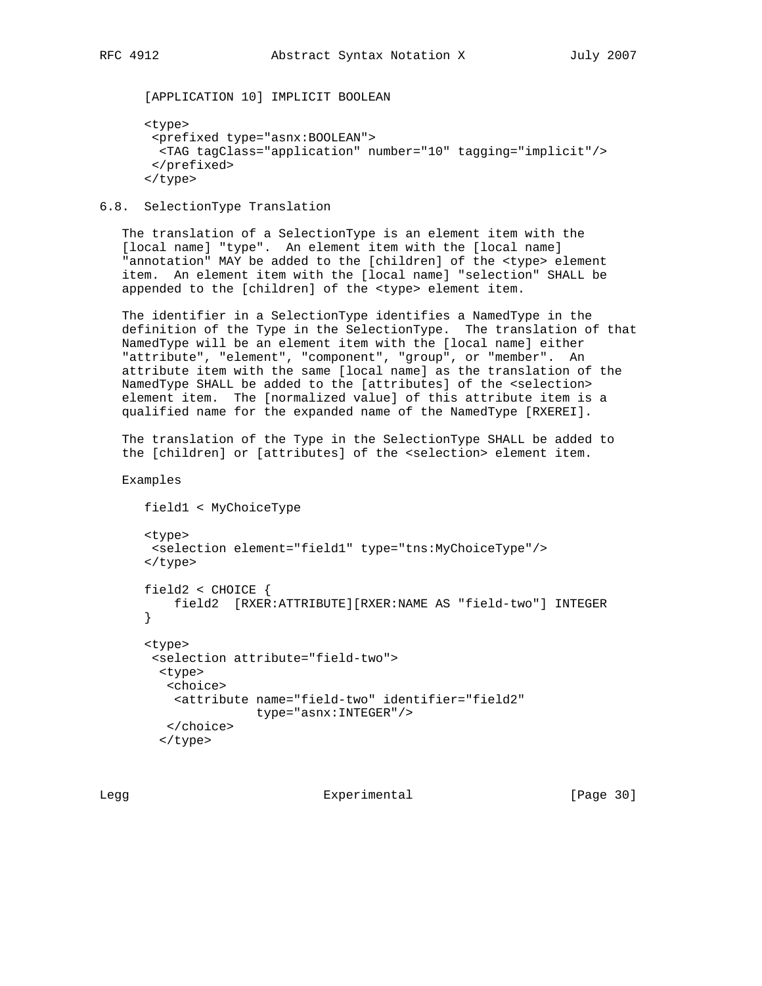[APPLICATION 10] IMPLICIT BOOLEAN

```
 <type>
  <prefixed type="asnx:BOOLEAN">
  <TAG tagClass="application" number="10" tagging="implicit"/>
  </prefixed>
 </type>
```
6.8. SelectionType Translation

 The translation of a SelectionType is an element item with the [local name] "type". An element item with the [local name] "annotation" MAY be added to the [children] of the <type> element item. An element item with the [local name] "selection" SHALL be appended to the [children] of the <type> element item.

 The identifier in a SelectionType identifies a NamedType in the definition of the Type in the SelectionType. The translation of that NamedType will be an element item with the [local name] either "attribute", "element", "component", "group", or "member". An attribute item with the same [local name] as the translation of the NamedType SHALL be added to the [attributes] of the <selection> element item. The [normalized value] of this attribute item is a qualified name for the expanded name of the NamedType [RXEREI].

 The translation of the Type in the SelectionType SHALL be added to the [children] or [attributes] of the <selection> element item.

```
 Examples
```

```
 field1 < MyChoiceType
 <type>
 <selection element="field1" type="tns:MyChoiceType"/>
 </type>
 field2 < CHOICE {
    field2 [RXER:ATTRIBUTE][RXER:NAME AS "field-two"] INTEGER
 }
 <type>
  <selection attribute="field-two">
  <type>
   <choice>
    <attribute name="field-two" identifier="field2"
                type="asnx:INTEGER"/>
   </choice>
   </type>
```
Legg Experimental [Page 30]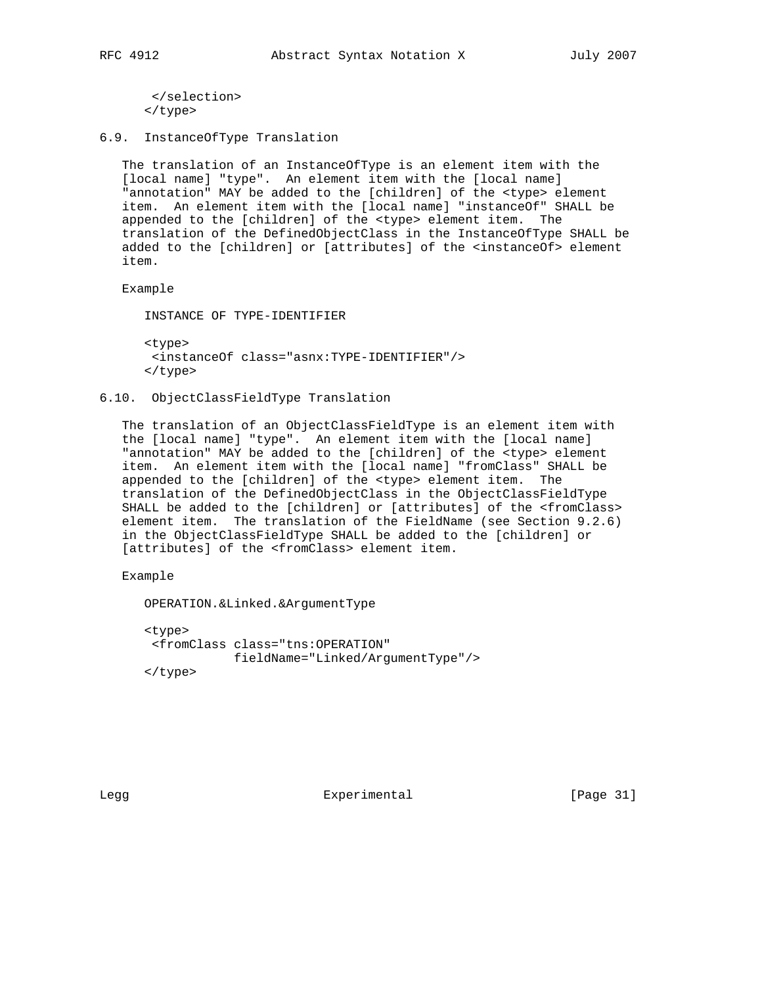```
 </selection>
 </type>
```
6.9. InstanceOfType Translation

 The translation of an InstanceOfType is an element item with the [local name] "type". An element item with the [local name] "annotation" MAY be added to the [children] of the <type> element item. An element item with the [local name] "instanceOf" SHALL be appended to the [children] of the <type> element item. The translation of the DefinedObjectClass in the InstanceOfType SHALL be added to the [children] or [attributes] of the <instanceOf> element item.

Example

INSTANCE OF TYPE-IDENTIFIER

 <type> <instanceOf class="asnx:TYPE-IDENTIFIER"/> </type>

## 6.10. ObjectClassFieldType Translation

 The translation of an ObjectClassFieldType is an element item with the [local name] "type". An element item with the [local name] "annotation" MAY be added to the [children] of the <type> element item. An element item with the [local name] "fromClass" SHALL be appended to the [children] of the <type> element item. The translation of the DefinedObjectClass in the ObjectClassFieldType SHALL be added to the [children] or [attributes] of the <fromClass> element item. The translation of the FieldName (see Section 9.2.6) in the ObjectClassFieldType SHALL be added to the [children] or [attributes] of the <fromClass> element item.

Example

OPERATION.&Linked.&ArgumentType

 <type> <fromClass class="tns:OPERATION" fieldName="Linked/ArgumentType"/> </type>

Legg Experimental [Page 31]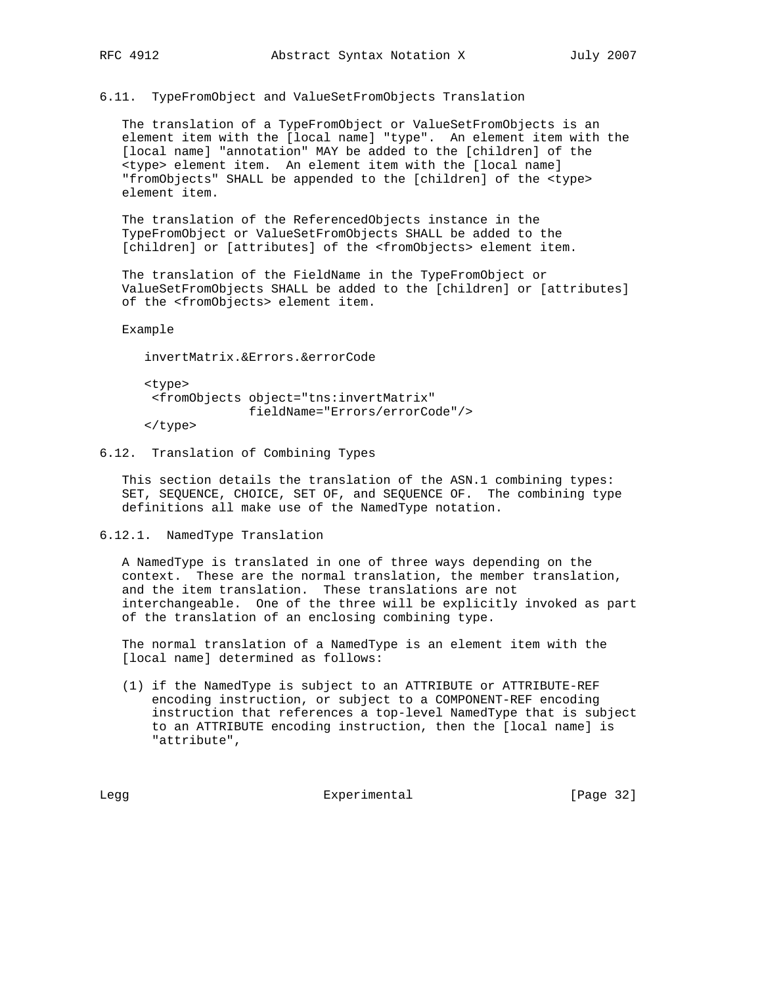6.11. TypeFromObject and ValueSetFromObjects Translation

 The translation of a TypeFromObject or ValueSetFromObjects is an element item with the [local name] "type". An element item with the [local name] "annotation" MAY be added to the [children] of the <type> element item. An element item with the [local name] "fromObjects" SHALL be appended to the [children] of the <type> element item.

 The translation of the ReferencedObjects instance in the TypeFromObject or ValueSetFromObjects SHALL be added to the [children] or [attributes] of the <fromObjects> element item.

 The translation of the FieldName in the TypeFromObject or ValueSetFromObjects SHALL be added to the [children] or [attributes] of the <fromObjects> element item.

Example

invertMatrix.&Errors.&errorCode

 <type> <fromObjects object="tns:invertMatrix" fieldName="Errors/errorCode"/>

</type>

6.12. Translation of Combining Types

 This section details the translation of the ASN.1 combining types: SET, SEQUENCE, CHOICE, SET OF, and SEQUENCE OF. The combining type definitions all make use of the NamedType notation.

6.12.1. NamedType Translation

 A NamedType is translated in one of three ways depending on the context. These are the normal translation, the member translation, and the item translation. These translations are not interchangeable. One of the three will be explicitly invoked as part of the translation of an enclosing combining type.

 The normal translation of a NamedType is an element item with the [local name] determined as follows:

 (1) if the NamedType is subject to an ATTRIBUTE or ATTRIBUTE-REF encoding instruction, or subject to a COMPONENT-REF encoding instruction that references a top-level NamedType that is subject to an ATTRIBUTE encoding instruction, then the [local name] is "attribute",

Legg Experimental Experimental [Page 32]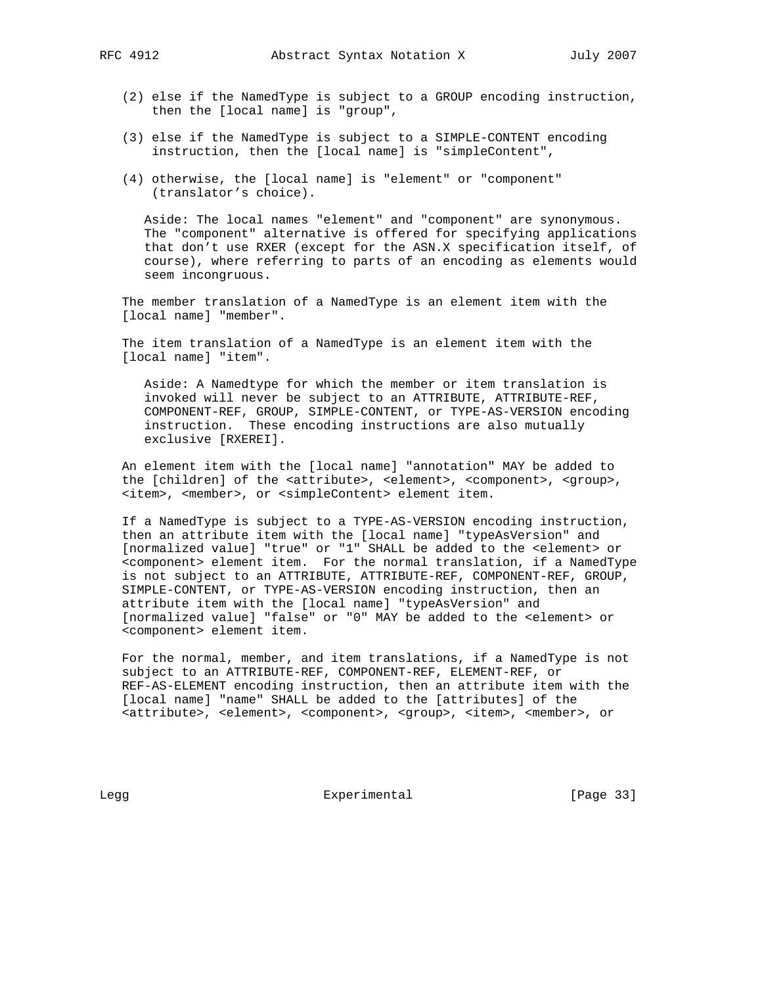- (2) else if the NamedType is subject to a GROUP encoding instruction, then the [local name] is "group",
- (3) else if the NamedType is subject to a SIMPLE-CONTENT encoding instruction, then the [local name] is "simpleContent",
- (4) otherwise, the [local name] is "element" or "component" (translator's choice).

 Aside: The local names "element" and "component" are synonymous. The "component" alternative is offered for specifying applications that don't use RXER (except for the ASN.X specification itself, of course), where referring to parts of an encoding as elements would seem incongruous.

 The member translation of a NamedType is an element item with the [local name] "member".

 The item translation of a NamedType is an element item with the [local name] "item".

 Aside: A Namedtype for which the member or item translation is invoked will never be subject to an ATTRIBUTE, ATTRIBUTE-REF, COMPONENT-REF, GROUP, SIMPLE-CONTENT, or TYPE-AS-VERSION encoding instruction. These encoding instructions are also mutually exclusive [RXEREI].

 An element item with the [local name] "annotation" MAY be added to the [children] of the <attribute>, <element>, <component>, <group>, <item>, <member>, or <simpleContent> element item.

 If a NamedType is subject to a TYPE-AS-VERSION encoding instruction, then an attribute item with the [local name] "typeAsVersion" and [normalized value] "true" or "1" SHALL be added to the <element> or <component> element item. For the normal translation, if a NamedType is not subject to an ATTRIBUTE, ATTRIBUTE-REF, COMPONENT-REF, GROUP, SIMPLE-CONTENT, or TYPE-AS-VERSION encoding instruction, then an attribute item with the [local name] "typeAsVersion" and [normalized value] "false" or "0" MAY be added to the <element> or <component> element item.

 For the normal, member, and item translations, if a NamedType is not subject to an ATTRIBUTE-REF, COMPONENT-REF, ELEMENT-REF, or REF-AS-ELEMENT encoding instruction, then an attribute item with the [local name] "name" SHALL be added to the [attributes] of the <attribute>, <element>, <component>, <group>, <item>, <member>, or

Legg **Experimental** Experimental [Page 33]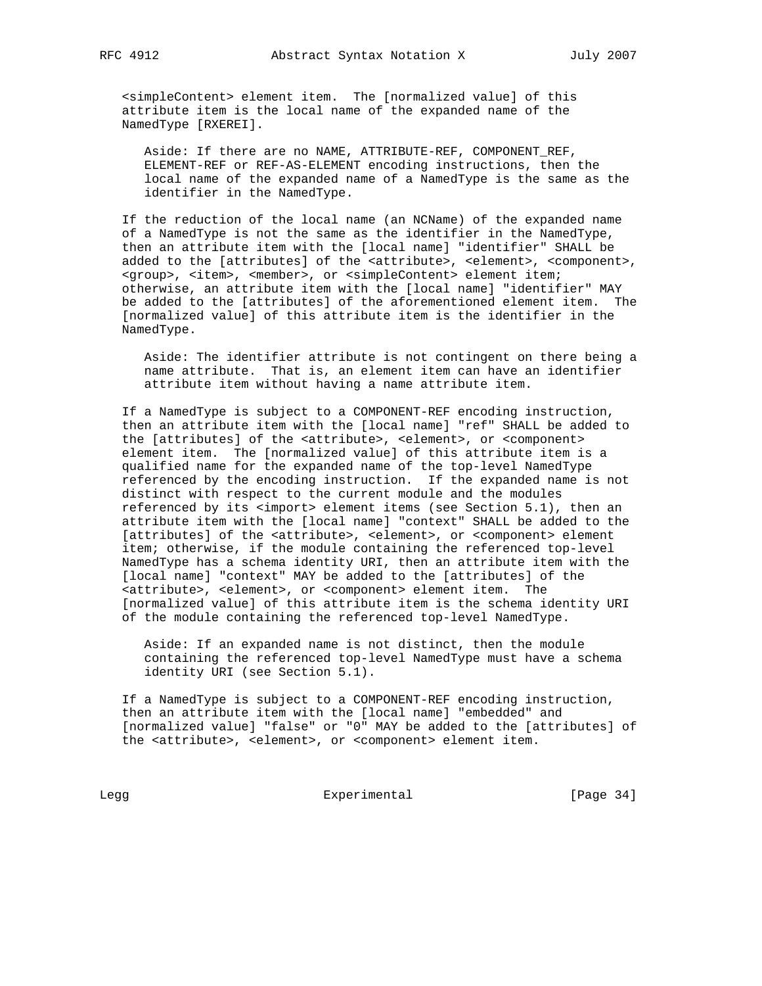<simpleContent> element item. The [normalized value] of this attribute item is the local name of the expanded name of the NamedType [RXEREI].

 Aside: If there are no NAME, ATTRIBUTE-REF, COMPONENT\_REF, ELEMENT-REF or REF-AS-ELEMENT encoding instructions, then the local name of the expanded name of a NamedType is the same as the identifier in the NamedType.

 If the reduction of the local name (an NCName) of the expanded name of a NamedType is not the same as the identifier in the NamedType, then an attribute item with the [local name] "identifier" SHALL be added to the [attributes] of the <attribute>, <element>, <component>, <group>, <item>, <member>, or <simpleContent> element item; otherwise, an attribute item with the [local name] "identifier" MAY be added to the [attributes] of the aforementioned element item. The [normalized value] of this attribute item is the identifier in the NamedType.

 Aside: The identifier attribute is not contingent on there being a name attribute. That is, an element item can have an identifier attribute item without having a name attribute item.

 If a NamedType is subject to a COMPONENT-REF encoding instruction, then an attribute item with the [local name] "ref" SHALL be added to the [attributes] of the <attribute>, <element>, or <component> element item. The [normalized value] of this attribute item is a qualified name for the expanded name of the top-level NamedType referenced by the encoding instruction. If the expanded name is not distinct with respect to the current module and the modules referenced by its <import> element items (see Section 5.1), then an attribute item with the [local name] "context" SHALL be added to the [attributes] of the <attribute>, <element>, or <component> element item; otherwise, if the module containing the referenced top-level NamedType has a schema identity URI, then an attribute item with the [local name] "context" MAY be added to the [attributes] of the <attribute>, <element>, or <component> element item. The [normalized value] of this attribute item is the schema identity URI of the module containing the referenced top-level NamedType.

 Aside: If an expanded name is not distinct, then the module containing the referenced top-level NamedType must have a schema identity URI (see Section 5.1).

 If a NamedType is subject to a COMPONENT-REF encoding instruction, then an attribute item with the [local name] "embedded" and [normalized value] "false" or "0" MAY be added to the [attributes] of the <attribute>, <element>, or <component> element item.

Legg Experimental Experimental [Page 34]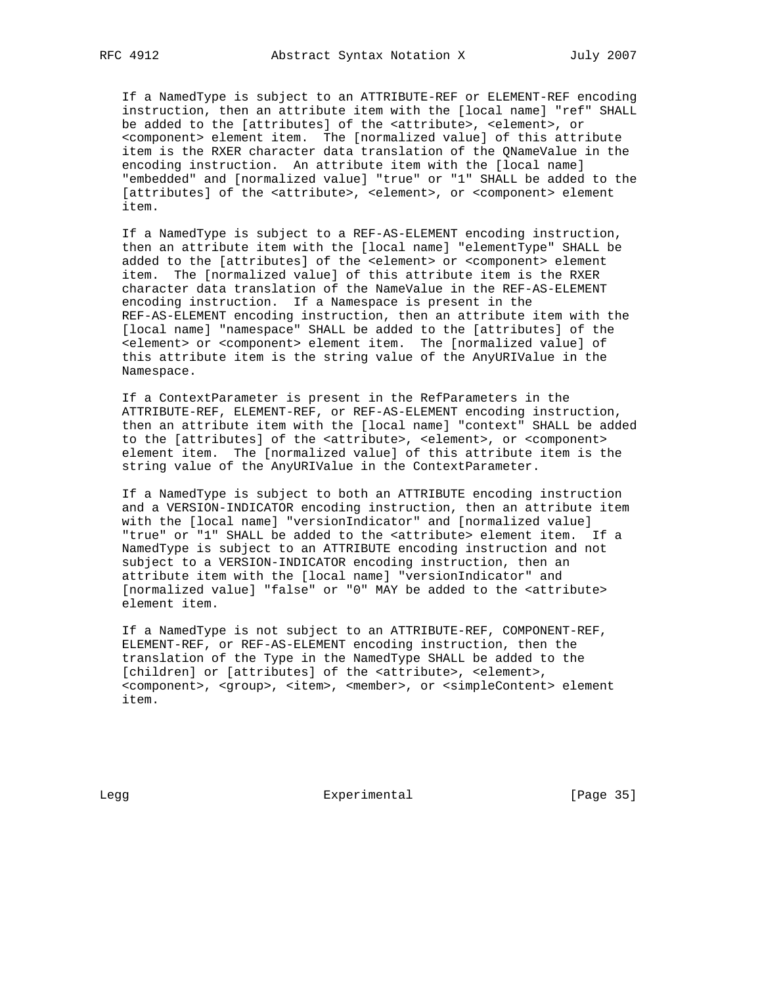If a NamedType is subject to an ATTRIBUTE-REF or ELEMENT-REF encoding instruction, then an attribute item with the [local name] "ref" SHALL be added to the [attributes] of the <attribute>, <element>, or <component> element item. The [normalized value] of this attribute item is the RXER character data translation of the QNameValue in the encoding instruction. An attribute item with the [local name] "embedded" and [normalized value] "true" or "1" SHALL be added to the [attributes] of the <attribute>, <element>, or <component> element item.

 If a NamedType is subject to a REF-AS-ELEMENT encoding instruction, then an attribute item with the [local name] "elementType" SHALL be added to the [attributes] of the <element> or <component> element item. The [normalized value] of this attribute item is the RXER character data translation of the NameValue in the REF-AS-ELEMENT encoding instruction. If a Namespace is present in the REF-AS-ELEMENT encoding instruction, then an attribute item with the [local name] "namespace" SHALL be added to the [attributes] of the <element> or <component> element item. The [normalized value] of this attribute item is the string value of the AnyURIValue in the Namespace.

 If a ContextParameter is present in the RefParameters in the ATTRIBUTE-REF, ELEMENT-REF, or REF-AS-ELEMENT encoding instruction, then an attribute item with the [local name] "context" SHALL be added to the [attributes] of the <attribute>, <element>, or <component> element item. The [normalized value] of this attribute item is the string value of the AnyURIValue in the ContextParameter.

 If a NamedType is subject to both an ATTRIBUTE encoding instruction and a VERSION-INDICATOR encoding instruction, then an attribute item with the [local name] "versionIndicator" and [normalized value] "true" or "1" SHALL be added to the <attribute> element item. If a NamedType is subject to an ATTRIBUTE encoding instruction and not subject to a VERSION-INDICATOR encoding instruction, then an attribute item with the [local name] "versionIndicator" and [normalized value] "false" or "0" MAY be added to the <attribute> element item.

 If a NamedType is not subject to an ATTRIBUTE-REF, COMPONENT-REF, ELEMENT-REF, or REF-AS-ELEMENT encoding instruction, then the translation of the Type in the NamedType SHALL be added to the [children] or [attributes] of the <attribute>, <element>, <component>, <group>, <item>, <member>, or <simpleContent> element item.

Legg **Experimental** Experimental [Page 35]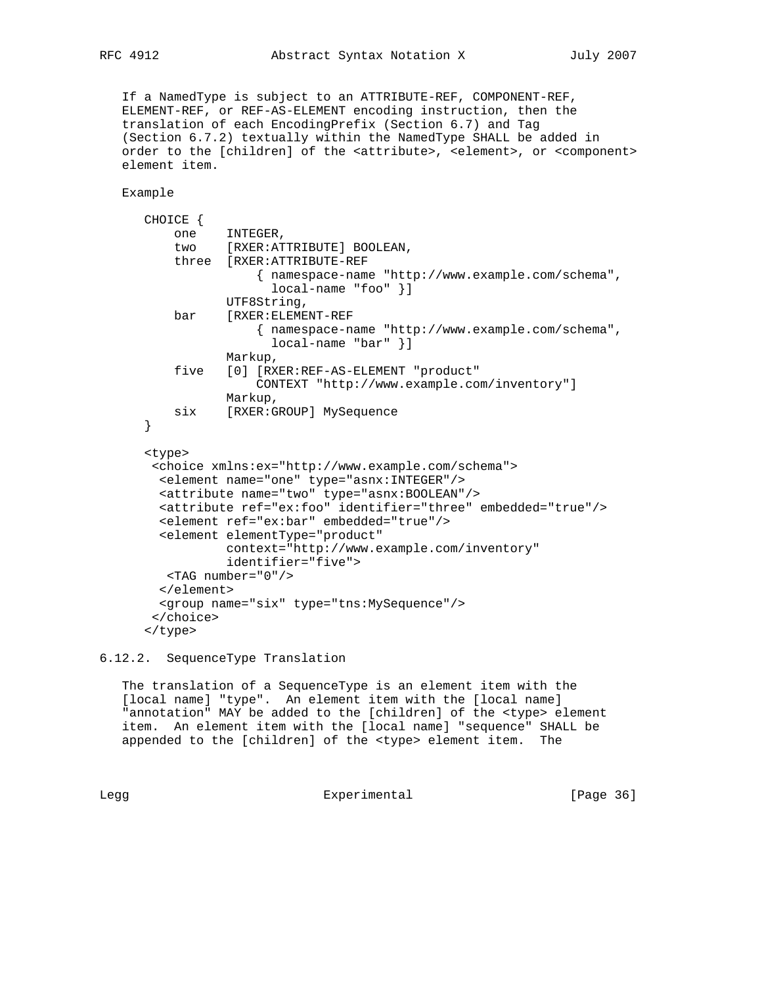If a NamedType is subject to an ATTRIBUTE-REF, COMPONENT-REF, ELEMENT-REF, or REF-AS-ELEMENT encoding instruction, then the translation of each EncodingPrefix (Section 6.7) and Tag (Section 6.7.2) textually within the NamedType SHALL be added in order to the [children] of the <attribute>, <element>, or <component> element item.

Example

```
 CHOICE {
    one INTEGER,
    two [RXER:ATTRIBUTE] BOOLEAN,
     three [RXER:ATTRIBUTE-REF
                { namespace-name "http://www.example.com/schema",
                  local-name "foo" }]
            UTF8String,
     bar [RXER:ELEMENT-REF
                { namespace-name "http://www.example.com/schema",
                  local-name "bar" }]
            Markup,
     five [0] [RXER:REF-AS-ELEMENT "product"
                CONTEXT "http://www.example.com/inventory"]
           Markup,
    six [RXER:GROUP] MySequence
 }
 <type>
  <choice xmlns:ex="http://www.example.com/schema">
   <element name="one" type="asnx:INTEGER"/>
  <attribute name="two" type="asnx:BOOLEAN"/>
  <attribute ref="ex:foo" identifier="three" embedded="true"/>
   <element ref="ex:bar" embedded="true"/>
   <element elementType="product"
            context="http://www.example.com/inventory"
            identifier="five">
   <TAG number="0"/>
  </element>
   <group name="six" type="tns:MySequence"/>
  </choice>
 </type>
```
6.12.2. SequenceType Translation

 The translation of a SequenceType is an element item with the [local name] "type". An element item with the [local name] "annotation" MAY be added to the [children] of the <type> element item. An element item with the [local name] "sequence" SHALL be appended to the [children] of the <type> element item. The

Legg **Experimental** Experimental [Page 36]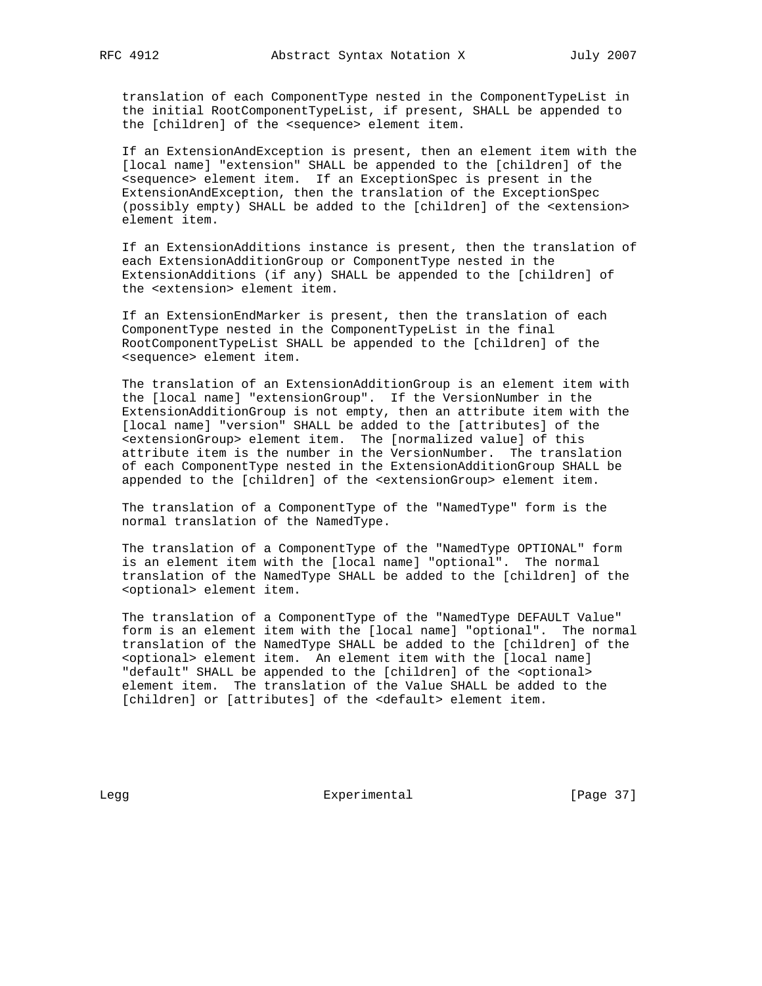translation of each ComponentType nested in the ComponentTypeList in the initial RootComponentTypeList, if present, SHALL be appended to the [children] of the <sequence> element item.

 If an ExtensionAndException is present, then an element item with the [local name] "extension" SHALL be appended to the [children] of the <sequence> element item. If an ExceptionSpec is present in the ExtensionAndException, then the translation of the ExceptionSpec (possibly empty) SHALL be added to the [children] of the <extension> element item.

 If an ExtensionAdditions instance is present, then the translation of each ExtensionAdditionGroup or ComponentType nested in the ExtensionAdditions (if any) SHALL be appended to the [children] of the <extension> element item.

 If an ExtensionEndMarker is present, then the translation of each ComponentType nested in the ComponentTypeList in the final RootComponentTypeList SHALL be appended to the [children] of the <sequence> element item.

 The translation of an ExtensionAdditionGroup is an element item with the [local name] "extensionGroup". If the VersionNumber in the ExtensionAdditionGroup is not empty, then an attribute item with the [local name] "version" SHALL be added to the [attributes] of the <extensionGroup> element item. The [normalized value] of this attribute item is the number in the VersionNumber. The translation of each ComponentType nested in the ExtensionAdditionGroup SHALL be appended to the [children] of the <extensionGroup> element item.

 The translation of a ComponentType of the "NamedType" form is the normal translation of the NamedType.

 The translation of a ComponentType of the "NamedType OPTIONAL" form is an element item with the [local name] "optional". The normal translation of the NamedType SHALL be added to the [children] of the <optional> element item.

 The translation of a ComponentType of the "NamedType DEFAULT Value" form is an element item with the [local name] "optional". The normal translation of the NamedType SHALL be added to the [children] of the <optional> element item. An element item with the [local name] "default" SHALL be appended to the [children] of the <optional> element item. The translation of the Value SHALL be added to the [children] or [attributes] of the <default> element item.

Legg **Experimental** Experimental [Page 37]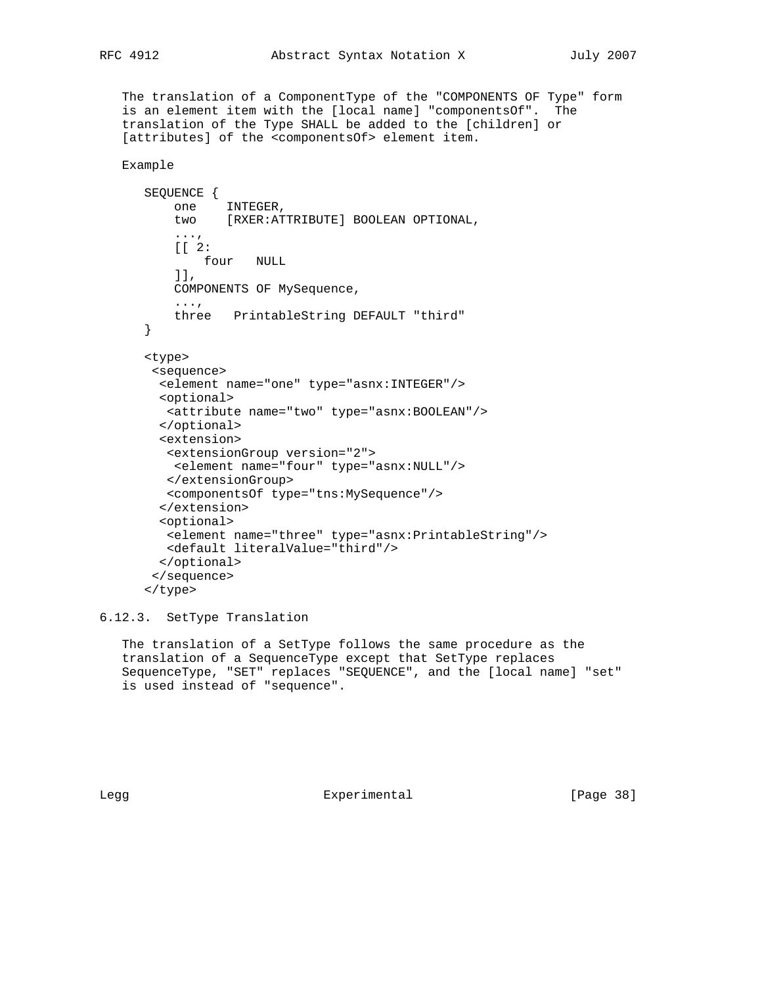The translation of a ComponentType of the "COMPONENTS OF Type" form is an element item with the [local name] "componentsOf". The translation of the Type SHALL be added to the [children] or [attributes] of the <componentsOf> element item.

Example

```
 SEQUENCE {
          one INTEGER,
           two [RXER:ATTRIBUTE] BOOLEAN OPTIONAL,
 ...,
          [[ 2:
              four NULL
           ]],
           COMPONENTS OF MySequence,
           ...,
          three PrintableString DEFAULT "third"
       }
       <type>
       <sequence>
        <element name="one" type="asnx:INTEGER"/>
        <optional>
         <attribute name="two" type="asnx:BOOLEAN"/>
        </optional>
         <extension>
         <extensionGroup version="2">
          <element name="four" type="asnx:NULL"/>
         </extensionGroup>
         <componentsOf type="tns:MySequence"/>
         </extension>
        <optional>
         <element name="three" type="asnx:PrintableString"/>
         <default literalValue="third"/>
        </optional>
        </sequence>
       </type>
```
6.12.3. SetType Translation

 The translation of a SetType follows the same procedure as the translation of a SequenceType except that SetType replaces SequenceType, "SET" replaces "SEQUENCE", and the [local name] "set" is used instead of "sequence".

Legg Experimental [Page 38]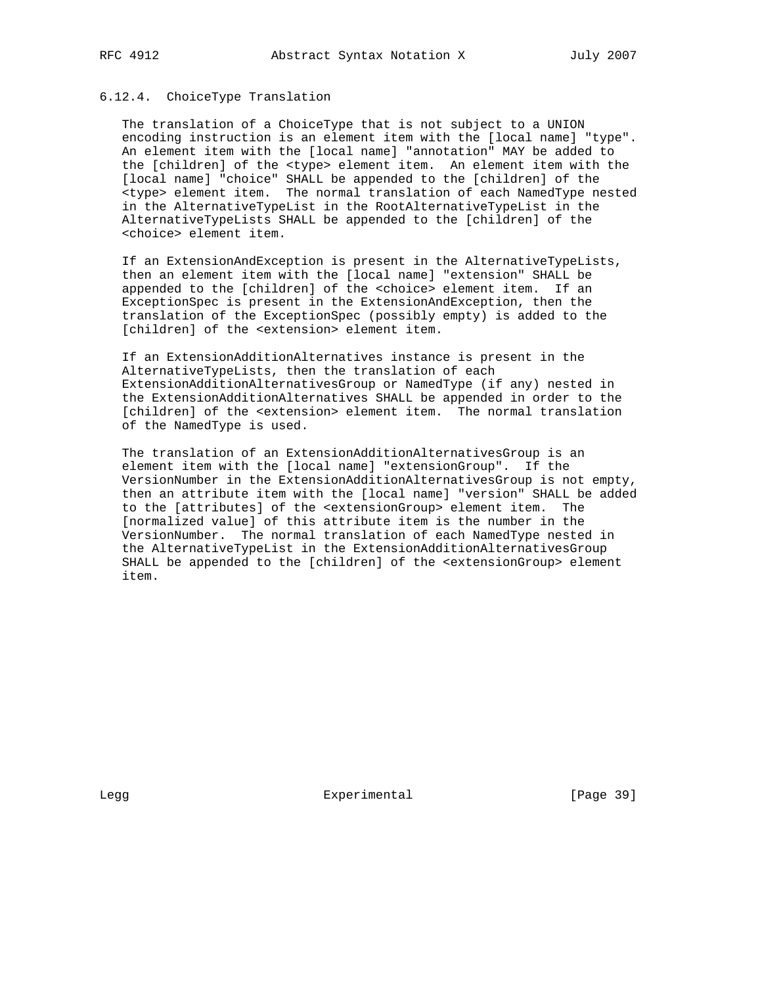## 6.12.4. ChoiceType Translation

 The translation of a ChoiceType that is not subject to a UNION encoding instruction is an element item with the [local name] "type". An element item with the [local name] "annotation" MAY be added to the [children] of the <type> element item. An element item with the [local name] "choice" SHALL be appended to the [children] of the <type> element item. The normal translation of each NamedType nested in the AlternativeTypeList in the RootAlternativeTypeList in the AlternativeTypeLists SHALL be appended to the [children] of the <choice> element item.

 If an ExtensionAndException is present in the AlternativeTypeLists, then an element item with the [local name] "extension" SHALL be appended to the [children] of the <choice> element item. If an ExceptionSpec is present in the ExtensionAndException, then the translation of the ExceptionSpec (possibly empty) is added to the [children] of the <extension> element item.

 If an ExtensionAdditionAlternatives instance is present in the AlternativeTypeLists, then the translation of each ExtensionAdditionAlternativesGroup or NamedType (if any) nested in the ExtensionAdditionAlternatives SHALL be appended in order to the [children] of the <extension> element item. The normal translation of the NamedType is used.

 The translation of an ExtensionAdditionAlternativesGroup is an element item with the [local name] "extensionGroup". If the VersionNumber in the ExtensionAdditionAlternativesGroup is not empty, then an attribute item with the [local name] "version" SHALL be added to the [attributes] of the <extensionGroup> element item. The [normalized value] of this attribute item is the number in the VersionNumber. The normal translation of each NamedType nested in the AlternativeTypeList in the ExtensionAdditionAlternativesGroup SHALL be appended to the [children] of the <extensionGroup> element item.

Legg **Experimental** [Page 39]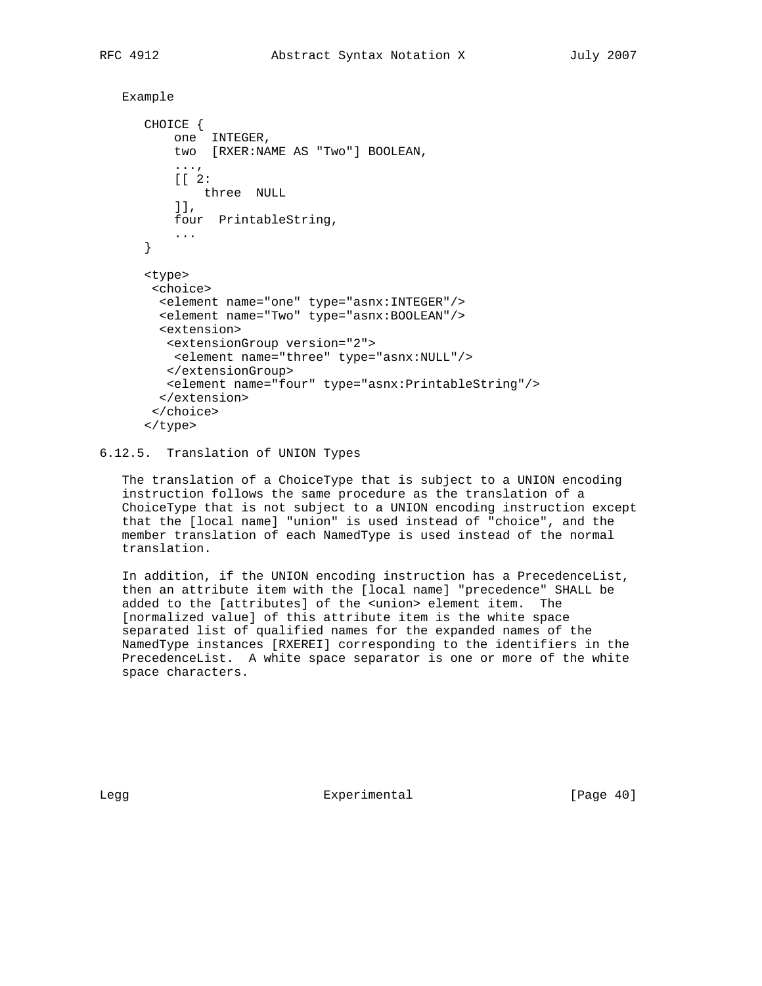```
 Example
```

```
 CHOICE {
     one INTEGER,
     two [RXER:NAME AS "Two"] BOOLEAN,
     ...,
     [[ 2:
        three NULL
     ]],
     four PrintableString,
     ...
 }
 <type>
  <choice>
   <element name="one" type="asnx:INTEGER"/>
   <element name="Two" type="asnx:BOOLEAN"/>
   <extension>
   <extensionGroup version="2">
     <element name="three" type="asnx:NULL"/>
    </extensionGroup>
   <element name="four" type="asnx:PrintableString"/>
   </extension>
  </choice>
 </type>
```
# 6.12.5. Translation of UNION Types

 The translation of a ChoiceType that is subject to a UNION encoding instruction follows the same procedure as the translation of a ChoiceType that is not subject to a UNION encoding instruction except that the [local name] "union" is used instead of "choice", and the member translation of each NamedType is used instead of the normal translation.

 In addition, if the UNION encoding instruction has a PrecedenceList, then an attribute item with the [local name] "precedence" SHALL be added to the [attributes] of the <union> element item. The [normalized value] of this attribute item is the white space separated list of qualified names for the expanded names of the NamedType instances [RXEREI] corresponding to the identifiers in the PrecedenceList. A white space separator is one or more of the white space characters.

Legg Experimental [Page 40]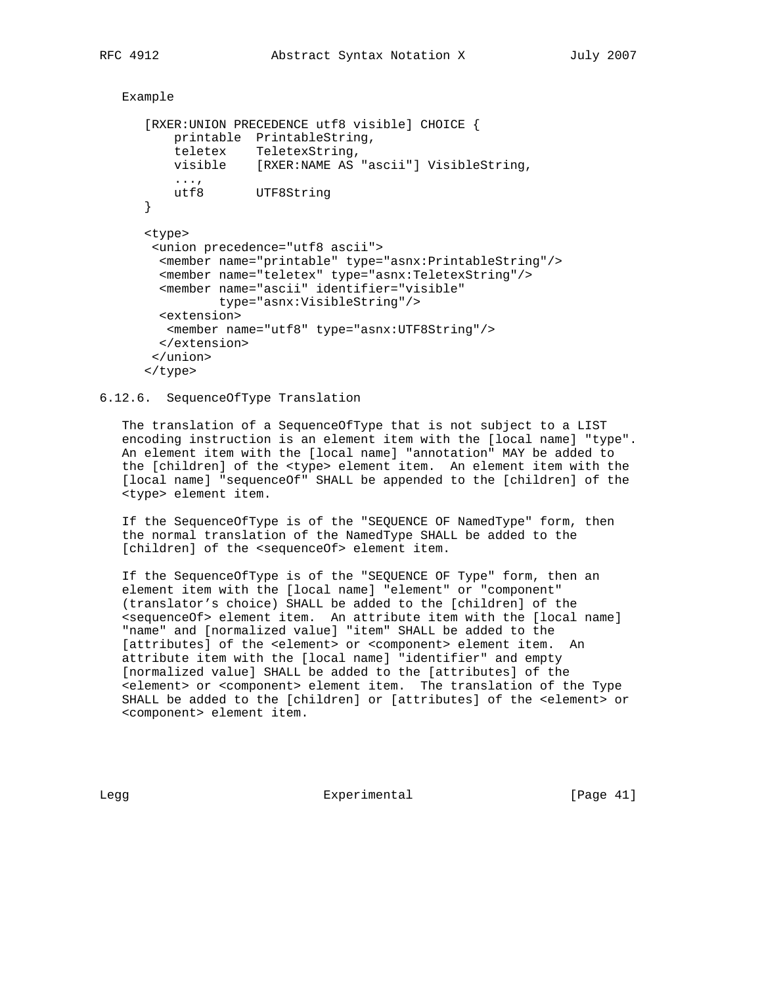```
 Example
```

```
 [RXER:UNION PRECEDENCE utf8 visible] CHOICE {
    printable PrintableString,
    teletex TeletexString,
    visible [RXER:NAME AS "ascii"] VisibleString,
    ...,
   utf8 UTF8String
 }
 <type>
  <union precedence="utf8 ascii">
   <member name="printable" type="asnx:PrintableString"/>
   <member name="teletex" type="asnx:TeletexString"/>
   <member name="ascii" identifier="visible"
           type="asnx:VisibleString"/>
  <extension>
   <member name="utf8" type="asnx:UTF8String"/>
  </extension>
 </union>
 </type>
```
## 6.12.6. SequenceOfType Translation

 The translation of a SequenceOfType that is not subject to a LIST encoding instruction is an element item with the [local name] "type". An element item with the [local name] "annotation" MAY be added to the [children] of the <type> element item. An element item with the [local name] "sequenceOf" SHALL be appended to the [children] of the <type> element item.

 If the SequenceOfType is of the "SEQUENCE OF NamedType" form, then the normal translation of the NamedType SHALL be added to the [children] of the <sequenceOf> element item.

 If the SequenceOfType is of the "SEQUENCE OF Type" form, then an element item with the [local name] "element" or "component" (translator's choice) SHALL be added to the [children] of the <sequenceOf> element item. An attribute item with the [local name] "name" and [normalized value] "item" SHALL be added to the [attributes] of the <element> or <component> element item. An attribute item with the [local name] "identifier" and empty [normalized value] SHALL be added to the [attributes] of the <element> or <component> element item. The translation of the Type SHALL be added to the [children] or [attributes] of the <element> or <component> element item.

Legg **Experimental** Experimental [Page 41]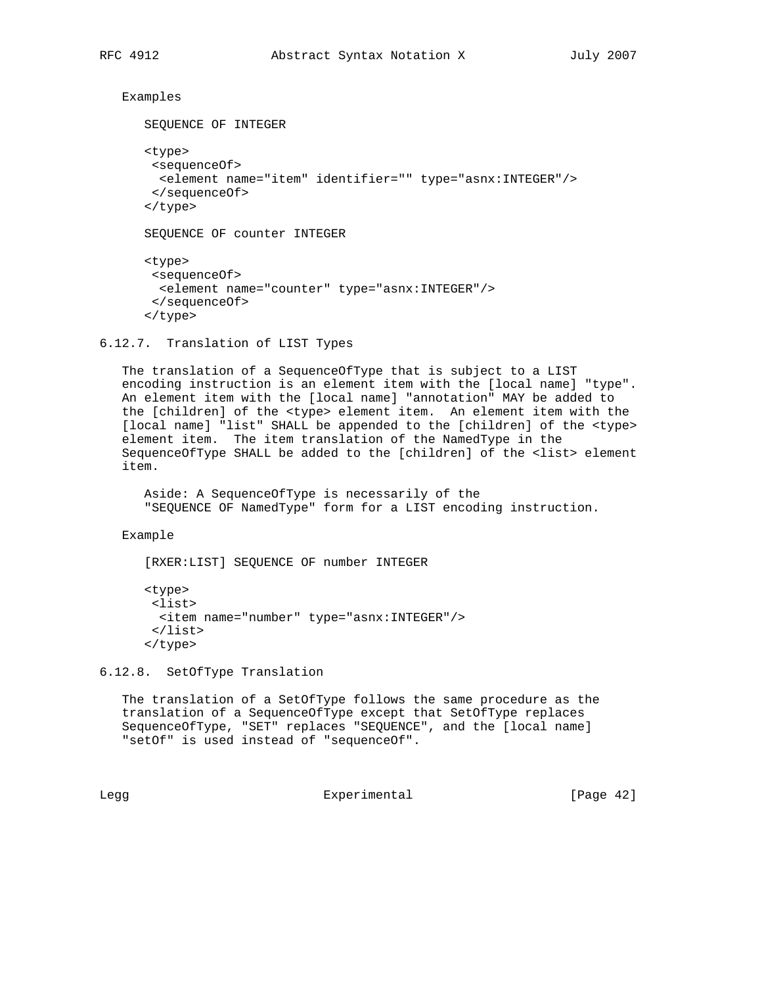Examples

```
 SEQUENCE OF INTEGER
 <type>
 <sequenceOf>
  <element name="item" identifier="" type="asnx:INTEGER"/>
  </sequenceOf>
 </type>
 SEQUENCE OF counter INTEGER
 <type>
 <sequenceOf>
  <element name="counter" type="asnx:INTEGER"/>
 </sequenceOf>
 </type>
```
## 6.12.7. Translation of LIST Types

 The translation of a SequenceOfType that is subject to a LIST encoding instruction is an element item with the [local name] "type". An element item with the [local name] "annotation" MAY be added to the [children] of the <type> element item. An element item with the [local name] "list" SHALL be appended to the [children] of the <type> element item. The item translation of the NamedType in the SequenceOfType SHALL be added to the [children] of the <list> element item.

 Aside: A SequenceOfType is necessarily of the "SEQUENCE OF NamedType" form for a LIST encoding instruction.

Example

[RXER:LIST] SEQUENCE OF number INTEGER

```
 <type>
 <list>
  <item name="number" type="asnx:INTEGER"/>
 </list>
 </type>
```
6.12.8. SetOfType Translation

 The translation of a SetOfType follows the same procedure as the translation of a SequenceOfType except that SetOfType replaces SequenceOfType, "SET" replaces "SEQUENCE", and the [local name] "setOf" is used instead of "sequenceOf".

Legg Experimental [Page 42]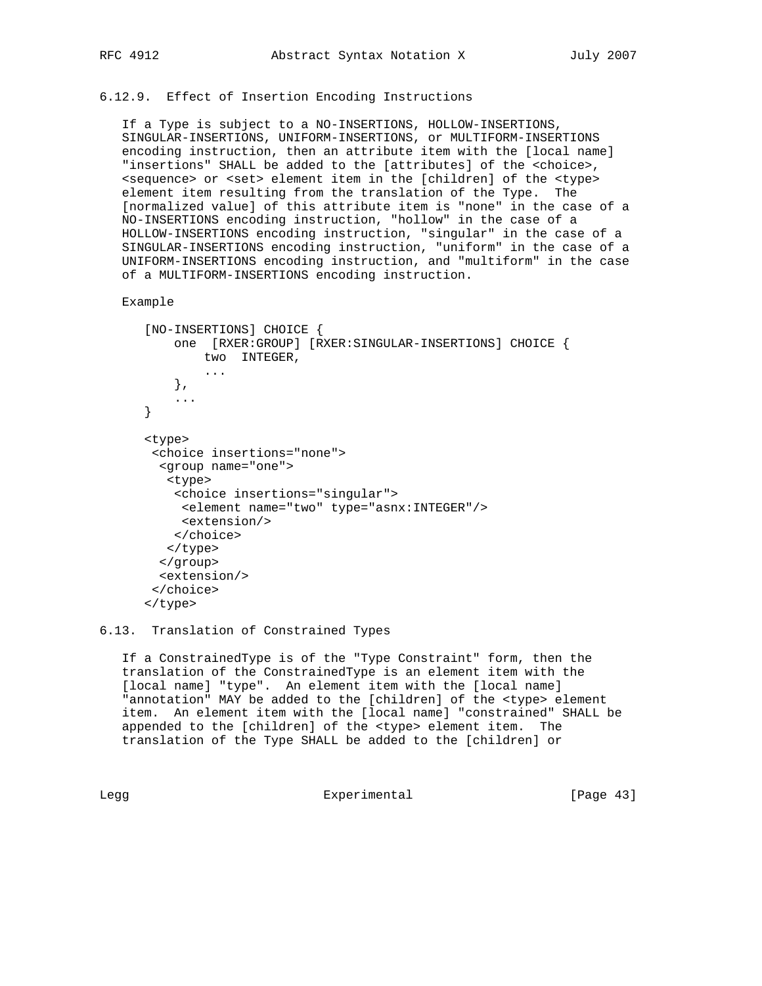## 6.12.9. Effect of Insertion Encoding Instructions

 If a Type is subject to a NO-INSERTIONS, HOLLOW-INSERTIONS, SINGULAR-INSERTIONS, UNIFORM-INSERTIONS, or MULTIFORM-INSERTIONS encoding instruction, then an attribute item with the [local name] "insertions" SHALL be added to the [attributes] of the <choice>, <sequence> or <set> element item in the [children] of the <type> element item resulting from the translation of the Type. The [normalized value] of this attribute item is "none" in the case of a NO-INSERTIONS encoding instruction, "hollow" in the case of a HOLLOW-INSERTIONS encoding instruction, "singular" in the case of a SINGULAR-INSERTIONS encoding instruction, "uniform" in the case of a UNIFORM-INSERTIONS encoding instruction, and "multiform" in the case of a MULTIFORM-INSERTIONS encoding instruction.

## Example

```
 [NO-INSERTIONS] CHOICE {
     one [RXER:GROUP] [RXER:SINGULAR-INSERTIONS] CHOICE {
       two INTEGER,
        ...
    },
     ...
 }
 <type>
  <choice insertions="none">
  <group name="one">
   <type>
    <choice insertions="singular">
     <element name="two" type="asnx:INTEGER"/>
     <extension/>
    </choice>
   </type>
  </group>
   <extension/>
  </choice>
 </type>
```
## 6.13. Translation of Constrained Types

 If a ConstrainedType is of the "Type Constraint" form, then the translation of the ConstrainedType is an element item with the [local name] "type". An element item with the [local name] "annotation" MAY be added to the [children] of the <type> element item. An element item with the [local name] "constrained" SHALL be appended to the [children] of the <type> element item. The translation of the Type SHALL be added to the [children] or

Legg Experimental [Page 43]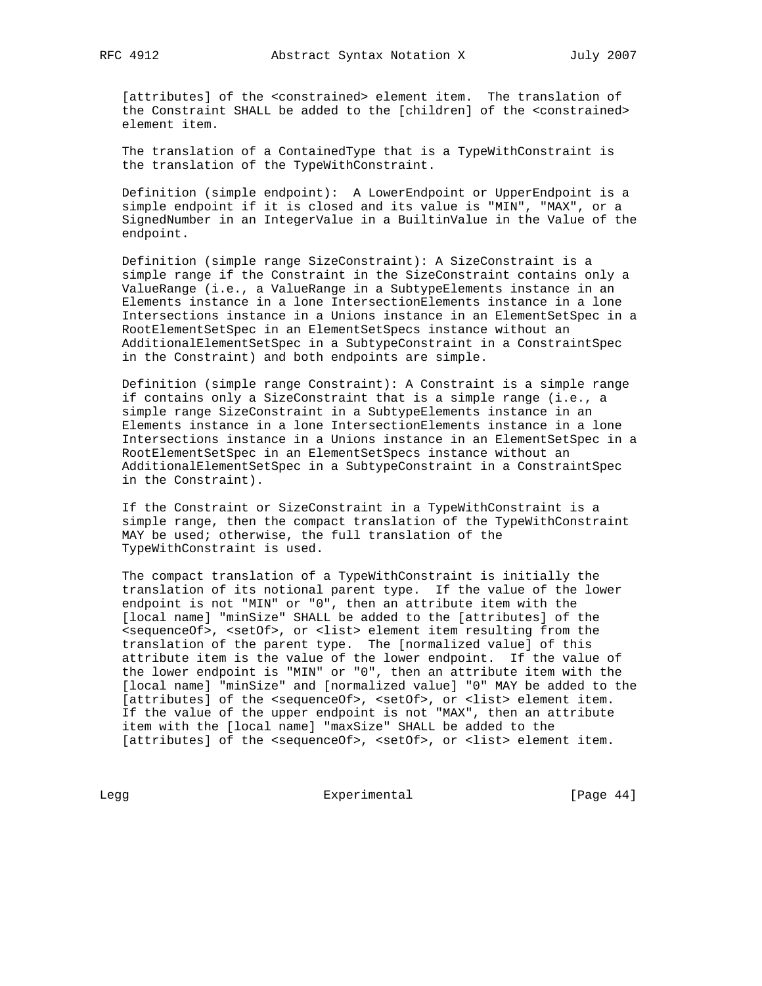[attributes] of the <constrained> element item. The translation of the Constraint SHALL be added to the [children] of the <constrained> element item.

 The translation of a ContainedType that is a TypeWithConstraint is the translation of the TypeWithConstraint.

 Definition (simple endpoint): A LowerEndpoint or UpperEndpoint is a simple endpoint if it is closed and its value is "MIN", "MAX", or a SignedNumber in an IntegerValue in a BuiltinValue in the Value of the endpoint.

 Definition (simple range SizeConstraint): A SizeConstraint is a simple range if the Constraint in the SizeConstraint contains only a ValueRange (i.e., a ValueRange in a SubtypeElements instance in an Elements instance in a lone IntersectionElements instance in a lone Intersections instance in a Unions instance in an ElementSetSpec in a RootElementSetSpec in an ElementSetSpecs instance without an AdditionalElementSetSpec in a SubtypeConstraint in a ConstraintSpec in the Constraint) and both endpoints are simple.

 Definition (simple range Constraint): A Constraint is a simple range if contains only a SizeConstraint that is a simple range (i.e., a simple range SizeConstraint in a SubtypeElements instance in an Elements instance in a lone IntersectionElements instance in a lone Intersections instance in a Unions instance in an ElementSetSpec in a RootElementSetSpec in an ElementSetSpecs instance without an AdditionalElementSetSpec in a SubtypeConstraint in a ConstraintSpec in the Constraint).

 If the Constraint or SizeConstraint in a TypeWithConstraint is a simple range, then the compact translation of the TypeWithConstraint MAY be used; otherwise, the full translation of the TypeWithConstraint is used.

 The compact translation of a TypeWithConstraint is initially the translation of its notional parent type. If the value of the lower endpoint is not "MIN" or "0", then an attribute item with the [local name] "minSize" SHALL be added to the [attributes] of the <sequenceOf>, <setOf>, or <list> element item resulting from the translation of the parent type. The [normalized value] of this attribute item is the value of the lower endpoint. If the value of the lower endpoint is "MIN" or "0", then an attribute item with the [local name] "minSize" and [normalized value] "0" MAY be added to the [attributes] of the <sequenceOf>, <setOf>, or <list> element item. If the value of the upper endpoint is not "MAX", then an attribute item with the [local name] "maxSize" SHALL be added to the [attributes] of the <sequenceOf>, <setOf>, or <list> element item.

Legg Experimental Experimental [Page 44]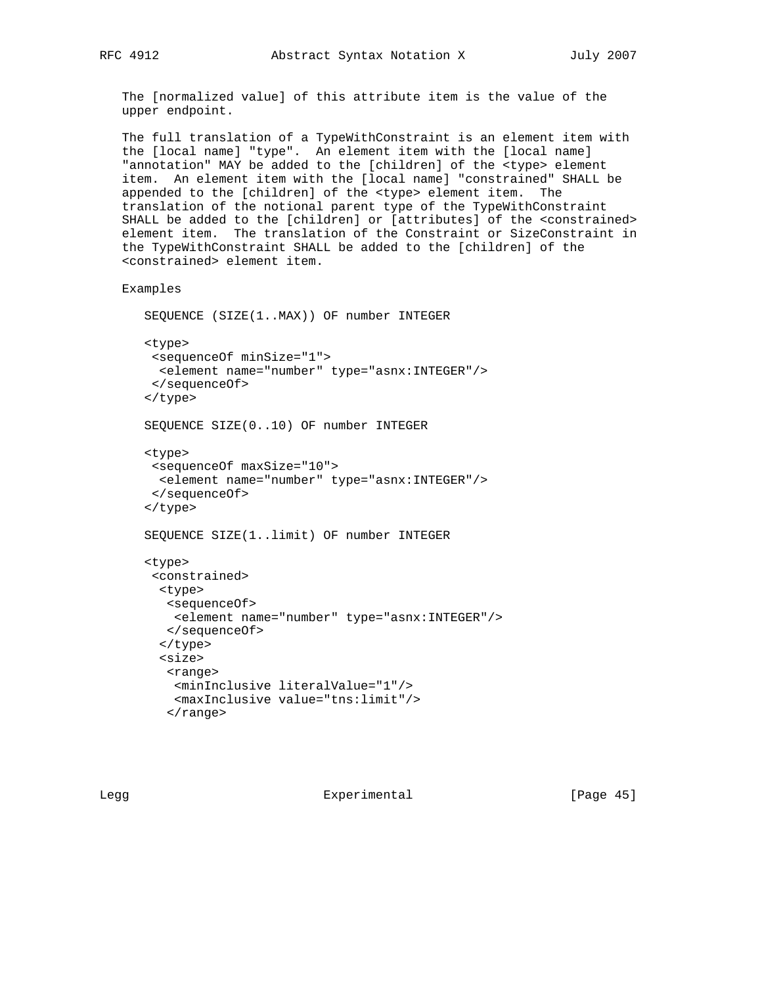The [normalized value] of this attribute item is the value of the upper endpoint.

 The full translation of a TypeWithConstraint is an element item with the [local name] "type". An element item with the [local name] "annotation" MAY be added to the [children] of the <type> element item. An element item with the [local name] "constrained" SHALL be appended to the [children] of the <type> element item. The translation of the notional parent type of the TypeWithConstraint SHALL be added to the [children] or [attributes] of the <constrained> element item. The translation of the Constraint or SizeConstraint in the TypeWithConstraint SHALL be added to the [children] of the <constrained> element item.

Examples

```
 SEQUENCE (SIZE(1..MAX)) OF number INTEGER
 <type>
 <sequenceOf minSize="1">
  <element name="number" type="asnx:INTEGER"/>
 </sequenceOf>
 </type>
 SEQUENCE SIZE(0..10) OF number INTEGER
 <type>
 <sequenceOf maxSize="10">
  <element name="number" type="asnx:INTEGER"/>
  </sequenceOf>
 </type>
 SEQUENCE SIZE(1..limit) OF number INTEGER
 <type>
 <constrained>
   <type>
    <sequenceOf>
     <element name="number" type="asnx:INTEGER"/>
    </sequenceOf>
   </type>
   <size>
    <range>
     <minInclusive literalValue="1"/>
     <maxInclusive value="tns:limit"/>
   \langle range>
```
Legg Experimental [Page 45]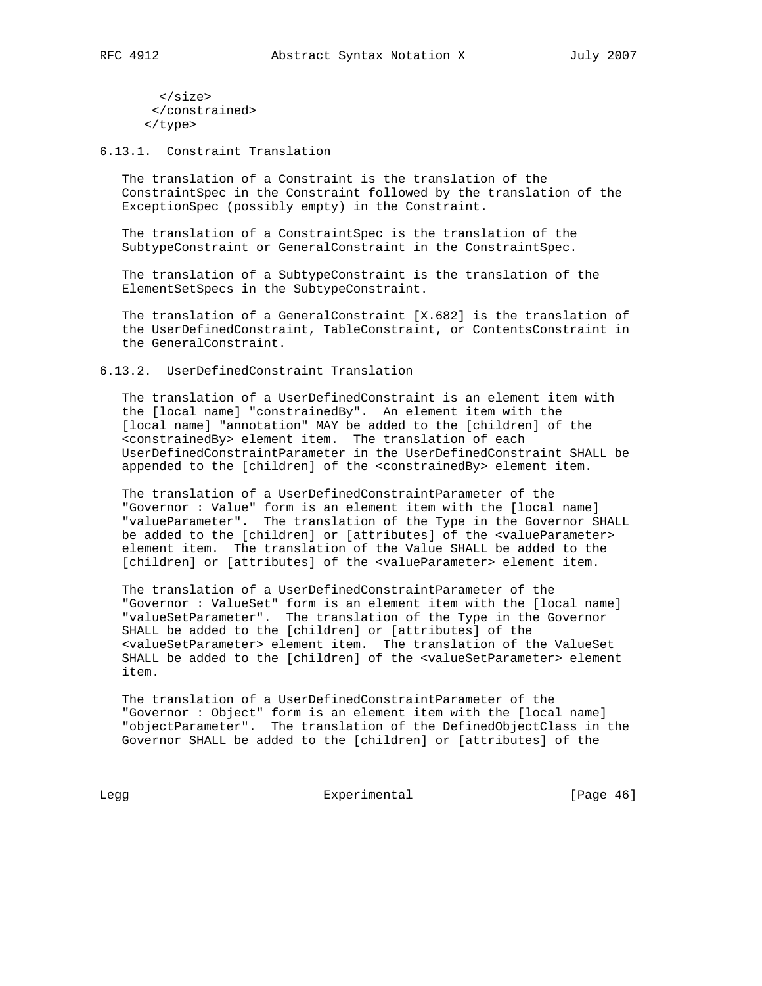</size> </constrained> </type>

6.13.1. Constraint Translation

 The translation of a Constraint is the translation of the ConstraintSpec in the Constraint followed by the translation of the ExceptionSpec (possibly empty) in the Constraint.

 The translation of a ConstraintSpec is the translation of the SubtypeConstraint or GeneralConstraint in the ConstraintSpec.

 The translation of a SubtypeConstraint is the translation of the ElementSetSpecs in the SubtypeConstraint.

 The translation of a GeneralConstraint [X.682] is the translation of the UserDefinedConstraint, TableConstraint, or ContentsConstraint in the GeneralConstraint.

6.13.2. UserDefinedConstraint Translation

 The translation of a UserDefinedConstraint is an element item with the [local name] "constrainedBy". An element item with the [local name] "annotation" MAY be added to the [children] of the <constrainedBy> element item. The translation of each UserDefinedConstraintParameter in the UserDefinedConstraint SHALL be appended to the [children] of the <constrainedBy> element item.

 The translation of a UserDefinedConstraintParameter of the "Governor : Value" form is an element item with the [local name] "valueParameter". The translation of the Type in the Governor SHALL be added to the [children] or [attributes] of the <valueParameter> element item. The translation of the Value SHALL be added to the [children] or [attributes] of the <valueParameter> element item.

 The translation of a UserDefinedConstraintParameter of the "Governor : ValueSet" form is an element item with the [local name] "valueSetParameter". The translation of the Type in the Governor SHALL be added to the [children] or [attributes] of the <valueSetParameter> element item. The translation of the ValueSet SHALL be added to the [children] of the <valueSetParameter> element item.

 The translation of a UserDefinedConstraintParameter of the "Governor : Object" form is an element item with the [local name] "objectParameter". The translation of the DefinedObjectClass in the Governor SHALL be added to the [children] or [attributes] of the

Legg Experimental Experimental [Page 46]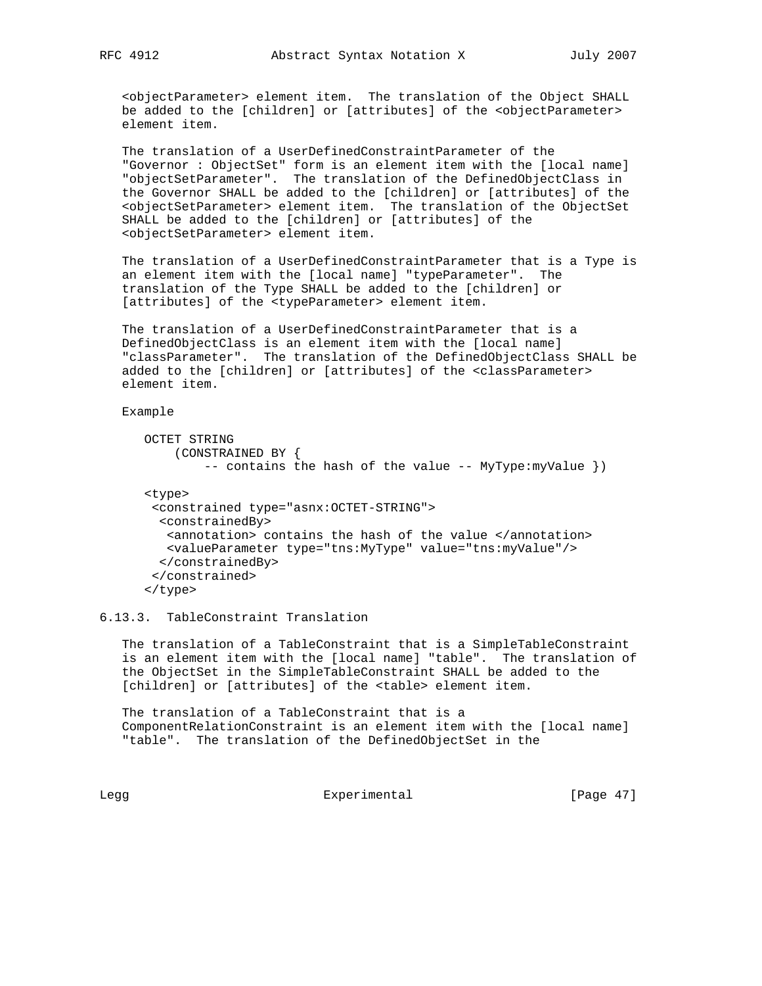<objectParameter> element item. The translation of the Object SHALL be added to the [children] or [attributes] of the <objectParameter> element item.

 The translation of a UserDefinedConstraintParameter of the "Governor : ObjectSet" form is an element item with the [local name] "objectSetParameter". The translation of the DefinedObjectClass in the Governor SHALL be added to the [children] or [attributes] of the <objectSetParameter> element item. The translation of the ObjectSet SHALL be added to the [children] or [attributes] of the <objectSetParameter> element item.

 The translation of a UserDefinedConstraintParameter that is a Type is an element item with the [local name] "typeParameter". The translation of the Type SHALL be added to the [children] or [attributes] of the <typeParameter> element item.

 The translation of a UserDefinedConstraintParameter that is a DefinedObjectClass is an element item with the [local name] "classParameter". The translation of the DefinedObjectClass SHALL be added to the [children] or [attributes] of the <classParameter> element item.

Example

```
 OCTET STRING
     (CONSTRAINED BY {
         -- contains the hash of the value -- MyType:myValue })
 <type>
  <constrained type="asnx:OCTET-STRING">
  <constrainedBy>
   <annotation> contains the hash of the value </annotation>
   <valueParameter type="tns:MyType" value="tns:myValue"/>
   </constrainedBy>
  </constrained>
 </type>
```
6.13.3. TableConstraint Translation

 The translation of a TableConstraint that is a SimpleTableConstraint is an element item with the [local name] "table". The translation of the ObjectSet in the SimpleTableConstraint SHALL be added to the [children] or [attributes] of the <table> element item.

 The translation of a TableConstraint that is a ComponentRelationConstraint is an element item with the [local name] "table". The translation of the DefinedObjectSet in the

Legg Experimental Experimental [Page 47]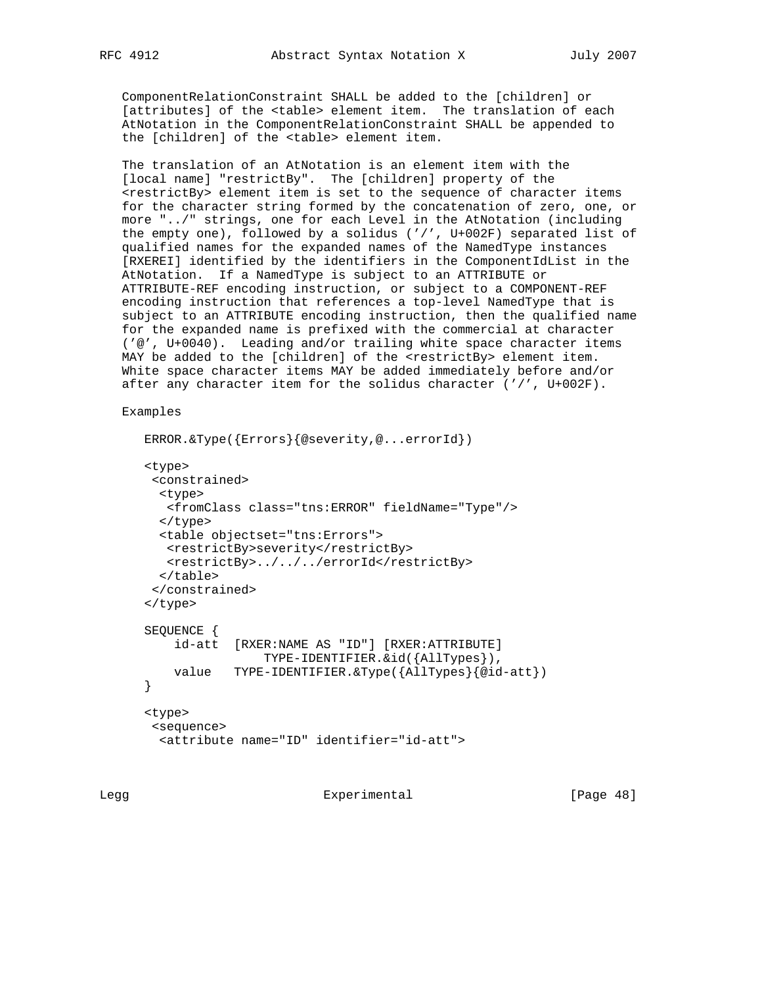ComponentRelationConstraint SHALL be added to the [children] or [attributes] of the <table> element item. The translation of each AtNotation in the ComponentRelationConstraint SHALL be appended to the [children] of the <table> element item.

 The translation of an AtNotation is an element item with the [local name] "restrictBy". The [children] property of the <restrictBy> element item is set to the sequence of character items for the character string formed by the concatenation of zero, one, or more "../" strings, one for each Level in the AtNotation (including the empty one), followed by a solidus ('/', U+002F) separated list of qualified names for the expanded names of the NamedType instances [RXEREI] identified by the identifiers in the ComponentIdList in the AtNotation. If a NamedType is subject to an ATTRIBUTE or ATTRIBUTE-REF encoding instruction, or subject to a COMPONENT-REF encoding instruction that references a top-level NamedType that is subject to an ATTRIBUTE encoding instruction, then the qualified name for the expanded name is prefixed with the commercial at character ('@', U+0040). Leading and/or trailing white space character items MAY be added to the [children] of the <restrictBy> element item. White space character items MAY be added immediately before and/or after any character item for the solidus character ('/', U+002F).

Examples

```
 ERROR.&Type({Errors}{@severity,@...errorId})
 <type>
 <constrained>
  <type>
   <fromClass class="tns:ERROR" fieldName="Type"/>
  </type>
  <table objectset="tns:Errors">
   <restrictBy>severity</restrictBy>
    <restrictBy>../../../errorId</restrictBy>
  </table>
  </constrained>
 </type>
 SEQUENCE {
     id-att [RXER:NAME AS "ID"] [RXER:ATTRIBUTE]
                 TYPE-IDENTIFIER.&id({AllTypes}),
    value TYPE-IDENTIFIER.&Type({AllTypes}{@id-att})
 }
 <type>
 <sequence>
   <attribute name="ID" identifier="id-att">
```
Legg Experimental [Page 48]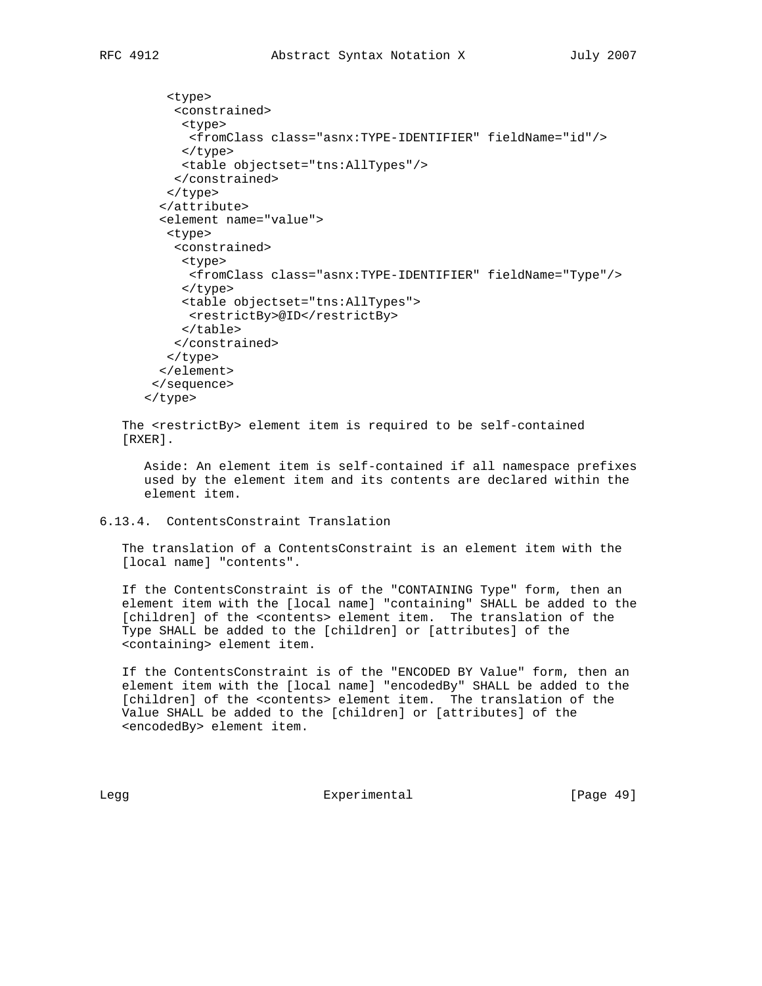```
 <type>
     <constrained>
      <type>
       <fromClass class="asnx:TYPE-IDENTIFIER" fieldName="id"/>
      </type>
      <table objectset="tns:AllTypes"/>
     </constrained>
    </type>
   </attribute>
   <element name="value">
    <type>
     <constrained>
      <type>
       <fromClass class="asnx:TYPE-IDENTIFIER" fieldName="Type"/>
      </type>
      <table objectset="tns:AllTypes">
       <restrictBy>@ID</restrictBy>
      </table>
     </constrained>
    </type>
   </element>
  </sequence>
 </type>
```
 The <restrictBy> element item is required to be self-contained [RXER].

 Aside: An element item is self-contained if all namespace prefixes used by the element item and its contents are declared within the element item.

6.13.4. ContentsConstraint Translation

 The translation of a ContentsConstraint is an element item with the [local name] "contents".

 If the ContentsConstraint is of the "CONTAINING Type" form, then an element item with the [local name] "containing" SHALL be added to the [children] of the <contents> element item. The translation of the Type SHALL be added to the [children] or [attributes] of the <containing> element item.

 If the ContentsConstraint is of the "ENCODED BY Value" form, then an element item with the [local name] "encodedBy" SHALL be added to the [children] of the <contents> element item. The translation of the Value SHALL be added to the [children] or [attributes] of the <encodedBy> element item.

Legg Experimental [Page 49]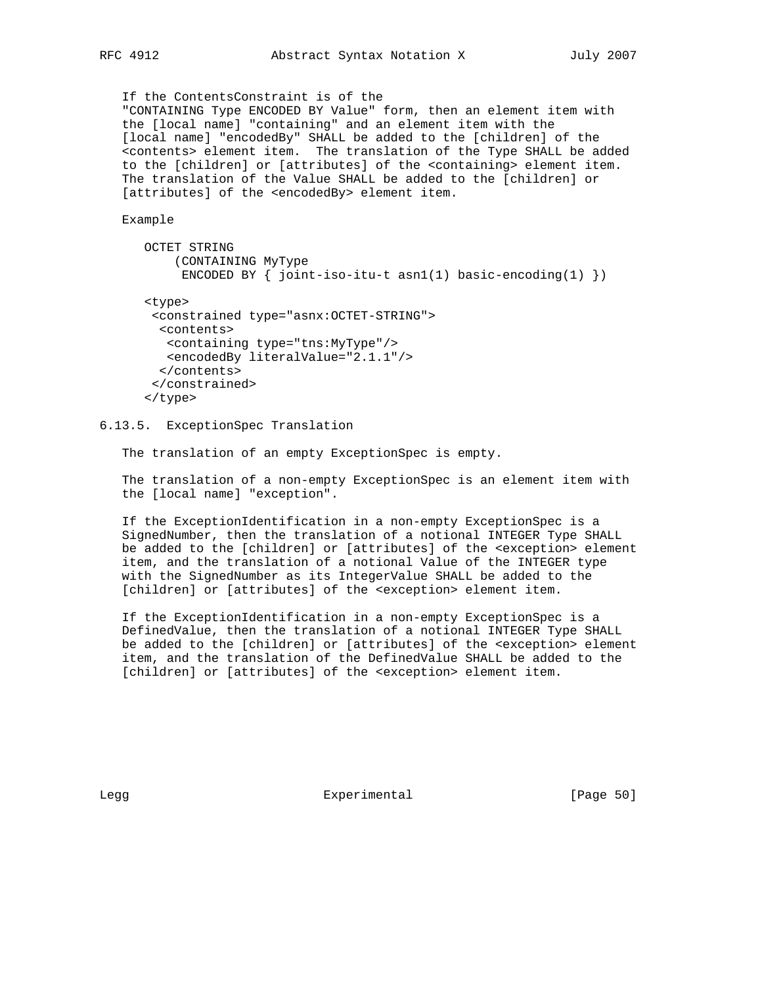If the ContentsConstraint is of the "CONTAINING Type ENCODED BY Value" form, then an element item with the [local name] "containing" and an element item with the [local name] "encodedBy" SHALL be added to the [children] of the <contents> element item. The translation of the Type SHALL be added to the [children] or [attributes] of the <containing> element item. The translation of the Value SHALL be added to the [children] or [attributes] of the <encodedBy> element item.

Example

```
 OCTET STRING
     (CONTAINING MyType
     ENCODED BY \{ joint-iso-itu-t asn1(1) basic-encoding(1) \}) <type>
  <constrained type="asnx:OCTET-STRING">
  <contents>
   <containing type="tns:MyType"/>
    <encodedBy literalValue="2.1.1"/>
   </contents>
  </constrained>
 </type>
```
6.13.5. ExceptionSpec Translation

The translation of an empty ExceptionSpec is empty.

 The translation of a non-empty ExceptionSpec is an element item with the [local name] "exception".

 If the ExceptionIdentification in a non-empty ExceptionSpec is a SignedNumber, then the translation of a notional INTEGER Type SHALL be added to the [children] or [attributes] of the <exception> element item, and the translation of a notional Value of the INTEGER type with the SignedNumber as its IntegerValue SHALL be added to the [children] or [attributes] of the <exception> element item.

 If the ExceptionIdentification in a non-empty ExceptionSpec is a DefinedValue, then the translation of a notional INTEGER Type SHALL be added to the [children] or [attributes] of the <exception> element item, and the translation of the DefinedValue SHALL be added to the [children] or [attributes] of the <exception> element item.

Legg **Experimental** [Page 50]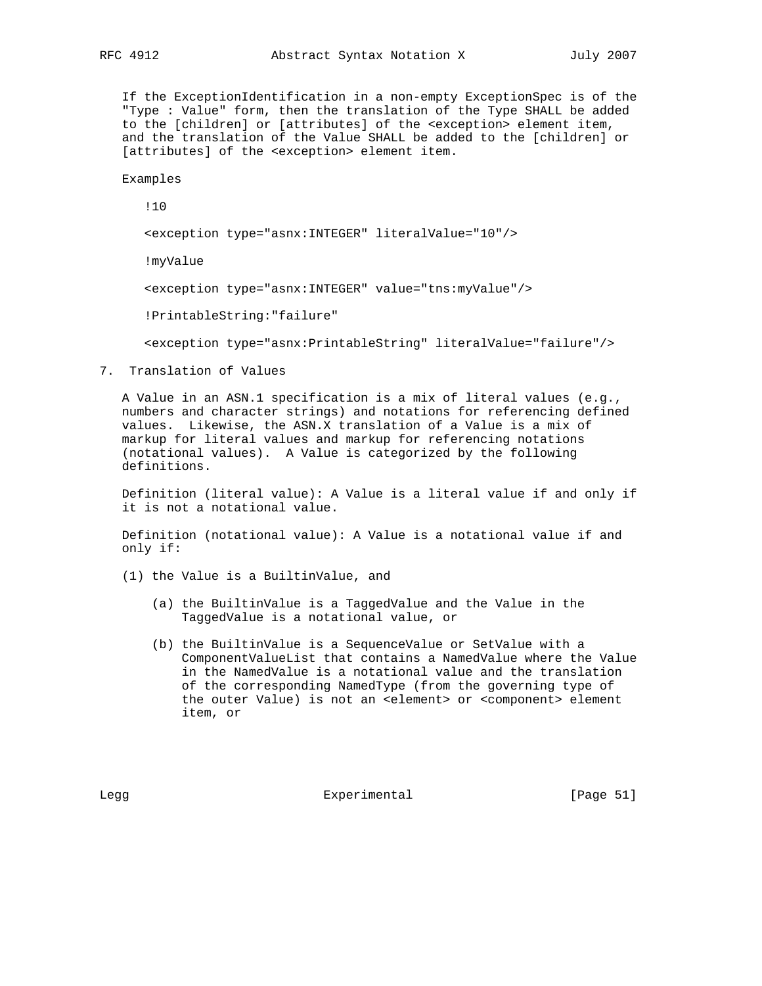If the ExceptionIdentification in a non-empty ExceptionSpec is of the "Type : Value" form, then the translation of the Type SHALL be added to the [children] or [attributes] of the <exception> element item, and the translation of the Value SHALL be added to the [children] or [attributes] of the <exception> element item.

Examples

!10

<exception type="asnx:INTEGER" literalValue="10"/>

!myValue

<exception type="asnx:INTEGER" value="tns:myValue"/>

!PrintableString:"failure"

<exception type="asnx:PrintableString" literalValue="failure"/>

7. Translation of Values

 A Value in an ASN.1 specification is a mix of literal values (e.g., numbers and character strings) and notations for referencing defined values. Likewise, the ASN.X translation of a Value is a mix of markup for literal values and markup for referencing notations (notational values). A Value is categorized by the following definitions.

 Definition (literal value): A Value is a literal value if and only if it is not a notational value.

 Definition (notational value): A Value is a notational value if and only if:

- (1) the Value is a BuiltinValue, and
	- (a) the BuiltinValue is a TaggedValue and the Value in the TaggedValue is a notational value, or
	- (b) the BuiltinValue is a SequenceValue or SetValue with a ComponentValueList that contains a NamedValue where the Value in the NamedValue is a notational value and the translation of the corresponding NamedType (from the governing type of the outer Value) is not an <element> or <component> element item, or

Legg **Experimental** [Page 51]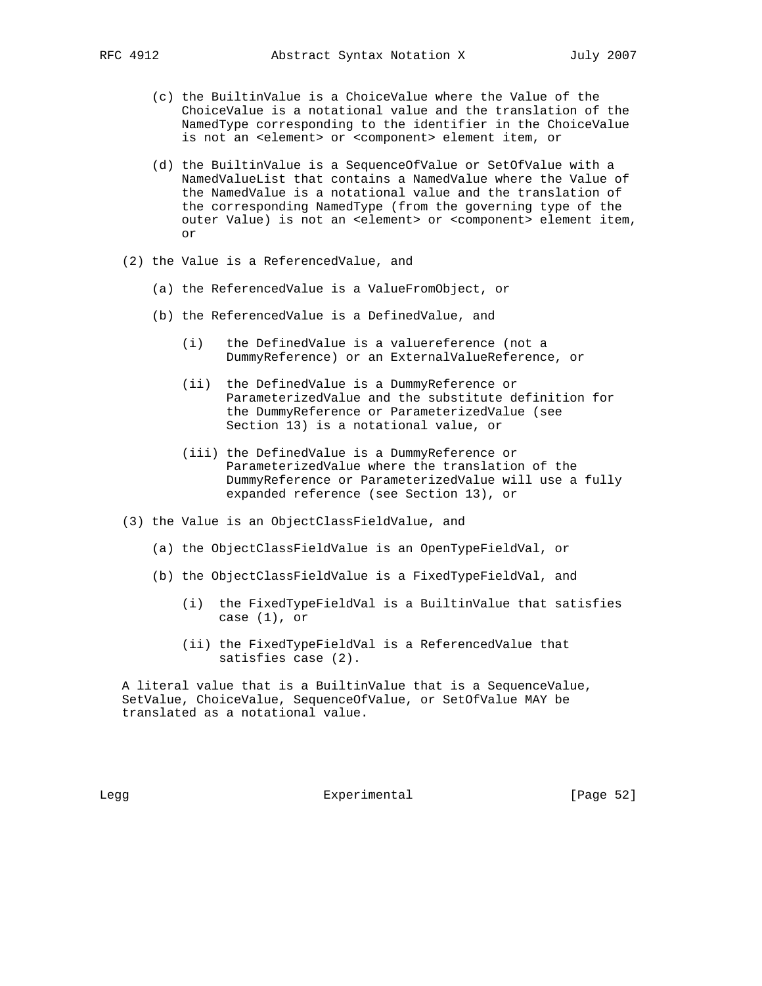- (c) the BuiltinValue is a ChoiceValue where the Value of the ChoiceValue is a notational value and the translation of the NamedType corresponding to the identifier in the ChoiceValue is not an <element> or <component> element item, or
- (d) the BuiltinValue is a SequenceOfValue or SetOfValue with a NamedValueList that contains a NamedValue where the Value of the NamedValue is a notational value and the translation of the corresponding NamedType (from the governing type of the outer Value) is not an <element> or <component> element item, or
- (2) the Value is a ReferencedValue, and
	- (a) the ReferencedValue is a ValueFromObject, or
	- (b) the ReferencedValue is a DefinedValue, and
		- (i) the DefinedValue is a valuereference (not a DummyReference) or an ExternalValueReference, or
		- (ii) the DefinedValue is a DummyReference or ParameterizedValue and the substitute definition for the DummyReference or ParameterizedValue (see Section 13) is a notational value, or
		- (iii) the DefinedValue is a DummyReference or ParameterizedValue where the translation of the DummyReference or ParameterizedValue will use a fully expanded reference (see Section 13), or
- (3) the Value is an ObjectClassFieldValue, and
	- (a) the ObjectClassFieldValue is an OpenTypeFieldVal, or
	- (b) the ObjectClassFieldValue is a FixedTypeFieldVal, and
		- (i) the FixedTypeFieldVal is a BuiltinValue that satisfies case (1), or
		- (ii) the FixedTypeFieldVal is a ReferencedValue that satisfies case (2).

 A literal value that is a BuiltinValue that is a SequenceValue, SetValue, ChoiceValue, SequenceOfValue, or SetOfValue MAY be translated as a notational value.

Legg Experimental [Page 52]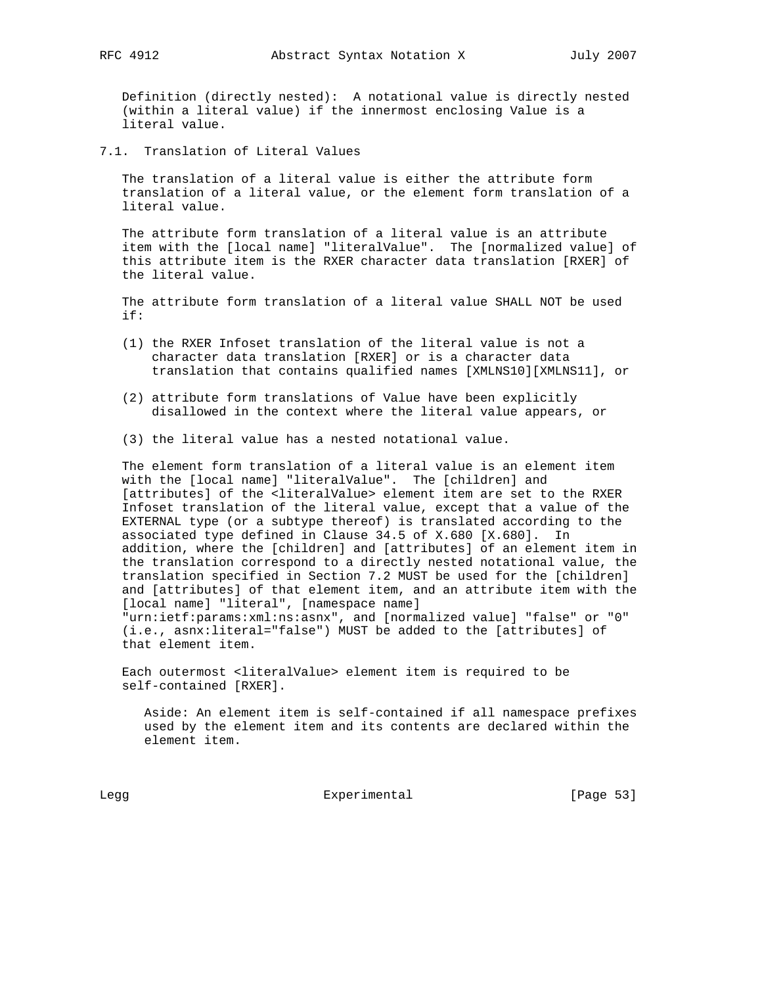Definition (directly nested): A notational value is directly nested (within a literal value) if the innermost enclosing Value is a literal value.

7.1. Translation of Literal Values

 The translation of a literal value is either the attribute form translation of a literal value, or the element form translation of a literal value.

 The attribute form translation of a literal value is an attribute item with the [local name] "literalValue". The [normalized value] of this attribute item is the RXER character data translation [RXER] of the literal value.

 The attribute form translation of a literal value SHALL NOT be used if:

- (1) the RXER Infoset translation of the literal value is not a character data translation [RXER] or is a character data translation that contains qualified names [XMLNS10][XMLNS11], or
- (2) attribute form translations of Value have been explicitly disallowed in the context where the literal value appears, or
- (3) the literal value has a nested notational value.

 The element form translation of a literal value is an element item with the [local name] "literalValue". The [children] and [attributes] of the <literalValue> element item are set to the RXER Infoset translation of the literal value, except that a value of the EXTERNAL type (or a subtype thereof) is translated according to the associated type defined in Clause 34.5 of X.680 [X.680]. In addition, where the [children] and [attributes] of an element item in the translation correspond to a directly nested notational value, the translation specified in Section 7.2 MUST be used for the [children] and [attributes] of that element item, and an attribute item with the [local name] "literal", [namespace name] "urn:ietf:params:xml:ns:asnx", and [normalized value] "false" or "0"

 (i.e., asnx:literal="false") MUST be added to the [attributes] of that element item.

 Each outermost <literalValue> element item is required to be self-contained [RXER].

 Aside: An element item is self-contained if all namespace prefixes used by the element item and its contents are declared within the element item.

Legg Experimental Experimental [Page 53]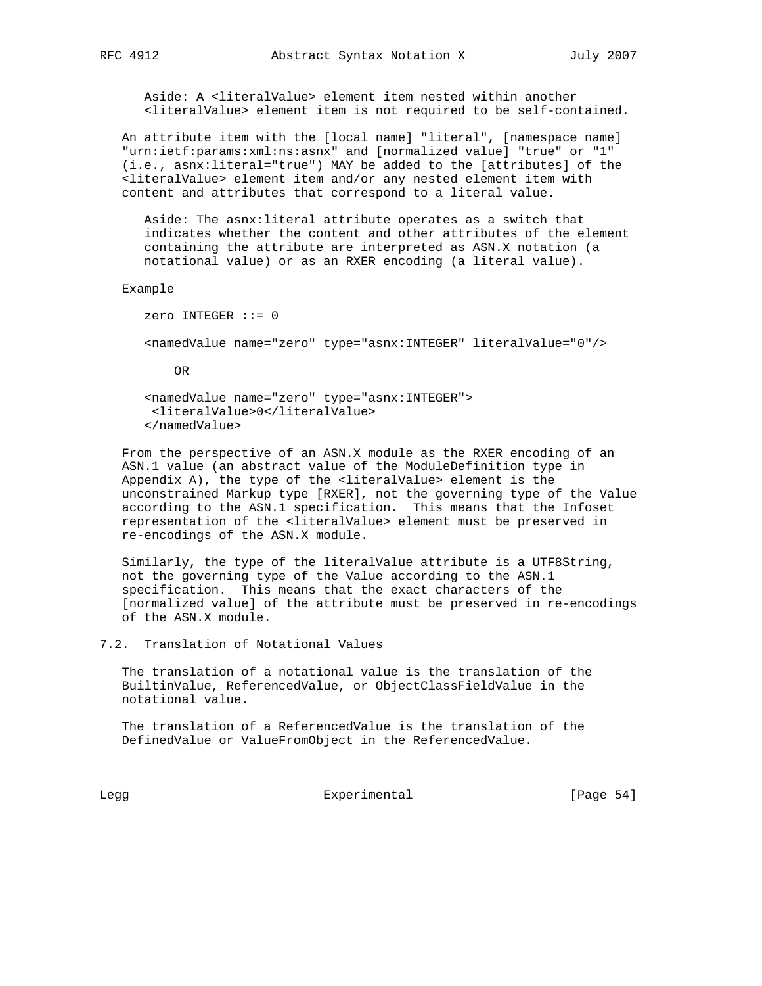Aside: A <literalValue> element item nested within another <literalValue> element item is not required to be self-contained.

 An attribute item with the [local name] "literal", [namespace name] "urn:ietf:params:xml:ns:asnx" and [normalized value] "true" or "1" (i.e., asnx:literal="true") MAY be added to the [attributes] of the <literalValue> element item and/or any nested element item with content and attributes that correspond to a literal value.

 Aside: The asnx:literal attribute operates as a switch that indicates whether the content and other attributes of the element containing the attribute are interpreted as ASN.X notation (a notational value) or as an RXER encoding (a literal value).

#### Example

 zero INTEGER ::= 0 <namedValue name="zero" type="asnx:INTEGER" literalValue="0"/>

OR

 <namedValue name="zero" type="asnx:INTEGER"> <literalValue>0</literalValue> </namedValue>

 From the perspective of an ASN.X module as the RXER encoding of an ASN.1 value (an abstract value of the ModuleDefinition type in Appendix A), the type of the <literalValue> element is the unconstrained Markup type [RXER], not the governing type of the Value according to the ASN.1 specification. This means that the Infoset representation of the <literalValue> element must be preserved in re-encodings of the ASN.X module.

 Similarly, the type of the literalValue attribute is a UTF8String, not the governing type of the Value according to the ASN.1 specification. This means that the exact characters of the [normalized value] of the attribute must be preserved in re-encodings of the ASN.X module.

7.2. Translation of Notational Values

 The translation of a notational value is the translation of the BuiltinValue, ReferencedValue, or ObjectClassFieldValue in the notational value.

 The translation of a ReferencedValue is the translation of the DefinedValue or ValueFromObject in the ReferencedValue.

Legg Experimental Experimental [Page 54]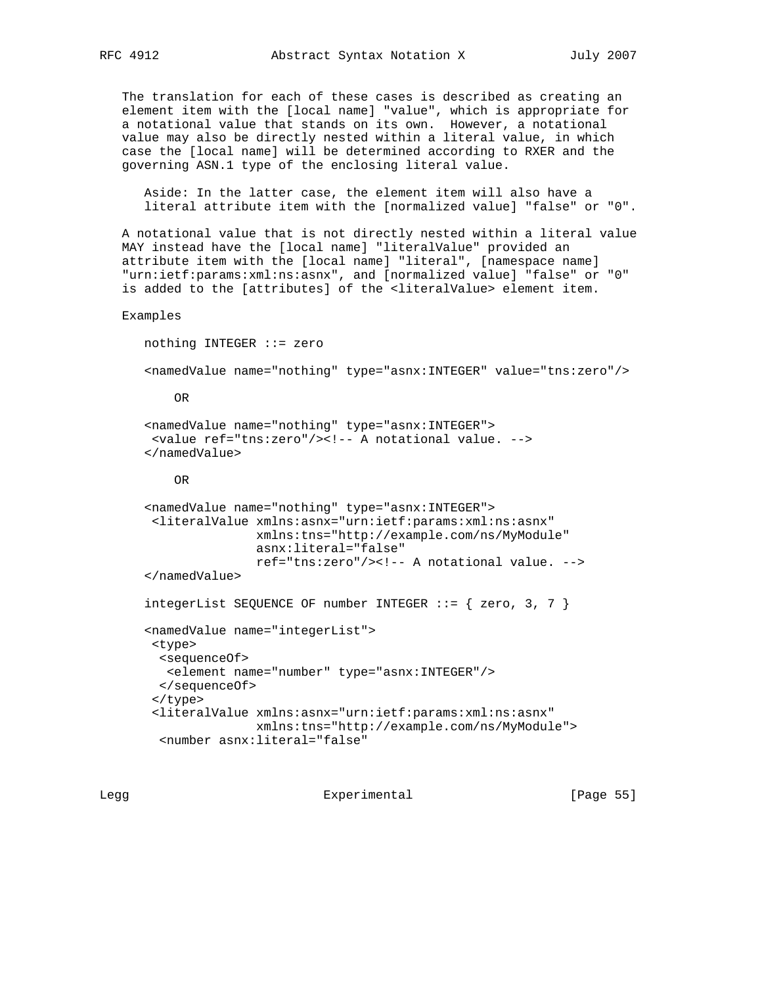The translation for each of these cases is described as creating an element item with the [local name] "value", which is appropriate for a notational value that stands on its own. However, a notational value may also be directly nested within a literal value, in which case the [local name] will be determined according to RXER and the governing ASN.1 type of the enclosing literal value.

 Aside: In the latter case, the element item will also have a literal attribute item with the [normalized value] "false" or "0".

 A notational value that is not directly nested within a literal value MAY instead have the [local name] "literalValue" provided an attribute item with the [local name] "literal", [namespace name] "urn:ietf:params:xml:ns:asnx", and [normalized value] "false" or "0" is added to the [attributes] of the <literalValue> element item.

Examples

```
 nothing INTEGER ::= zero
 <namedValue name="nothing" type="asnx:INTEGER" value="tns:zero"/>
     OR
 <namedValue name="nothing" type="asnx:INTEGER">
  <value ref="tns:zero"/><!-- A notational value. -->
 </namedValue>
     OR
 <namedValue name="nothing" type="asnx:INTEGER">
  <literalValue xmlns:asnx="urn:ietf:params:xml:ns:asnx"
                xmlns:tns="http://example.com/ns/MyModule"
                asnx:literal="false"
                ref="tns:zero"/><!-- A notational value. -->
 </namedValue>
integerList SEQUENCE OF number INTEGER ::= { zero, 3, 7 }
 <namedValue name="integerList">
  <type>
  <sequenceOf>
    <element name="number" type="asnx:INTEGER"/>
   </sequenceOf>
  </type>
  <literalValue xmlns:asnx="urn:ietf:params:xml:ns:asnx"
                xmlns:tns="http://example.com/ns/MyModule">
   <number asnx:literal="false"
```
Legg **Experimental** Experimental [Page 55]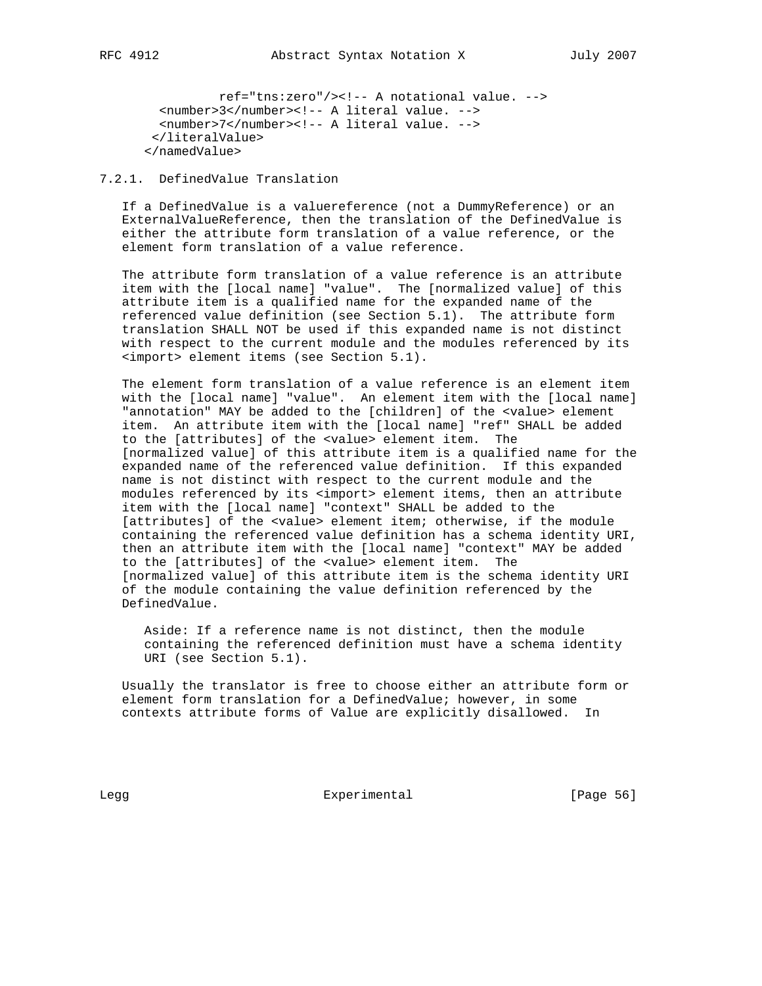ref="tns:zero"/><!-- A notational value. --> <number>3</number><!-- A literal value. --> <number>7</number><!-- A literal value. --> </literalValue> </namedValue>

## 7.2.1. DefinedValue Translation

 If a DefinedValue is a valuereference (not a DummyReference) or an ExternalValueReference, then the translation of the DefinedValue is either the attribute form translation of a value reference, or the element form translation of a value reference.

 The attribute form translation of a value reference is an attribute item with the [local name] "value". The [normalized value] of this attribute item is a qualified name for the expanded name of the referenced value definition (see Section 5.1). The attribute form translation SHALL NOT be used if this expanded name is not distinct with respect to the current module and the modules referenced by its <import> element items (see Section 5.1).

 The element form translation of a value reference is an element item with the [local name] "value". An element item with the [local name] "annotation" MAY be added to the [children] of the <value> element item. An attribute item with the [local name] "ref" SHALL be added to the [attributes] of the <value> element item. The [normalized value] of this attribute item is a qualified name for the expanded name of the referenced value definition. If this expanded name is not distinct with respect to the current module and the modules referenced by its <import> element items, then an attribute item with the [local name] "context" SHALL be added to the [attributes] of the <value> element item; otherwise, if the module containing the referenced value definition has a schema identity URI, then an attribute item with the [local name] "context" MAY be added to the [attributes] of the <value> element item. The [normalized value] of this attribute item is the schema identity URI of the module containing the value definition referenced by the DefinedValue.

 Aside: If a reference name is not distinct, then the module containing the referenced definition must have a schema identity URI (see Section 5.1).

 Usually the translator is free to choose either an attribute form or element form translation for a DefinedValue; however, in some contexts attribute forms of Value are explicitly disallowed. In

Legg **Experimental** Experimental [Page 56]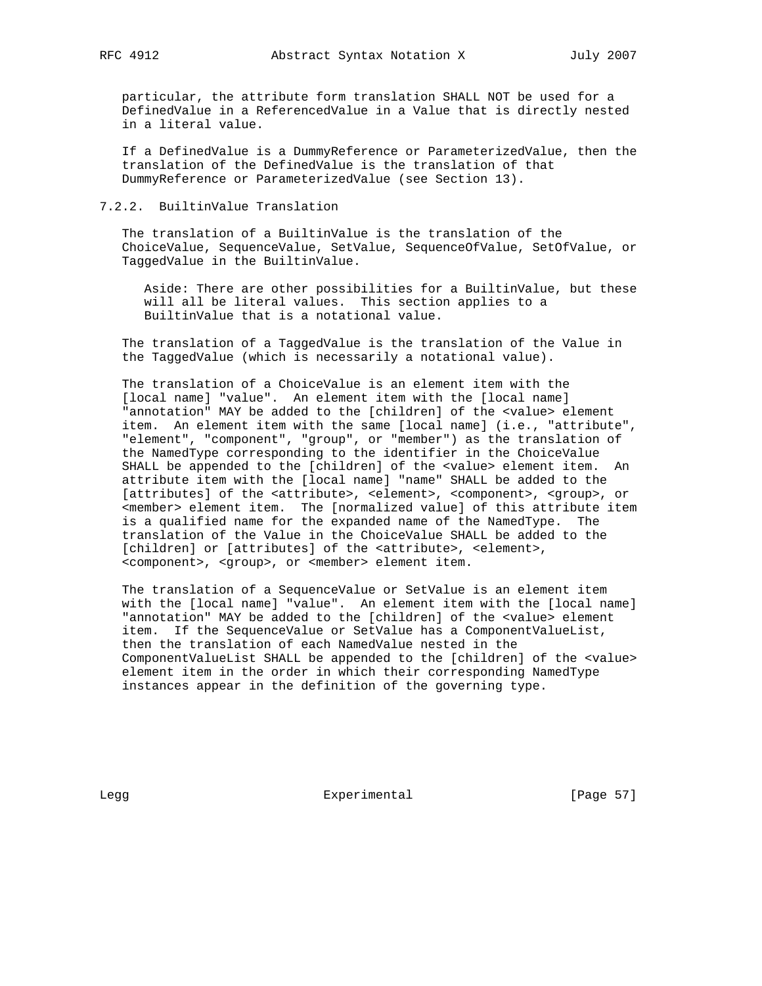particular, the attribute form translation SHALL NOT be used for a DefinedValue in a ReferencedValue in a Value that is directly nested in a literal value.

 If a DefinedValue is a DummyReference or ParameterizedValue, then the translation of the DefinedValue is the translation of that DummyReference or ParameterizedValue (see Section 13).

#### 7.2.2. BuiltinValue Translation

 The translation of a BuiltinValue is the translation of the ChoiceValue, SequenceValue, SetValue, SequenceOfValue, SetOfValue, or TaggedValue in the BuiltinValue.

 Aside: There are other possibilities for a BuiltinValue, but these will all be literal values. This section applies to a BuiltinValue that is a notational value.

 The translation of a TaggedValue is the translation of the Value in the TaggedValue (which is necessarily a notational value).

 The translation of a ChoiceValue is an element item with the [local name] "value". An element item with the [local name] "annotation" MAY be added to the [children] of the <value> element item. An element item with the same [local name] (i.e., "attribute", "element", "component", "group", or "member") as the translation of the NamedType corresponding to the identifier in the ChoiceValue SHALL be appended to the [children] of the <value> element item. An attribute item with the [local name] "name" SHALL be added to the [attributes] of the <attribute>, <element>, <component>, <group>, or <member> element item. The [normalized value] of this attribute item is a qualified name for the expanded name of the NamedType. The translation of the Value in the ChoiceValue SHALL be added to the [children] or [attributes] of the <attribute>, <element>, <component>, <group>, or <member> element item.

 The translation of a SequenceValue or SetValue is an element item with the [local name] "value". An element item with the [local name] "annotation" MAY be added to the [children] of the <value> element item. If the SequenceValue or SetValue has a ComponentValueList, then the translation of each NamedValue nested in the ComponentValueList SHALL be appended to the [children] of the <value> element item in the order in which their corresponding NamedType instances appear in the definition of the governing type.

Legg **Experimental** Experimental [Page 57]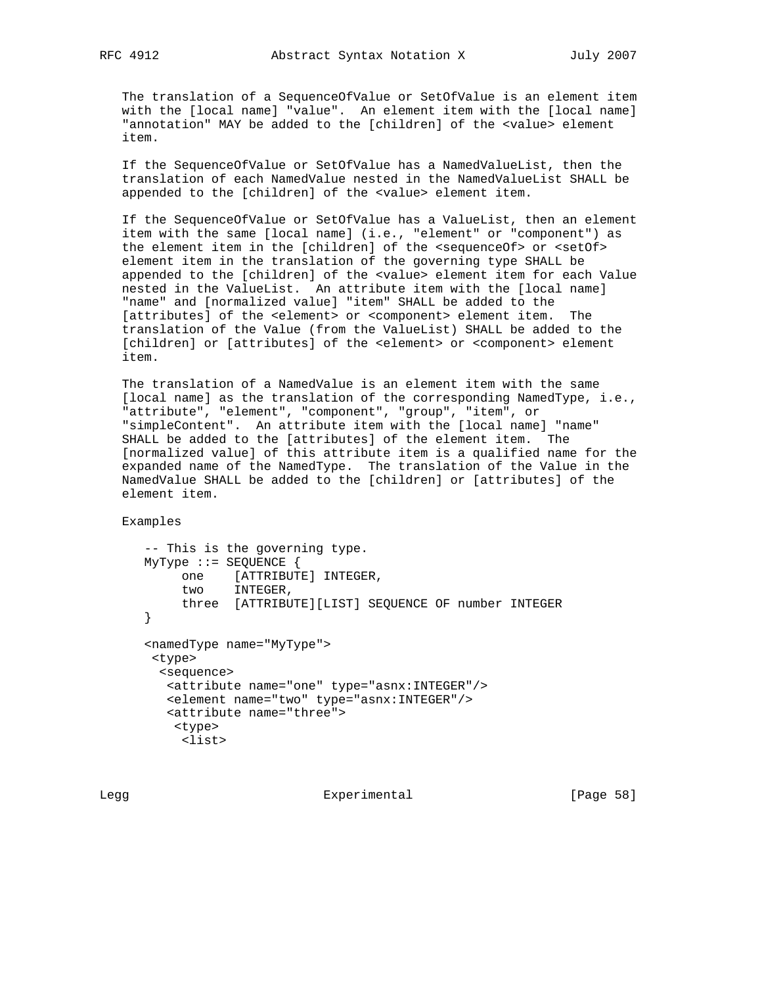The translation of a SequenceOfValue or SetOfValue is an element item with the [local name] "value". An element item with the [local name] "annotation" MAY be added to the [children] of the <value> element item.

 If the SequenceOfValue or SetOfValue has a NamedValueList, then the translation of each NamedValue nested in the NamedValueList SHALL be appended to the [children] of the <value> element item.

 If the SequenceOfValue or SetOfValue has a ValueList, then an element item with the same [local name] (i.e., "element" or "component") as the element item in the [children] of the <sequenceOf> or <setOf> element item in the translation of the governing type SHALL be appended to the [children] of the <value> element item for each Value nested in the ValueList. An attribute item with the [local name] "name" and [normalized value] "item" SHALL be added to the [attributes] of the <element> or <component> element item. The translation of the Value (from the ValueList) SHALL be added to the [children] or [attributes] of the <element> or <component> element item.

 The translation of a NamedValue is an element item with the same [local name] as the translation of the corresponding NamedType, i.e., "attribute", "element", "component", "group", "item", or "simpleContent". An attribute item with the [local name] "name" SHALL be added to the [attributes] of the element item. The [normalized value] of this attribute item is a qualified name for the expanded name of the NamedType. The translation of the Value in the NamedValue SHALL be added to the [children] or [attributes] of the element item.

Examples

```
 -- This is the governing type.
      MyType ::= SEQUENCE {
 one [ATTRIBUTE] INTEGER,
two INTEGER,
           three [ATTRIBUTE][LIST] SEQUENCE OF number INTEGER
      }
      <namedType name="MyType">
       <type>
        <sequence>
         <attribute name="one" type="asnx:INTEGER"/>
         <element name="two" type="asnx:INTEGER"/>
         <attribute name="three">
          <type>
           <list>
```
Legg **Experimental** [Page 58]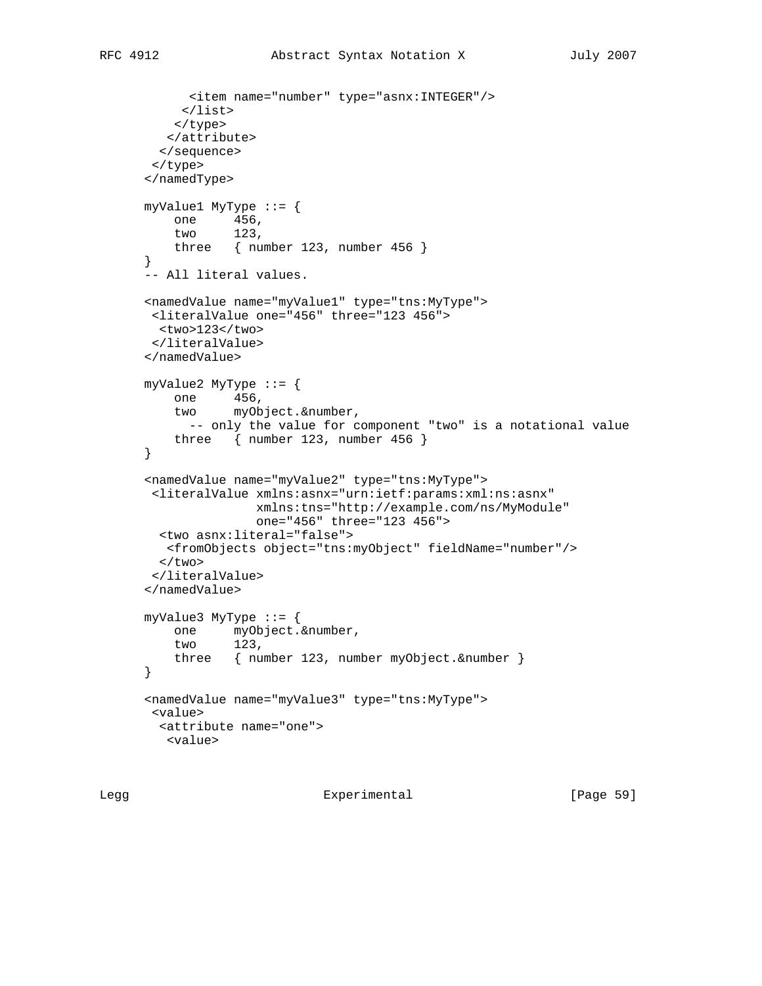```
 <item name="number" type="asnx:INTEGER"/>
      </list>
     </type>
   </attribute>
  </sequence>
  </type>
 </namedType>
 myValue1 MyType ::= {
    one 456,
     two 123,
     three { number 123, number 456 }
 }
 -- All literal values.
 <namedValue name="myValue1" type="tns:MyType">
 <literalValue one="456" three="123 456">
  <two>123</two>
 </literalValue>
 </namedValue>
 myValue2 MyType ::= {
     one 456,
     two myObject.&number,
     -- only the value for component "two" is a notational value
     three { number 123, number 456 }
 }
 <namedValue name="myValue2" type="tns:MyType">
 <literalValue xmlns:asnx="urn:ietf:params:xml:ns:asnx"
                xmlns:tns="http://example.com/ns/MyModule"
                one="456" three="123 456">
  <two asnx:literal="false">
   <fromObjects object="tns:myObject" fieldName="number"/>
  \langletwo\rangle </literalValue>
 </namedValue>
myValue3 MyType ::= {
     one myObject.&number,
     two 123,
     three { number 123, number myObject.&number }
 }
 <namedValue name="myValue3" type="tns:MyType">
  <value>
  <attribute name="one">
   <value>
```
Legg **Experimental** [Page 59]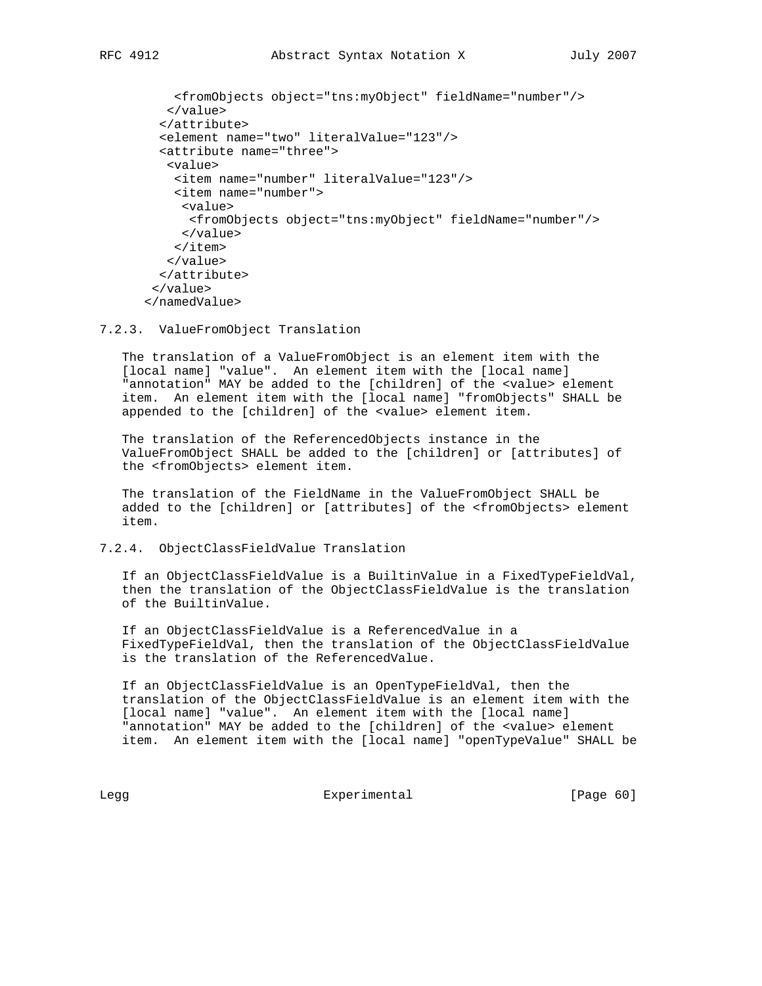```
 <fromObjects object="tns:myObject" fieldName="number"/>
    </value>
   </attribute>
   <element name="two" literalValue="123"/>
   <attribute name="three">
   <value>
    <item name="number" literalValue="123"/>
    <item name="number">
     <value>
      <fromObjects object="tns:myObject" fieldName="number"/>
     </value>
     </item>
    </value>
   </attribute>
  </value>
 </namedValue>
```
7.2.3. ValueFromObject Translation

 The translation of a ValueFromObject is an element item with the [local name] "value". An element item with the [local name] "annotation" MAY be added to the [children] of the <value> element item. An element item with the [local name] "fromObjects" SHALL be appended to the [children] of the <value> element item.

 The translation of the ReferencedObjects instance in the ValueFromObject SHALL be added to the [children] or [attributes] of the <fromObjects> element item.

 The translation of the FieldName in the ValueFromObject SHALL be added to the [children] or [attributes] of the <fromObjects> element item.

## 7.2.4. ObjectClassFieldValue Translation

 If an ObjectClassFieldValue is a BuiltinValue in a FixedTypeFieldVal, then the translation of the ObjectClassFieldValue is the translation of the BuiltinValue.

 If an ObjectClassFieldValue is a ReferencedValue in a FixedTypeFieldVal, then the translation of the ObjectClassFieldValue is the translation of the ReferencedValue.

 If an ObjectClassFieldValue is an OpenTypeFieldVal, then the translation of the ObjectClassFieldValue is an element item with the [local name] "value". An element item with the [local name] "annotation" MAY be added to the [children] of the <value> element item. An element item with the [local name] "openTypeValue" SHALL be

Legg Experimental [Page 60]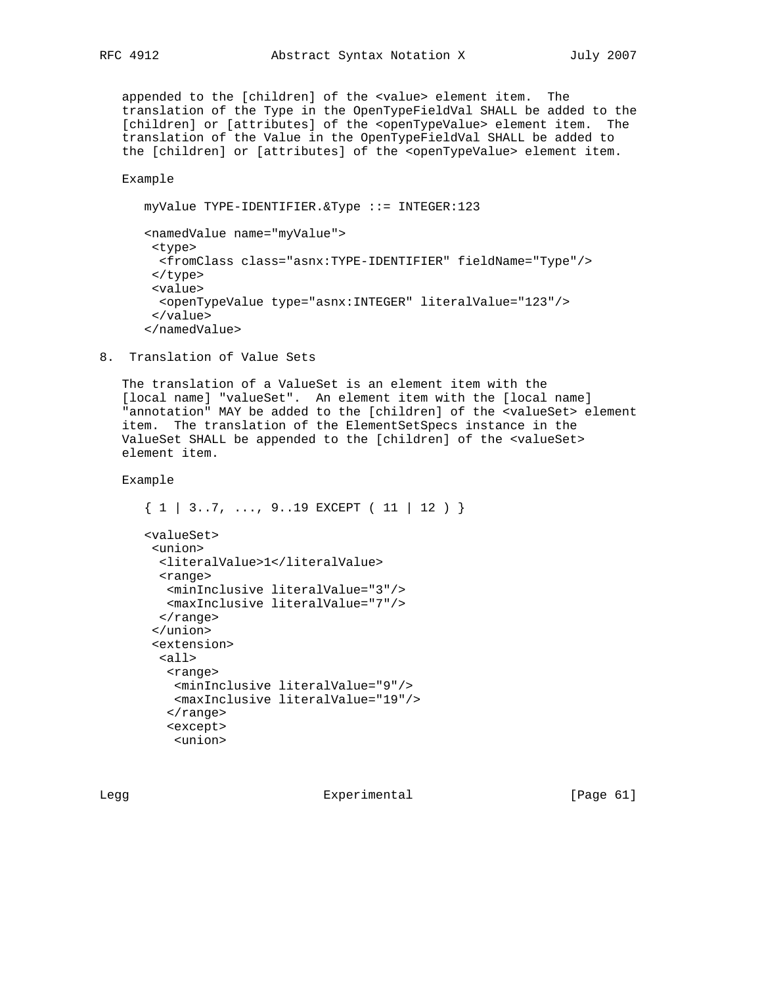appended to the [children] of the <value> element item. The translation of the Type in the OpenTypeFieldVal SHALL be added to the [children] or [attributes] of the <openTypeValue> element item. The translation of the Value in the OpenTypeFieldVal SHALL be added to the [children] or [attributes] of the <openTypeValue> element item.

Example

```
 myValue TYPE-IDENTIFIER.&Type ::= INTEGER:123
 <namedValue name="myValue">
 <type>
   <fromClass class="asnx:TYPE-IDENTIFIER" fieldName="Type"/>
  </type>
  <value>
  <openTypeValue type="asnx:INTEGER" literalValue="123"/>
  </value>
 </namedValue>
```
8. Translation of Value Sets

 The translation of a ValueSet is an element item with the [local name] "valueSet". An element item with the [local name] "annotation" MAY be added to the [children] of the <valueSet> element item. The translation of the ElementSetSpecs instance in the ValueSet SHALL be appended to the [children] of the <valueSet> element item.

Example

```
\{ 1 | 3..7, ..., 9..19 EXCEPT ( 11 | 12 ) \} <valueSet>
 <union>
  <literalValue>1</literalValue>
   <range>
    <minInclusive literalValue="3"/>
    <maxInclusive literalValue="7"/>
  </range>
  </union>
  <extension>
  <all>
   <range>
    <minInclusive literalValue="9"/>
    <maxInclusive literalValue="19"/>
   \langle range>
    <except>
     <union>
```
Legg Experimental [Page 61]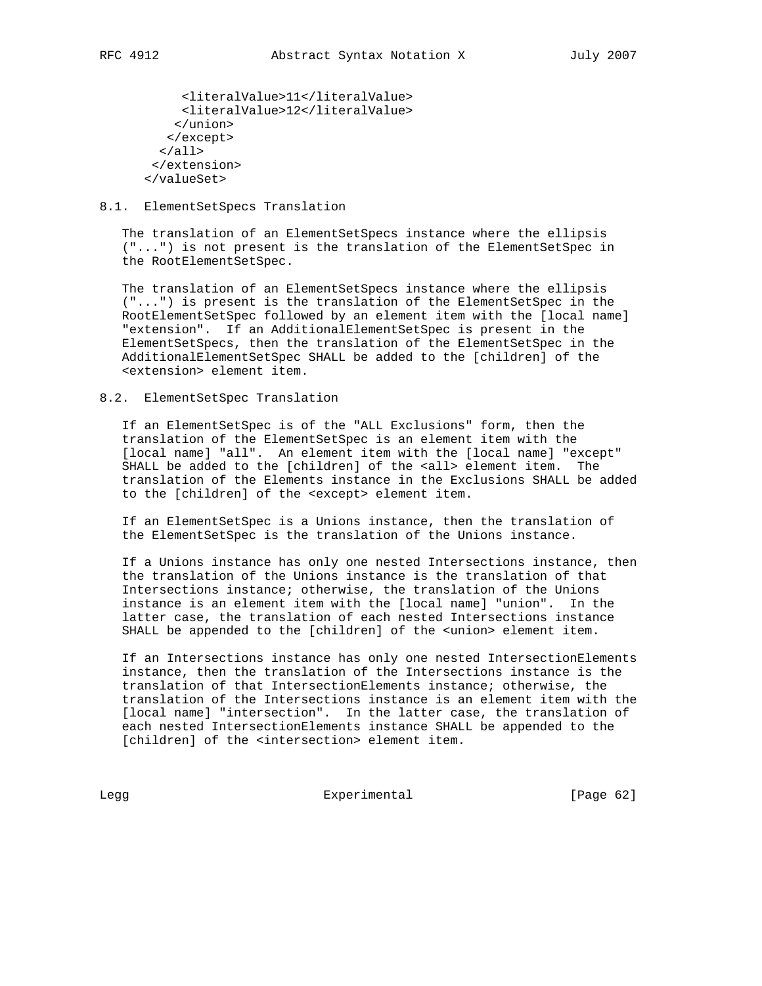```
 <literalValue>11</literalValue>
      <literalValue>12</literalValue>
     </union>
    </except>
  \langleall\rangle </extension>
 </valueSet>
```
## 8.1. ElementSetSpecs Translation

 The translation of an ElementSetSpecs instance where the ellipsis ("...") is not present is the translation of the ElementSetSpec in the RootElementSetSpec.

 The translation of an ElementSetSpecs instance where the ellipsis ("...") is present is the translation of the ElementSetSpec in the RootElementSetSpec followed by an element item with the [local name] "extension". If an AdditionalElementSetSpec is present in the ElementSetSpecs, then the translation of the ElementSetSpec in the AdditionalElementSetSpec SHALL be added to the [children] of the <extension> element item.

## 8.2. ElementSetSpec Translation

 If an ElementSetSpec is of the "ALL Exclusions" form, then the translation of the ElementSetSpec is an element item with the [local name] "all". An element item with the [local name] "except" SHALL be added to the [children] of the <all> element item. The translation of the Elements instance in the Exclusions SHALL be added to the [children] of the <except> element item.

 If an ElementSetSpec is a Unions instance, then the translation of the ElementSetSpec is the translation of the Unions instance.

 If a Unions instance has only one nested Intersections instance, then the translation of the Unions instance is the translation of that Intersections instance; otherwise, the translation of the Unions instance is an element item with the [local name] "union". In the latter case, the translation of each nested Intersections instance SHALL be appended to the [children] of the <union> element item.

 If an Intersections instance has only one nested IntersectionElements instance, then the translation of the Intersections instance is the translation of that IntersectionElements instance; otherwise, the translation of the Intersections instance is an element item with the [local name] "intersection". In the latter case, the translation of each nested IntersectionElements instance SHALL be appended to the [children] of the <intersection> element item.

Legg Experimental Experimental [Page 62]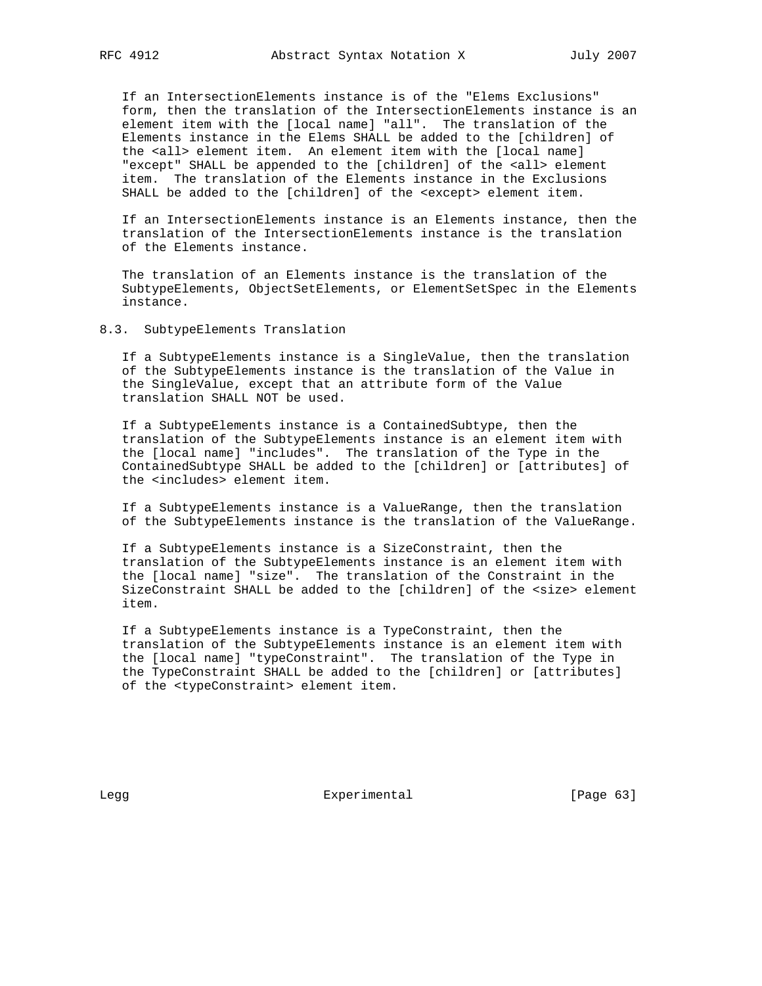If an IntersectionElements instance is of the "Elems Exclusions" form, then the translation of the IntersectionElements instance is an element item with the [local name] "all". The translation of the Elements instance in the Elems SHALL be added to the [children] of the <all> element item. An element item with the [local name] "except" SHALL be appended to the [children] of the <all> element item. The translation of the Elements instance in the Exclusions SHALL be added to the [children] of the <except> element item.

 If an IntersectionElements instance is an Elements instance, then the translation of the IntersectionElements instance is the translation of the Elements instance.

 The translation of an Elements instance is the translation of the SubtypeElements, ObjectSetElements, or ElementSetSpec in the Elements instance.

8.3. SubtypeElements Translation

 If a SubtypeElements instance is a SingleValue, then the translation of the SubtypeElements instance is the translation of the Value in the SingleValue, except that an attribute form of the Value translation SHALL NOT be used.

 If a SubtypeElements instance is a ContainedSubtype, then the translation of the SubtypeElements instance is an element item with the [local name] "includes". The translation of the Type in the ContainedSubtype SHALL be added to the [children] or [attributes] of the <includes> element item.

 If a SubtypeElements instance is a ValueRange, then the translation of the SubtypeElements instance is the translation of the ValueRange.

 If a SubtypeElements instance is a SizeConstraint, then the translation of the SubtypeElements instance is an element item with the [local name] "size". The translation of the Constraint in the SizeConstraint SHALL be added to the [children] of the <size> element item.

 If a SubtypeElements instance is a TypeConstraint, then the translation of the SubtypeElements instance is an element item with the [local name] "typeConstraint". The translation of the Type in the TypeConstraint SHALL be added to the [children] or [attributes] of the <typeConstraint> element item.

Legg **Experimental** [Page 63]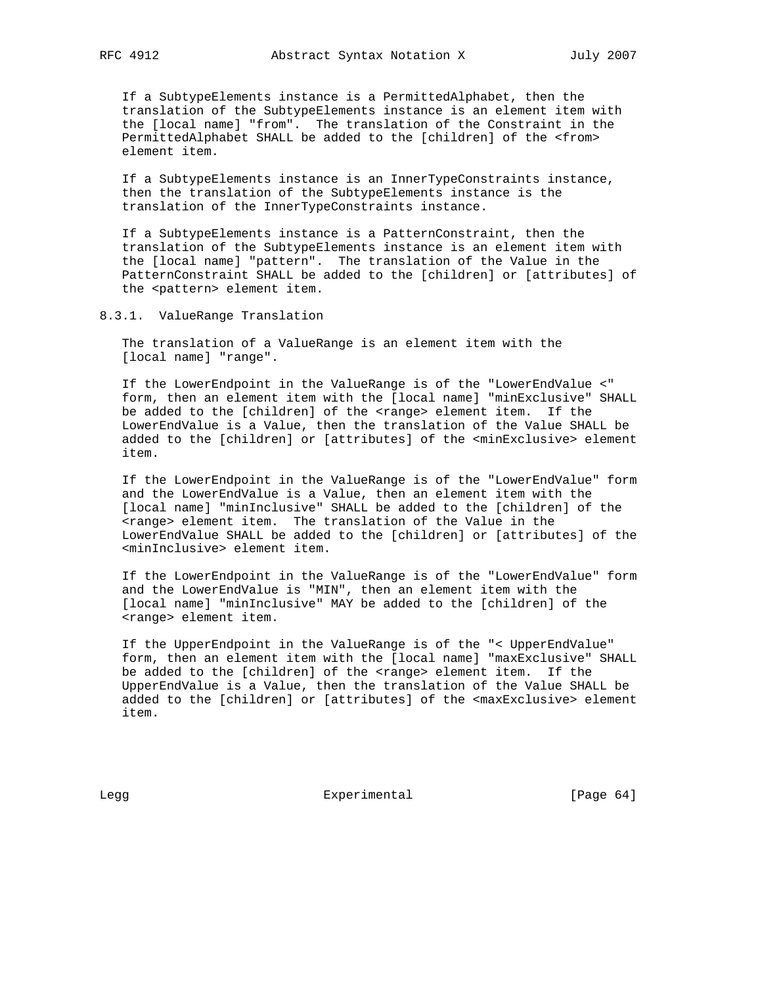If a SubtypeElements instance is a PermittedAlphabet, then the translation of the SubtypeElements instance is an element item with the [local name] "from". The translation of the Constraint in the PermittedAlphabet SHALL be added to the [children] of the <from> element item.

 If a SubtypeElements instance is an InnerTypeConstraints instance, then the translation of the SubtypeElements instance is the translation of the InnerTypeConstraints instance.

 If a SubtypeElements instance is a PatternConstraint, then the translation of the SubtypeElements instance is an element item with the [local name] "pattern". The translation of the Value in the PatternConstraint SHALL be added to the [children] or [attributes] of the <pattern> element item.

8.3.1. ValueRange Translation

 The translation of a ValueRange is an element item with the [local name] "range".

 If the LowerEndpoint in the ValueRange is of the "LowerEndValue <" form, then an element item with the [local name] "minExclusive" SHALL be added to the [children] of the <range> element item. If the LowerEndValue is a Value, then the translation of the Value SHALL be added to the [children] or [attributes] of the <minExclusive> element item.

 If the LowerEndpoint in the ValueRange is of the "LowerEndValue" form and the LowerEndValue is a Value, then an element item with the [local name] "minInclusive" SHALL be added to the [children] of the <range> element item. The translation of the Value in the LowerEndValue SHALL be added to the [children] or [attributes] of the <minInclusive> element item.

 If the LowerEndpoint in the ValueRange is of the "LowerEndValue" form and the LowerEndValue is "MIN", then an element item with the [local name] "minInclusive" MAY be added to the [children] of the <range> element item.

 If the UpperEndpoint in the ValueRange is of the "< UpperEndValue" form, then an element item with the [local name] "maxExclusive" SHALL be added to the [children] of the <range> element item. If the UpperEndValue is a Value, then the translation of the Value SHALL be added to the [children] or [attributes] of the <maxExclusive> element item.

Legg Experimental Experimental [Page 64]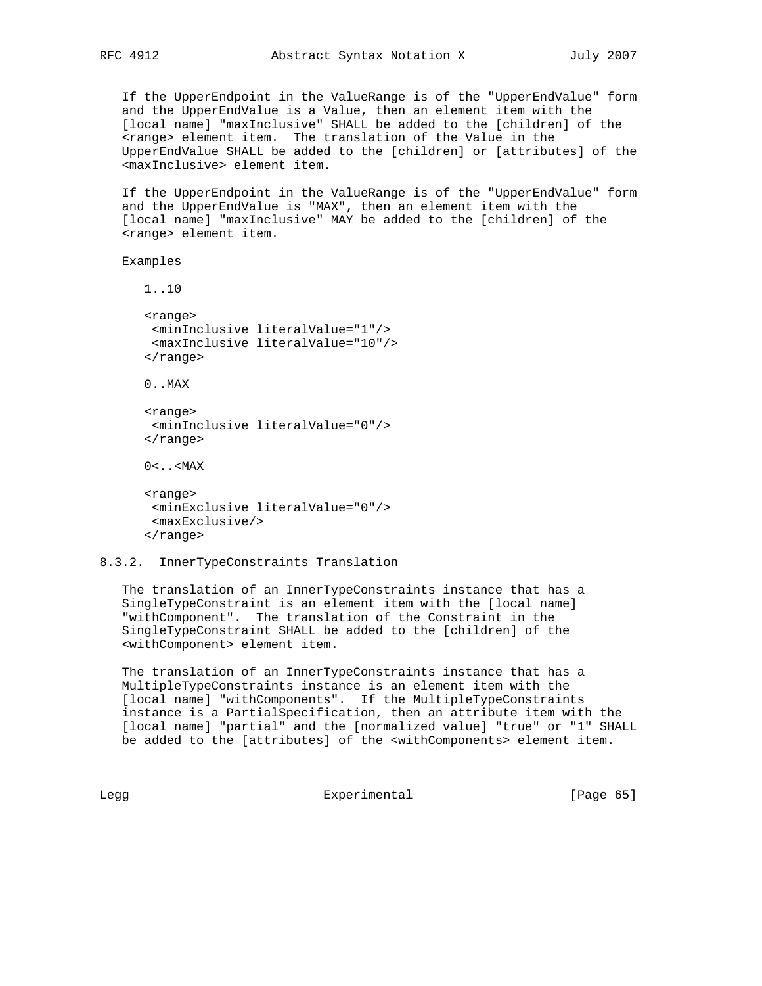If the UpperEndpoint in the ValueRange is of the "UpperEndValue" form and the UpperEndValue is a Value, then an element item with the [local name] "maxInclusive" SHALL be added to the [children] of the <range> element item. The translation of the Value in the UpperEndValue SHALL be added to the [children] or [attributes] of the <maxInclusive> element item.

 If the UpperEndpoint in the ValueRange is of the "UpperEndValue" form and the UpperEndValue is "MAX", then an element item with the [local name] "maxInclusive" MAY be added to the [children] of the <range> element item.

## Examples

```
 1..10
 <range>
 <minInclusive literalValue="1"/>
 <maxInclusive literalValue="10"/>
 </range>
 0..MAX
 <range>
 <minInclusive literalValue="0"/>
 </range>
0<..<MAX
 <range>
 <minExclusive literalValue="0"/>
  <maxExclusive/>
 </range>
```
## 8.3.2. InnerTypeConstraints Translation

 The translation of an InnerTypeConstraints instance that has a SingleTypeConstraint is an element item with the [local name] "withComponent". The translation of the Constraint in the SingleTypeConstraint SHALL be added to the [children] of the <withComponent> element item.

 The translation of an InnerTypeConstraints instance that has a MultipleTypeConstraints instance is an element item with the [local name] "withComponents". If the MultipleTypeConstraints instance is a PartialSpecification, then an attribute item with the [local name] "partial" and the [normalized value] "true" or "1" SHALL be added to the [attributes] of the <withComponents> element item.

Legg **Experimental** Experimental [Page 65]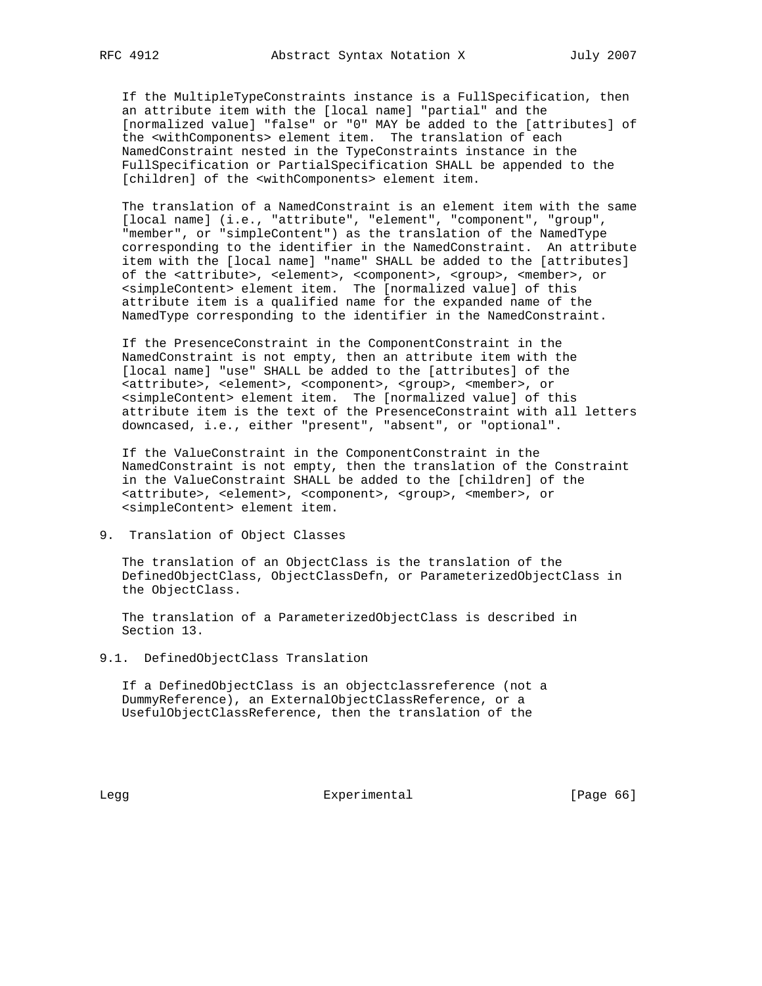If the MultipleTypeConstraints instance is a FullSpecification, then an attribute item with the [local name] "partial" and the [normalized value] "false" or "0" MAY be added to the [attributes] of the <withComponents> element item. The translation of each NamedConstraint nested in the TypeConstraints instance in the FullSpecification or PartialSpecification SHALL be appended to the [children] of the <withComponents> element item.

 The translation of a NamedConstraint is an element item with the same [local name] (i.e., "attribute", "element", "component", "group", "member", or "simpleContent") as the translation of the NamedType corresponding to the identifier in the NamedConstraint. An attribute item with the [local name] "name" SHALL be added to the [attributes] of the <attribute>, <element>, <component>, <group>, <member>, or <simpleContent> element item. The [normalized value] of this attribute item is a qualified name for the expanded name of the NamedType corresponding to the identifier in the NamedConstraint.

 If the PresenceConstraint in the ComponentConstraint in the NamedConstraint is not empty, then an attribute item with the [local name] "use" SHALL be added to the [attributes] of the <attribute>, <element>, <component>, <group>, <member>, or <simpleContent> element item. The [normalized value] of this attribute item is the text of the PresenceConstraint with all letters downcased, i.e., either "present", "absent", or "optional".

 If the ValueConstraint in the ComponentConstraint in the NamedConstraint is not empty, then the translation of the Constraint in the ValueConstraint SHALL be added to the [children] of the <attribute>, <element>, <component>, <group>, <member>, or <simpleContent> element item.

9. Translation of Object Classes

 The translation of an ObjectClass is the translation of the DefinedObjectClass, ObjectClassDefn, or ParameterizedObjectClass in the ObjectClass.

 The translation of a ParameterizedObjectClass is described in Section 13.

9.1. DefinedObjectClass Translation

 If a DefinedObjectClass is an objectclassreference (not a DummyReference), an ExternalObjectClassReference, or a UsefulObjectClassReference, then the translation of the

Legg **Experimental** Experimental [Page 66]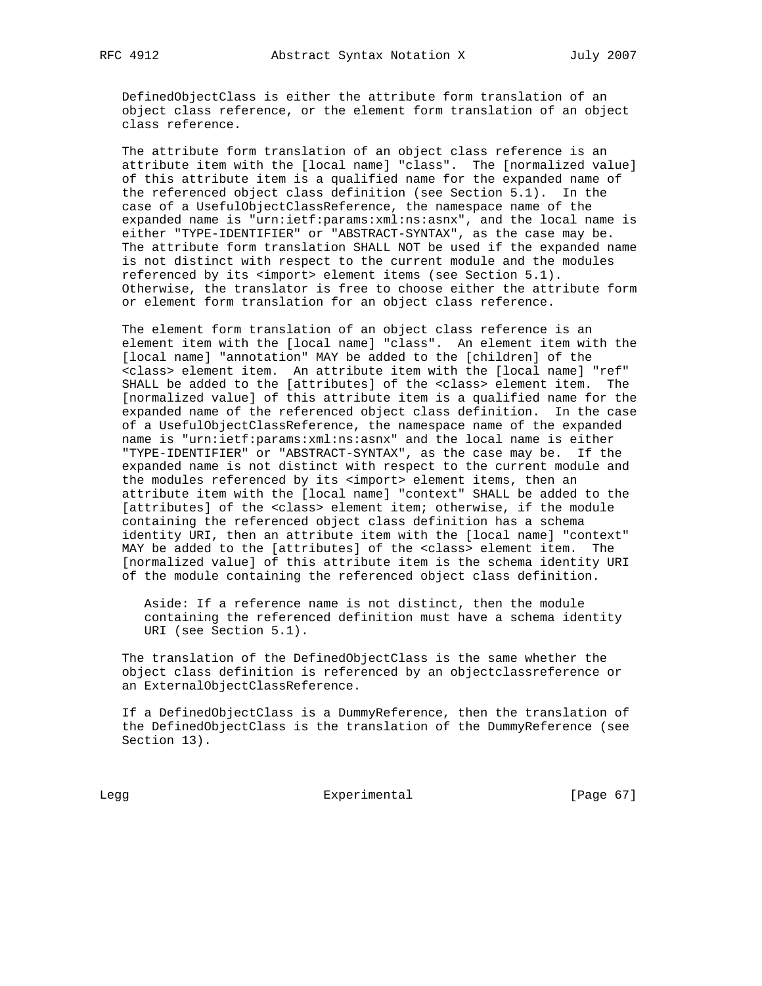DefinedObjectClass is either the attribute form translation of an object class reference, or the element form translation of an object class reference.

 The attribute form translation of an object class reference is an attribute item with the [local name] "class". The [normalized value] of this attribute item is a qualified name for the expanded name of the referenced object class definition (see Section 5.1). In the case of a UsefulObjectClassReference, the namespace name of the expanded name is "urn:ietf:params:xml:ns:asnx", and the local name is either "TYPE-IDENTIFIER" or "ABSTRACT-SYNTAX", as the case may be. The attribute form translation SHALL NOT be used if the expanded name is not distinct with respect to the current module and the modules referenced by its <import> element items (see Section 5.1). Otherwise, the translator is free to choose either the attribute form or element form translation for an object class reference.

 The element form translation of an object class reference is an element item with the [local name] "class". An element item with the [local name] "annotation" MAY be added to the [children] of the <class> element item. An attribute item with the [local name] "ref" SHALL be added to the [attributes] of the <class> element item. The [normalized value] of this attribute item is a qualified name for the expanded name of the referenced object class definition. In the case of a UsefulObjectClassReference, the namespace name of the expanded name is "urn:ietf:params:xml:ns:asnx" and the local name is either "TYPE-IDENTIFIER" or "ABSTRACT-SYNTAX", as the case may be. If the expanded name is not distinct with respect to the current module and the modules referenced by its <import> element items, then an attribute item with the [local name] "context" SHALL be added to the [attributes] of the <class> element item; otherwise, if the module containing the referenced object class definition has a schema identity URI, then an attribute item with the [local name] "context" MAY be added to the [attributes] of the <class> element item. The [normalized value] of this attribute item is the schema identity URI of the module containing the referenced object class definition.

 Aside: If a reference name is not distinct, then the module containing the referenced definition must have a schema identity URI (see Section 5.1).

 The translation of the DefinedObjectClass is the same whether the object class definition is referenced by an objectclassreference or an ExternalObjectClassReference.

 If a DefinedObjectClass is a DummyReference, then the translation of the DefinedObjectClass is the translation of the DummyReference (see Section 13).

Legg Experimental Experimental [Page 67]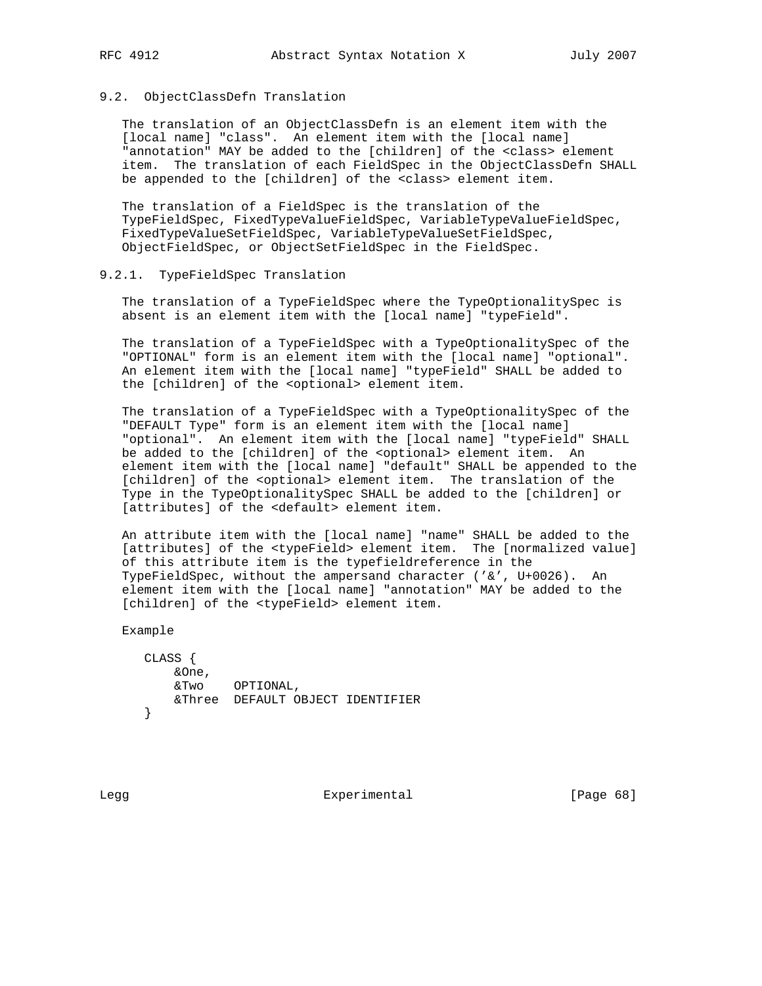### 9.2. ObjectClassDefn Translation

 The translation of an ObjectClassDefn is an element item with the [local name] "class". An element item with the [local name] "annotation" MAY be added to the [children] of the <class> element item. The translation of each FieldSpec in the ObjectClassDefn SHALL be appended to the [children] of the <class> element item.

 The translation of a FieldSpec is the translation of the TypeFieldSpec, FixedTypeValueFieldSpec, VariableTypeValueFieldSpec, FixedTypeValueSetFieldSpec, VariableTypeValueSetFieldSpec, ObjectFieldSpec, or ObjectSetFieldSpec in the FieldSpec.

## 9.2.1. TypeFieldSpec Translation

 The translation of a TypeFieldSpec where the TypeOptionalitySpec is absent is an element item with the [local name] "typeField".

 The translation of a TypeFieldSpec with a TypeOptionalitySpec of the "OPTIONAL" form is an element item with the [local name] "optional". An element item with the [local name] "typeField" SHALL be added to the [children] of the <optional> element item.

 The translation of a TypeFieldSpec with a TypeOptionalitySpec of the "DEFAULT Type" form is an element item with the [local name] "optional". An element item with the [local name] "typeField" SHALL be added to the [children] of the <optional> element item. An element item with the [local name] "default" SHALL be appended to the [children] of the <optional> element item. The translation of the Type in the TypeOptionalitySpec SHALL be added to the [children] or [attributes] of the <default> element item.

 An attribute item with the [local name] "name" SHALL be added to the [attributes] of the <typeField> element item. The [normalized value] of this attribute item is the typefieldreference in the TypeFieldSpec, without the ampersand character ('&', U+0026). An element item with the [local name] "annotation" MAY be added to the [children] of the <typeField> element item.

Example

```
 CLASS {
    &One,
     &Two OPTIONAL,
    &Three DEFAULT OBJECT IDENTIFIER
 }
```
Legg **Experimental** Experimental [Page 68]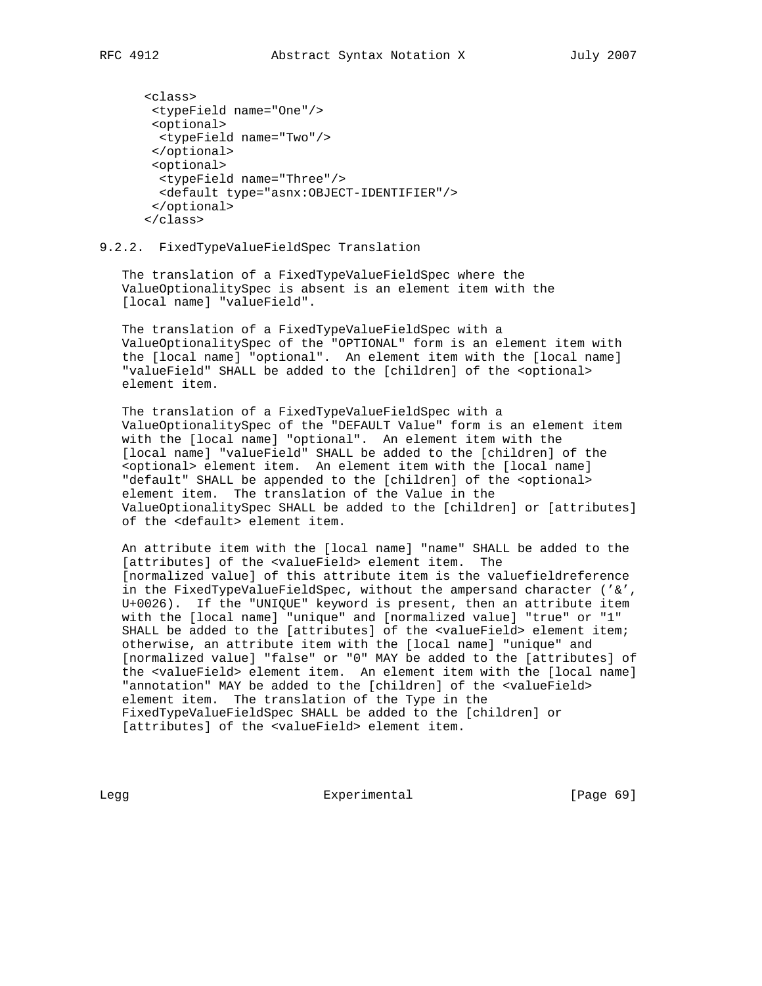```
 <class>
  <typeField name="One"/>
  <optional>
  <typeField name="Two"/>
  </optional>
 <optional>
  <typeField name="Three"/>
  <default type="asnx:OBJECT-IDENTIFIER"/>
  </optional>
 </class>
```
9.2.2. FixedTypeValueFieldSpec Translation

 The translation of a FixedTypeValueFieldSpec where the ValueOptionalitySpec is absent is an element item with the [local name] "valueField".

 The translation of a FixedTypeValueFieldSpec with a ValueOptionalitySpec of the "OPTIONAL" form is an element item with the [local name] "optional". An element item with the [local name] "valueField" SHALL be added to the [children] of the <optional> element item.

 The translation of a FixedTypeValueFieldSpec with a ValueOptionalitySpec of the "DEFAULT Value" form is an element item with the [local name] "optional". An element item with the [local name] "valueField" SHALL be added to the [children] of the <optional> element item. An element item with the [local name] "default" SHALL be appended to the [children] of the <optional> element item. The translation of the Value in the ValueOptionalitySpec SHALL be added to the [children] or [attributes] of the <default> element item.

 An attribute item with the [local name] "name" SHALL be added to the [attributes] of the <valueField> element item. The [normalized value] of this attribute item is the valuefieldreference in the FixedTypeValueFieldSpec, without the ampersand character ('&', U+0026). If the "UNIQUE" keyword is present, then an attribute item with the [local name] "unique" and [normalized value] "true" or "1" SHALL be added to the [attributes] of the <valueField> element item; otherwise, an attribute item with the [local name] "unique" and [normalized value] "false" or "0" MAY be added to the [attributes] of the <valueField> element item. An element item with the [local name] "annotation" MAY be added to the [children] of the <valueField> element item. The translation of the Type in the FixedTypeValueFieldSpec SHALL be added to the [children] or [attributes] of the <valueField> element item.

Legg Experimental [Page 69]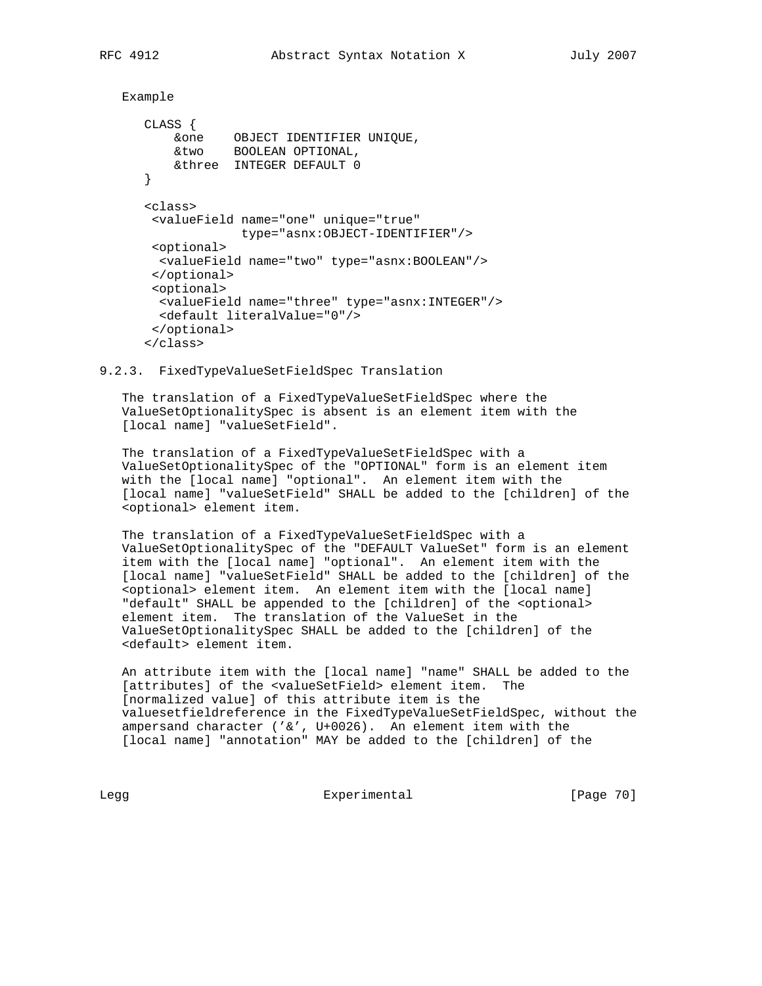```
 Example
```

```
 CLASS {
 &one OBJECT IDENTIFIER UNIQUE,
 &two BOOLEAN OPTIONAL,
          &three INTEGER DEFAULT 0
      }
      <class>
       <valueField name="one" unique="true"
                   type="asnx:OBJECT-IDENTIFIER"/>
       <optional>
        <valueField name="two" type="asnx:BOOLEAN"/>
       </optional>
       <optional>
        <valueField name="three" type="asnx:INTEGER"/>
        <default literalValue="0"/>
       </optional>
      </class>
```
9.2.3. FixedTypeValueSetFieldSpec Translation

 The translation of a FixedTypeValueSetFieldSpec where the ValueSetOptionalitySpec is absent is an element item with the [local name] "valueSetField".

 The translation of a FixedTypeValueSetFieldSpec with a ValueSetOptionalitySpec of the "OPTIONAL" form is an element item with the [local name] "optional". An element item with the [local name] "valueSetField" SHALL be added to the [children] of the <optional> element item.

 The translation of a FixedTypeValueSetFieldSpec with a ValueSetOptionalitySpec of the "DEFAULT ValueSet" form is an element item with the [local name] "optional". An element item with the [local name] "valueSetField" SHALL be added to the [children] of the <optional> element item. An element item with the [local name] "default" SHALL be appended to the [children] of the <optional> element item. The translation of the ValueSet in the ValueSetOptionalitySpec SHALL be added to the [children] of the <default> element item.

 An attribute item with the [local name] "name" SHALL be added to the [attributes] of the <valueSetField> element item. The [normalized value] of this attribute item is the valuesetfieldreference in the FixedTypeValueSetFieldSpec, without the ampersand character ('&', U+0026). An element item with the [local name] "annotation" MAY be added to the [children] of the

Legg **Experimental** Experimental [Page 70]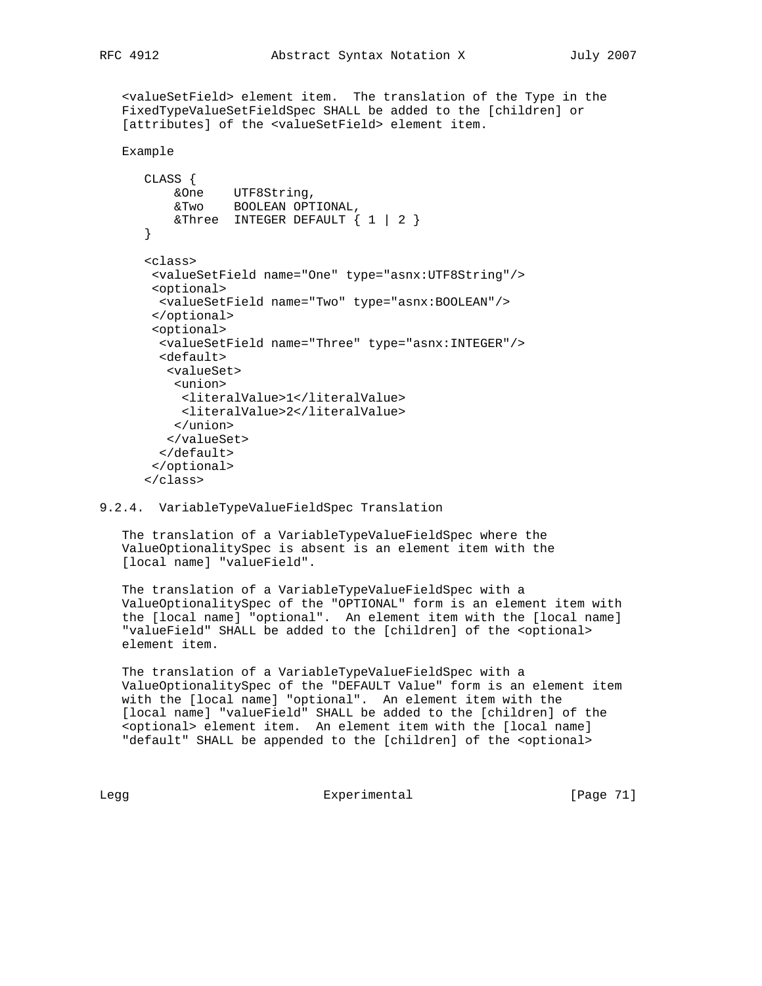<valueSetField> element item. The translation of the Type in the FixedTypeValueSetFieldSpec SHALL be added to the [children] or [attributes] of the <valueSetField> element item.

```
 Example
```

```
 CLASS {
 &One UTF8String,
 &Two BOOLEAN OPTIONAL,
         & Three INTEGER DEFAULT \{ 1 | 2 \} }
      <class>
       <valueSetField name="One" type="asnx:UTF8String"/>
       <optional>
        <valueSetField name="Two" type="asnx:BOOLEAN"/>
       </optional>
       <optional>
        <valueSetField name="Three" type="asnx:INTEGER"/>
        <default>
         <valueSet>
          <union>
           <literalValue>1</literalValue>
           <literalValue>2</literalValue>
          </union>
         </valueSet>
        </default>
       </optional>
       </class>
```
## 9.2.4. VariableTypeValueFieldSpec Translation

 The translation of a VariableTypeValueFieldSpec where the ValueOptionalitySpec is absent is an element item with the [local name] "valueField".

 The translation of a VariableTypeValueFieldSpec with a ValueOptionalitySpec of the "OPTIONAL" form is an element item with the [local name] "optional". An element item with the [local name] "valueField" SHALL be added to the [children] of the <optional> element item.

 The translation of a VariableTypeValueFieldSpec with a ValueOptionalitySpec of the "DEFAULT Value" form is an element item with the [local name] "optional". An element item with the [local name] "valueField" SHALL be added to the [children] of the <optional> element item. An element item with the [local name] "default" SHALL be appended to the [children] of the <optional>

Legg **Experimental** Experimental [Page 71]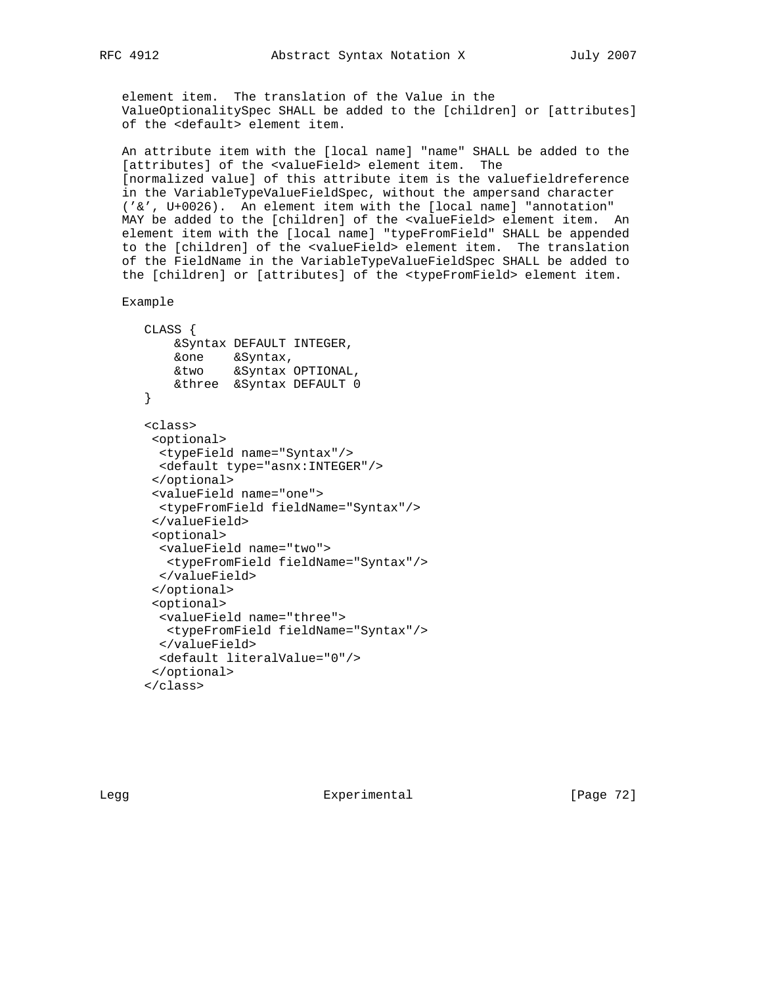element item. The translation of the Value in the ValueOptionalitySpec SHALL be added to the [children] or [attributes] of the <default> element item.

 An attribute item with the [local name] "name" SHALL be added to the [attributes] of the <valueField> element item. The [normalized value] of this attribute item is the valuefieldreference in the VariableTypeValueFieldSpec, without the ampersand character ('&', U+0026). An element item with the [local name] "annotation" MAY be added to the [children] of the <valueField> element item. An element item with the [local name] "typeFromField" SHALL be appended to the [children] of the <valueField> element item. The translation of the FieldName in the VariableTypeValueFieldSpec SHALL be added to the [children] or [attributes] of the <typeFromField> element item.

Example

```
 CLASS {
    &Syntax DEFAULT INTEGER,
    &one &Syntax,
    &two &Syntax OPTIONAL,
    &three &Syntax DEFAULT 0
 }
 <class>
  <optional>
  <typeField name="Syntax"/>
  <default type="asnx:INTEGER"/>
  </optional>
  <valueField name="one">
  <typeFromField fieldName="Syntax"/>
  </valueField>
  <optional>
  <valueField name="two">
   <typeFromField fieldName="Syntax"/>
  </valueField>
  </optional>
  <optional>
   <valueField name="three">
   <typeFromField fieldName="Syntax"/>
  </valueField>
   <default literalValue="0"/>
  </optional>
 </class>
```
Legg Experimental [Page 72]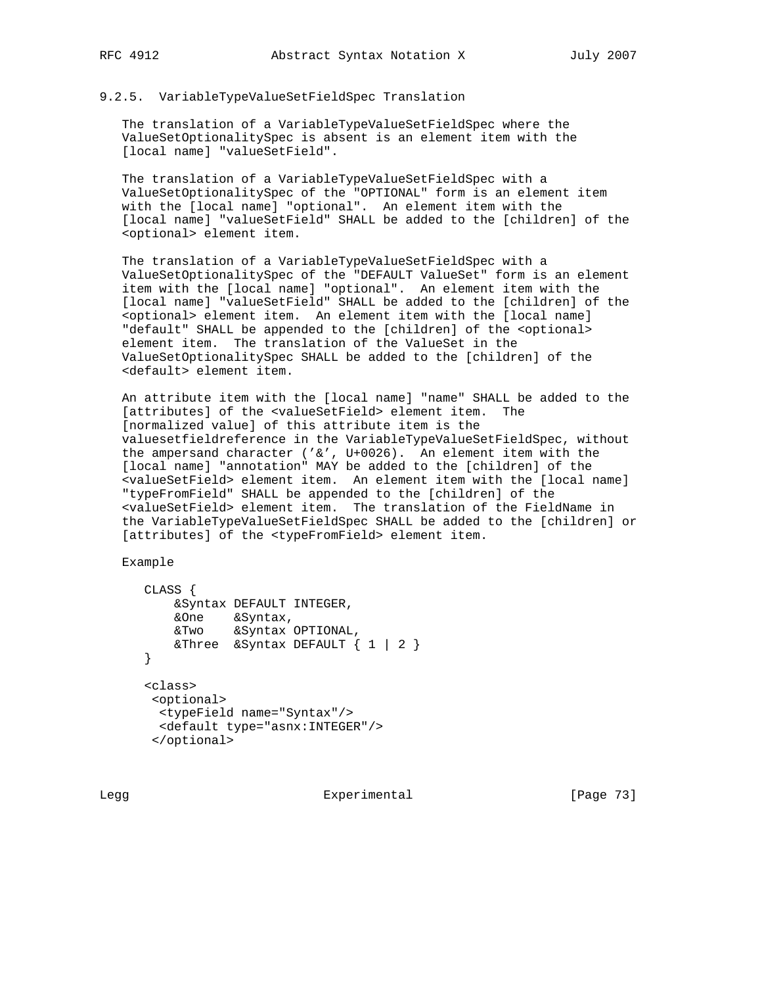# 9.2.5. VariableTypeValueSetFieldSpec Translation

 The translation of a VariableTypeValueSetFieldSpec where the ValueSetOptionalitySpec is absent is an element item with the [local name] "valueSetField".

 The translation of a VariableTypeValueSetFieldSpec with a ValueSetOptionalitySpec of the "OPTIONAL" form is an element item with the [local name] "optional". An element item with the [local name] "valueSetField" SHALL be added to the [children] of the <optional> element item.

 The translation of a VariableTypeValueSetFieldSpec with a ValueSetOptionalitySpec of the "DEFAULT ValueSet" form is an element item with the [local name] "optional". An element item with the [local name] "valueSetField" SHALL be added to the [children] of the <optional> element item. An element item with the [local name] "default" SHALL be appended to the [children] of the <optional> element item. The translation of the ValueSet in the ValueSetOptionalitySpec SHALL be added to the [children] of the <default> element item.

 An attribute item with the [local name] "name" SHALL be added to the [attributes] of the <valueSetField> element item. The [normalized value] of this attribute item is the valuesetfieldreference in the VariableTypeValueSetFieldSpec, without the ampersand character ('&', U+0026). An element item with the [local name] "annotation" MAY be added to the [children] of the <valueSetField> element item. An element item with the [local name] "typeFromField" SHALL be appended to the [children] of the <valueSetField> element item. The translation of the FieldName in the VariableTypeValueSetFieldSpec SHALL be added to the [children] or [attributes] of the <typeFromField> element item.

Example

```
 CLASS {
         &Syntax DEFAULT INTEGER,
 &One &Syntax,
 &Two &Syntax OPTIONAL,
        \& Three \& Syntax DEFAULT \{ 1 | 2 \} }
      <class>
       <optional>
       <typeField name="Syntax"/>
        <default type="asnx:INTEGER"/>
       </optional>
```
Legg Experimental [Page 73]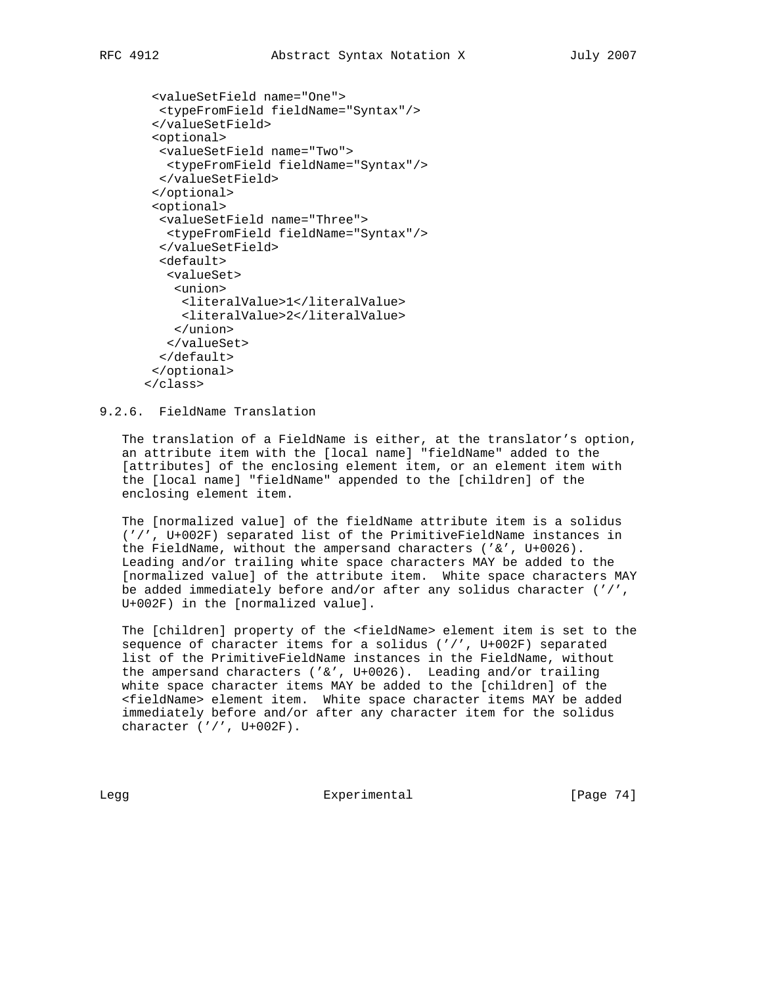```
 <valueSetField name="One">
  <typeFromField fieldName="Syntax"/>
 </valueSetField>
 <optional>
  <valueSetField name="Two">
   <typeFromField fieldName="Syntax"/>
  </valueSetField>
 </optional>
 <optional>
   <valueSetField name="Three">
   <typeFromField fieldName="Syntax"/>
   </valueSetField>
   <default>
    <valueSet>
     <union>
      <literalValue>1</literalValue>
      <literalValue>2</literalValue>
     </union>
   </valueSet>
   </default>
 </optional>
 </class>
```

```
9.2.6. FieldName Translation
```
 The translation of a FieldName is either, at the translator's option, an attribute item with the [local name] "fieldName" added to the [attributes] of the enclosing element item, or an element item with the [local name] "fieldName" appended to the [children] of the enclosing element item.

 The [normalized value] of the fieldName attribute item is a solidus ('/', U+002F) separated list of the PrimitiveFieldName instances in the FieldName, without the ampersand characters ('&', U+0026). Leading and/or trailing white space characters MAY be added to the [normalized value] of the attribute item. White space characters MAY be added immediately before and/or after any solidus character ('/', U+002F) in the [normalized value].

 The [children] property of the <fieldName> element item is set to the sequence of character items for a solidus ('/', U+002F) separated list of the PrimitiveFieldName instances in the FieldName, without the ampersand characters ( $' \&'$ , U+0026). Leading and/or trailing white space character items MAY be added to the [children] of the <fieldName> element item. White space character items MAY be added immediately before and/or after any character item for the solidus character ('/', U+002F).

Legg Experimental [Page 74]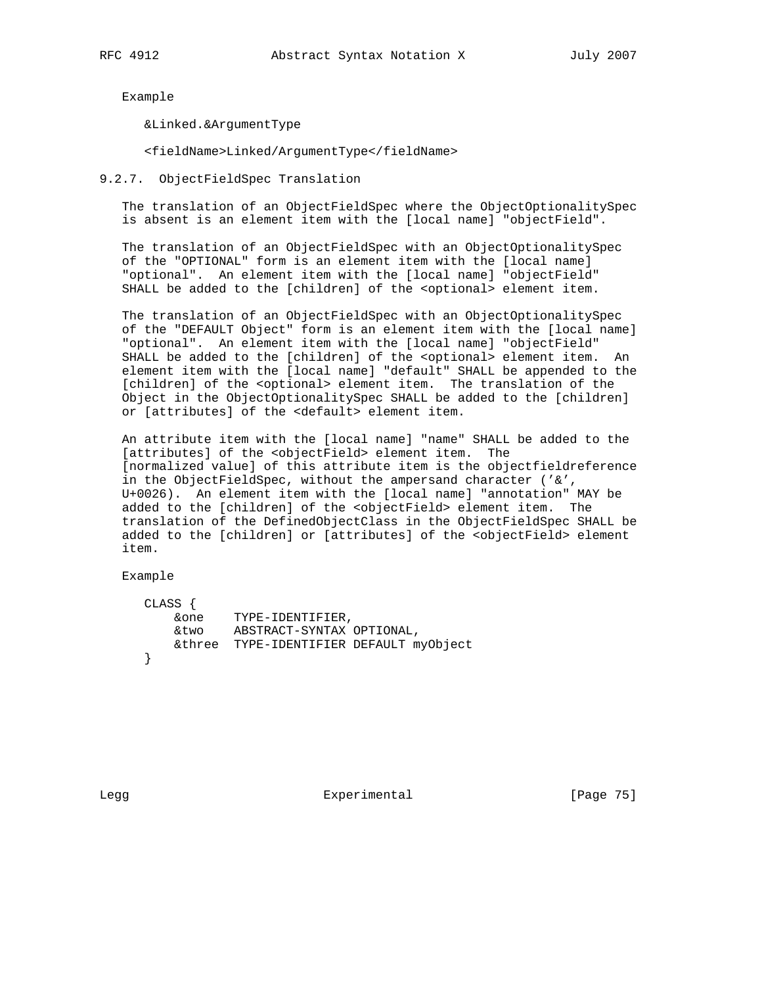Example

&Linked.&ArgumentType

<fieldName>Linked/ArgumentType</fieldName>

9.2.7. ObjectFieldSpec Translation

 The translation of an ObjectFieldSpec where the ObjectOptionalitySpec is absent is an element item with the [local name] "objectField".

 The translation of an ObjectFieldSpec with an ObjectOptionalitySpec of the "OPTIONAL" form is an element item with the [local name] "optional". An element item with the [local name] "objectField" SHALL be added to the [children] of the <optional> element item.

 The translation of an ObjectFieldSpec with an ObjectOptionalitySpec of the "DEFAULT Object" form is an element item with the [local name] "optional". An element item with the [local name] "objectField" SHALL be added to the [children] of the <optional> element item. An element item with the [local name] "default" SHALL be appended to the [children] of the <optional> element item. The translation of the Object in the ObjectOptionalitySpec SHALL be added to the [children] or [attributes] of the <default> element item.

 An attribute item with the [local name] "name" SHALL be added to the [attributes] of the <objectField> element item. The [normalized value] of this attribute item is the objectfieldreference in the ObjectFieldSpec, without the ampersand character ('&', U+0026). An element item with the [local name] "annotation" MAY be added to the [children] of the <objectField> element item. The translation of the DefinedObjectClass in the ObjectFieldSpec SHALL be added to the [children] or [attributes] of the <objectField> element item.

Example

| CLASS { |                                         |
|---------|-----------------------------------------|
| &one    | TYPE-IDENTIFIER,                        |
| &two    | ABSTRACT-SYNTAX OPTIONAL,               |
|         | &three TYPE-IDENTIFIER DEFAULT myObject |
|         |                                         |

Legg Experimental [Page 75]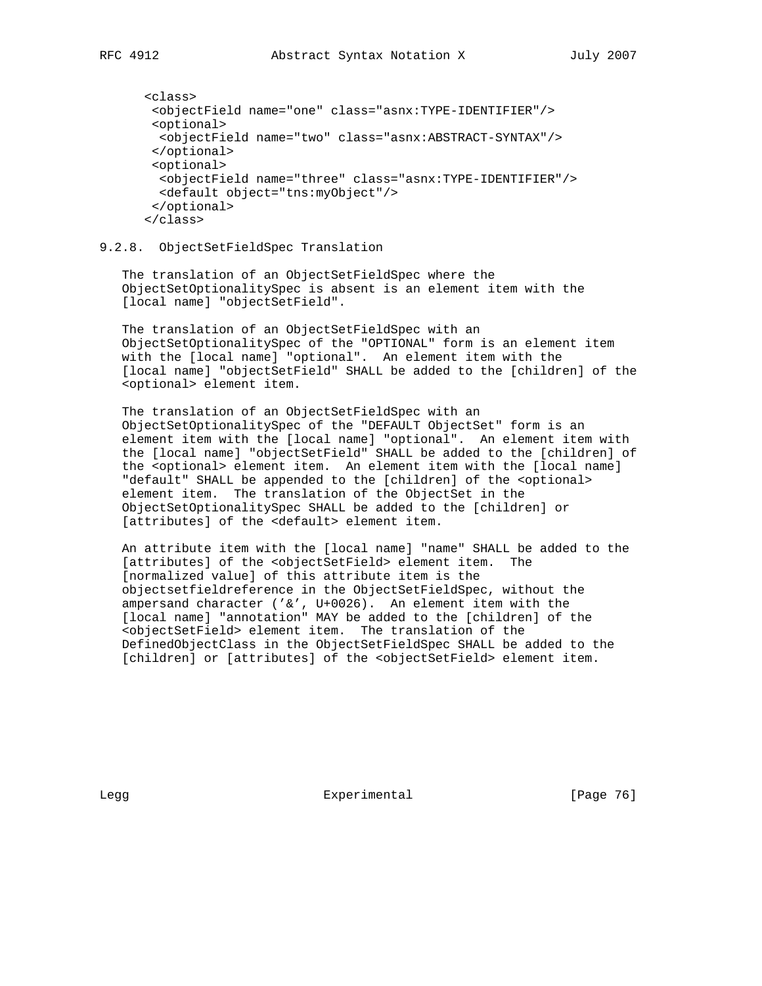```
 <class>
  <objectField name="one" class="asnx:TYPE-IDENTIFIER"/>
  <optional>
  <objectField name="two" class="asnx:ABSTRACT-SYNTAX"/>
  </optional>
 <optional>
  <objectField name="three" class="asnx:TYPE-IDENTIFIER"/>
  <default object="tns:myObject"/>
  </optional>
 </class>
```
9.2.8. ObjectSetFieldSpec Translation

 The translation of an ObjectSetFieldSpec where the ObjectSetOptionalitySpec is absent is an element item with the [local name] "objectSetField".

 The translation of an ObjectSetFieldSpec with an ObjectSetOptionalitySpec of the "OPTIONAL" form is an element item with the [local name] "optional". An element item with the [local name] "objectSetField" SHALL be added to the [children] of the <optional> element item.

 The translation of an ObjectSetFieldSpec with an ObjectSetOptionalitySpec of the "DEFAULT ObjectSet" form is an element item with the [local name] "optional". An element item with the [local name] "objectSetField" SHALL be added to the [children] of the <optional> element item. An element item with the [local name] "default" SHALL be appended to the [children] of the <optional> element item. The translation of the ObjectSet in the ObjectSetOptionalitySpec SHALL be added to the [children] or [attributes] of the <default> element item.

 An attribute item with the [local name] "name" SHALL be added to the [attributes] of the <objectSetField> element item. The [normalized value] of this attribute item is the objectsetfieldreference in the ObjectSetFieldSpec, without the ampersand character ('&', U+0026). An element item with the [local name] "annotation" MAY be added to the [children] of the <objectSetField> element item. The translation of the DefinedObjectClass in the ObjectSetFieldSpec SHALL be added to the [children] or [attributes] of the <objectSetField> element item.

Legg Experimental [Page 76]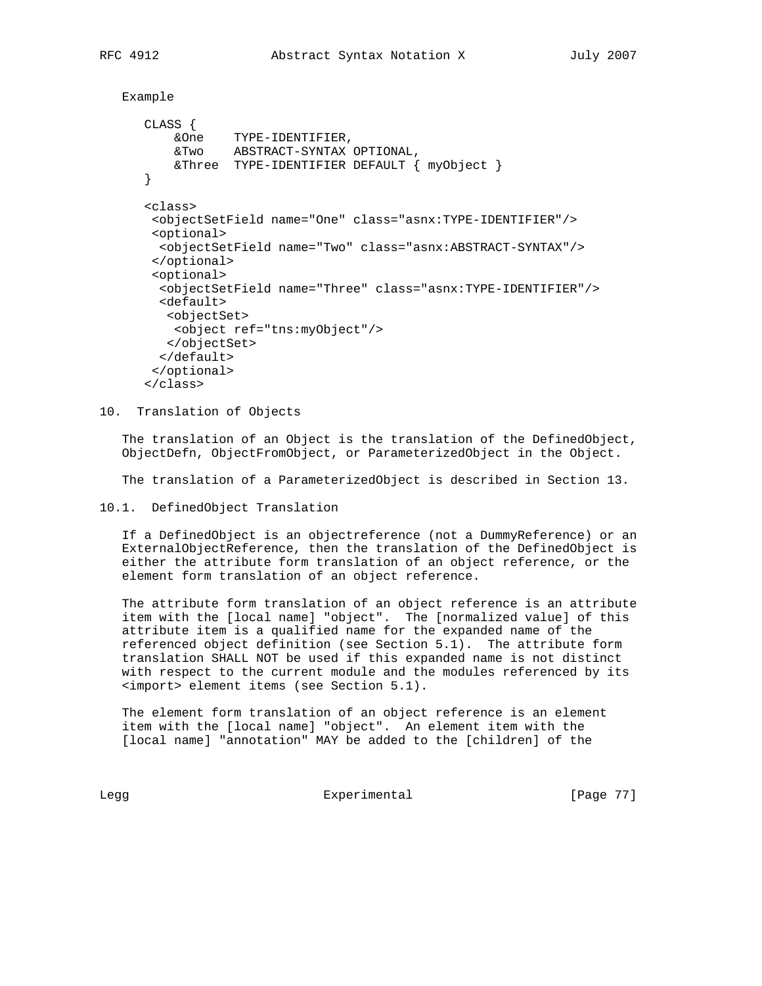```
 Example
```

```
 CLASS {
 &One TYPE-IDENTIFIER,
 &Two ABSTRACT-SYNTAX OPTIONAL,
          &Three TYPE-IDENTIFIER DEFAULT { myObject }
      }
      <class>
       <objectSetField name="One" class="asnx:TYPE-IDENTIFIER"/>
       <optional>
        <objectSetField name="Two" class="asnx:ABSTRACT-SYNTAX"/>
       </optional>
       <optional>
        <objectSetField name="Three" class="asnx:TYPE-IDENTIFIER"/>
        <default>
         <objectSet>
          <object ref="tns:myObject"/>
         </objectSet>
        </default>
       </optional>
      </class>
```
10. Translation of Objects

 The translation of an Object is the translation of the DefinedObject, ObjectDefn, ObjectFromObject, or ParameterizedObject in the Object.

The translation of a ParameterizedObject is described in Section 13.

10.1. DefinedObject Translation

 If a DefinedObject is an objectreference (not a DummyReference) or an ExternalObjectReference, then the translation of the DefinedObject is either the attribute form translation of an object reference, or the element form translation of an object reference.

 The attribute form translation of an object reference is an attribute item with the [local name] "object". The [normalized value] of this attribute item is a qualified name for the expanded name of the referenced object definition (see Section 5.1). The attribute form translation SHALL NOT be used if this expanded name is not distinct with respect to the current module and the modules referenced by its <import> element items (see Section 5.1).

 The element form translation of an object reference is an element item with the [local name] "object". An element item with the [local name] "annotation" MAY be added to the [children] of the

Legg **Experimental** Experimental [Page 77]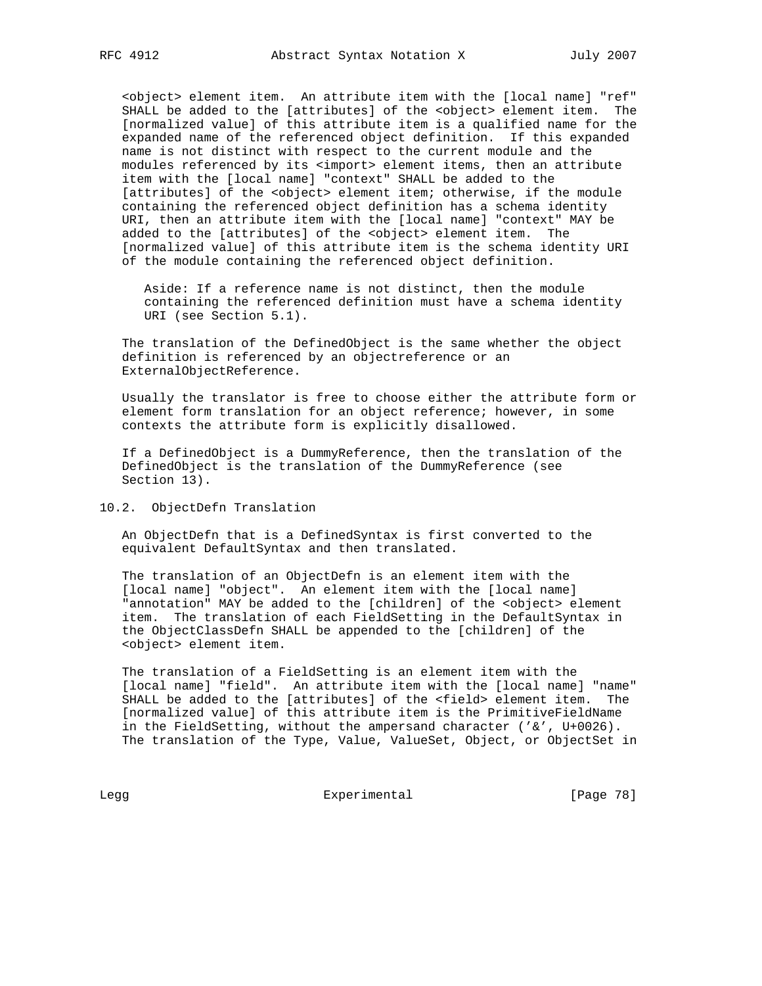<object> element item. An attribute item with the [local name] "ref" SHALL be added to the [attributes] of the <object> element item. The [normalized value] of this attribute item is a qualified name for the expanded name of the referenced object definition. If this expanded name is not distinct with respect to the current module and the modules referenced by its <import> element items, then an attribute item with the [local name] "context" SHALL be added to the [attributes] of the <object> element item; otherwise, if the module containing the referenced object definition has a schema identity URI, then an attribute item with the [local name] "context" MAY be added to the [attributes] of the <object> element item. The [normalized value] of this attribute item is the schema identity URI of the module containing the referenced object definition.

 Aside: If a reference name is not distinct, then the module containing the referenced definition must have a schema identity URI (see Section 5.1).

 The translation of the DefinedObject is the same whether the object definition is referenced by an objectreference or an ExternalObjectReference.

 Usually the translator is free to choose either the attribute form or element form translation for an object reference; however, in some contexts the attribute form is explicitly disallowed.

 If a DefinedObject is a DummyReference, then the translation of the DefinedObject is the translation of the DummyReference (see Section 13).

10.2. ObjectDefn Translation

 An ObjectDefn that is a DefinedSyntax is first converted to the equivalent DefaultSyntax and then translated.

 The translation of an ObjectDefn is an element item with the [local name] "object". An element item with the [local name] "annotation" MAY be added to the [children] of the <object> element item. The translation of each FieldSetting in the DefaultSyntax in the ObjectClassDefn SHALL be appended to the [children] of the <object> element item.

 The translation of a FieldSetting is an element item with the [local name] "field". An attribute item with the [local name] "name" SHALL be added to the [attributes] of the <field> element item. The [normalized value] of this attribute item is the PrimitiveFieldName in the FieldSetting, without the ampersand character ('&', U+0026). The translation of the Type, Value, ValueSet, Object, or ObjectSet in

Legg Experimental Experimental [Page 78]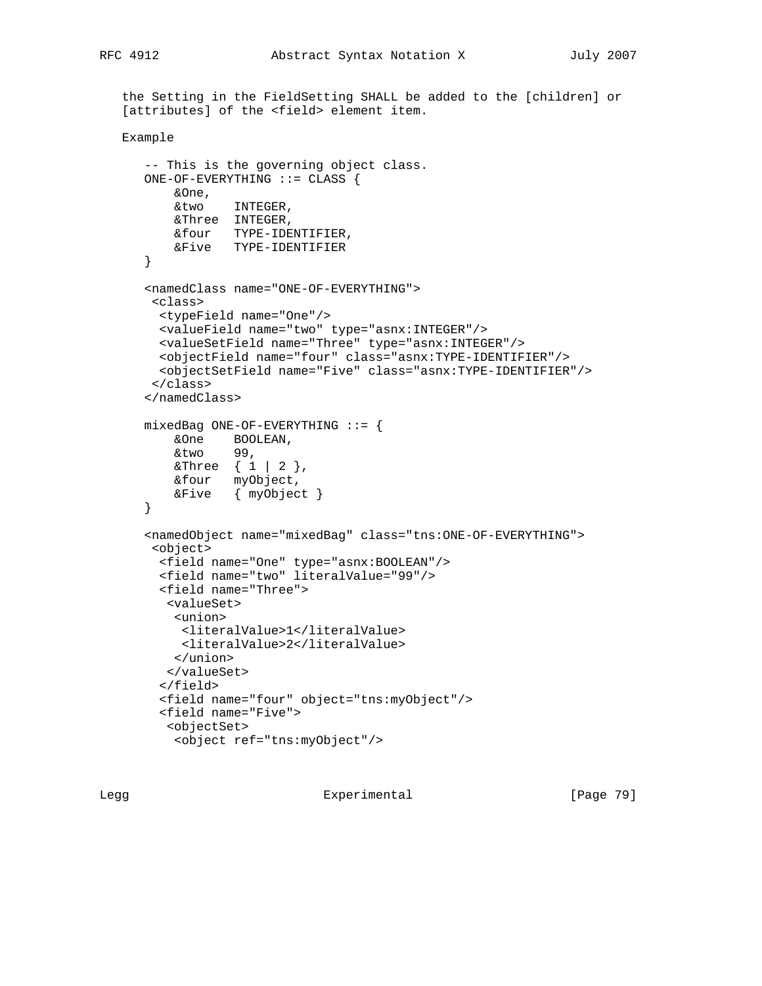```
 the Setting in the FieldSetting SHALL be added to the [children] or
[attributes] of the <field> element item.
```

```
 Example
```

```
 -- This is the governing object class.
 ONE-OF-EVERYTHING ::= CLASS {
    &One,
    &two INTEGER,
    &Three INTEGER,
    &four TYPE-IDENTIFIER,
    &Five TYPE-IDENTIFIER
 }
 <namedClass name="ONE-OF-EVERYTHING">
  <class>
  <typeField name="One"/>
  <valueField name="two" type="asnx:INTEGER"/>
  <valueSetField name="Three" type="asnx:INTEGER"/>
  <objectField name="four" class="asnx:TYPE-IDENTIFIER"/>
   <objectSetField name="Five" class="asnx:TYPE-IDENTIFIER"/>
  </class>
 </namedClass>
mixedBag ONE-OF-EVERYTHING ::= {
     &One BOOLEAN,
     &two 99,
   \& Three \{ 1 | 2 \},
    &four myObject,
    &Five { myObject }
 }
 <namedObject name="mixedBag" class="tns:ONE-OF-EVERYTHING">
  <object>
   <field name="One" type="asnx:BOOLEAN"/>
   <field name="two" literalValue="99"/>
   <field name="Three">
    <valueSet>
     <union>
      <literalValue>1</literalValue>
      <literalValue>2</literalValue>
     </union>
    </valueSet>
   </field>
   <field name="four" object="tns:myObject"/>
   <field name="Five">
    <objectSet>
     <object ref="tns:myObject"/>
```
Legg Experimental [Page 79]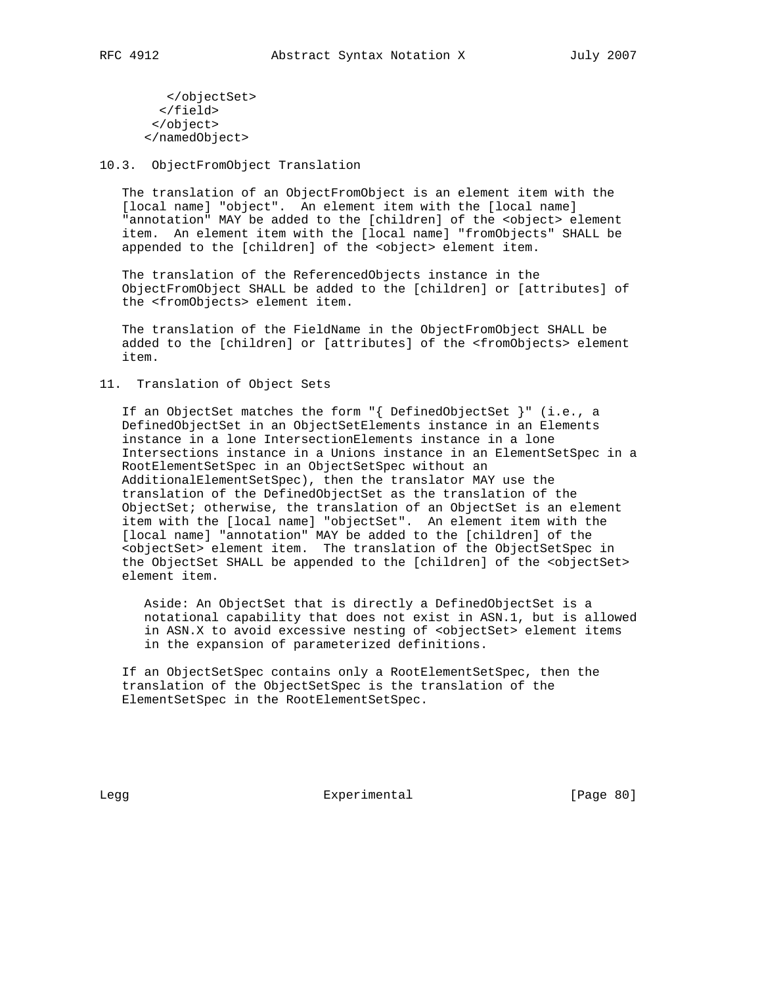</objectSet> </field> </object> </namedObject>

# 10.3. ObjectFromObject Translation

 The translation of an ObjectFromObject is an element item with the [local name] "object". An element item with the [local name] "annotation" MAY be added to the [children] of the <object> element item. An element item with the [local name] "fromObjects" SHALL be appended to the [children] of the <object> element item.

 The translation of the ReferencedObjects instance in the ObjectFromObject SHALL be added to the [children] or [attributes] of the <fromObjects> element item.

 The translation of the FieldName in the ObjectFromObject SHALL be added to the [children] or [attributes] of the <fromObjects> element item.

# 11. Translation of Object Sets

 If an ObjectSet matches the form "{ DefinedObjectSet }" (i.e., a DefinedObjectSet in an ObjectSetElements instance in an Elements instance in a lone IntersectionElements instance in a lone Intersections instance in a Unions instance in an ElementSetSpec in a RootElementSetSpec in an ObjectSetSpec without an AdditionalElementSetSpec), then the translator MAY use the translation of the DefinedObjectSet as the translation of the ObjectSet; otherwise, the translation of an ObjectSet is an element item with the [local name] "objectSet". An element item with the [local name] "annotation" MAY be added to the [children] of the <objectSet> element item. The translation of the ObjectSetSpec in the ObjectSet SHALL be appended to the [children] of the <objectSet> element item.

 Aside: An ObjectSet that is directly a DefinedObjectSet is a notational capability that does not exist in ASN.1, but is allowed in ASN.X to avoid excessive nesting of <objectSet> element items in the expansion of parameterized definitions.

 If an ObjectSetSpec contains only a RootElementSetSpec, then the translation of the ObjectSetSpec is the translation of the ElementSetSpec in the RootElementSetSpec.

Legg Experimental [Page 80]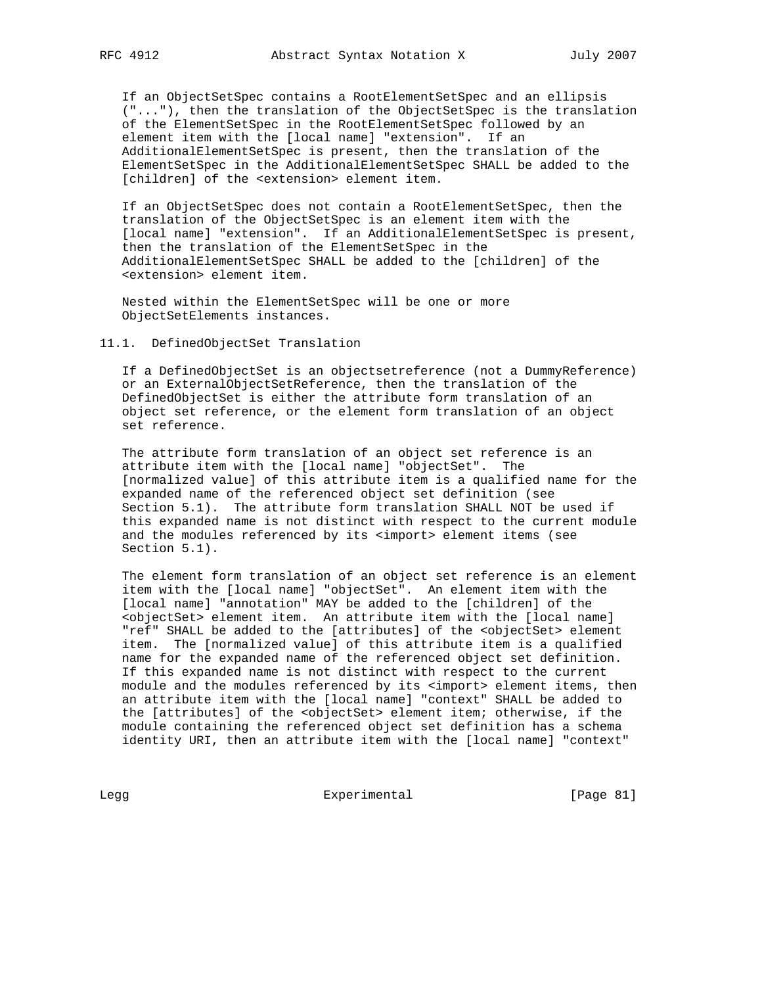If an ObjectSetSpec contains a RootElementSetSpec and an ellipsis ("..."), then the translation of the ObjectSetSpec is the translation of the ElementSetSpec in the RootElementSetSpec followed by an element item with the [local name] "extension". If an AdditionalElementSetSpec is present, then the translation of the ElementSetSpec in the AdditionalElementSetSpec SHALL be added to the [children] of the <extension> element item.

 If an ObjectSetSpec does not contain a RootElementSetSpec, then the translation of the ObjectSetSpec is an element item with the [local name] "extension". If an AdditionalElementSetSpec is present, then the translation of the ElementSetSpec in the AdditionalElementSetSpec SHALL be added to the [children] of the <extension> element item.

 Nested within the ElementSetSpec will be one or more ObjectSetElements instances.

# 11.1. DefinedObjectSet Translation

 If a DefinedObjectSet is an objectsetreference (not a DummyReference) or an ExternalObjectSetReference, then the translation of the DefinedObjectSet is either the attribute form translation of an object set reference, or the element form translation of an object set reference.

 The attribute form translation of an object set reference is an attribute item with the [local name] "objectSet". The [normalized value] of this attribute item is a qualified name for the expanded name of the referenced object set definition (see Section 5.1). The attribute form translation SHALL NOT be used if this expanded name is not distinct with respect to the current module and the modules referenced by its <import> element items (see Section 5.1).

 The element form translation of an object set reference is an element item with the [local name] "objectSet". An element item with the [local name] "annotation" MAY be added to the [children] of the <objectSet> element item. An attribute item with the [local name] "ref" SHALL be added to the [attributes] of the <objectSet> element item. The [normalized value] of this attribute item is a qualified name for the expanded name of the referenced object set definition. If this expanded name is not distinct with respect to the current module and the modules referenced by its <import> element items, then an attribute item with the [local name] "context" SHALL be added to the [attributes] of the <objectSet> element item; otherwise, if the module containing the referenced object set definition has a schema identity URI, then an attribute item with the [local name] "context"

Legg Experimental Experimental [Page 81]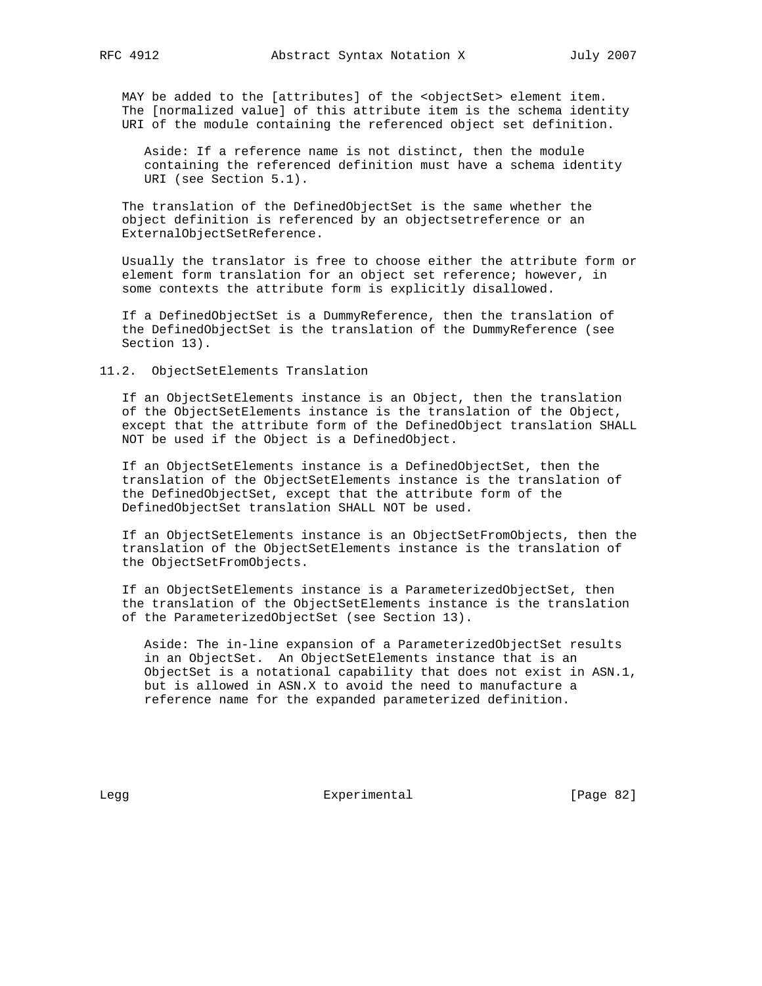MAY be added to the [attributes] of the <objectSet> element item. The [normalized value] of this attribute item is the schema identity URI of the module containing the referenced object set definition.

 Aside: If a reference name is not distinct, then the module containing the referenced definition must have a schema identity URI (see Section 5.1).

 The translation of the DefinedObjectSet is the same whether the object definition is referenced by an objectsetreference or an ExternalObjectSetReference.

 Usually the translator is free to choose either the attribute form or element form translation for an object set reference; however, in some contexts the attribute form is explicitly disallowed.

 If a DefinedObjectSet is a DummyReference, then the translation of the DefinedObjectSet is the translation of the DummyReference (see Section 13).

11.2. ObjectSetElements Translation

 If an ObjectSetElements instance is an Object, then the translation of the ObjectSetElements instance is the translation of the Object, except that the attribute form of the DefinedObject translation SHALL NOT be used if the Object is a DefinedObject.

 If an ObjectSetElements instance is a DefinedObjectSet, then the translation of the ObjectSetElements instance is the translation of the DefinedObjectSet, except that the attribute form of the DefinedObjectSet translation SHALL NOT be used.

 If an ObjectSetElements instance is an ObjectSetFromObjects, then the translation of the ObjectSetElements instance is the translation of the ObjectSetFromObjects.

 If an ObjectSetElements instance is a ParameterizedObjectSet, then the translation of the ObjectSetElements instance is the translation of the ParameterizedObjectSet (see Section 13).

 Aside: The in-line expansion of a ParameterizedObjectSet results in an ObjectSet. An ObjectSetElements instance that is an ObjectSet is a notational capability that does not exist in ASN.1, but is allowed in ASN.X to avoid the need to manufacture a reference name for the expanded parameterized definition.

Legg **Experimental** [Page 82]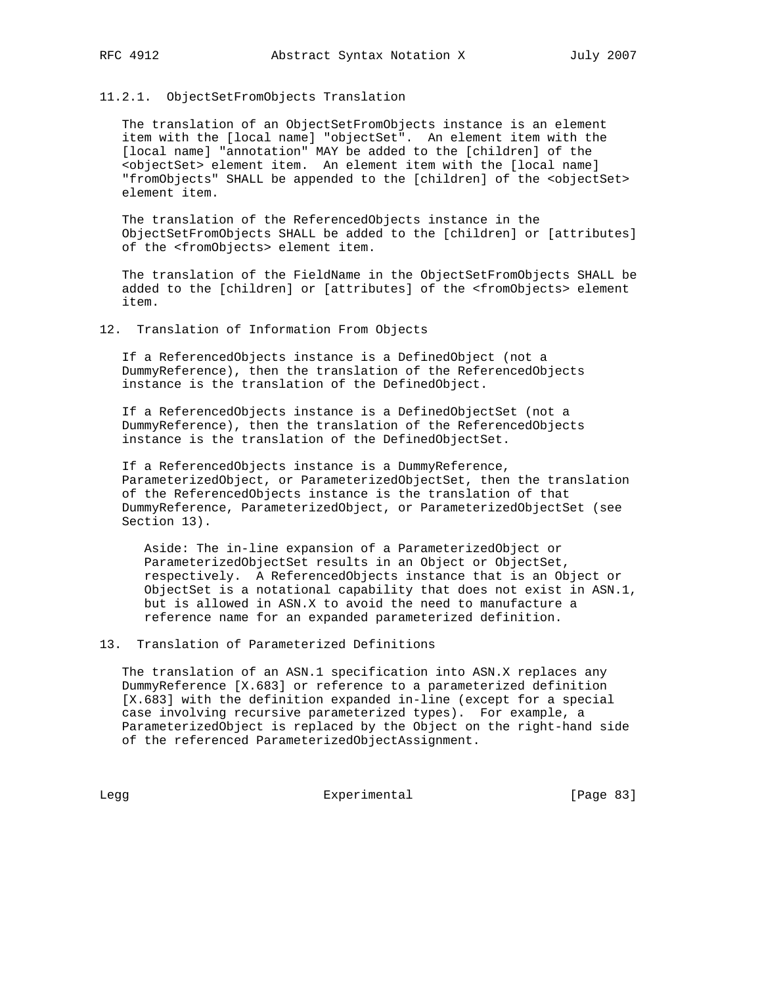### 11.2.1. ObjectSetFromObjects Translation

 The translation of an ObjectSetFromObjects instance is an element item with the [local name] "objectSet". An element item with the [local name] "annotation" MAY be added to the [children] of the <objectSet> element item. An element item with the [local name] "fromObjects" SHALL be appended to the [children] of the <objectSet> element item.

 The translation of the ReferencedObjects instance in the ObjectSetFromObjects SHALL be added to the [children] or [attributes] of the <fromObjects> element item.

 The translation of the FieldName in the ObjectSetFromObjects SHALL be added to the [children] or [attributes] of the <fromObjects> element item.

12. Translation of Information From Objects

 If a ReferencedObjects instance is a DefinedObject (not a DummyReference), then the translation of the ReferencedObjects instance is the translation of the DefinedObject.

 If a ReferencedObjects instance is a DefinedObjectSet (not a DummyReference), then the translation of the ReferencedObjects instance is the translation of the DefinedObjectSet.

 If a ReferencedObjects instance is a DummyReference, ParameterizedObject, or ParameterizedObjectSet, then the translation of the ReferencedObjects instance is the translation of that DummyReference, ParameterizedObject, or ParameterizedObjectSet (see Section 13).

 Aside: The in-line expansion of a ParameterizedObject or ParameterizedObjectSet results in an Object or ObjectSet, respectively. A ReferencedObjects instance that is an Object or ObjectSet is a notational capability that does not exist in ASN.1, but is allowed in ASN.X to avoid the need to manufacture a reference name for an expanded parameterized definition.

13. Translation of Parameterized Definitions

 The translation of an ASN.1 specification into ASN.X replaces any DummyReference [X.683] or reference to a parameterized definition [X.683] with the definition expanded in-line (except for a special case involving recursive parameterized types). For example, a ParameterizedObject is replaced by the Object on the right-hand side of the referenced ParameterizedObjectAssignment.

Legg Experimental Experimental [Page 83]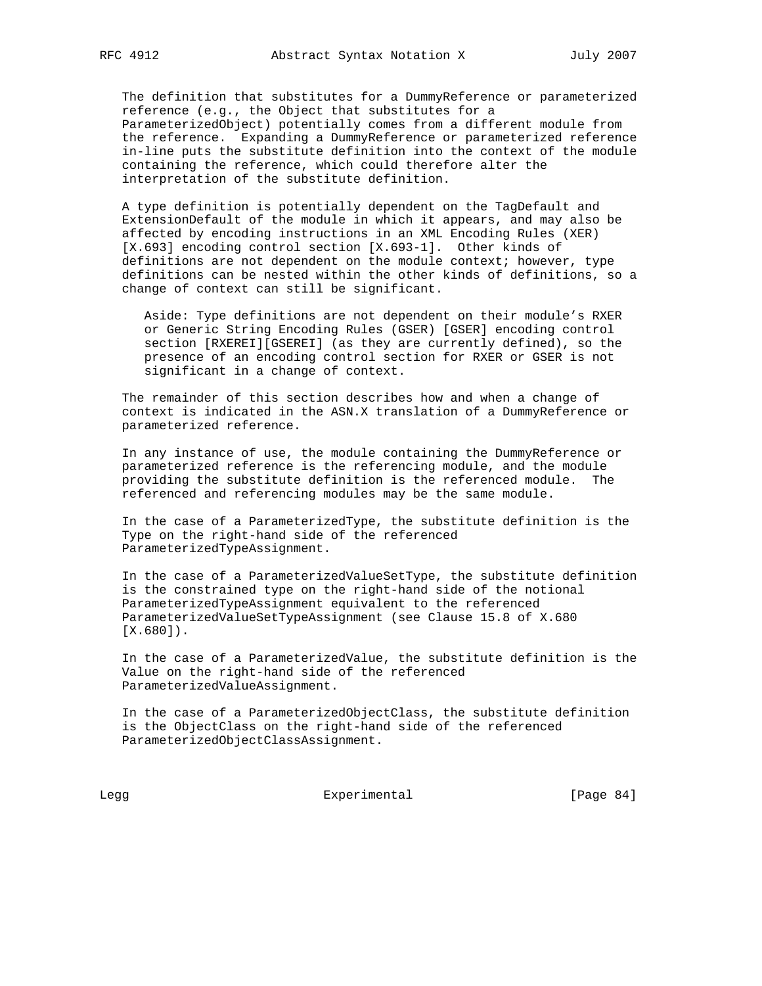The definition that substitutes for a DummyReference or parameterized reference (e.g., the Object that substitutes for a ParameterizedObject) potentially comes from a different module from the reference. Expanding a DummyReference or parameterized reference in-line puts the substitute definition into the context of the module containing the reference, which could therefore alter the interpretation of the substitute definition.

 A type definition is potentially dependent on the TagDefault and ExtensionDefault of the module in which it appears, and may also be affected by encoding instructions in an XML Encoding Rules (XER) [X.693] encoding control section [X.693-1]. Other kinds of definitions are not dependent on the module context; however, type definitions can be nested within the other kinds of definitions, so a change of context can still be significant.

 Aside: Type definitions are not dependent on their module's RXER or Generic String Encoding Rules (GSER) [GSER] encoding control section [RXEREI][GSEREI] (as they are currently defined), so the presence of an encoding control section for RXER or GSER is not significant in a change of context.

 The remainder of this section describes how and when a change of context is indicated in the ASN.X translation of a DummyReference or parameterized reference.

 In any instance of use, the module containing the DummyReference or parameterized reference is the referencing module, and the module providing the substitute definition is the referenced module. The referenced and referencing modules may be the same module.

 In the case of a ParameterizedType, the substitute definition is the Type on the right-hand side of the referenced ParameterizedTypeAssignment.

 In the case of a ParameterizedValueSetType, the substitute definition is the constrained type on the right-hand side of the notional ParameterizedTypeAssignment equivalent to the referenced ParameterizedValueSetTypeAssignment (see Clause 15.8 of X.680 [X.680]).

 In the case of a ParameterizedValue, the substitute definition is the Value on the right-hand side of the referenced ParameterizedValueAssignment.

 In the case of a ParameterizedObjectClass, the substitute definition is the ObjectClass on the right-hand side of the referenced ParameterizedObjectClassAssignment.

Legg Experimental Experimental [Page 84]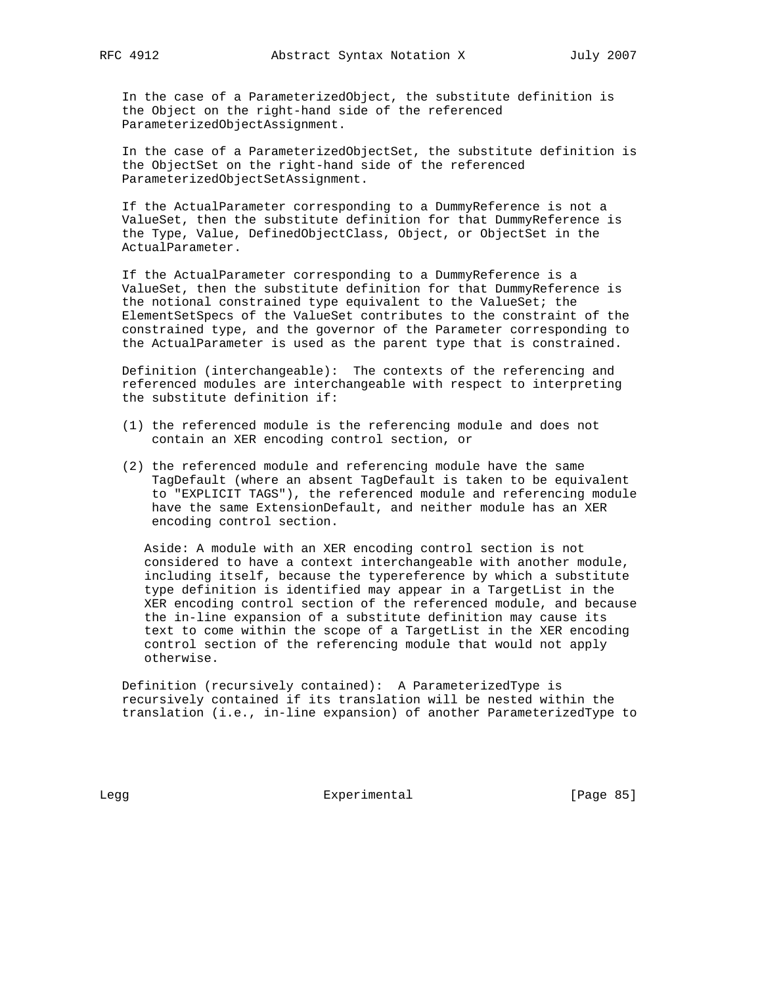In the case of a ParameterizedObject, the substitute definition is the Object on the right-hand side of the referenced ParameterizedObjectAssignment.

 In the case of a ParameterizedObjectSet, the substitute definition is the ObjectSet on the right-hand side of the referenced ParameterizedObjectSetAssignment.

 If the ActualParameter corresponding to a DummyReference is not a ValueSet, then the substitute definition for that DummyReference is the Type, Value, DefinedObjectClass, Object, or ObjectSet in the ActualParameter.

 If the ActualParameter corresponding to a DummyReference is a ValueSet, then the substitute definition for that DummyReference is the notional constrained type equivalent to the ValueSet; the ElementSetSpecs of the ValueSet contributes to the constraint of the constrained type, and the governor of the Parameter corresponding to the ActualParameter is used as the parent type that is constrained.

 Definition (interchangeable): The contexts of the referencing and referenced modules are interchangeable with respect to interpreting the substitute definition if:

- (1) the referenced module is the referencing module and does not contain an XER encoding control section, or
- (2) the referenced module and referencing module have the same TagDefault (where an absent TagDefault is taken to be equivalent to "EXPLICIT TAGS"), the referenced module and referencing module have the same ExtensionDefault, and neither module has an XER encoding control section.

 Aside: A module with an XER encoding control section is not considered to have a context interchangeable with another module, including itself, because the typereference by which a substitute type definition is identified may appear in a TargetList in the XER encoding control section of the referenced module, and because the in-line expansion of a substitute definition may cause its text to come within the scope of a TargetList in the XER encoding control section of the referencing module that would not apply otherwise.

 Definition (recursively contained): A ParameterizedType is recursively contained if its translation will be nested within the translation (i.e., in-line expansion) of another ParameterizedType to

Legg **Experimental** Experimental [Page 85]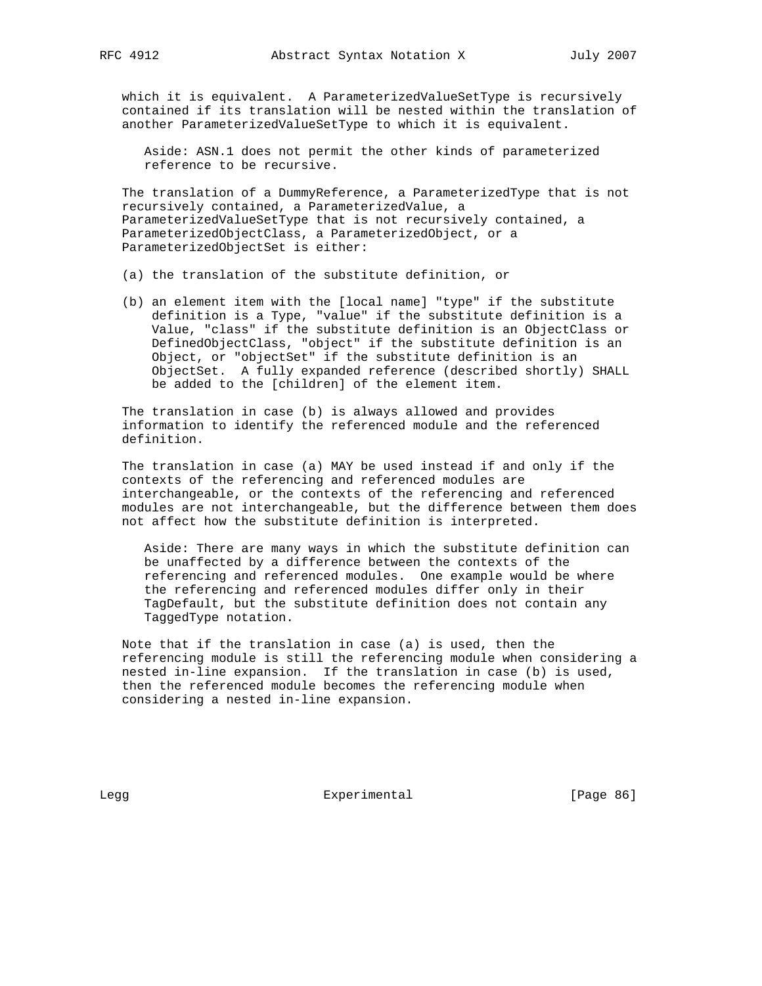which it is equivalent. A ParameterizedValueSetType is recursively contained if its translation will be nested within the translation of another ParameterizedValueSetType to which it is equivalent.

 Aside: ASN.1 does not permit the other kinds of parameterized reference to be recursive.

 The translation of a DummyReference, a ParameterizedType that is not recursively contained, a ParameterizedValue, a ParameterizedValueSetType that is not recursively contained, a ParameterizedObjectClass, a ParameterizedObject, or a ParameterizedObjectSet is either:

- (a) the translation of the substitute definition, or
- (b) an element item with the [local name] "type" if the substitute definition is a Type, "value" if the substitute definition is a Value, "class" if the substitute definition is an ObjectClass or DefinedObjectClass, "object" if the substitute definition is an Object, or "objectSet" if the substitute definition is an ObjectSet. A fully expanded reference (described shortly) SHALL be added to the [children] of the element item.

 The translation in case (b) is always allowed and provides information to identify the referenced module and the referenced definition.

 The translation in case (a) MAY be used instead if and only if the contexts of the referencing and referenced modules are interchangeable, or the contexts of the referencing and referenced modules are not interchangeable, but the difference between them does not affect how the substitute definition is interpreted.

 Aside: There are many ways in which the substitute definition can be unaffected by a difference between the contexts of the referencing and referenced modules. One example would be where the referencing and referenced modules differ only in their TagDefault, but the substitute definition does not contain any TaggedType notation.

 Note that if the translation in case (a) is used, then the referencing module is still the referencing module when considering a nested in-line expansion. If the translation in case (b) is used, then the referenced module becomes the referencing module when considering a nested in-line expansion.

Legg **Experimental** [Page 86]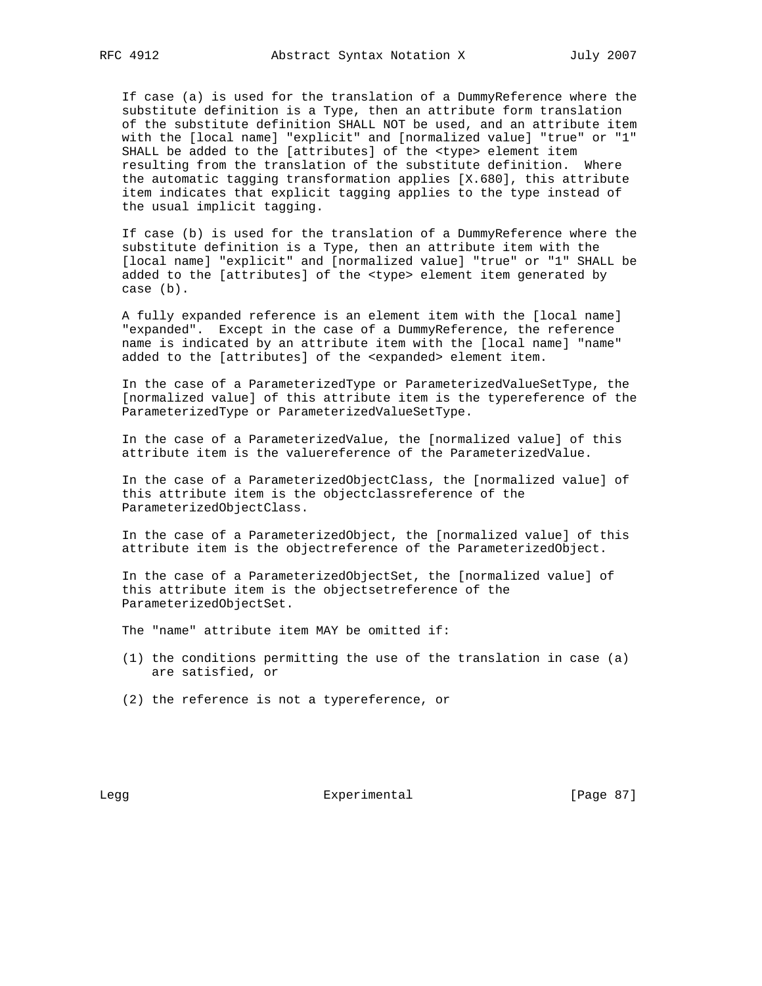If case (a) is used for the translation of a DummyReference where the substitute definition is a Type, then an attribute form translation of the substitute definition SHALL NOT be used, and an attribute item with the [local name] "explicit" and [normalized value] "true" or "1" SHALL be added to the [attributes] of the <type> element item resulting from the translation of the substitute definition. Where the automatic tagging transformation applies [X.680], this attribute item indicates that explicit tagging applies to the type instead of the usual implicit tagging.

 If case (b) is used for the translation of a DummyReference where the substitute definition is a Type, then an attribute item with the [local name] "explicit" and [normalized value] "true" or "1" SHALL be added to the [attributes] of the <type> element item generated by case (b).

 A fully expanded reference is an element item with the [local name] "expanded". Except in the case of a DummyReference, the reference name is indicated by an attribute item with the [local name] "name" added to the [attributes] of the <expanded> element item.

 In the case of a ParameterizedType or ParameterizedValueSetType, the [normalized value] of this attribute item is the typereference of the ParameterizedType or ParameterizedValueSetType.

 In the case of a ParameterizedValue, the [normalized value] of this attribute item is the valuereference of the ParameterizedValue.

 In the case of a ParameterizedObjectClass, the [normalized value] of this attribute item is the objectclassreference of the ParameterizedObjectClass.

 In the case of a ParameterizedObject, the [normalized value] of this attribute item is the objectreference of the ParameterizedObject.

 In the case of a ParameterizedObjectSet, the [normalized value] of this attribute item is the objectsetreference of the ParameterizedObjectSet.

The "name" attribute item MAY be omitted if:

- (1) the conditions permitting the use of the translation in case (a) are satisfied, or
- (2) the reference is not a typereference, or

Legg **Experimental** Experimental [Page 87]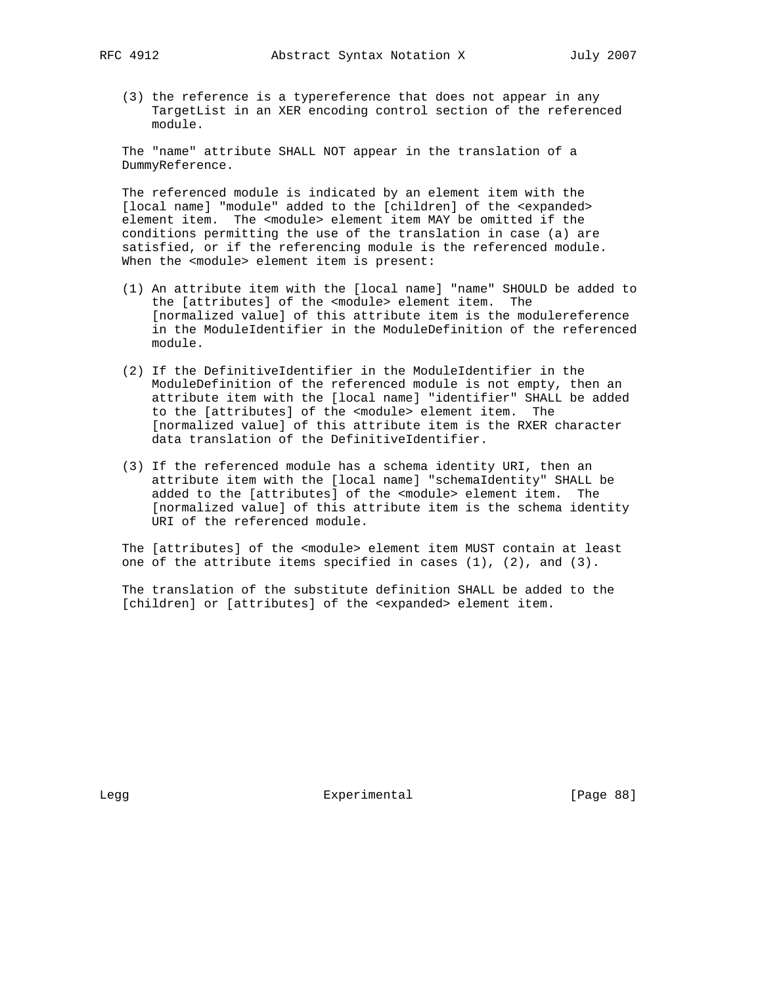(3) the reference is a typereference that does not appear in any TargetList in an XER encoding control section of the referenced module.

 The "name" attribute SHALL NOT appear in the translation of a DummyReference.

 The referenced module is indicated by an element item with the [local name] "module" added to the [children] of the <expanded> element item. The <module> element item MAY be omitted if the conditions permitting the use of the translation in case (a) are satisfied, or if the referencing module is the referenced module. When the <module> element item is present:

- (1) An attribute item with the [local name] "name" SHOULD be added to the [attributes] of the <module> element item. The [normalized value] of this attribute item is the modulereference in the ModuleIdentifier in the ModuleDefinition of the referenced module.
- (2) If the DefinitiveIdentifier in the ModuleIdentifier in the ModuleDefinition of the referenced module is not empty, then an attribute item with the [local name] "identifier" SHALL be added to the [attributes] of the <module> element item. The [normalized value] of this attribute item is the RXER character data translation of the DefinitiveIdentifier.
- (3) If the referenced module has a schema identity URI, then an attribute item with the [local name] "schemaIdentity" SHALL be added to the [attributes] of the <module> element item. The [normalized value] of this attribute item is the schema identity URI of the referenced module.

 The [attributes] of the <module> element item MUST contain at least one of the attribute items specified in cases (1), (2), and (3).

 The translation of the substitute definition SHALL be added to the [children] or [attributes] of the <expanded> element item.

Legg **Experimental** [Page 88]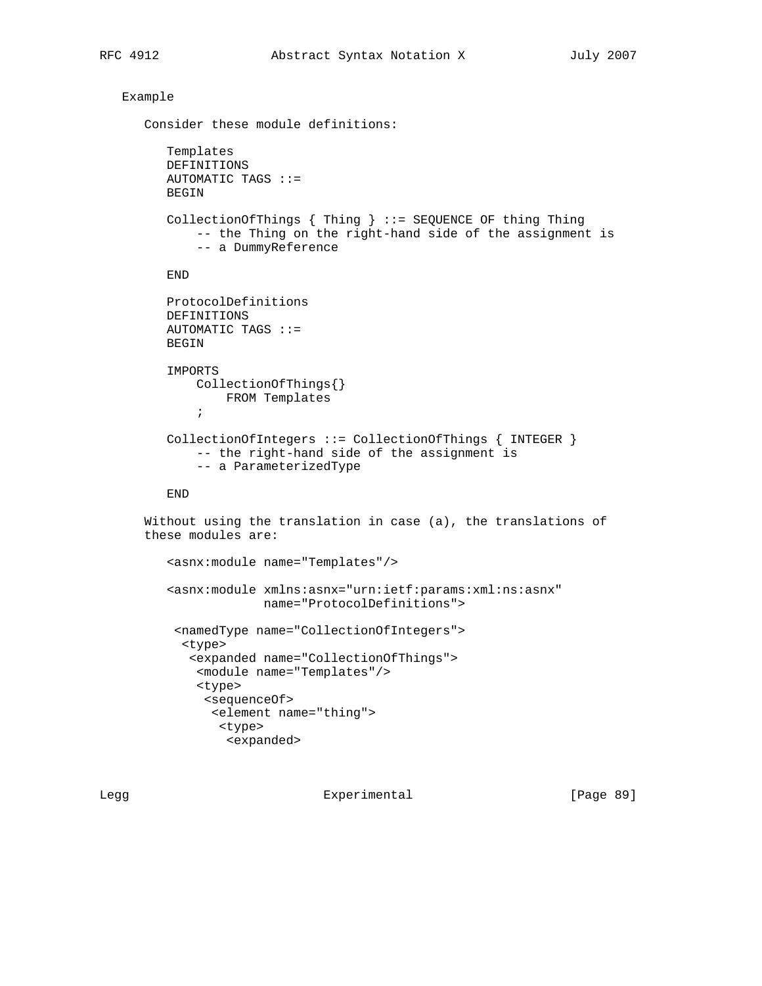## Example

```
 Consider these module definitions:
          Templates
          DEFINITIONS
          AUTOMATIC TAGS ::=
          BEGIN
          CollectionOfThings { Thing } ::= SEQUENCE OF thing Thing
               -- the Thing on the right-hand side of the assignment is
               -- a DummyReference
          END
          ProtocolDefinitions
          DEFINITIONS
          AUTOMATIC TAGS ::=
          BEGIN
          IMPORTS
               CollectionOfThings{}
                   FROM Templates
\mathcal{L} ; and \mathcal{L} is the set of \mathcal{L} CollectionOfIntegers ::= CollectionOfThings { INTEGER }
               -- the right-hand side of the assignment is
               -- a ParameterizedType
          END
       Without using the translation in case (a), the translations of
       these modules are:
          <asnx:module name="Templates"/>
          <asnx:module xmlns:asnx="urn:ietf:params:xml:ns:asnx"
                        name="ProtocolDefinitions">
           <namedType name="CollectionOfIntegers">
            <type>
             <expanded name="CollectionOfThings">
               <module name="Templates"/>
               <type>
                <sequenceOf>
                 <element name="thing">
                  <type>
                   <expanded>
```
Legg **Experimental** Experimental [Page 89]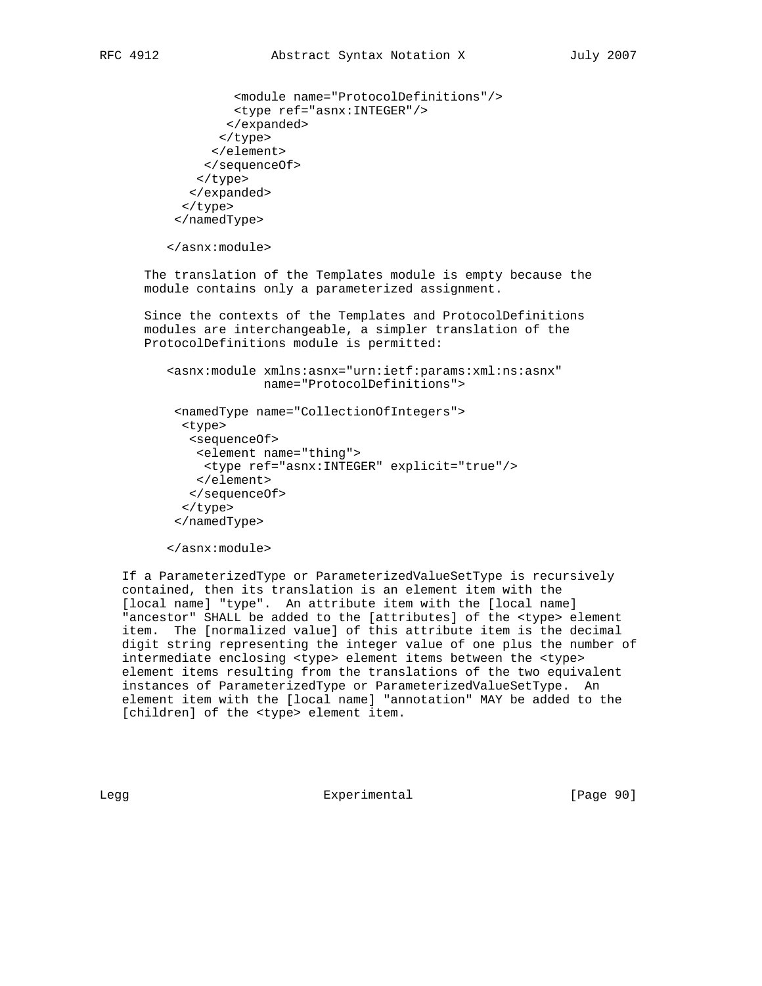```
 <module name="ProtocolDefinitions"/>
         <type ref="asnx:INTEGER"/>
        </expanded>
       </type>
      </element>
     </sequenceOf>
    </type>
   </expanded>
  </type>
 </namedType>
```
</asnx:module>

 The translation of the Templates module is empty because the module contains only a parameterized assignment.

 Since the contexts of the Templates and ProtocolDefinitions modules are interchangeable, a simpler translation of the ProtocolDefinitions module is permitted:

 <asnx:module xmlns:asnx="urn:ietf:params:xml:ns:asnx" name="ProtocolDefinitions">

```
 <namedType name="CollectionOfIntegers">
  <type>
   <sequenceOf>
    <element name="thing">
     <type ref="asnx:INTEGER" explicit="true"/>
    </element>
   </sequenceOf>
  </type>
 </namedType>
```

```
 </asnx:module>
```
 If a ParameterizedType or ParameterizedValueSetType is recursively contained, then its translation is an element item with the [local name] "type". An attribute item with the [local name] "ancestor" SHALL be added to the [attributes] of the <type> element item. The [normalized value] of this attribute item is the decimal digit string representing the integer value of one plus the number of intermediate enclosing <type> element items between the <type> element items resulting from the translations of the two equivalent instances of ParameterizedType or ParameterizedValueSetType. An element item with the [local name] "annotation" MAY be added to the [children] of the <type> element item.

Legg **Experimental** Experimental [Page 90]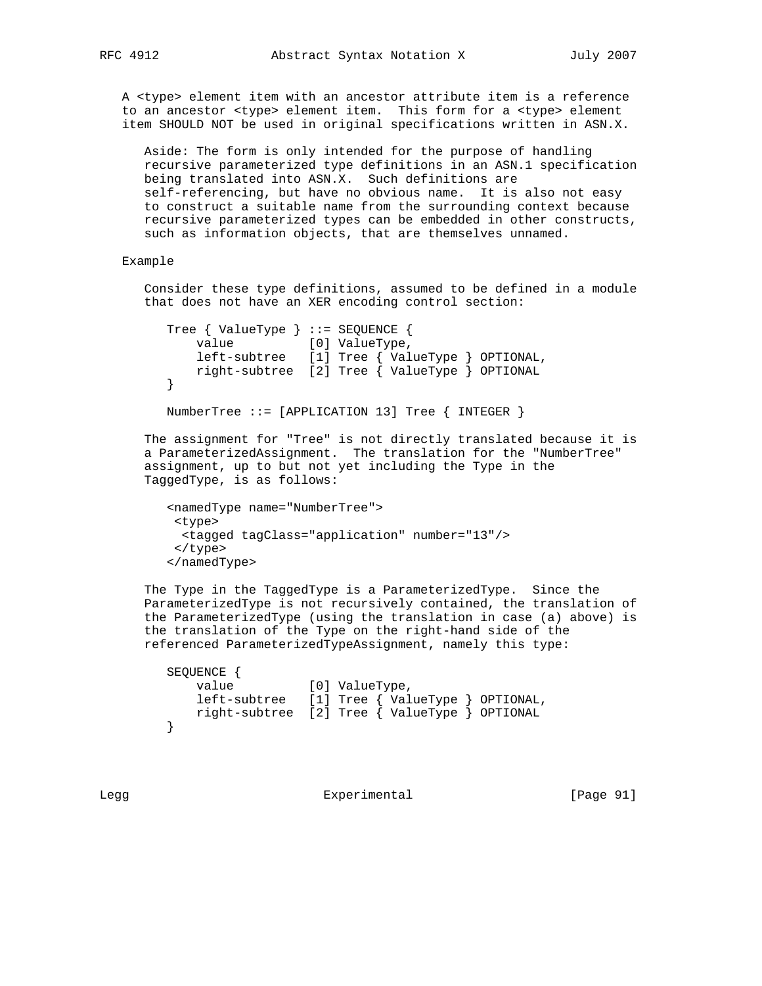A <type> element item with an ancestor attribute item is a reference to an ancestor <type> element item. This form for a <type> element item SHOULD NOT be used in original specifications written in ASN.X.

 Aside: The form is only intended for the purpose of handling recursive parameterized type definitions in an ASN.1 specification being translated into ASN.X. Such definitions are self-referencing, but have no obvious name. It is also not easy to construct a suitable name from the surrounding context because recursive parameterized types can be embedded in other constructs, such as information objects, that are themselves unnamed.

#### Example

 Consider these type definitions, assumed to be defined in a module that does not have an XER encoding control section:

```
 Tree { ValueType } ::= SEQUENCE {
           value [0] ValueType,
            left-subtree [1] Tree { ValueType } OPTIONAL,
           right-subtree [2] Tree { ValueType } OPTIONAL
 }
```
NumberTree ::= [APPLICATION 13] Tree { INTEGER }

 The assignment for "Tree" is not directly translated because it is a ParameterizedAssignment. The translation for the "NumberTree" assignment, up to but not yet including the Type in the TaggedType, is as follows:

```
 <namedType name="NumberTree">
 <type>
   <tagged tagClass="application" number="13"/>
 </type>
 </namedType>
```
 The Type in the TaggedType is a ParameterizedType. Since the ParameterizedType is not recursively contained, the translation of the ParameterizedType (using the translation in case (a) above) is the translation of the Type on the right-hand side of the referenced ParameterizedTypeAssignment, namely this type:

```
 SEQUENCE {
           value [0] ValueType,
            left-subtree [1] Tree { ValueType } OPTIONAL,
        right-subtree [2] Tree { ValueType } OPTIONAL
 }
```
Legg Experimental [Page 91]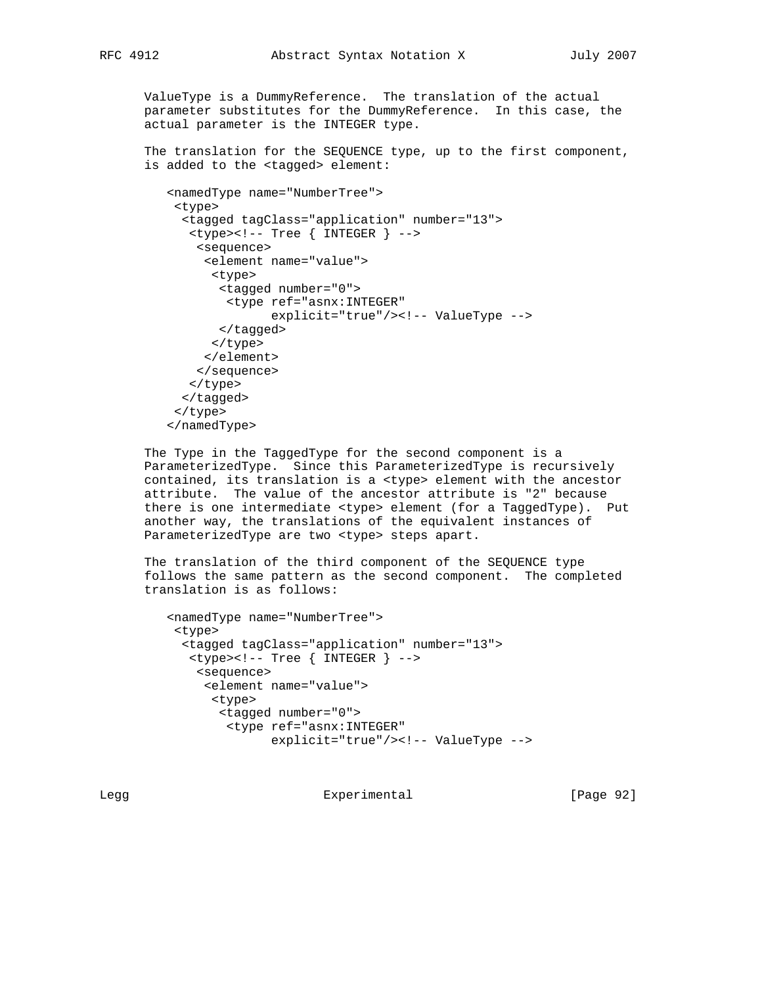ValueType is a DummyReference. The translation of the actual parameter substitutes for the DummyReference. In this case, the actual parameter is the INTEGER type.

 The translation for the SEQUENCE type, up to the first component, is added to the <tagged> element:

```
 <namedType name="NumberTree">
 <type>
   <tagged tagClass="application" number="13">
    <type><!-- Tree { INTEGER } -->
     <sequence>
      <element name="value">
       <type>
        <tagged number="0">
         <type ref="asnx:INTEGER"
               explicit="true"/><!-- ValueType -->
        </tagged>
       </type>
      </element>
     </sequence>
   </type>
  </tagged>
 </type>
 </namedType>
```
 The Type in the TaggedType for the second component is a ParameterizedType. Since this ParameterizedType is recursively contained, its translation is a <type> element with the ancestor attribute. The value of the ancestor attribute is "2" because there is one intermediate <type> element (for a TaggedType). Put another way, the translations of the equivalent instances of ParameterizedType are two <type> steps apart.

 The translation of the third component of the SEQUENCE type follows the same pattern as the second component. The completed translation is as follows:

```
 <namedType name="NumberTree">
  <type>
   <tagged tagClass="application" number="13">
   <type><!--</math> Tree { INTERER } <math>-></math> <sequence>
      <element name="value">
       <type>
        <tagged number="0">
         <type ref="asnx:INTEGER"
                explicit="true"/><!-- ValueType -->
```
Legg **Experimental** Experimental [Page 92]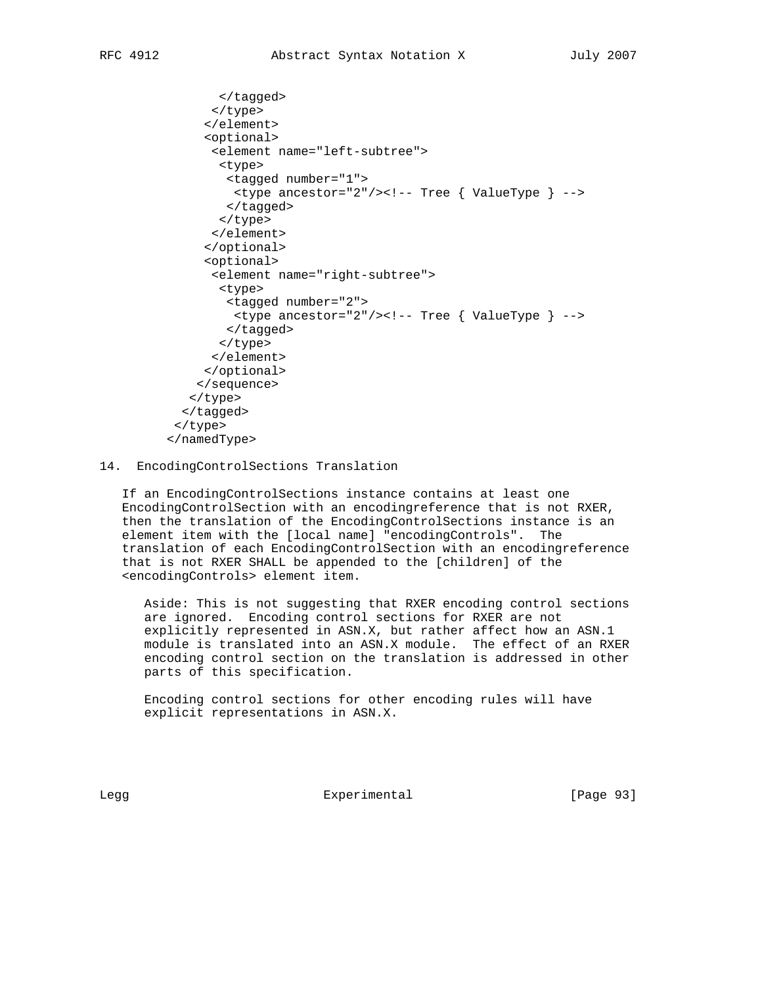```
 </tagged>
       </type>
      </element>
      <optional>
       <element name="left-subtree">
        <type>
         <tagged number="1">
          <type ancestor="2"/><!-- Tree { ValueType } -->
         </tagged>
        </type>
       </element>
      </optional>
      <optional>
       <element name="right-subtree">
        <type>
         <tagged number="2">
          <type ancestor="2"/><!-- Tree { ValueType } -->
         </tagged>
        </type>
       </element>
      </optional>
     </sequence>
    </type>
   </tagged>
 </type>
 </namedType>
```
### 14. EncodingControlSections Translation

 If an EncodingControlSections instance contains at least one EncodingControlSection with an encodingreference that is not RXER, then the translation of the EncodingControlSections instance is an element item with the [local name] "encodingControls". The translation of each EncodingControlSection with an encodingreference that is not RXER SHALL be appended to the [children] of the <encodingControls> element item.

 Aside: This is not suggesting that RXER encoding control sections are ignored. Encoding control sections for RXER are not explicitly represented in ASN.X, but rather affect how an ASN.1 module is translated into an ASN.X module. The effect of an RXER encoding control section on the translation is addressed in other parts of this specification.

 Encoding control sections for other encoding rules will have explicit representations in ASN.X.

Legg Experimental [Page 93]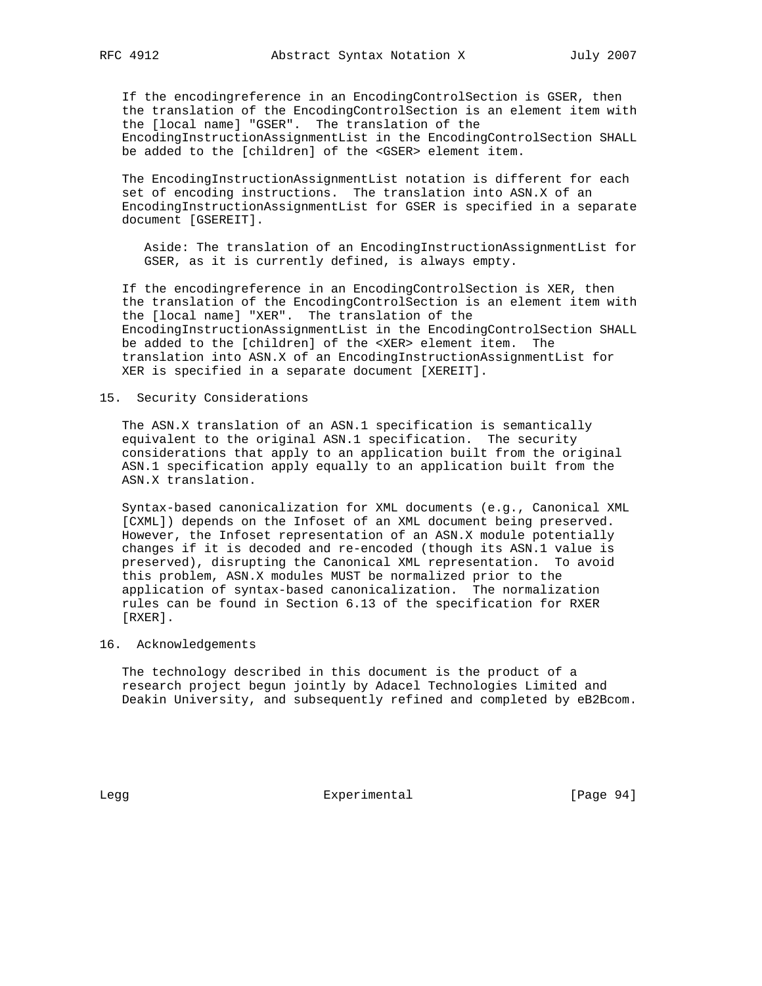If the encodingreference in an EncodingControlSection is GSER, then the translation of the EncodingControlSection is an element item with the [local name] "GSER". The translation of the EncodingInstructionAssignmentList in the EncodingControlSection SHALL be added to the [children] of the <GSER> element item.

 The EncodingInstructionAssignmentList notation is different for each set of encoding instructions. The translation into ASN.X of an EncodingInstructionAssignmentList for GSER is specified in a separate document [GSEREIT].

 Aside: The translation of an EncodingInstructionAssignmentList for GSER, as it is currently defined, is always empty.

 If the encodingreference in an EncodingControlSection is XER, then the translation of the EncodingControlSection is an element item with the [local name] "XER". The translation of the EncodingInstructionAssignmentList in the EncodingControlSection SHALL be added to the [children] of the <XER> element item. The translation into ASN.X of an EncodingInstructionAssignmentList for XER is specified in a separate document [XEREIT].

# 15. Security Considerations

 The ASN.X translation of an ASN.1 specification is semantically equivalent to the original ASN.1 specification. The security considerations that apply to an application built from the original ASN.1 specification apply equally to an application built from the ASN.X translation.

 Syntax-based canonicalization for XML documents (e.g., Canonical XML [CXML]) depends on the Infoset of an XML document being preserved. However, the Infoset representation of an ASN.X module potentially changes if it is decoded and re-encoded (though its ASN.1 value is preserved), disrupting the Canonical XML representation. To avoid this problem, ASN.X modules MUST be normalized prior to the application of syntax-based canonicalization. The normalization rules can be found in Section 6.13 of the specification for RXER [RXER].

### 16. Acknowledgements

 The technology described in this document is the product of a research project begun jointly by Adacel Technologies Limited and Deakin University, and subsequently refined and completed by eB2Bcom.

Legg **Experimental** Experimental [Page 94]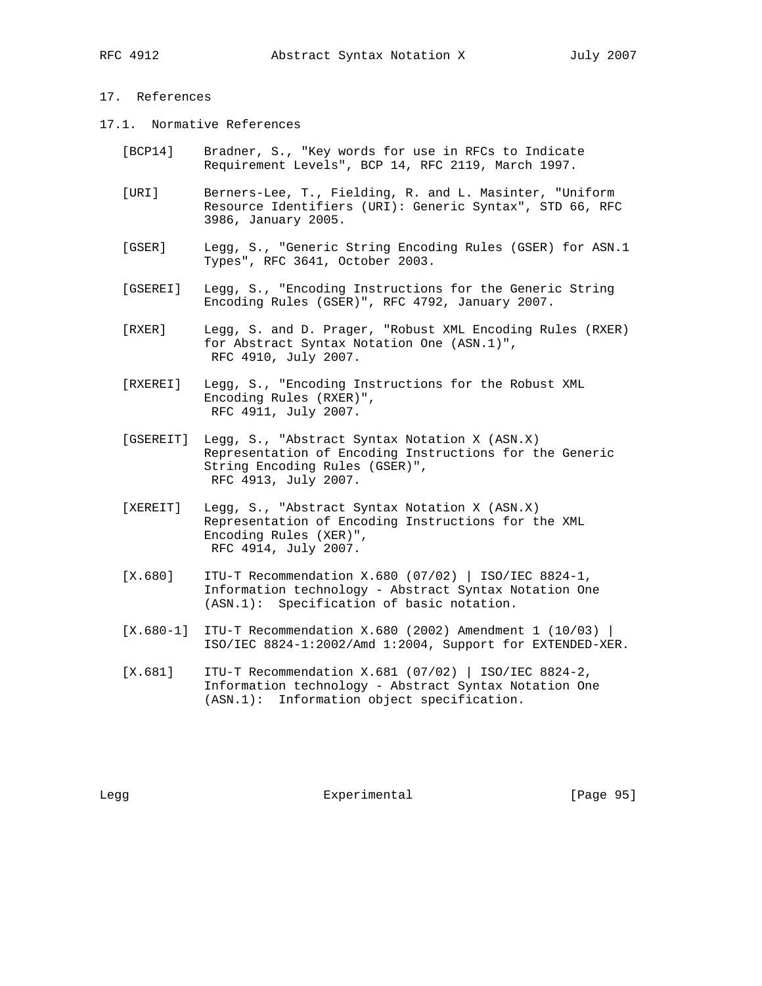# 17. References

- 17.1. Normative References
	- [BCP14] Bradner, S., "Key words for use in RFCs to Indicate Requirement Levels", BCP 14, RFC 2119, March 1997.
	- [URI] Berners-Lee, T., Fielding, R. and L. Masinter, "Uniform Resource Identifiers (URI): Generic Syntax", STD 66, RFC 3986, January 2005.
	- [GSER] Legg, S., "Generic String Encoding Rules (GSER) for ASN.1 Types", RFC 3641, October 2003.
	- [GSEREI] Legg, S., "Encoding Instructions for the Generic String Encoding Rules (GSER)", RFC 4792, January 2007.
	- [RXER] Legg, S. and D. Prager, "Robust XML Encoding Rules (RXER) for Abstract Syntax Notation One (ASN.1)", RFC 4910, July 2007.
	- [RXEREI] Legg, S., "Encoding Instructions for the Robust XML Encoding Rules (RXER)", RFC 4911, July 2007.
	- [GSEREIT] Legg, S., "Abstract Syntax Notation X (ASN.X) Representation of Encoding Instructions for the Generic String Encoding Rules (GSER)", RFC 4913, July 2007.
	- [XEREIT] Legg, S., "Abstract Syntax Notation X (ASN.X) Representation of Encoding Instructions for the XML Encoding Rules (XER)", RFC 4914, July 2007.
	- [X.680] ITU-T Recommendation X.680 (07/02) | ISO/IEC 8824-1, Information technology - Abstract Syntax Notation One (ASN.1): Specification of basic notation.
	- [X.680-1] ITU-T Recommendation X.680 (2002) Amendment 1 (10/03) | ISO/IEC 8824-1:2002/Amd 1:2004, Support for EXTENDED-XER.
	- [X.681] ITU-T Recommendation X.681 (07/02) | ISO/IEC 8824-2, Information technology - Abstract Syntax Notation One (ASN.1): Information object specification.

Legg **Experimental** Experimental [Page 95]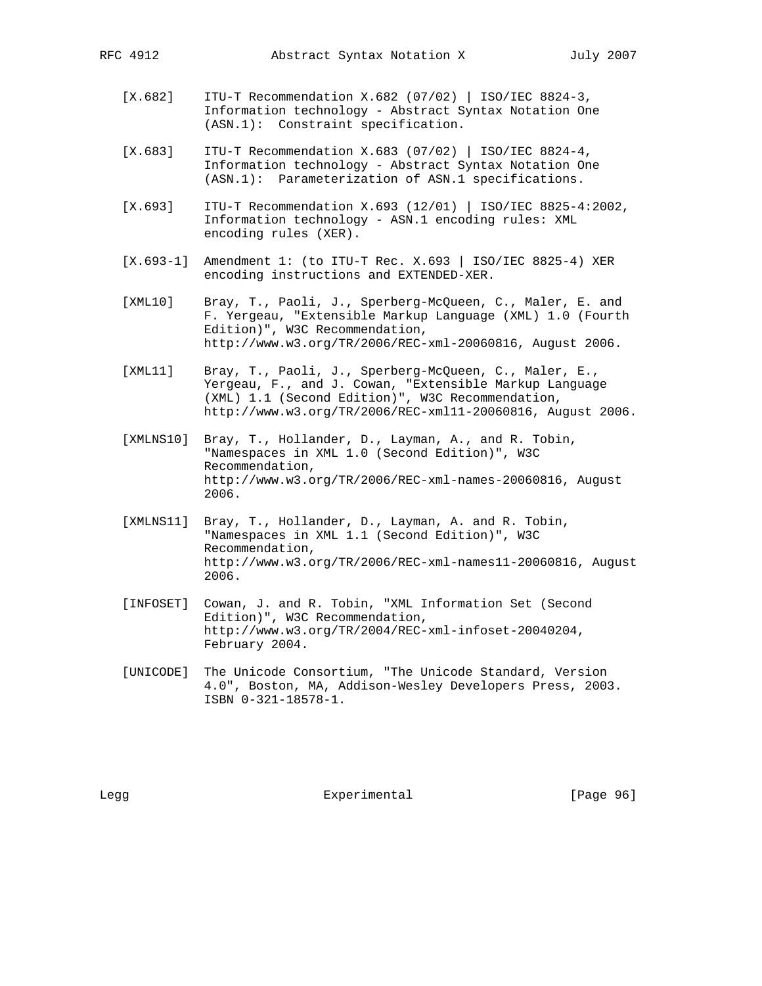- [X.682] ITU-T Recommendation X.682 (07/02) | ISO/IEC 8824-3, Information technology - Abstract Syntax Notation One (ASN.1): Constraint specification.
- [X.683] ITU-T Recommendation X.683 (07/02) | ISO/IEC 8824-4, Information technology - Abstract Syntax Notation One (ASN.1): Parameterization of ASN.1 specifications.
- [X.693] ITU-T Recommendation X.693 (12/01) | ISO/IEC 8825-4:2002, Information technology - ASN.1 encoding rules: XML encoding rules (XER).
- [X.693-1] Amendment 1: (to ITU-T Rec. X.693 | ISO/IEC 8825-4) XER encoding instructions and EXTENDED-XER.
- [XML10] Bray, T., Paoli, J., Sperberg-McQueen, C., Maler, E. and F. Yergeau, "Extensible Markup Language (XML) 1.0 (Fourth Edition)", W3C Recommendation, http://www.w3.org/TR/2006/REC-xml-20060816, August 2006.
- [XML11] Bray, T., Paoli, J., Sperberg-McQueen, C., Maler, E., Yergeau, F., and J. Cowan, "Extensible Markup Language (XML) 1.1 (Second Edition)", W3C Recommendation, http://www.w3.org/TR/2006/REC-xml11-20060816, August 2006.
- [XMLNS10] Bray, T., Hollander, D., Layman, A., and R. Tobin, "Namespaces in XML 1.0 (Second Edition)", W3C Recommendation, http://www.w3.org/TR/2006/REC-xml-names-20060816, August 2006.
- [XMLNS11] Bray, T., Hollander, D., Layman, A. and R. Tobin, "Namespaces in XML 1.1 (Second Edition)", W3C Recommendation, http://www.w3.org/TR/2006/REC-xml-names11-20060816, August 2006.
- [INFOSET] Cowan, J. and R. Tobin, "XML Information Set (Second Edition)", W3C Recommendation, http://www.w3.org/TR/2004/REC-xml-infoset-20040204, February 2004.
- [UNICODE] The Unicode Consortium, "The Unicode Standard, Version 4.0", Boston, MA, Addison-Wesley Developers Press, 2003. ISBN 0-321-18578-1.

Legg **Experimental** Experimental [Page 96]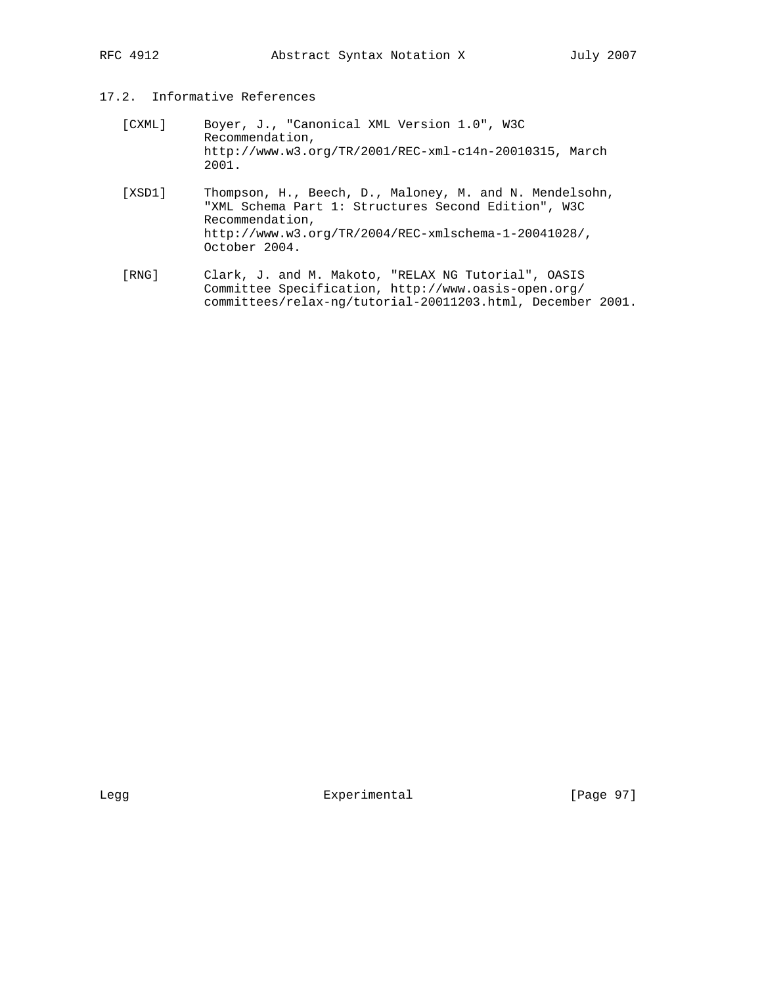# 17.2. Informative References

- [CXML] Boyer, J., "Canonical XML Version 1.0", W3C Recommendation, http://www.w3.org/TR/2001/REC-xml-c14n-20010315, March 2001.
- [XSD1] Thompson, H., Beech, D., Maloney, M. and N. Mendelsohn, "XML Schema Part 1: Structures Second Edition", W3C Recommendation, http://www.w3.org/TR/2004/REC-xmlschema-1-20041028/, October 2004.
- [RNG] Clark, J. and M. Makoto, "RELAX NG Tutorial", OASIS Committee Specification, http://www.oasis-open.org/ committees/relax-ng/tutorial-20011203.html, December 2001.

Legg **Experimental** [Page 97]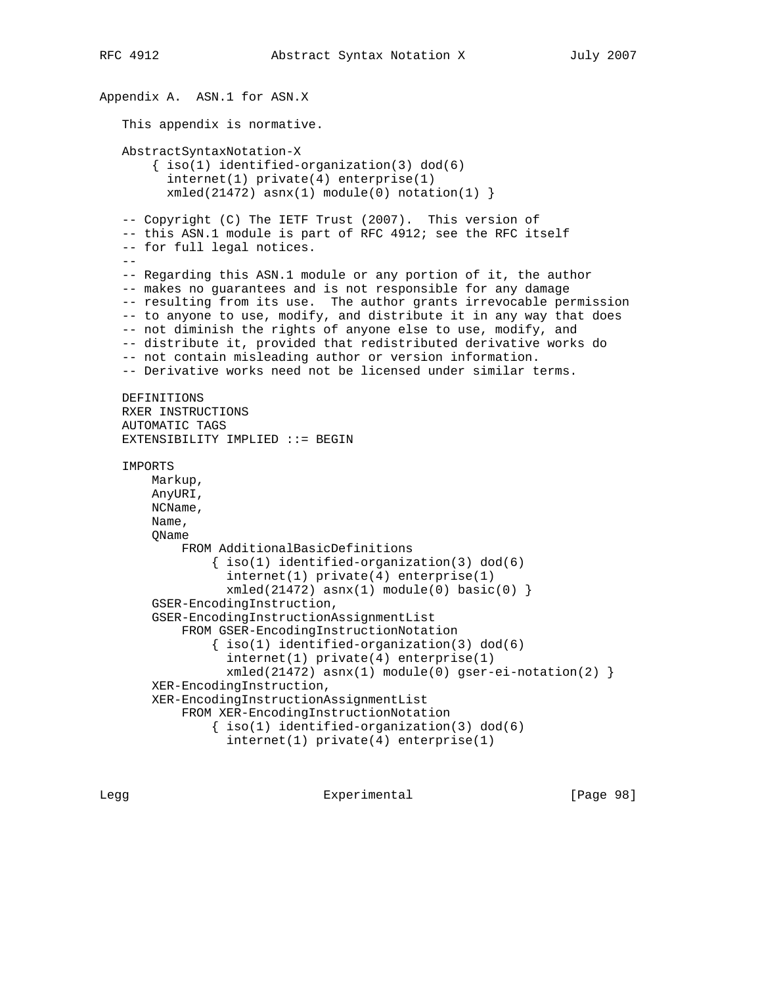```
Appendix A. ASN.1 for ASN.X
    This appendix is normative.
    AbstractSyntaxNotation-X
       \{ iso(1) <i>identified-organization(3) <math> dod(6)</math> internet(1) private(4) enterprise(1)
         xmled(21472) asnx(1) module(0) notation(1) }
    -- Copyright (C) The IETF Trust (2007). This version of
    -- this ASN.1 module is part of RFC 4912; see the RFC itself
    -- for full legal notices.
   - -- Regarding this ASN.1 module or any portion of it, the author
    -- makes no guarantees and is not responsible for any damage
    -- resulting from its use. The author grants irrevocable permission
    -- to anyone to use, modify, and distribute it in any way that does
    -- not diminish the rights of anyone else to use, modify, and
    -- distribute it, provided that redistributed derivative works do
    -- not contain misleading author or version information.
    -- Derivative works need not be licensed under similar terms.
   DEFINITIONS
   RXER INSTRUCTIONS
    AUTOMATIC TAGS
    EXTENSIBILITY IMPLIED ::= BEGIN
    IMPORTS
        Markup,
        AnyURI,
        NCName,
        Name,
        QName
            FROM AdditionalBasicDefinitions
                \{ iso(1) <i>identified-organization(3) <math> dod(6)</math> internet(1) private(4) enterprise(1)
                  xmled(21472) asnx(1) module(0) basic(0) }
        GSER-EncodingInstruction,
        GSER-EncodingInstructionAssignmentList
            FROM GSER-EncodingInstructionNotation
                 { iso(1) identified-organization(3) dod(6)
                   internet(1) private(4) enterprise(1)
                   xmled(21472) asnx(1) module(0) gser-ei-notation(2) }
        XER-EncodingInstruction,
        XER-EncodingInstructionAssignmentList
            FROM XER-EncodingInstructionNotation
                \{ iso(1) <i>identified-organization(3) <math> dod(6)</math> internet(1) private(4) enterprise(1)
```
Legg **Experimental** Experimental [Page 98]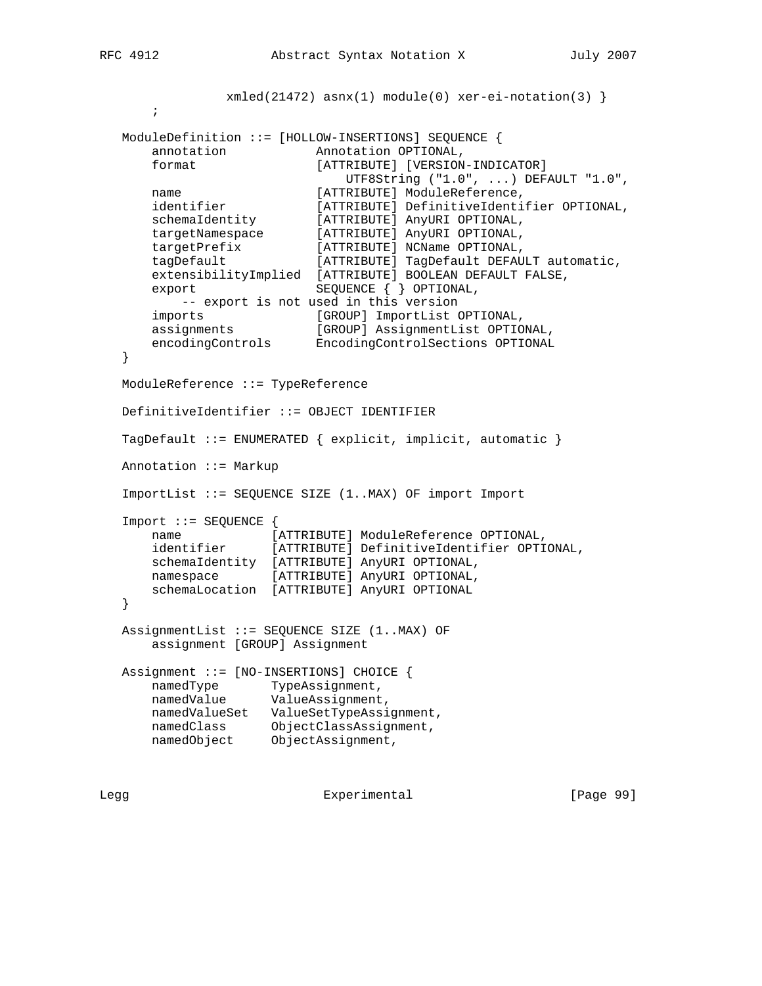```
xmled(21472) asnx(1) module(0) xer-ei-notation(3) }
\mathcal{L}^{\text{max}} ModuleDefinition ::= [HOLLOW-INSERTIONS] SEQUENCE {
      annotation Annotation OPTIONAL,<br>format [ATTRIBUTE] [VERSION
                           [ATTRIBUTE] [VERSION-INDICATOR]
                                UTF8String ("1.0", ...) DEFAULT "1.0",
      name [ATTRIBUTE] ModuleReference,<br>identifier [ATTRIBUTE] DefinitiveIdenti
                          [ATTRIBUTE] DefinitiveIdentifier OPTIONAL,
 schemaIdentity [ATTRIBUTE] AnyURI OPTIONAL,
 targetNamespace [ATTRIBUTE] AnyURI OPTIONAL,
 targetPrefix [ATTRIBUTE] NCName OPTIONAL,
 tagDefault [ATTRIBUTE] TagDefault DEFAULT automatic,
       extensibilityImplied [ATTRIBUTE] BOOLEAN DEFAULT FALSE,
      export SEQUENCE { } OPTIONAL,
         -- export is not used in this version
 imports [GROUP] ImportList OPTIONAL,
 assignments [GROUP] AssignmentList OPTIONAL,
 encodingControls EncodingControlSections OPTIONAL
   }
   ModuleReference ::= TypeReference
   DefinitiveIdentifier ::= OBJECT IDENTIFIER
   TagDefault ::= ENUMERATED { explicit, implicit, automatic }
   Annotation ::= Markup
   ImportList ::= SEQUENCE SIZE (1..MAX) OF import Import
   Import ::= SEQUENCE {
 name [ATTRIBUTE] ModuleReference OPTIONAL,
```

```
 identifier [ATTRIBUTE] DefinitiveIdentifier OPTIONAL,
 schemaIdentity [ATTRIBUTE] AnyURI OPTIONAL,
```

```
 namespace [ATTRIBUTE] AnyURI OPTIONAL,
      schemaLocation [ATTRIBUTE] AnyURI OPTIONAL
```

```
 AssignmentList ::= SEQUENCE SIZE (1..MAX) OF
     assignment [GROUP] Assignment
```
 Assignment ::= [NO-INSERTIONS] CHOICE { namedType TypeAssignment, namedValue ValueAssignment, namedValueSet ValueSetTypeAssignment, namedClass ObjectClassAssignment, namedObject ObjectAssignment,

}

Legg **Experimental** Experimental [Page 99]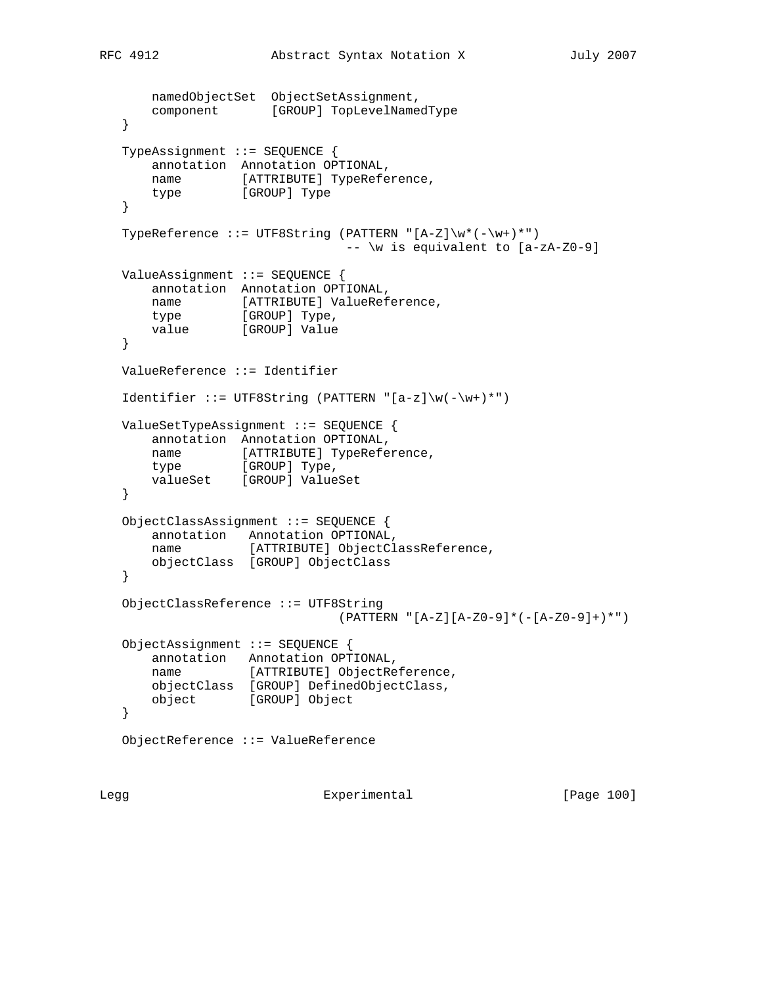```
 namedObjectSet ObjectSetAssignment,
      component [GROUP] TopLevelNamedType
   }
   TypeAssignment ::= SEQUENCE {
       annotation Annotation OPTIONAL,
      name [ATTRIBUTE] TypeReference,
      type [GROUP] Type
   }
   TypeReference ::= UTF8String (PATTERN "[A-Z]\w*(-\w+)*")
                               -- \w is equivalent to [a-zA-Z0-9]
   ValueAssignment ::= SEQUENCE {
       annotation Annotation OPTIONAL,
      name [ATTRIBUTE] ValueReference,
type [GROUP] Type,
 value [GROUP] Value
   }
   ValueReference ::= Identifier
  Identifier ::= UTF8String (PATTERN "[a-z]\w(-\w+)*")
   ValueSetTypeAssignment ::= SEQUENCE {
       annotation Annotation OPTIONAL,
 name [ATTRIBUTE] TypeReference,
type [GROUP] Type,
      valueSet [GROUP] ValueSet
   }
   ObjectClassAssignment ::= SEQUENCE {
       annotation Annotation OPTIONAL,
      name [ATTRIBUTE] ObjectClassReference,
       objectClass [GROUP] ObjectClass
   }
   ObjectClassReference ::= UTF8String
                              (PATTERN "[A-Z][A-Z0-9]*(-[A-Z0-9]+)*")
   ObjectAssignment ::= SEQUENCE {
       annotation Annotation OPTIONAL,
       name [ATTRIBUTE] ObjectReference,
       objectClass [GROUP] DefinedObjectClass,
       object [GROUP] Object
   }
   ObjectReference ::= ValueReference
```
Legg Experimental [Page 100]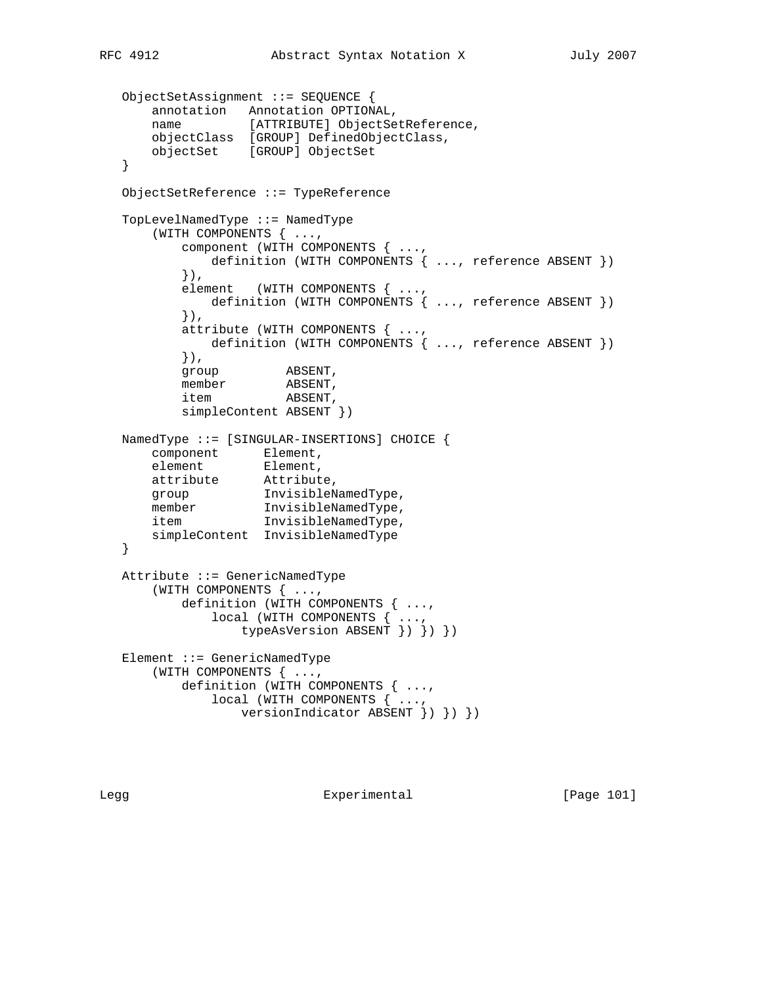```
 ObjectSetAssignment ::= SEQUENCE {
 annotation Annotation OPTIONAL,
 name [ATTRIBUTE] ObjectSetReference,
 objectClass [GROUP] DefinedObjectClass,
      objectSet [GROUP] ObjectSet
   }
   ObjectSetReference ::= TypeReference
   TopLevelNamedType ::= NamedType
       (WITH COMPONENTS { ...,
          component (WITH COMPONENTS { ...,
            definition (WITH COMPONENTS { ..., reference ABSENT })
          }),
         element (WITH COMPONENTS { ...,
            definition (WITH COMPONENTS { ..., reference ABSENT })
          }),
          attribute (WITH COMPONENTS { ...,
            definition (WITH COMPONENTS { ..., reference ABSENT })
          }),
group ABSENT,
member ABSENT,
 item ABSENT,
          simpleContent ABSENT })
   NamedType ::= [SINGULAR-INSERTIONS] CHOICE {
 component Element,
element Element,
 attribute Attribute,
 group InvisibleNamedType,
member InvisibleNamedType,
 item InvisibleNamedType,
      simpleContent InvisibleNamedType
   }
   Attribute ::= GenericNamedType
      (WITH COMPONENTS { ...,
          definition (WITH COMPONENTS { ...,
              local (WITH COMPONENTS { ...,
                  typeAsVersion ABSENT }) }) })
   Element ::= GenericNamedType
       (WITH COMPONENTS { ...,
          definition (WITH COMPONENTS { ...,
              local (WITH COMPONENTS { ...,
                 versionIndicator ABSENT }) }) })
```
Legg **Experimental** Experimental [Page 101]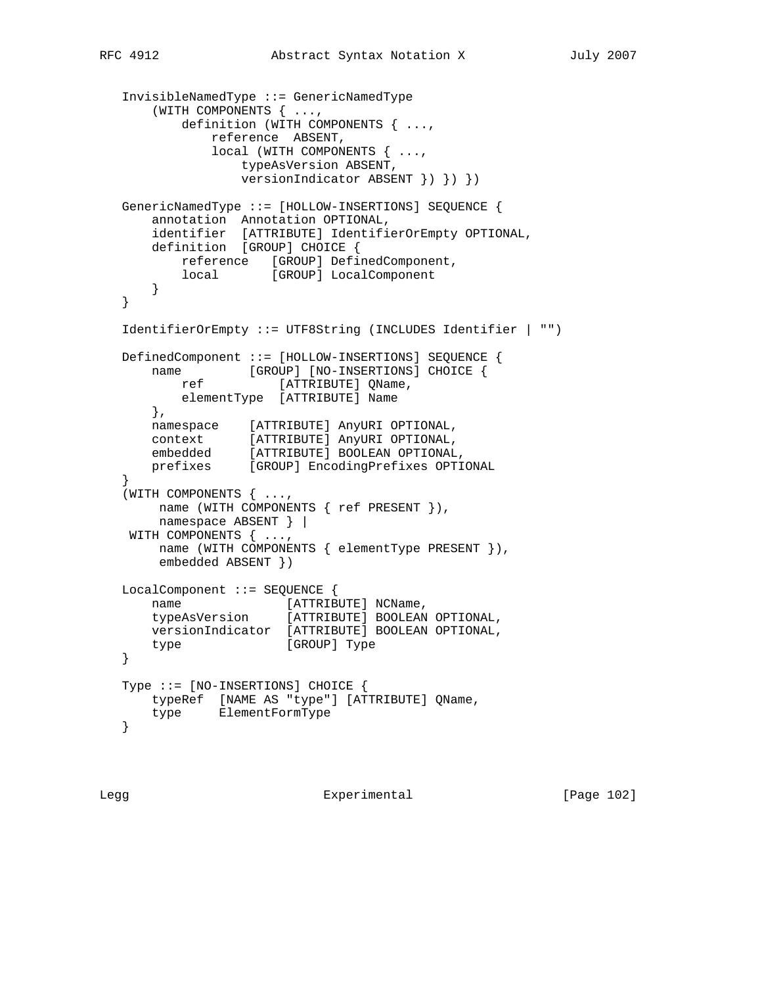```
 InvisibleNamedType ::= GenericNamedType
       (WITH COMPONENTS { ...,
           definition (WITH COMPONENTS { ...,
               reference ABSENT,
               local (WITH COMPONENTS { ...,
                  typeAsVersion ABSENT,
                   versionIndicator ABSENT }) }) })
   GenericNamedType ::= [HOLLOW-INSERTIONS] SEQUENCE {
       annotation Annotation OPTIONAL,
       identifier [ATTRIBUTE] IdentifierOrEmpty OPTIONAL,
       definition [GROUP] CHOICE {
           reference [GROUP] DefinedComponent,
          local [GROUP] LocalComponent
      }
   }
   IdentifierOrEmpty ::= UTF8String (INCLUDES Identifier | "")
   DefinedComponent ::= [HOLLOW-INSERTIONS] SEQUENCE {
      name [GROUP] [NO-INSERTIONS] CHOICE {
          ref [ATTRIBUTE] QName,
          elementType [ATTRIBUTE] Name
       },
 namespace [ATTRIBUTE] AnyURI OPTIONAL,
 context [ATTRIBUTE] AnyURI OPTIONAL,
 embedded [ATTRIBUTE] BOOLEAN OPTIONAL,
 prefixes [GROUP] EncodingPrefixes OPTIONAL
 }
    (WITH COMPONENTS { ...,
        name (WITH COMPONENTS { ref PRESENT }),
        namespace ABSENT } |
    WITH COMPONENTS { ...,
        name (WITH COMPONENTS { elementType PRESENT }),
        embedded ABSENT })
   LocalComponent ::= SEQUENCE {
      name [ATTRIBUTE] NCName,<br>typeAsVersion [ATTRIBUTE] BOOLEAN
                       [ATTRIBUTE] BOOLEAN OPTIONAL,
       versionIndicator [ATTRIBUTE] BOOLEAN OPTIONAL,
      type [GROUP] Type
   }
   Type ::= [NO-INSERTIONS] CHOICE {
       typeRef [NAME AS "type"] [ATTRIBUTE] QName,
      type ElementFormType
   }
```
Legg Experimental [Page 102]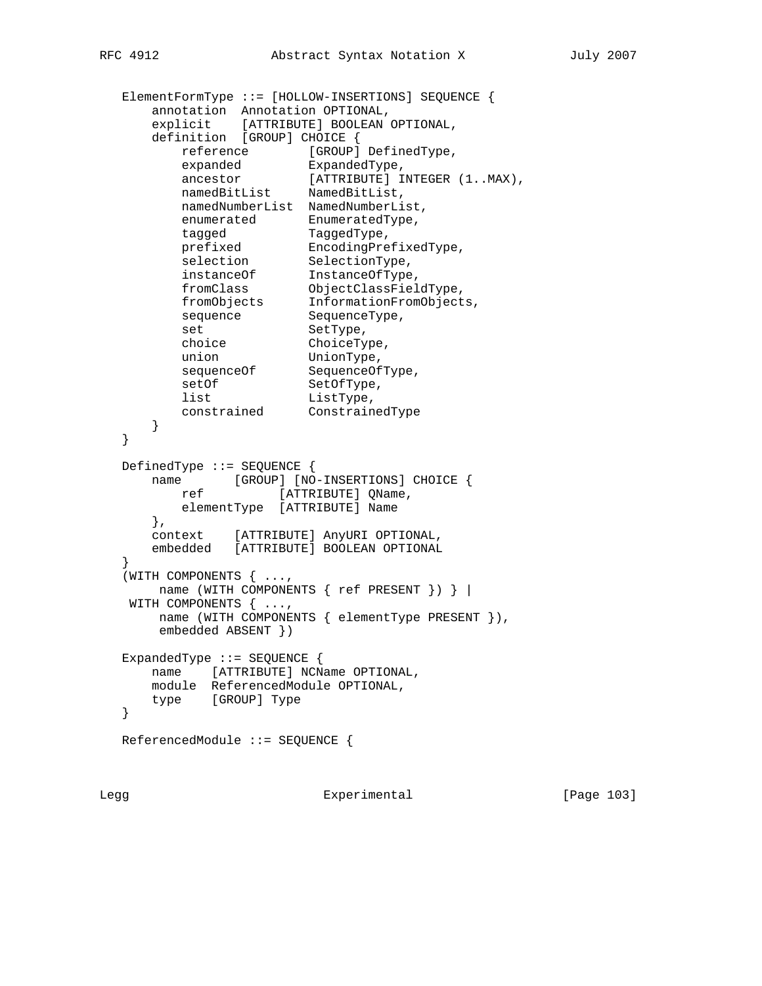```
 ElementFormType ::= [HOLLOW-INSERTIONS] SEQUENCE {
      annotation Annotation OPTIONAL,
 explicit [ATTRIBUTE] BOOLEAN OPTIONAL,
 definition [GROUP] CHOICE {
reference [GROUP] DefinedType,
 expanded ExpandedType,
ancestor [ATTRIBUTE] INTEGER (1..MAX),
 namedBitList NamedBitList,
         namedNumberList NamedNumberList,
enumerated EnumeratedType,
tagged TaggedType,
 prefixed EncodingPrefixedType,
selection SelectionType,
 instanceOf InstanceOfType,
 fromClass ObjectClassFieldType,
 fromObjects InformationFromObjects,
sequence SequenceType,
set SetType,
 choice ChoiceType,
 union UnionType,
sequenceOf SequenceOfType,
setOf SetOfType,
list ListType,
 constrained ConstrainedType
      }
   }
   DefinedType ::= SEQUENCE {
 name [GROUP] [NO-INSERTIONS] CHOICE {
ref [ATTRIBUTE] QName,
        elementType [ATTRIBUTE] Name
      },
      context [ATTRIBUTE] AnyURI OPTIONAL,
      embedded [ATTRIBUTE] BOOLEAN OPTIONAL
 }
   (WITH COMPONENTS { ...,
      name (WITH COMPONENTS { ref PRESENT }) } |
   WITH COMPONENTS { ...,
      name (WITH COMPONENTS { elementType PRESENT }),
      embedded ABSENT })
   ExpandedType ::= SEQUENCE {
      name [ATTRIBUTE] NCName OPTIONAL,
      module ReferencedModule OPTIONAL,
      type [GROUP] Type
   }
  ReferencedModule ::= SEQUENCE {
```
Legg **Experimental** Experimental [Page 103]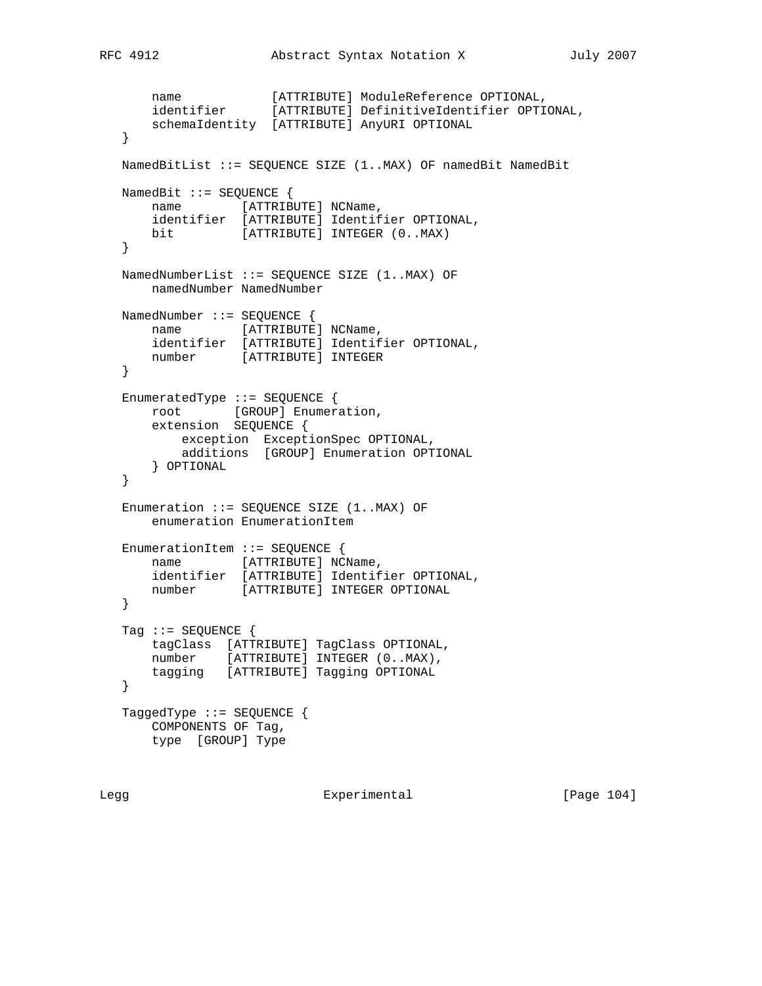```
 name [ATTRIBUTE] ModuleReference OPTIONAL,
 identifier [ATTRIBUTE] DefinitiveIdentifier OPTIONAL,
 schemaIdentity [ATTRIBUTE] AnyURI OPTIONAL
   }
   NamedBitList ::= SEQUENCE SIZE (1..MAX) OF namedBit NamedBit
  NamedBit ::= SEQUENCE {
      name [ATTRIBUTE] NCName,
       identifier [ATTRIBUTE] Identifier OPTIONAL,
      bit [ATTRIBUTE] INTEGER (0..MAX)
   }
   NamedNumberList ::= SEQUENCE SIZE (1..MAX) OF
       namedNumber NamedNumber
   NamedNumber ::= SEQUENCE {
     name [ATTRIBUTE] NCName,
      identifier [ATTRIBUTE] Identifier OPTIONAL,
      number [ATTRIBUTE] INTEGER
   }
   EnumeratedType ::= SEQUENCE {
      root [GROUP] Enumeration,
       extension SEQUENCE {
 exception ExceptionSpec OPTIONAL,
 additions [GROUP] Enumeration OPTIONAL
       } OPTIONAL
   }
   Enumeration ::= SEQUENCE SIZE (1..MAX) OF
      enumeration EnumerationItem
   EnumerationItem ::= SEQUENCE {
     name [ATTRIBUTE] NCName,
      identifier [ATTRIBUTE] Identifier OPTIONAL,
      number [ATTRIBUTE] INTEGER OPTIONAL
   }
  Tag := SEQUENCE {
      tagClass [ATTRIBUTE] TagClass OPTIONAL,
      number [ATTRIBUTE] INTEGER (0..MAX),
      tagging [ATTRIBUTE] Tagging OPTIONAL
   }
   TaggedType ::= SEQUENCE {
      COMPONENTS OF Tag,
      type [GROUP] Type
```
Legg Experimental [Page 104]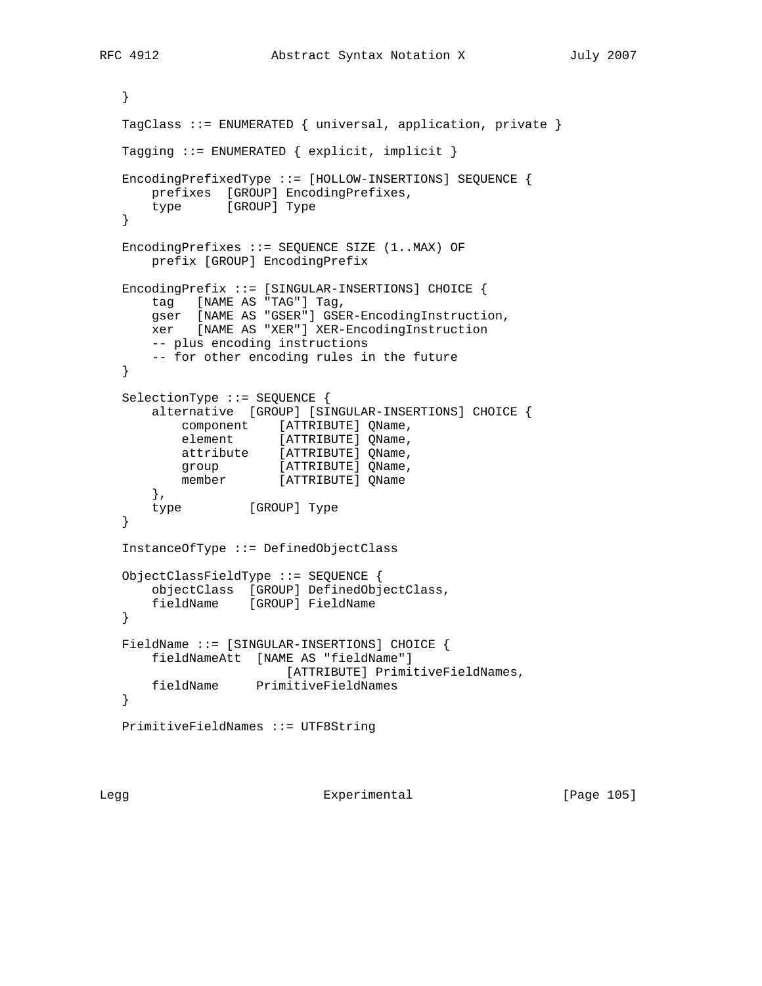```
 }
   TagClass ::= ENUMERATED { universal, application, private }
   Tagging ::= ENUMERATED { explicit, implicit }
   EncodingPrefixedType ::= [HOLLOW-INSERTIONS] SEQUENCE {
      prefixes [GROUP] EncodingPrefixes,
      type [GROUP] Type
   }
   EncodingPrefixes ::= SEQUENCE SIZE (1..MAX) OF
       prefix [GROUP] EncodingPrefix
   EncodingPrefix ::= [SINGULAR-INSERTIONS] CHOICE {
       tag [NAME AS "TAG"] Tag,
       gser [NAME AS "GSER"] GSER-EncodingInstruction,
       xer [NAME AS "XER"] XER-EncodingInstruction
      -- plus encoding instructions
      -- for other encoding rules in the future
   }
   SelectionType ::= SEQUENCE {
       alternative [GROUP] [SINGULAR-INSERTIONS] CHOICE {
 component [ATTRIBUTE] QName,
element [ATTRIBUTE] QName,
 attribute [ATTRIBUTE] QName,
group [ATTRIBUTE] QName,
 member [ATTRIBUTE] QName
       },
      type [GROUP] Type
   }
   InstanceOfType ::= DefinedObjectClass
   ObjectClassFieldType ::= SEQUENCE {
       objectClass [GROUP] DefinedObjectClass,
       fieldName [GROUP] FieldName
   }
   FieldName ::= [SINGULAR-INSERTIONS] CHOICE {
       fieldNameAtt [NAME AS "fieldName"]
                       [ATTRIBUTE] PrimitiveFieldNames,
       fieldName PrimitiveFieldNames
   }
   PrimitiveFieldNames ::= UTF8String
```
Legg Experimental [Page 105]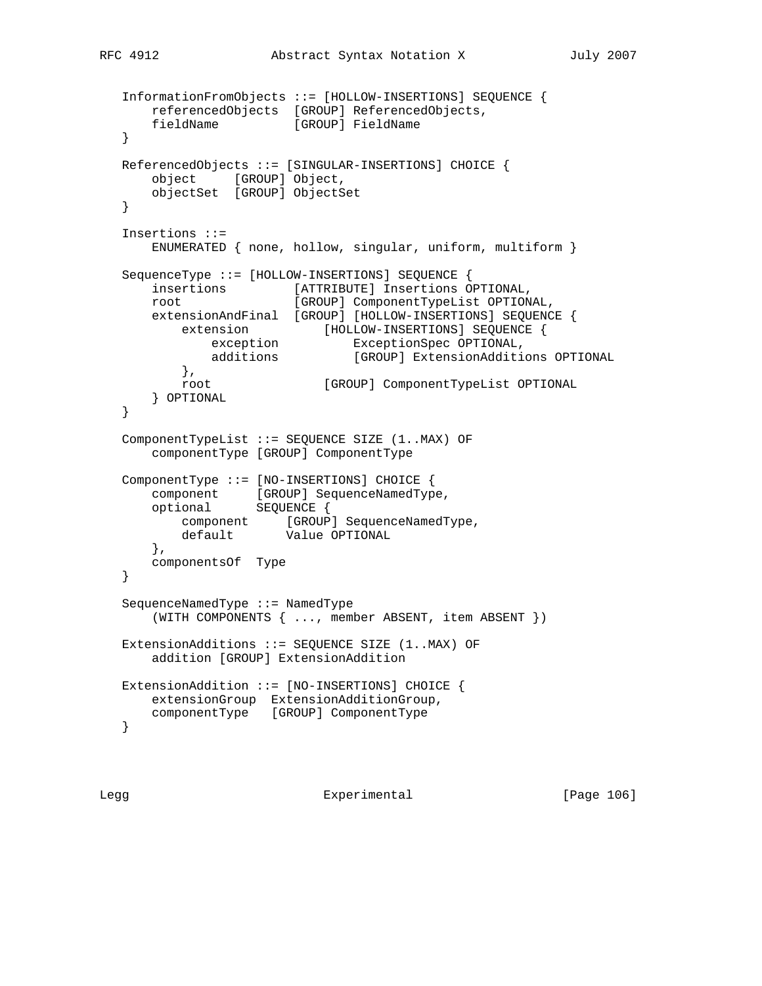```
 InformationFromObjects ::= [HOLLOW-INSERTIONS] SEQUENCE {
       referencedObjects [GROUP] ReferencedObjects,
       fieldName [GROUP] FieldName
   }
   ReferencedObjects ::= [SINGULAR-INSERTIONS] CHOICE {
      object [GROUP] Object,
      objectSet [GROUP] ObjectSet
   }
   Insertions ::=
      ENUMERATED { none, hollow, singular, uniform, multiform }
   SequenceType ::= [HOLLOW-INSERTIONS] SEQUENCE {
      insertions [ATTRIBUTE] Insertions OPTIONAL,
      root [GROUP] ComponentTypeList OPTIONAL,
      extensionAndFinal [GROUP] [HOLLOW-INSERTIONS] SEQUENCE {
 extension [HOLLOW-INSERTIONS] SEQUENCE {
 exception ExceptionSpec OPTIONAL,
 additions [GROUP] ExtensionAdditions OPTIONAL
          },
          root [GROUP] ComponentTypeList OPTIONAL
       } OPTIONAL
   }
   ComponentTypeList ::= SEQUENCE SIZE (1..MAX) OF
       componentType [GROUP] ComponentType
   ComponentType ::= [NO-INSERTIONS] CHOICE {
component [GROUP] SequenceNamedType,
 optional SEQUENCE {
component [GROUP] SequenceNamedType,
 default Value OPTIONAL
       },
      componentsOf Type
   }
   SequenceNamedType ::= NamedType
       (WITH COMPONENTS { ..., member ABSENT, item ABSENT })
   ExtensionAdditions ::= SEQUENCE SIZE (1..MAX) OF
      addition [GROUP] ExtensionAddition
   ExtensionAddition ::= [NO-INSERTIONS] CHOICE {
      extensionGroup ExtensionAdditionGroup,
      componentType [GROUP] ComponentType
   }
```
Legg **Experimental** Experimental [Page 106]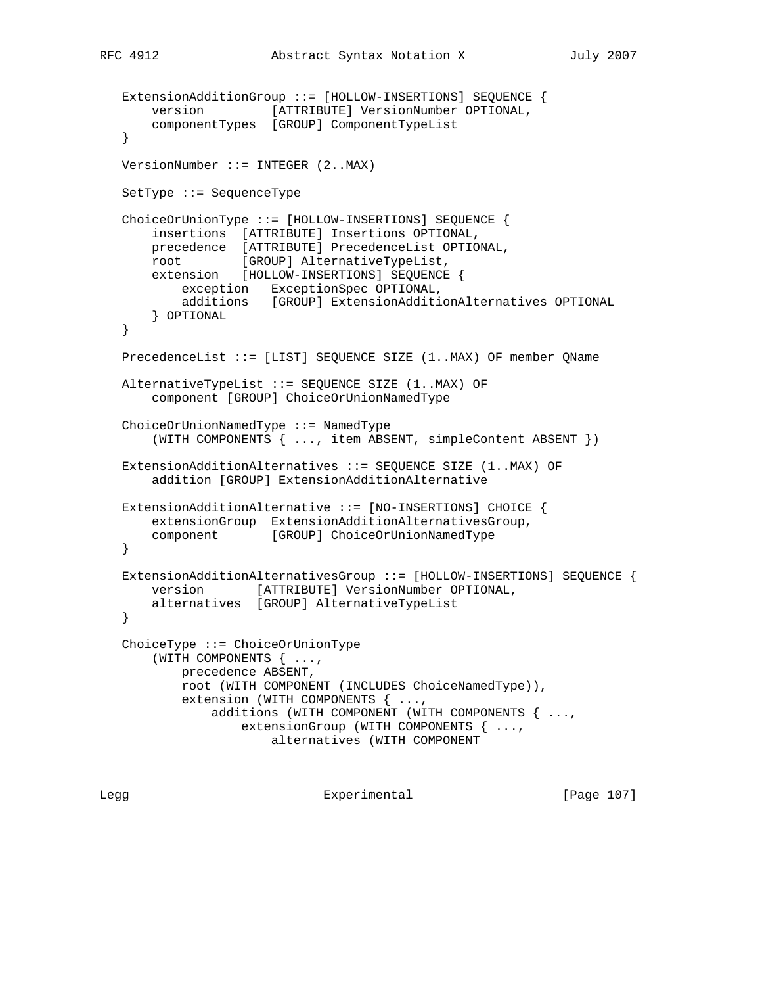```
 ExtensionAdditionGroup ::= [HOLLOW-INSERTIONS] SEQUENCE {
       version [ATTRIBUTE] VersionNumber OPTIONAL,
       componentTypes [GROUP] ComponentTypeList
   }
   VersionNumber ::= INTEGER (2..MAX)
   SetType ::= SequenceType
   ChoiceOrUnionType ::= [HOLLOW-INSERTIONS] SEQUENCE {
       insertions [ATTRIBUTE] Insertions OPTIONAL,
       precedence [ATTRIBUTE] PrecedenceList OPTIONAL,
 root [GROUP] AlternativeTypeList,
 extension [HOLLOW-INSERTIONS] SEQUENCE {
           exception ExceptionSpec OPTIONAL,
           additions [GROUP] ExtensionAdditionAlternatives OPTIONAL
       } OPTIONAL
   }
   PrecedenceList ::= [LIST] SEQUENCE SIZE (1..MAX) OF member QName
   AlternativeTypeList ::= SEQUENCE SIZE (1..MAX) OF
       component [GROUP] ChoiceOrUnionNamedType
   ChoiceOrUnionNamedType ::= NamedType
       (WITH COMPONENTS { ..., item ABSENT, simpleContent ABSENT })
   ExtensionAdditionAlternatives ::= SEQUENCE SIZE (1..MAX) OF
       addition [GROUP] ExtensionAdditionAlternative
   ExtensionAdditionAlternative ::= [NO-INSERTIONS] CHOICE {
       extensionGroup ExtensionAdditionAlternativesGroup,
       component [GROUP] ChoiceOrUnionNamedType
   }
   ExtensionAdditionAlternativesGroup ::= [HOLLOW-INSERTIONS] SEQUENCE {
       version [ATTRIBUTE] VersionNumber OPTIONAL,
       alternatives [GROUP] AlternativeTypeList
   }
   ChoiceType ::= ChoiceOrUnionType
       (WITH COMPONENTS { ...,
           precedence ABSENT,
           root (WITH COMPONENT (INCLUDES ChoiceNamedType)),
           extension (WITH COMPONENTS { ...,
               additions (WITH COMPONENT (WITH COMPONENTS { ...,
                   extensionGroup (WITH COMPONENTS { ...,
                       alternatives (WITH COMPONENT
```
Legg **Experimental** Experimental [Page 107]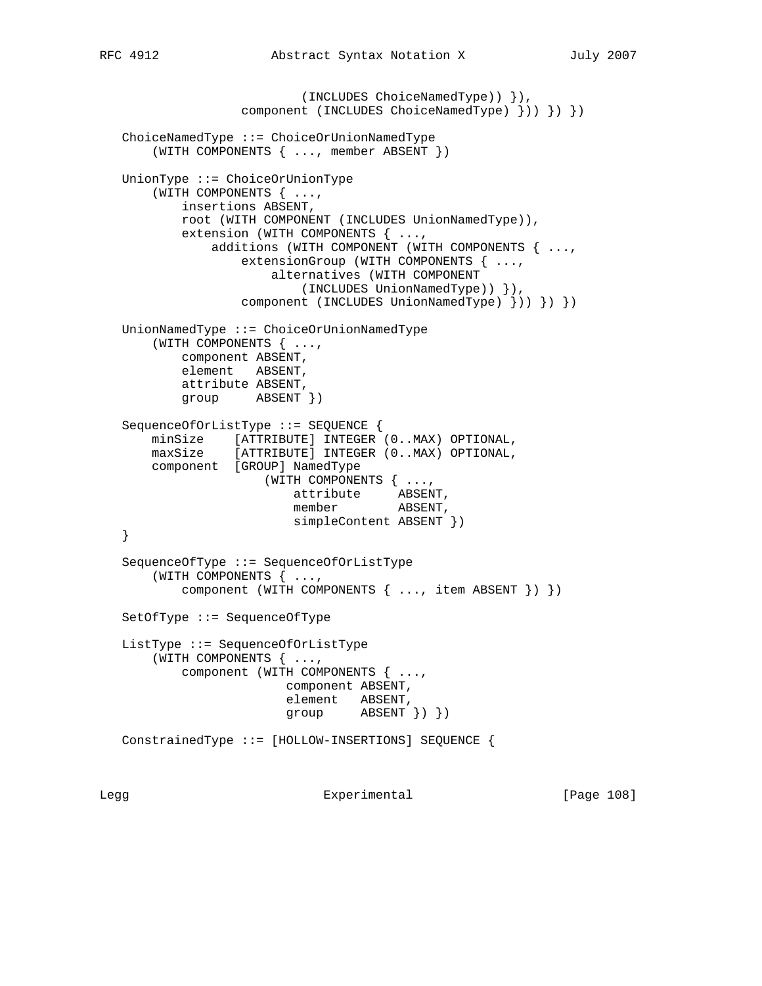(INCLUDES ChoiceNamedType)) }), component (INCLUDES ChoiceNamedType) })) }) }) ChoiceNamedType ::= ChoiceOrUnionNamedType (WITH COMPONENTS { ..., member ABSENT }) UnionType ::= ChoiceOrUnionType (WITH COMPONENTS { ..., insertions ABSENT, root (WITH COMPONENT (INCLUDES UnionNamedType)), extension (WITH COMPONENTS { ..., additions (WITH COMPONENT (WITH COMPONENTS { ..., extensionGroup (WITH COMPONENTS { ..., alternatives (WITH COMPONENT (INCLUDES UnionNamedType)) }), component (INCLUDES UnionNamedType) })) }) }) UnionNamedType ::= ChoiceOrUnionNamedType (WITH COMPONENTS { ..., component ABSENT, element ABSENT, attribute ABSENT, group ABSENT }) SequenceOfOrListType ::= SEQUENCE { minSize [ATTRIBUTE] INTEGER (0..MAX) OPTIONAL, maxSize [ATTRIBUTE] INTEGER (0..MAX) OPTIONAL, component [GROUP] NamedType (WITH COMPONENTS { ..., attribute ABSENT, member ABSENT, simpleContent ABSENT }) } SequenceOfType ::= SequenceOfOrListType (WITH COMPONENTS { ..., component (WITH COMPONENTS { ..., item ABSENT }) }) SetOfType ::= SequenceOfType ListType ::= SequenceOfOrListType (WITH COMPONENTS { ..., component (WITH COMPONENTS { ..., component ABSENT, element ABSENT, group ABSENT }) }) ConstrainedType ::= [HOLLOW-INSERTIONS] SEQUENCE {

Legg **Experimental** Experimental [Page 108]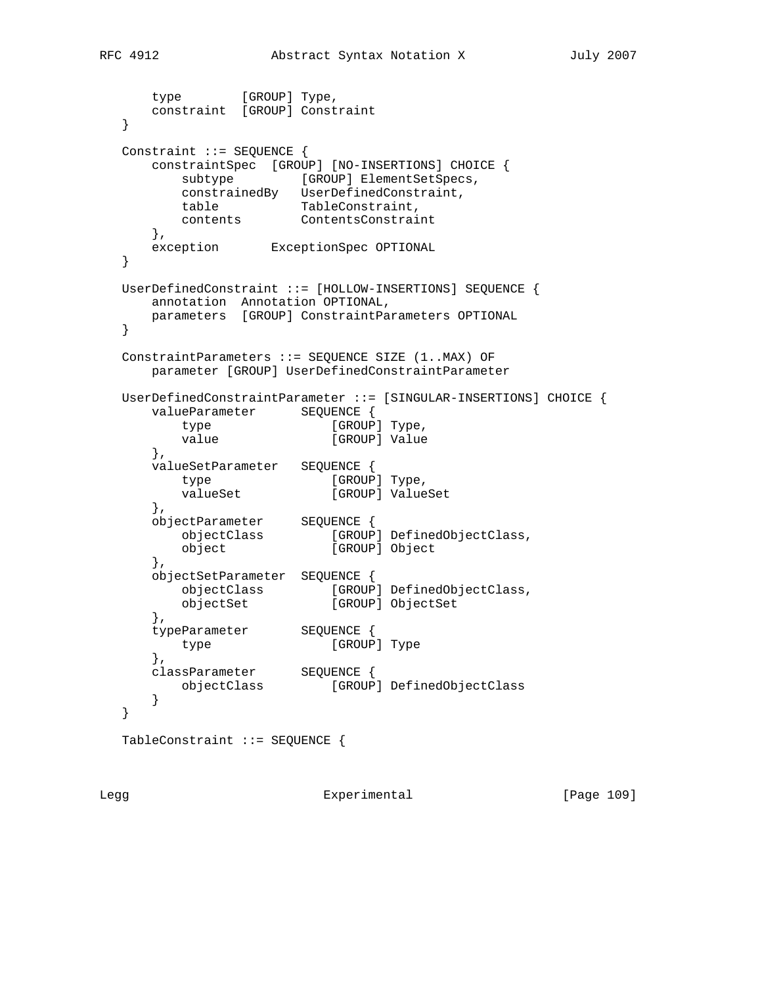```
type [GROUP] Type,
      constraint [GROUP] Constraint
   }
   Constraint ::= SEQUENCE {
      constraintSpec [GROUP] [NO-INSERTIONS] CHOICE {
        subtype [GROUP] ElementSetSpecs,
         constrainedBy UserDefinedConstraint,
 table TableConstraint,
 contents ContentsConstraint
      },
      exception ExceptionSpec OPTIONAL
   }
   UserDefinedConstraint ::= [HOLLOW-INSERTIONS] SEQUENCE {
      annotation Annotation OPTIONAL,
      parameters [GROUP] ConstraintParameters OPTIONAL
   }
   ConstraintParameters ::= SEQUENCE SIZE (1..MAX) OF
      parameter [GROUP] UserDefinedConstraintParameter
   UserDefinedConstraintParameter ::= [SINGULAR-INSERTIONS] CHOICE {
     valueParameter SEQUENCE {
        type [GROUP] Type,
        value (GROUP) live,<br>value [GROUP] Value
      },
      valueSetParameter SEQUENCE {
type [{\text{GROUP}}] Type,
valueSet [GROUP] ValueSet
      },
 objectParameter SEQUENCE {
 objectClass [GROUP] DefinedObjectClass,
 object [GROUP] Object
      },
      objectSetParameter SEQUENCE {
 objectClass [GROUP] DefinedObjectClass,
 objectSet [GROUP] ObjectSet
      },
      typeParameter SEQUENCE {
        type [GROUP] Type
      },
 classParameter SEQUENCE {
 objectClass [GROUP] DefinedObjectClass
      }
   }
   TableConstraint ::= SEQUENCE {
```
Legg Experimental [Page 109]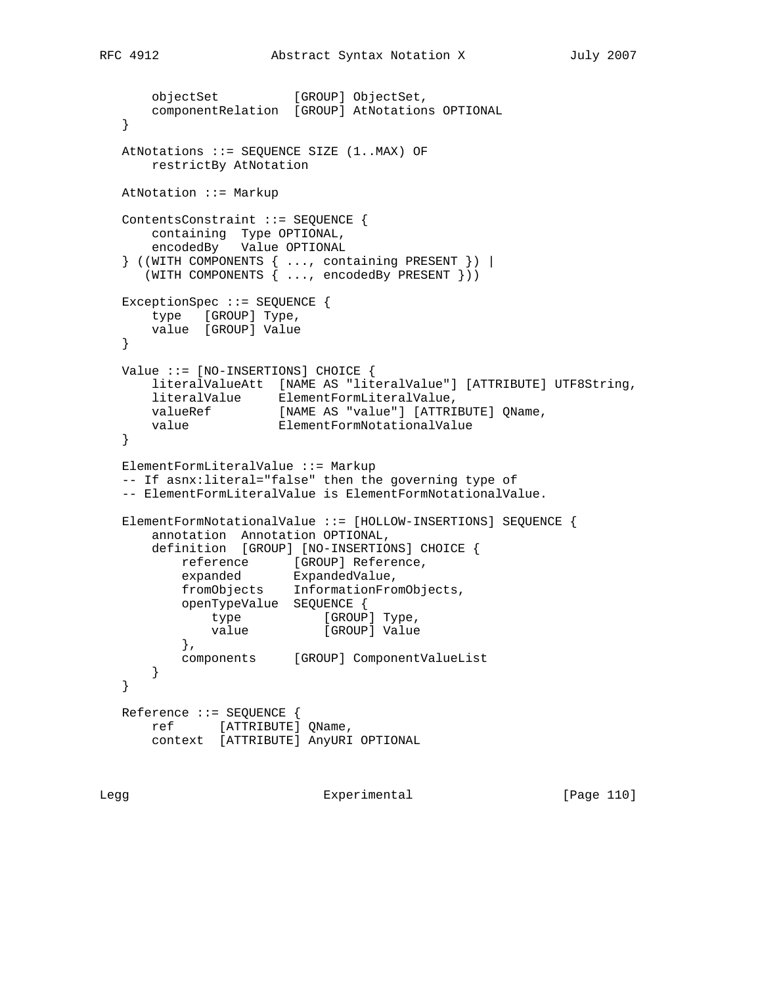```
objectSet [GROUP] ObjectSet,
      componentRelation [GROUP] AtNotations OPTIONAL
   }
   AtNotations ::= SEQUENCE SIZE (1..MAX) OF
      restrictBy AtNotation
   AtNotation ::= Markup
   ContentsConstraint ::= SEQUENCE {
      containing Type OPTIONAL,
      encodedBy Value OPTIONAL
 } ((WITH COMPONENTS { ..., containing PRESENT }) |
 (WITH COMPONENTS { ..., encodedBy PRESENT }))
   ExceptionSpec ::= SEQUENCE {
      type [GROUP] Type,
      value [GROUP] Value
   }
   Value ::= [NO-INSERTIONS] CHOICE {
      literalValueAtt [NAME AS "literalValue"] [ATTRIBUTE] UTF8String,
 literalValue ElementFormLiteralValue,
 valueRef [NAME AS "value"] [ATTRIBUTE] QName,
 value ElementFormNotationalValue
   }
   ElementFormLiteralValue ::= Markup
   -- If asnx:literal="false" then the governing type of
   -- ElementFormLiteralValue is ElementFormNotationalValue.
   ElementFormNotationalValue ::= [HOLLOW-INSERTIONS] SEQUENCE {
      annotation Annotation OPTIONAL,
       definition [GROUP] [NO-INSERTIONS] CHOICE {
reference [GROUP] Reference,
 expanded ExpandedValue,
 fromObjects InformationFromObjects,
 openTypeValue SEQUENCE {
type [GROUP] Type,
value [GROUP] Value
          },
          components [GROUP] ComponentValueList
      }
   }
   Reference ::= SEQUENCE {
      ref [ATTRIBUTE] QName,
      context [ATTRIBUTE] AnyURI OPTIONAL
```
Legg Experimental Experimental [Page 110]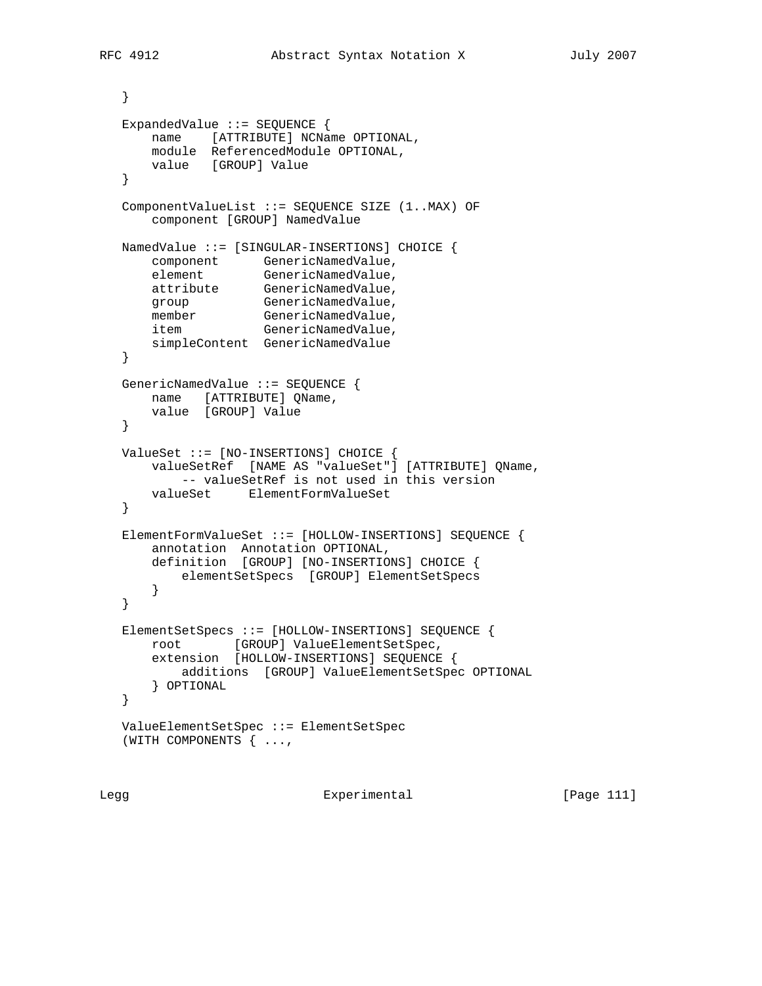```
 }
   ExpandedValue ::= SEQUENCE {
       name [ATTRIBUTE] NCName OPTIONAL,
       module ReferencedModule OPTIONAL,
      value [GROUP] Value
   }
   ComponentValueList ::= SEQUENCE SIZE (1..MAX) OF
       component [GROUP] NamedValue
   NamedValue ::= [SINGULAR-INSERTIONS] CHOICE {
 component GenericNamedValue,
element GenericNamedValue,
 attribute GenericNamedValue,
group GenericNamedValue,
member GenericNamedValue,
item GenericNamedValue,
      simpleContent GenericNamedValue
   }
   GenericNamedValue ::= SEQUENCE {
      name [ATTRIBUTE] QName,
      value [GROUP] Value
   }
   ValueSet ::= [NO-INSERTIONS] CHOICE {
       valueSetRef [NAME AS "valueSet"] [ATTRIBUTE] QName,
           -- valueSetRef is not used in this version
      valueSet ElementFormValueSet
   }
   ElementFormValueSet ::= [HOLLOW-INSERTIONS] SEQUENCE {
       annotation Annotation OPTIONAL,
       definition [GROUP] [NO-INSERTIONS] CHOICE {
          elementSetSpecs [GROUP] ElementSetSpecs
       }
   }
   ElementSetSpecs ::= [HOLLOW-INSERTIONS] SEQUENCE {
      root [GROUP] ValueElementSetSpec,
       extension [HOLLOW-INSERTIONS] SEQUENCE {
          additions [GROUP] ValueElementSetSpec OPTIONAL
      } OPTIONAL
   }
   ValueElementSetSpec ::= ElementSetSpec
   (WITH COMPONENTS { ...,
```
Legg Experimental [Page 111]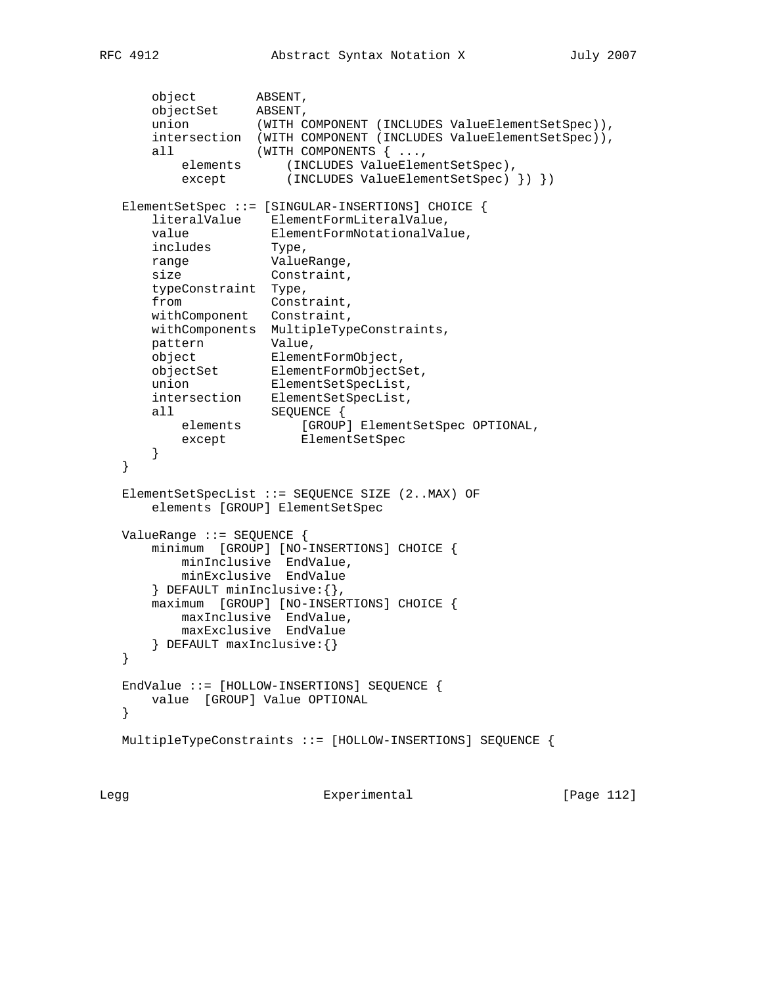```
 object ABSENT,
 objectSet ABSENT,
 union (WITH COMPONENT (INCLUDES ValueElementSetSpec)),
 intersection (WITH COMPONENT (INCLUDES ValueElementSetSpec)),
     all (WITH COMPONENTS { ...,
elements (INCLUDES ValueElementSetSpec),
 except (INCLUDES ValueElementSetSpec) }) })
   ElementSetSpec ::= [SINGULAR-INSERTIONS] CHOICE {
 literalValue ElementFormLiteralValue,
 value ElementFormNotationalValue,
 includes Type,
 range ValueRange,
size Constraint,
      typeConstraint Type,
     from Constraint,
      withComponent Constraint,
      withComponents MultipleTypeConstraints,
 pattern Value,
 object ElementFormObject,
 objectSet ElementFormObjectSet,
 union ElementSetSpecList,
 intersection ElementSetSpecList,
 all SEQUENCE {
elements [GROUP] ElementSetSpec OPTIONAL,
except ElementSetSpec
 }
   }
   ElementSetSpecList ::= SEQUENCE SIZE (2..MAX) OF
      elements [GROUP] ElementSetSpec
   ValueRange ::= SEQUENCE {
      minimum [GROUP] [NO-INSERTIONS] CHOICE {
         minInclusive EndValue,
         minExclusive EndValue
      } DEFAULT minInclusive:{},
      maximum [GROUP] [NO-INSERTIONS] CHOICE {
 maxInclusive EndValue,
 maxExclusive EndValue
      } DEFAULT maxInclusive:{}
   }
   EndValue ::= [HOLLOW-INSERTIONS] SEQUENCE {
     value [GROUP] Value OPTIONAL
   }
   MultipleTypeConstraints ::= [HOLLOW-INSERTIONS] SEQUENCE {
```
Legg **Experimental** Experimental [Page 112]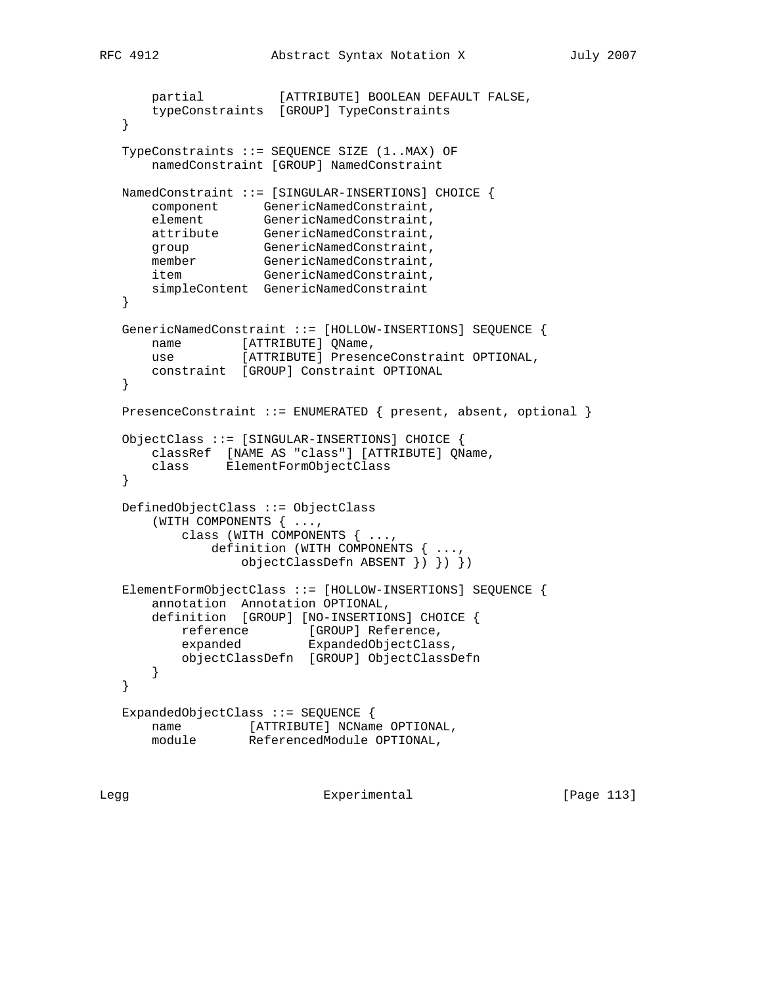```
 partial [ATTRIBUTE] BOOLEAN DEFAULT FALSE,
       typeConstraints [GROUP] TypeConstraints
   }
   TypeConstraints ::= SEQUENCE SIZE (1..MAX) OF
       namedConstraint [GROUP] NamedConstraint
   NamedConstraint ::= [SINGULAR-INSERTIONS] CHOICE {
 component GenericNamedConstraint,
element GenericNamedConstraint,
 attribute GenericNamedConstraint,
group GenericNamedConstraint,
member GenericNamedConstraint,
item GenericNamedConstraint,
      simpleContent GenericNamedConstraint
   }
   GenericNamedConstraint ::= [HOLLOW-INSERTIONS] SEQUENCE {
     name [ATTRIBUTE] QName,
      use [ATTRIBUTE] PresenceConstraint OPTIONAL,
      constraint [GROUP] Constraint OPTIONAL
   }
   PresenceConstraint ::= ENUMERATED { present, absent, optional }
   ObjectClass ::= [SINGULAR-INSERTIONS] CHOICE {
       classRef [NAME AS "class"] [ATTRIBUTE] QName,
       class ElementFormObjectClass
   }
   DefinedObjectClass ::= ObjectClass
       (WITH COMPONENTS { ...,
          class (WITH COMPONENTS { ...,
              definition (WITH COMPONENTS { ...,
                  objectClassDefn ABSENT }) }) })
   ElementFormObjectClass ::= [HOLLOW-INSERTIONS] SEQUENCE {
       annotation Annotation OPTIONAL,
       definition [GROUP] [NO-INSERTIONS] CHOICE {
reference [GROUP] Reference,
 expanded ExpandedObjectClass,
          objectClassDefn [GROUP] ObjectClassDefn
      }
   }
   ExpandedObjectClass ::= SEQUENCE {
       name [ATTRIBUTE] NCName OPTIONAL,
       module ReferencedModule OPTIONAL,
```
Legg **Experimental** Experimental [Page 113]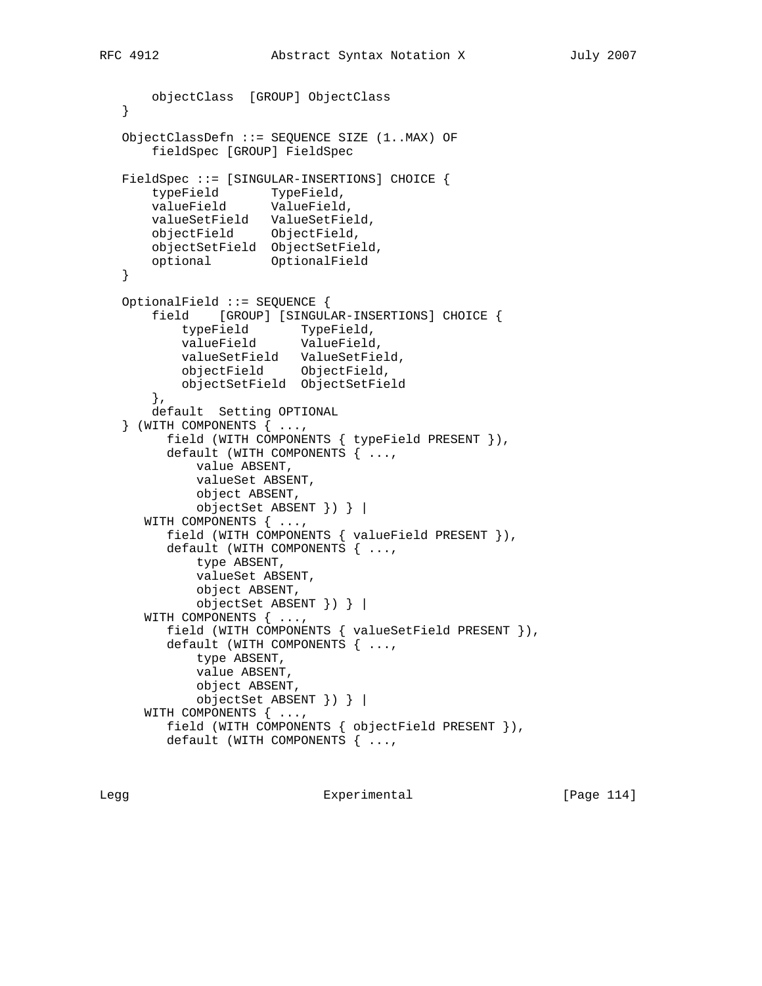```
 objectClass [GROUP] ObjectClass
   }
   ObjectClassDefn ::= SEQUENCE SIZE (1..MAX) OF
       fieldSpec [GROUP] FieldSpec
   FieldSpec ::= [SINGULAR-INSERTIONS] CHOICE {
 typeField TypeField,
 valueField ValueField,
       valueSetField ValueSetField,
       objectField ObjectField,
       objectSetField ObjectSetField,
       optional OptionalField
   }
   OptionalField ::= SEQUENCE {
       field [GROUP] [SINGULAR-INSERTIONS] CHOICE {
 typeField TypeField,
 valueField ValueField,
           valueSetField ValueSetField,
           objectField ObjectField,
           objectSetField ObjectSetField
       },
       default Setting OPTIONAL
   } (WITH COMPONENTS { ...,
         field (WITH COMPONENTS { typeField PRESENT }),
         default (WITH COMPONENTS { ...,
             value ABSENT,
             valueSet ABSENT,
             object ABSENT,
             objectSet ABSENT }) } |
      WITH COMPONENTS { ...,
         field (WITH COMPONENTS { valueField PRESENT }),
         default (WITH COMPONENTS { ...,
             type ABSENT,
             valueSet ABSENT,
             object ABSENT,
             objectSet ABSENT }) } |
      WITH COMPONENTS { ...,
         field (WITH COMPONENTS { valueSetField PRESENT }),
         default (WITH COMPONENTS { ...,
             type ABSENT,
             value ABSENT,
             object ABSENT,
             objectSet ABSENT }) } |
      WITH COMPONENTS { ...,
         field (WITH COMPONENTS { objectField PRESENT }),
         default (WITH COMPONENTS { ...,
```
Legg Experimental [Page 114]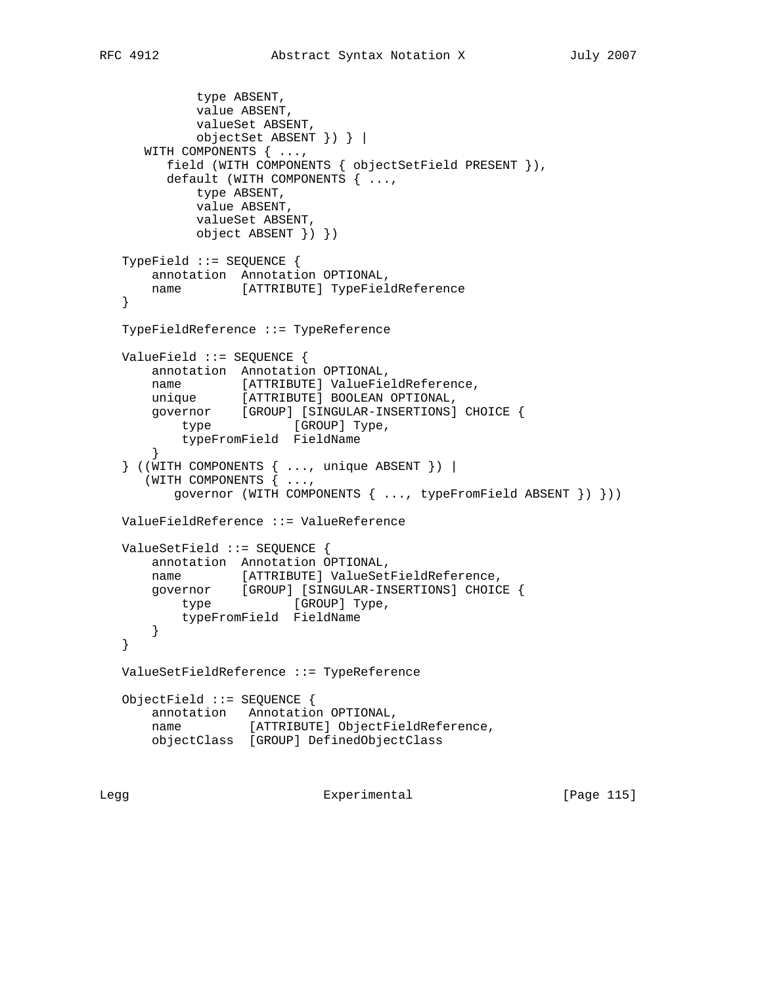```
 type ABSENT,
             value ABSENT,
            valueSet ABSENT,
             objectSet ABSENT }) } |
      WITH COMPONENTS { ...,
         field (WITH COMPONENTS { objectSetField PRESENT }),
         default (WITH COMPONENTS { ...,
            type ABSENT,
            value ABSENT,
            valueSet ABSENT,
            object ABSENT }) })
   TypeField ::= SEQUENCE {
      annotation Annotation OPTIONAL,
      name [ATTRIBUTE] TypeFieldReference
   }
   TypeFieldReference ::= TypeReference
   ValueField ::= SEQUENCE {
       annotation Annotation OPTIONAL,
 name [ATTRIBUTE] ValueFieldReference,
 unique [ATTRIBUTE] BOOLEAN OPTIONAL,
 governor [GROUP] [SINGULAR-INSERTIONS] CHOICE {
type [GROUP] Type,
          typeFromField FieldName
       }
   } ((WITH COMPONENTS { ..., unique ABSENT }) |
      (WITH COMPONENTS { ...,
          governor (WITH COMPONENTS { ..., typeFromField ABSENT }) }))
   ValueFieldReference ::= ValueReference
   ValueSetField ::= SEQUENCE {
       annotation Annotation OPTIONAL,
       name [ATTRIBUTE] ValueSetFieldReference,
 governor [GROUP] [SINGULAR-INSERTIONS] CHOICE {
type [GROUP] Type,
          typeFromField FieldName
      }
   }
   ValueSetFieldReference ::= TypeReference
   ObjectField ::= SEQUENCE {
       annotation Annotation OPTIONAL,
       name [ATTRIBUTE] ObjectFieldReference,
       objectClass [GROUP] DefinedObjectClass
```
Legg **Experimental** Experimental [Page 115]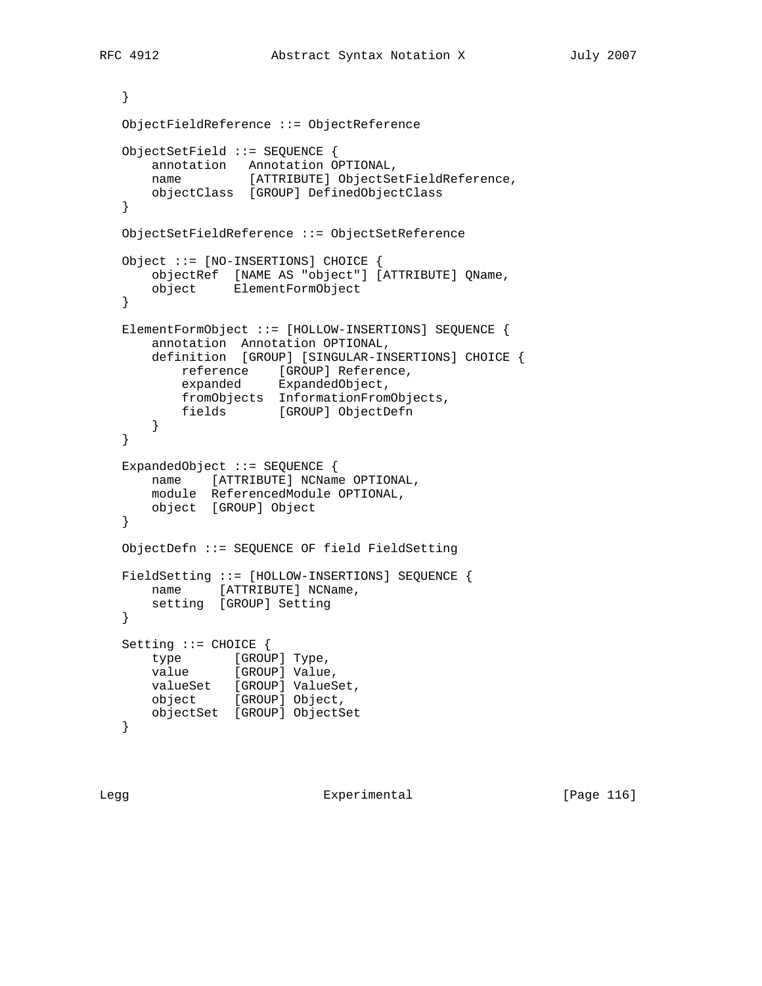```
 }
   ObjectFieldReference ::= ObjectReference
   ObjectSetField ::= SEQUENCE {
       annotation Annotation OPTIONAL,
      name [ATTRIBUTE] ObjectSetFieldReference,
      objectClass [GROUP] DefinedObjectClass
   }
   ObjectSetFieldReference ::= ObjectSetReference
   Object ::= [NO-INSERTIONS] CHOICE {
 objectRef [NAME AS "object"] [ATTRIBUTE] QName,
 object ElementFormObject
   }
   ElementFormObject ::= [HOLLOW-INSERTIONS] SEQUENCE {
       annotation Annotation OPTIONAL,
       definition [GROUP] [SINGULAR-INSERTIONS] CHOICE {
reference [GROUP] Reference,
expanded ExpandedObject,
          fromObjects InformationFromObjects,
           fields [GROUP] ObjectDefn
       }
   }
   ExpandedObject ::= SEQUENCE {
       name [ATTRIBUTE] NCName OPTIONAL,
       module ReferencedModule OPTIONAL,
      object [GROUP] Object
   }
   ObjectDefn ::= SEQUENCE OF field FieldSetting
   FieldSetting ::= [HOLLOW-INSERTIONS] SEQUENCE {
      name [ATTRIBUTE] NCName,
       setting [GROUP] Setting
   }
   Setting ::= CHOICE {
      type [GROUP] Type,
      value [GROUP] Value,
      valueSet [GROUP] ValueSet,
       object [GROUP] Object,
      objectSet [GROUP] ObjectSet
   }
```
Legg Experimental [Page 116]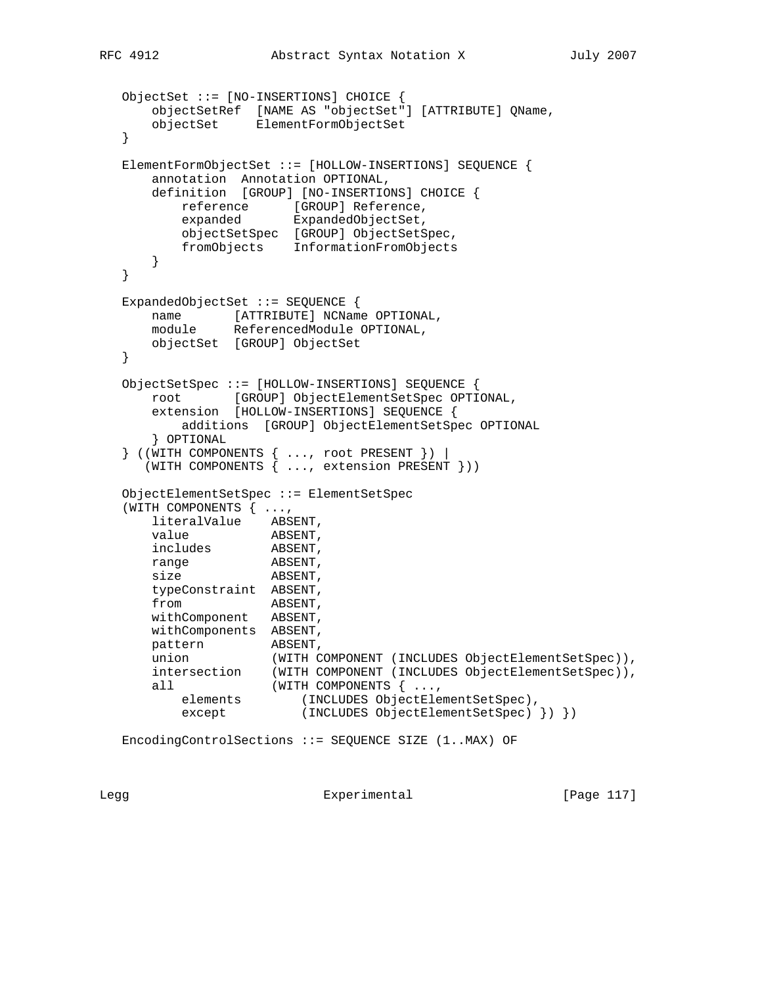```
 ObjectSet ::= [NO-INSERTIONS] CHOICE {
 objectSetRef [NAME AS "objectSet"] [ATTRIBUTE] QName,
 objectSet ElementFormObjectSet
   }
   ElementFormObjectSet ::= [HOLLOW-INSERTIONS] SEQUENCE {
      annotation Annotation OPTIONAL,
      definition [GROUP] [NO-INSERTIONS] CHOICE {
reference [GROUP] Reference,
expanded ExpandedObjectSet,
          objectSetSpec [GROUP] ObjectSetSpec,
          fromObjects InformationFromObjects
      }
   }
   ExpandedObjectSet ::= SEQUENCE {
     name [ATTRIBUTE] NCName OPTIONAL,
      module ReferencedModule OPTIONAL,
      objectSet [GROUP] ObjectSet
   }
   ObjectSetSpec ::= [HOLLOW-INSERTIONS] SEQUENCE {
      root [GROUP] ObjectElementSetSpec OPTIONAL,
      extension [HOLLOW-INSERTIONS] SEQUENCE {
          additions [GROUP] ObjectElementSetSpec OPTIONAL
      } OPTIONAL
   } ((WITH COMPONENTS { ..., root PRESENT }) |
      (WITH COMPONENTS { ..., extension PRESENT }))
   ObjectElementSetSpec ::= ElementSetSpec
   (WITH COMPONENTS { ...,
      literalValue ABSENT,
value ABSENT,
 includes ABSENT,
range ABSENT,
size ABSENT,
      typeConstraint ABSENT,
from ABSENT,
 withComponent ABSENT,
 withComponents ABSENT,
 pattern ABSENT,
 union (WITH COMPONENT (INCLUDES ObjectElementSetSpec)),
 intersection (WITH COMPONENT (INCLUDES ObjectElementSetSpec)),
 all (WITH COMPONENTS { ...,
 elements (INCLUDES ObjectElementSetSpec),
 except (INCLUDES ObjectElementSetSpec) }) })
   EncodingControlSections ::= SEQUENCE SIZE (1..MAX) OF
```
Legg **Experimental** Experimental [Page 117]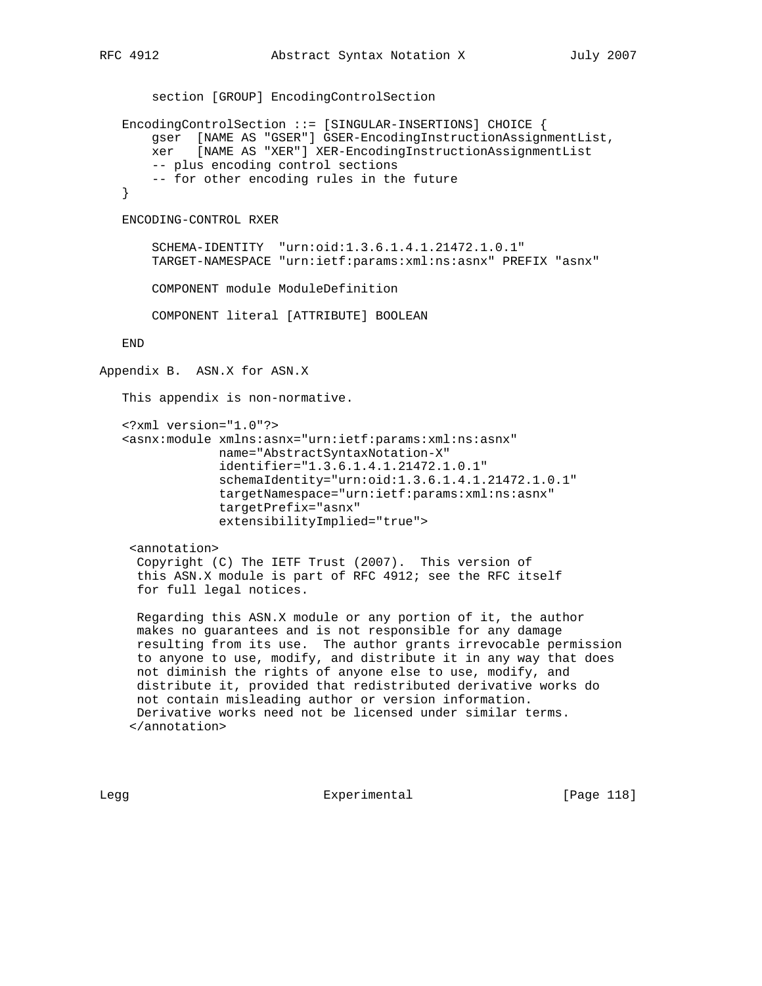```
 section [GROUP] EncodingControlSection
    EncodingControlSection ::= [SINGULAR-INSERTIONS] CHOICE {
        gser [NAME AS "GSER"] GSER-EncodingInstructionAssignmentList,
       xer [NAME AS "XER"] XER-EncodingInstructionAssignmentList
       -- plus encoding control sections
       -- for other encoding rules in the future
    }
    ENCODING-CONTROL RXER
        SCHEMA-IDENTITY "urn:oid:1.3.6.1.4.1.21472.1.0.1"
        TARGET-NAMESPACE "urn:ietf:params:xml:ns:asnx" PREFIX "asnx"
        COMPONENT module ModuleDefinition
       COMPONENT literal [ATTRIBUTE] BOOLEAN
    END
Appendix B. ASN.X for ASN.X
    This appendix is non-normative.
    <?xml version="1.0"?>
    <asnx:module xmlns:asnx="urn:ietf:params:xml:ns:asnx"
                 name="AbstractSyntaxNotation-X"
                 identifier="1.3.6.1.4.1.21472.1.0.1"
                 schemaIdentity="urn:oid:1.3.6.1.4.1.21472.1.0.1"
                 targetNamespace="urn:ietf:params:xml:ns:asnx"
                 targetPrefix="asnx"
                 extensibilityImplied="true">
     <annotation>
      Copyright (C) The IETF Trust (2007). This version of
      this ASN.X module is part of RFC 4912; see the RFC itself
      for full legal notices.
      Regarding this ASN.X module or any portion of it, the author
     makes no guarantees and is not responsible for any damage
     resulting from its use. The author grants irrevocable permission
     to anyone to use, modify, and distribute it in any way that does
     not diminish the rights of anyone else to use, modify, and
     distribute it, provided that redistributed derivative works do
     not contain misleading author or version information.
     Derivative works need not be licensed under similar terms.
     </annotation>
```
Legg Experimental [Page 118]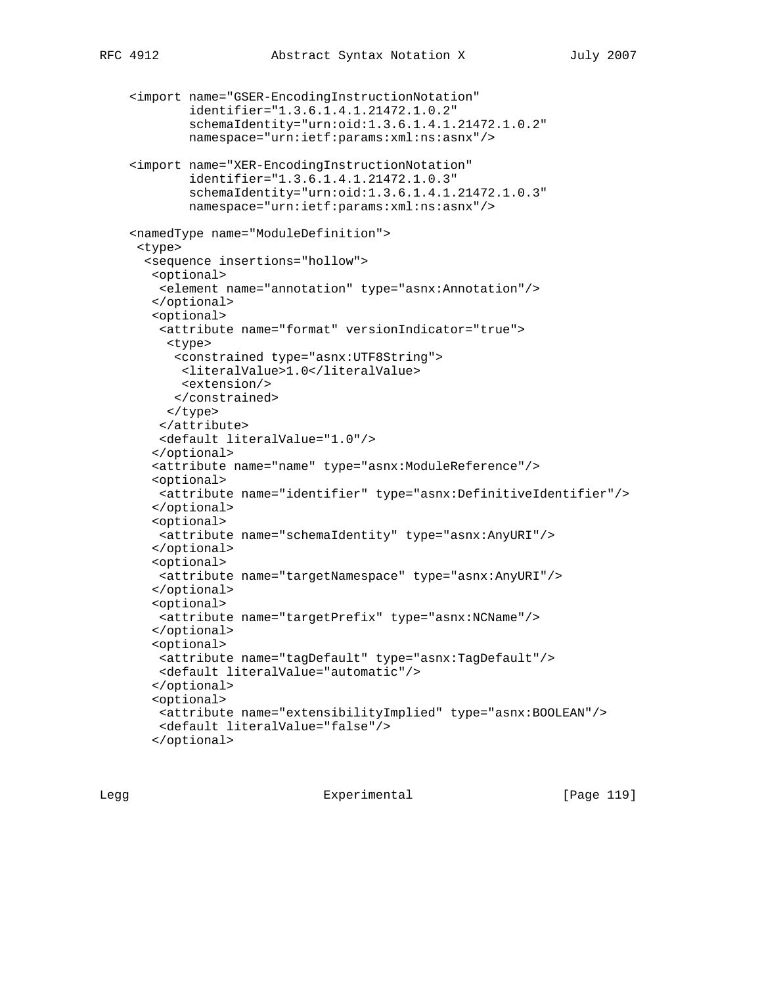```
 <import name="GSER-EncodingInstructionNotation"
         identifier="1.3.6.1.4.1.21472.1.0.2"
         schemaIdentity="urn:oid:1.3.6.1.4.1.21472.1.0.2"
         namespace="urn:ietf:params:xml:ns:asnx"/>
 <import name="XER-EncodingInstructionNotation"
         identifier="1.3.6.1.4.1.21472.1.0.3"
         schemaIdentity="urn:oid:1.3.6.1.4.1.21472.1.0.3"
         namespace="urn:ietf:params:xml:ns:asnx"/>
 <namedType name="ModuleDefinition">
  <type>
   <sequence insertions="hollow">
    <optional>
    <element name="annotation" type="asnx:Annotation"/>
    </optional>
    <optional>
     <attribute name="format" versionIndicator="true">
      <type>
       <constrained type="asnx:UTF8String">
       <literalValue>1.0</literalValue>
       <extension/>
      </constrained>
      </type>
     </attribute>
    <default literalValue="1.0"/>
    </optional>
    <attribute name="name" type="asnx:ModuleReference"/>
   <optional>
    <attribute name="identifier" type="asnx:DefinitiveIdentifier"/>
   </optional>
    <optional>
    <attribute name="schemaIdentity" type="asnx:AnyURI"/>
    </optional>
    <optional>
    <attribute name="targetNamespace" type="asnx:AnyURI"/>
    </optional>
    <optional>
    <attribute name="targetPrefix" type="asnx:NCName"/>
    </optional>
    <optional>
    <attribute name="tagDefault" type="asnx:TagDefault"/>
    <default literalValue="automatic"/>
    </optional>
    <optional>
    <attribute name="extensibilityImplied" type="asnx:BOOLEAN"/>
    <default literalValue="false"/>
    </optional>
```
Legg **Experimental** Experimental [Page 119]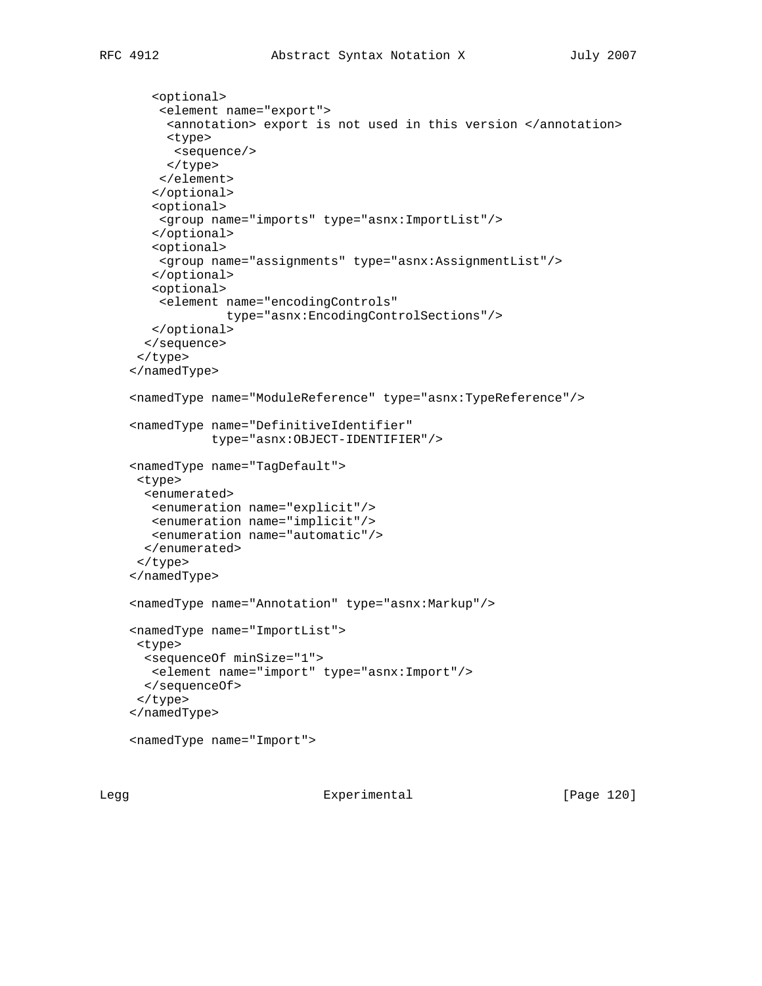```
 <optional>
     <element name="export">
      <annotation> export is not used in this version </annotation>
     <type>
      <sequence/>
      </type>
    </element>
    </optional>
    <optional>
    <group name="imports" type="asnx:ImportList"/>
    </optional>
    <optional>
    <group name="assignments" type="asnx:AssignmentList"/>
    </optional>
    <optional>
    <element name="encodingControls"
              type="asnx:EncodingControlSections"/>
   </optional>
   </sequence>
  </type>
 </namedType>
 <namedType name="ModuleReference" type="asnx:TypeReference"/>
 <namedType name="DefinitiveIdentifier"
            type="asnx:OBJECT-IDENTIFIER"/>
 <namedType name="TagDefault">
 <type>
  <enumerated>
   <enumeration name="explicit"/>
   <enumeration name="implicit"/>
   <enumeration name="automatic"/>
  </enumerated>
 </type>
 </namedType>
 <namedType name="Annotation" type="asnx:Markup"/>
 <namedType name="ImportList">
 <type>
  <sequenceOf minSize="1">
   <element name="import" type="asnx:Import"/>
  </sequenceOf>
 </type>
 </namedType>
 <namedType name="Import">
```
Legg Experimental [Page 120]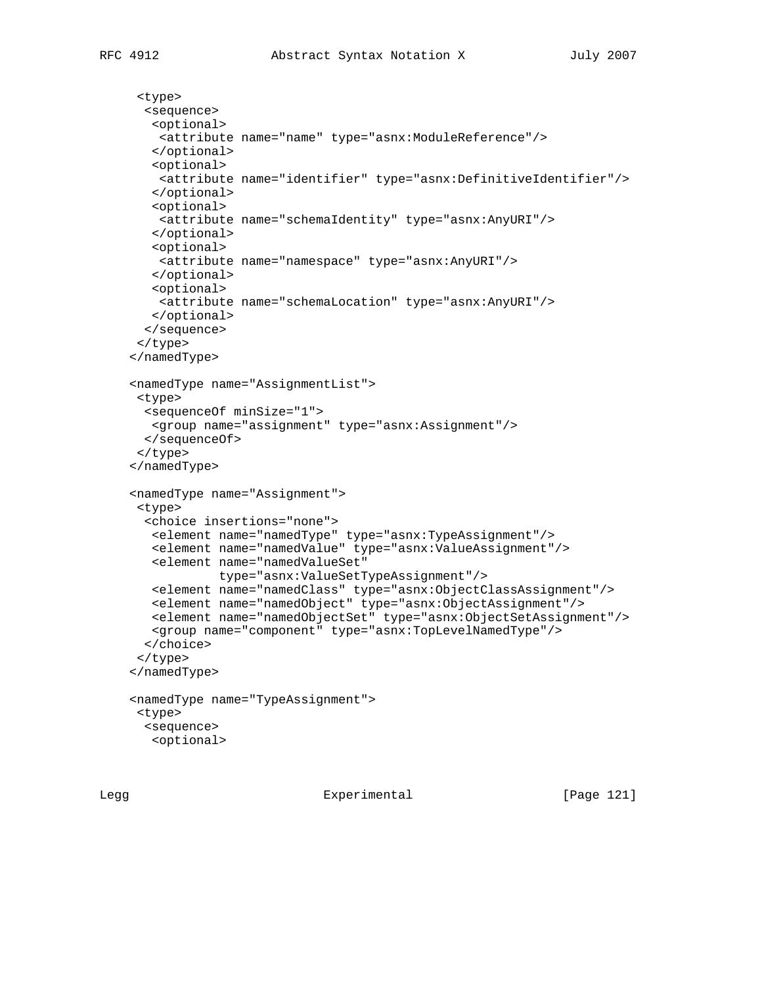```
 <type>
  <sequence>
   <optional>
    <attribute name="name" type="asnx:ModuleReference"/>
   </optional>
   <optional>
    <attribute name="identifier" type="asnx:DefinitiveIdentifier"/>
   </optional>
    <optional>
    <attribute name="schemaIdentity" type="asnx:AnyURI"/>
    </optional>
    <optional>
    <attribute name="namespace" type="asnx:AnyURI"/>
    </optional>
    <optional>
    <attribute name="schemaLocation" type="asnx:AnyURI"/>
   </optional>
  </sequence>
 </type>
 </namedType>
 <namedType name="AssignmentList">
 <type>
  <sequenceOf minSize="1">
   <group name="assignment" type="asnx:Assignment"/>
  </sequenceOf>
 </type>
 </namedType>
 <namedType name="Assignment">
 <type>
  <choice insertions="none">
   <element name="namedType" type="asnx:TypeAssignment"/>
   <element name="namedValue" type="asnx:ValueAssignment"/>
   <element name="namedValueSet"
             type="asnx:ValueSetTypeAssignment"/>
   <element name="namedClass" type="asnx:ObjectClassAssignment"/>
    <element name="namedObject" type="asnx:ObjectAssignment"/>
    <element name="namedObjectSet" type="asnx:ObjectSetAssignment"/>
   <group name="component" type="asnx:TopLevelNamedType"/>
  </choice>
 </type>
 </namedType>
 <namedType name="TypeAssignment">
 <type>
  <sequence>
   <optional>
```
Legg Experimental [Page 121]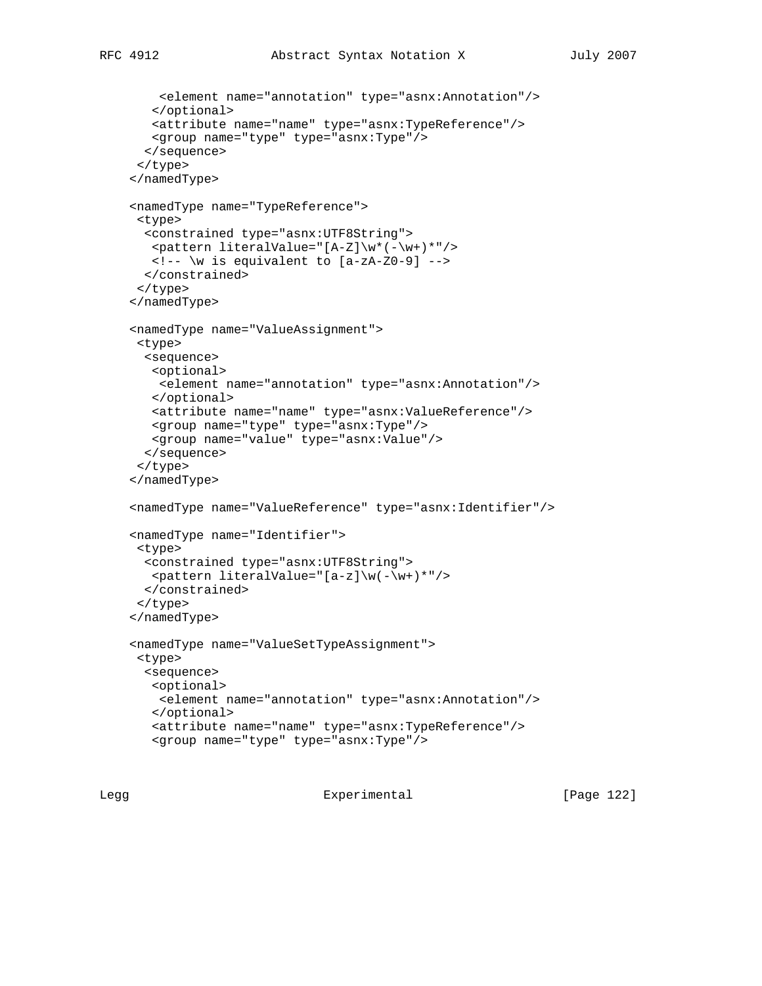```
 <element name="annotation" type="asnx:Annotation"/>
    </optional>
   <attribute name="name" type="asnx:TypeReference"/>
   <group name="type" type="asnx:Type"/>
  </sequence>
 </type>
 </namedType>
 <namedType name="TypeReference">
 <type>
  <constrained type="asnx:UTF8String">
   <pattern literalValue="[A-Z]\w*(-\w+)*"/>
   <!-- \w is equivalent to [a-zA-Z0-9] -->
  </constrained>
 </type>
 </namedType>
 <namedType name="ValueAssignment">
 <type>
  <sequence>
   <optional>
    <element name="annotation" type="asnx:Annotation"/>
   </optional>
   <attribute name="name" type="asnx:ValueReference"/>
   <group name="type" type="asnx:Type"/>
   <group name="value" type="asnx:Value"/>
  </sequence>
 </type>
 </namedType>
 <namedType name="ValueReference" type="asnx:Identifier"/>
 <namedType name="Identifier">
 <type>
  <constrained type="asnx:UTF8String">
   <pattern literalValue="[a-z]\w(-\w+)*"/>
  </constrained>
 </type>
 </namedType>
```

```
 <namedType name="ValueSetTypeAssignment">
 <type>
  <sequence>
   <optional>
    <element name="annotation" type="asnx:Annotation"/>
   </optional>
   <attribute name="name" type="asnx:TypeReference"/>
    <group name="type" type="asnx:Type"/>
```
Legg Experimental [Page 122]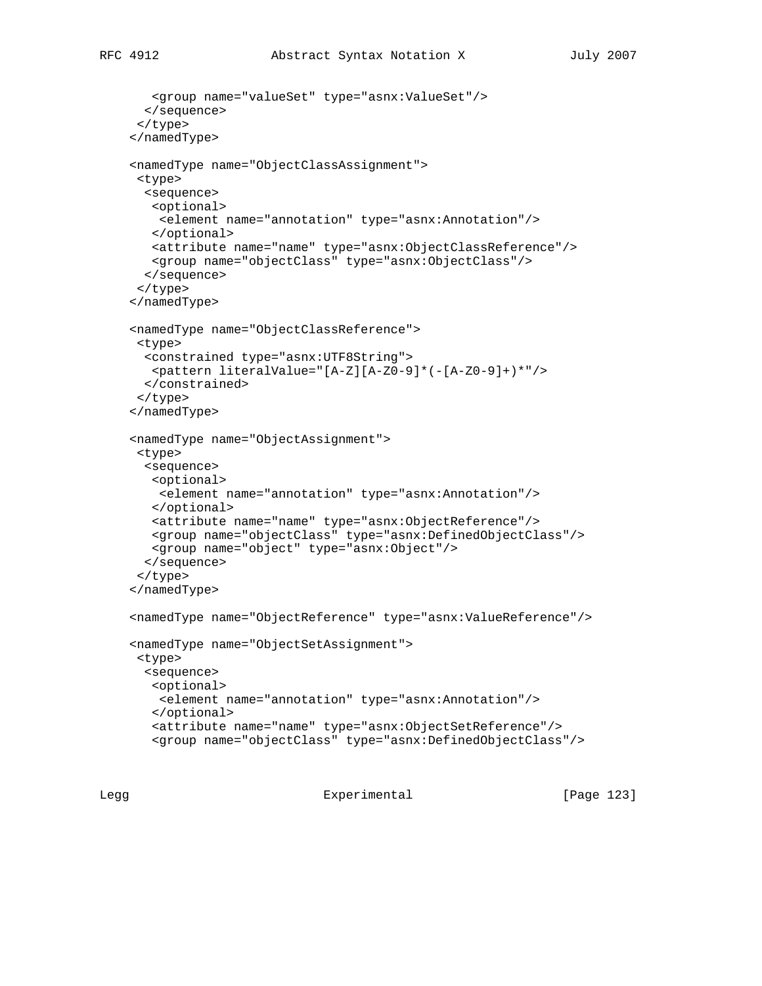```
 <group name="valueSet" type="asnx:ValueSet"/>
  </sequence>
 </type>
 </namedType>
 <namedType name="ObjectClassAssignment">
 <type>
  <sequence>
   <optional>
    <element name="annotation" type="asnx:Annotation"/>
   </optional>
   <attribute name="name" type="asnx:ObjectClassReference"/>
   <group name="objectClass" type="asnx:ObjectClass"/>
  </sequence>
 </type>
 </namedType>
 <namedType name="ObjectClassReference">
 <type>
  <constrained type="asnx:UTF8String">
   <pattern literalValue="[A-Z][A-Z0-9]*(-[A-Z0-9]+)*"/>
  </constrained>
 </type>
 </namedType>
 <namedType name="ObjectAssignment">
 <type>
  <sequence>
   <optional>
    <element name="annotation" type="asnx:Annotation"/>
   </optional>
   <attribute name="name" type="asnx:ObjectReference"/>
   <group name="objectClass" type="asnx:DefinedObjectClass"/>
   <group name="object" type="asnx:Object"/>
  </sequence>
 </type>
 </namedType>
 <namedType name="ObjectReference" type="asnx:ValueReference"/>
 <namedType name="ObjectSetAssignment">
 <type>
  <sequence>
   <optional>
    <element name="annotation" type="asnx:Annotation"/>
   </optional>
    <attribute name="name" type="asnx:ObjectSetReference"/>
    <group name="objectClass" type="asnx:DefinedObjectClass"/>
```
Legg **Experimental** Experimental [Page 123]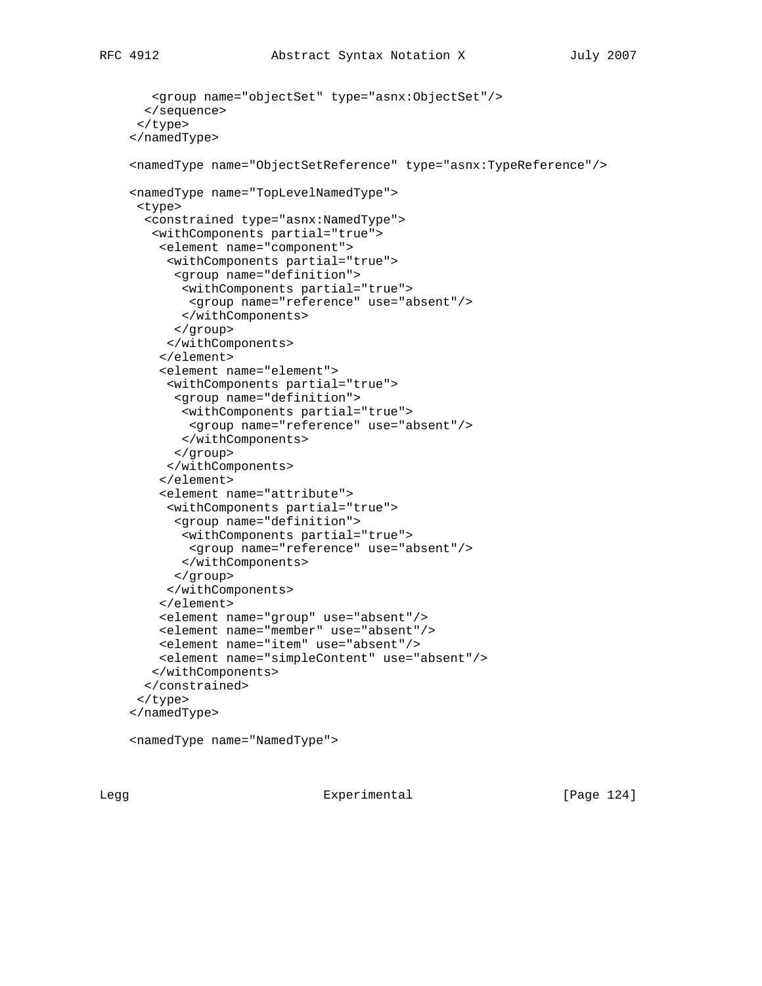```
 <group name="objectSet" type="asnx:ObjectSet"/>
  </sequence>
 </type>
 </namedType>
 <namedType name="ObjectSetReference" type="asnx:TypeReference"/>
 <namedType name="TopLevelNamedType">
  <type>
   <constrained type="asnx:NamedType">
    <withComponents partial="true">
     <element name="component">
      <withComponents partial="true">
       <group name="definition">
        <withComponents partial="true">
         <group name="reference" use="absent"/>
        </withComponents>
       </group>
      </withComponents>
     </element>
     <element name="element">
      <withComponents partial="true">
       <group name="definition">
        <withComponents partial="true">
         <group name="reference" use="absent"/>
        </withComponents>
       </group>
      </withComponents>
     </element>
     <element name="attribute">
     <withComponents partial="true">
      <group name="definition">
        <withComponents partial="true">
         <group name="reference" use="absent"/>
        </withComponents>
       </group>
      </withComponents>
     </element>
     <element name="group" use="absent"/>
     <element name="member" use="absent"/>
     <element name="item" use="absent"/>
     <element name="simpleContent" use="absent"/>
    </withComponents>
   </constrained>
  </type>
 </namedType>
 <namedType name="NamedType">
```
Legg **Experimental** Experimental [Page 124]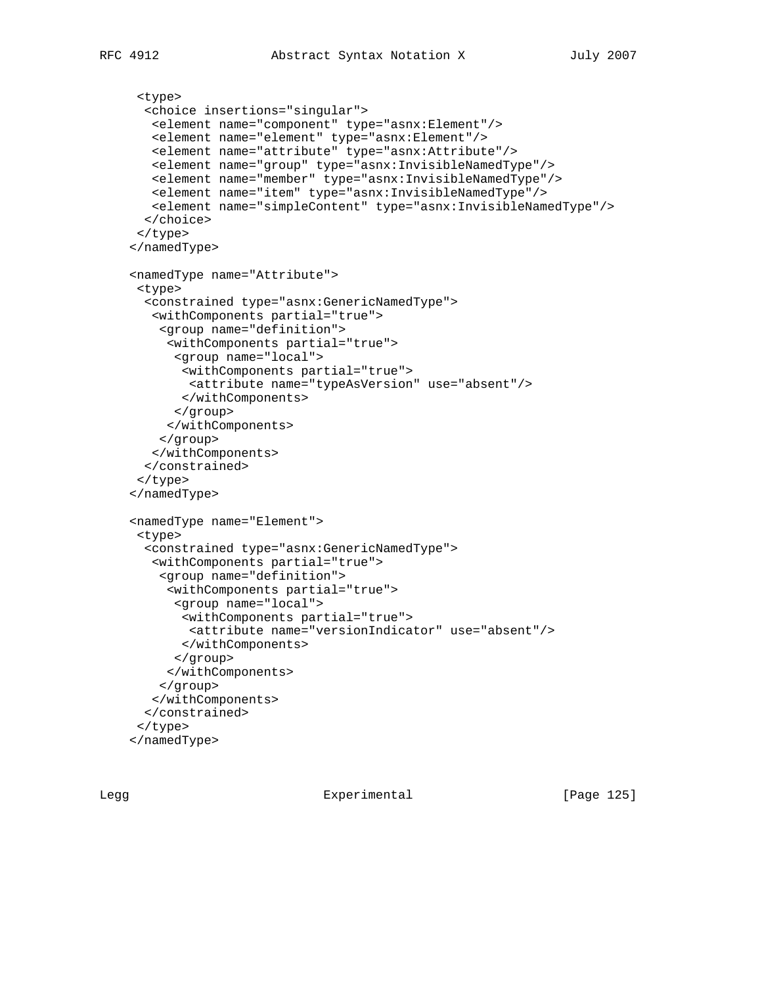```
 <type>
   <choice insertions="singular">
    <element name="component" type="asnx:Element"/>
   <element name="element" type="asnx:Element"/>
   <element name="attribute" type="asnx:Attribute"/>
   <element name="group" type="asnx:InvisibleNamedType"/>
   <element name="member" type="asnx:InvisibleNamedType"/>
   <element name="item" type="asnx:InvisibleNamedType"/>
    <element name="simpleContent" type="asnx:InvisibleNamedType"/>
   </choice>
  </type>
 </namedType>
 <namedType name="Attribute">
  <type>
   <constrained type="asnx:GenericNamedType">
    <withComponents partial="true">
     <group name="definition">
      <withComponents partial="true">
      <group name="local">
        <withComponents partial="true">
        <attribute name="typeAsVersion" use="absent"/>
        </withComponents>
       </group>
      </withComponents>
     </group>
    </withComponents>
   </constrained>
  </type>
 </namedType>
 <namedType name="Element">
  <type>
   <constrained type="asnx:GenericNamedType">
    <withComponents partial="true">
     <group name="definition">
      <withComponents partial="true">
       <group name="local">
        <withComponents partial="true">
         <attribute name="versionIndicator" use="absent"/>
        </withComponents>
       </group>
      </withComponents>
     </group>
    </withComponents>
   </constrained>
  </type>
 </namedType>
```
Legg **Experimental** Experimental [Page 125]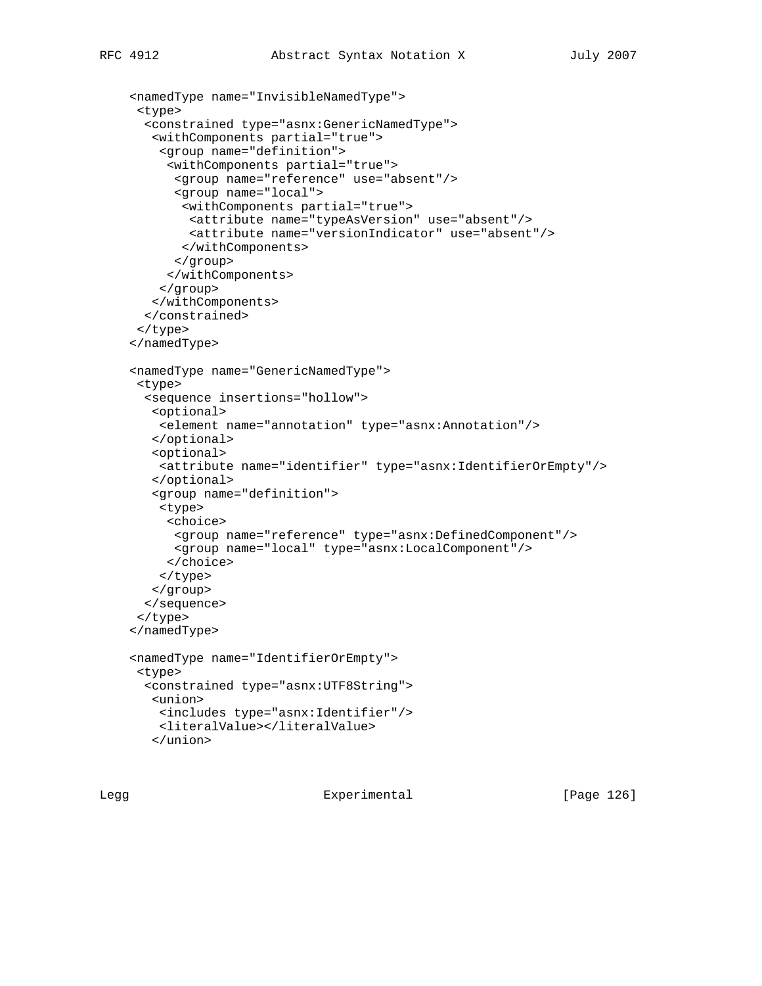```
 <namedType name="InvisibleNamedType">
  <type>
  <constrained type="asnx:GenericNamedType">
    <withComponents partial="true">
     <group name="definition">
      <withComponents partial="true">
      <group name="reference" use="absent"/>
       <group name="local">
        <withComponents partial="true">
        <attribute name="typeAsVersion" use="absent"/>
         <attribute name="versionIndicator" use="absent"/>
        </withComponents>
       </group>
      </withComponents>
    </group>
   </withComponents>
  </constrained>
 </type>
```

```
 </namedType>
```

```
 <namedType name="GenericNamedType">
 <type>
   <sequence insertions="hollow">
   <optional>
    <element name="annotation" type="asnx:Annotation"/>
    </optional>
   <optional>
    <attribute name="identifier" type="asnx:IdentifierOrEmpty"/>
    </optional>
   <group name="definition">
    <type>
      <choice>
       <group name="reference" type="asnx:DefinedComponent"/>
      <group name="local" type="asnx:LocalComponent"/>
     </choice>
     </type>
   </group>
   </sequence>
 </type>
 </namedType>
 <namedType name="IdentifierOrEmpty">
 <type>
   <constrained type="asnx:UTF8String">
   <union>
    <includes type="asnx:Identifier"/>
    <literalValue></literalValue>
    </union>
```
Legg Experimental [Page 126]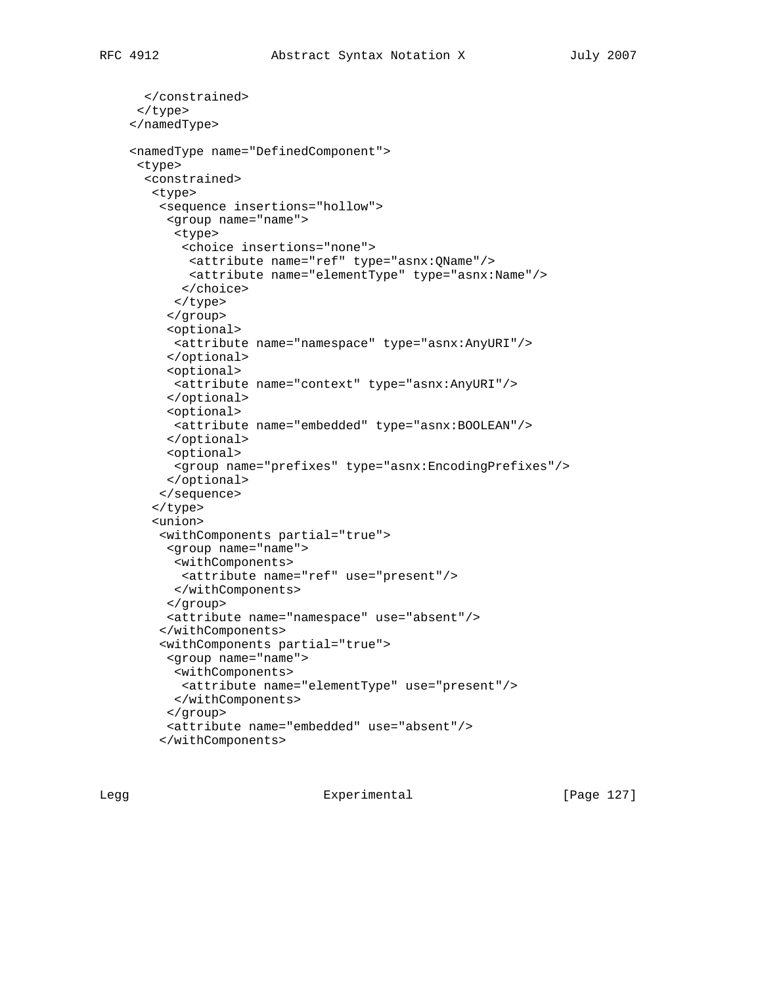```
 </constrained>
 </type>
 </namedType>
 <namedType name="DefinedComponent">
 <type>
   <constrained>
    <type>
     <sequence insertions="hollow">
      <group name="name">
       <type>
        <choice insertions="none">
         <attribute name="ref" type="asnx:QName"/>
         <attribute name="elementType" type="asnx:Name"/>
        </choice>
       </type>
      </group>
      <optional>
       <attribute name="namespace" type="asnx:AnyURI"/>
      </optional>
      <optional>
       <attribute name="context" type="asnx:AnyURI"/>
      </optional>
      <optional>
       <attribute name="embedded" type="asnx:BOOLEAN"/>
      </optional>
      <optional>
       <group name="prefixes" type="asnx:EncodingPrefixes"/>
      </optional>
     </sequence>
    </type>
    <union>
     <withComponents partial="true">
      <group name="name">
       <withComponents>
        <attribute name="ref" use="present"/>
       </withComponents>
      </group>
      <attribute name="namespace" use="absent"/>
     </withComponents>
     <withComponents partial="true">
      <group name="name">
      <withComponents>
        <attribute name="elementType" use="present"/>
       </withComponents>
      </group>
      <attribute name="embedded" use="absent"/>
     </withComponents>
```
Legg Experimental [Page 127]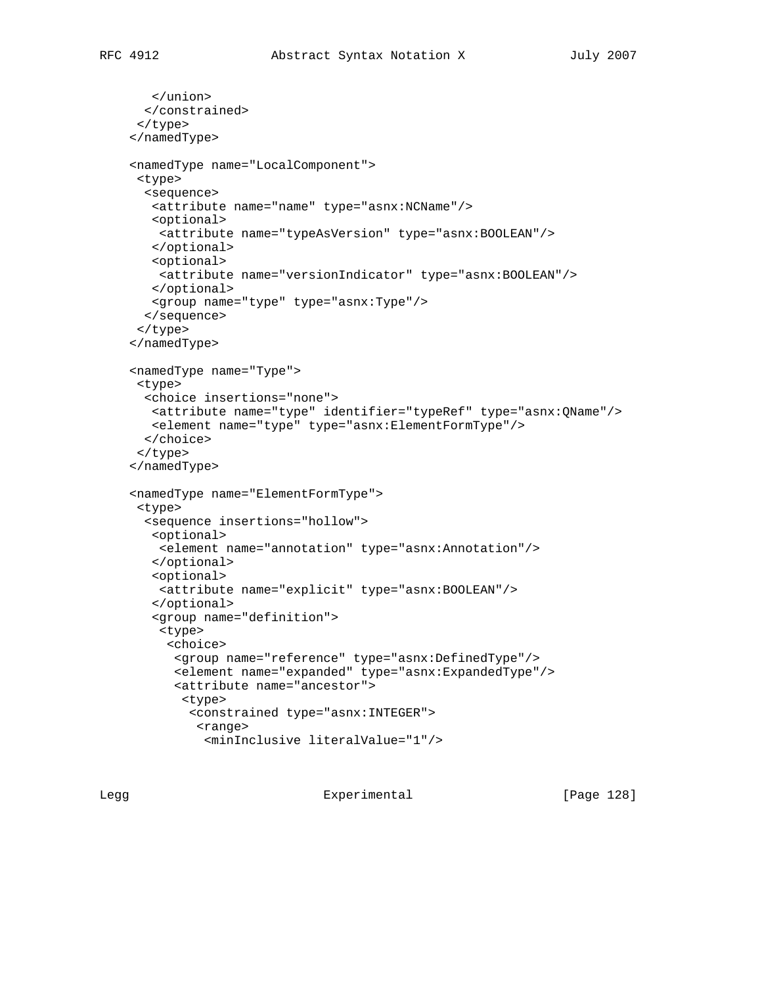```
 </union>
  </constrained>
 </type>
 </namedType>
 <namedType name="LocalComponent">
 <type>
  <sequence>
   <attribute name="name" type="asnx:NCName"/>
   <optional>
    <attribute name="typeAsVersion" type="asnx:BOOLEAN"/>
   </optional>
    <optional>
    <attribute name="versionIndicator" type="asnx:BOOLEAN"/>
   </optional>
   <group name="type" type="asnx:Type"/>
  </sequence>
 </type>
 </namedType>
 <namedType name="Type">
```

```
 <type>
  <choice insertions="none">
   <attribute name="type" identifier="typeRef" type="asnx:QName"/>
   <element name="type" type="asnx:ElementFormType"/>
  </choice>
 </type>
 </namedType>
 <namedType name="ElementFormType">
 <type>
  <sequence insertions="hollow">
   <optional>
    <element name="annotation" type="asnx:Annotation"/>
    </optional>
    <optional>
    <attribute name="explicit" type="asnx:BOOLEAN"/>
    </optional>
    <group name="definition">
    <type>
      <choice>
       <group name="reference" type="asnx:DefinedType"/>
       <element name="expanded" type="asnx:ExpandedType"/>
       <attribute name="ancestor">
        <type>
         <constrained type="asnx:INTEGER">
          <range>
```

```
 <minInclusive literalValue="1"/>
```
Legg Experimental [Page 128]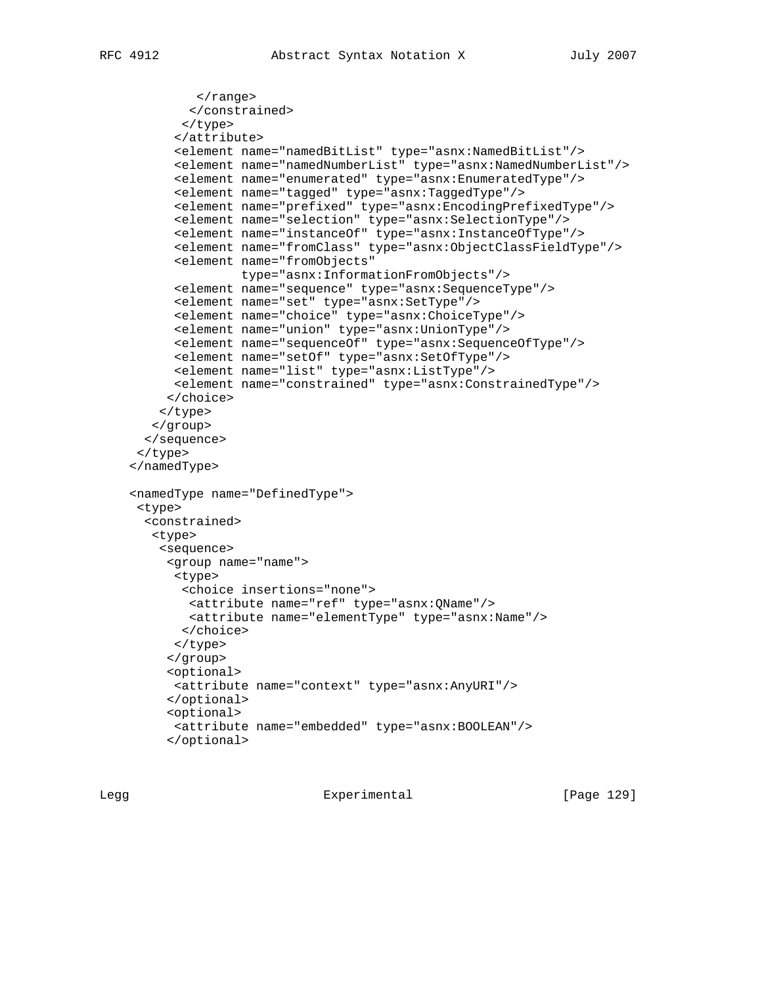```
 </range>
         </constrained>
        </type>
       </attribute>
       <element name="namedBitList" type="asnx:NamedBitList"/>
       <element name="namedNumberList" type="asnx:NamedNumberList"/>
       <element name="enumerated" type="asnx:EnumeratedType"/>
       <element name="tagged" type="asnx:TaggedType"/>
       <element name="prefixed" type="asnx:EncodingPrefixedType"/>
       <element name="selection" type="asnx:SelectionType"/>
       <element name="instanceOf" type="asnx:InstanceOfType"/>
       <element name="fromClass" type="asnx:ObjectClassFieldType"/>
       <element name="fromObjects"
                type="asnx:InformationFromObjects"/>
       <element name="sequence" type="asnx:SequenceType"/>
       <element name="set" type="asnx:SetType"/>
       <element name="choice" type="asnx:ChoiceType"/>
       <element name="union" type="asnx:UnionType"/>
       <element name="sequenceOf" type="asnx:SequenceOfType"/>
       <element name="setOf" type="asnx:SetOfType"/>
       <element name="list" type="asnx:ListType"/>
       <element name="constrained" type="asnx:ConstrainedType"/>
      </choice>
    </type>
    </group>
   </sequence>
  </type>
 </namedType>
 <namedType name="DefinedType">
 <type>
   <constrained>
    <type>
     <sequence>
      <group name="name">
       <type>
        <choice insertions="none">
         <attribute name="ref" type="asnx:QName"/>
         <attribute name="elementType" type="asnx:Name"/>
        </choice>
       </type>
      </group>
      <optional>
      <attribute name="context" type="asnx:AnyURI"/>
      </optional>
      <optional>
```
 <attribute name="embedded" type="asnx:BOOLEAN"/> </optional>

Legg **Experimental** Experimental [Page 129]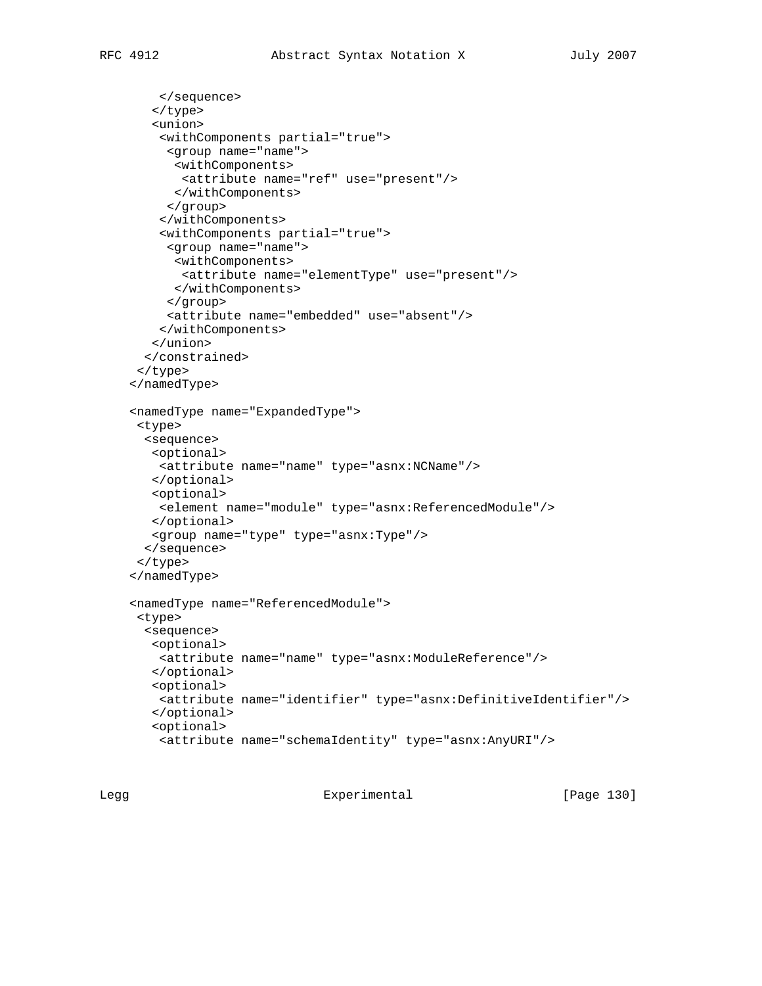```
 </sequence>
    </type>
    <union>
     <withComponents partial="true">
      <group name="name">
      <withComponents>
       <attribute name="ref" use="present"/>
       </withComponents>
      </group>
     </withComponents>
     <withComponents partial="true">
      <group name="name">
       <withComponents>
        <attribute name="elementType" use="present"/>
       </withComponents>
      </group>
      <attribute name="embedded" use="absent"/>
     </withComponents>
    </union>
   </constrained>
  </type>
 </namedType>
 <namedType name="ExpandedType">
 <type>
   <sequence>
   <optional>
    <attribute name="name" type="asnx:NCName"/>
   </optional>
   <optional>
    <element name="module" type="asnx:ReferencedModule"/>
   </optional>
   <group name="type" type="asnx:Type"/>
  </sequence>
 </type>
 </namedType>
 <namedType name="ReferencedModule">
 <type>
   <sequence>
   <optional>
    <attribute name="name" type="asnx:ModuleReference"/>
   </optional>
    <optional>
    <attribute name="identifier" type="asnx:DefinitiveIdentifier"/>
   </optional>
    <optional>
     <attribute name="schemaIdentity" type="asnx:AnyURI"/>
```
Legg Experimental [Page 130]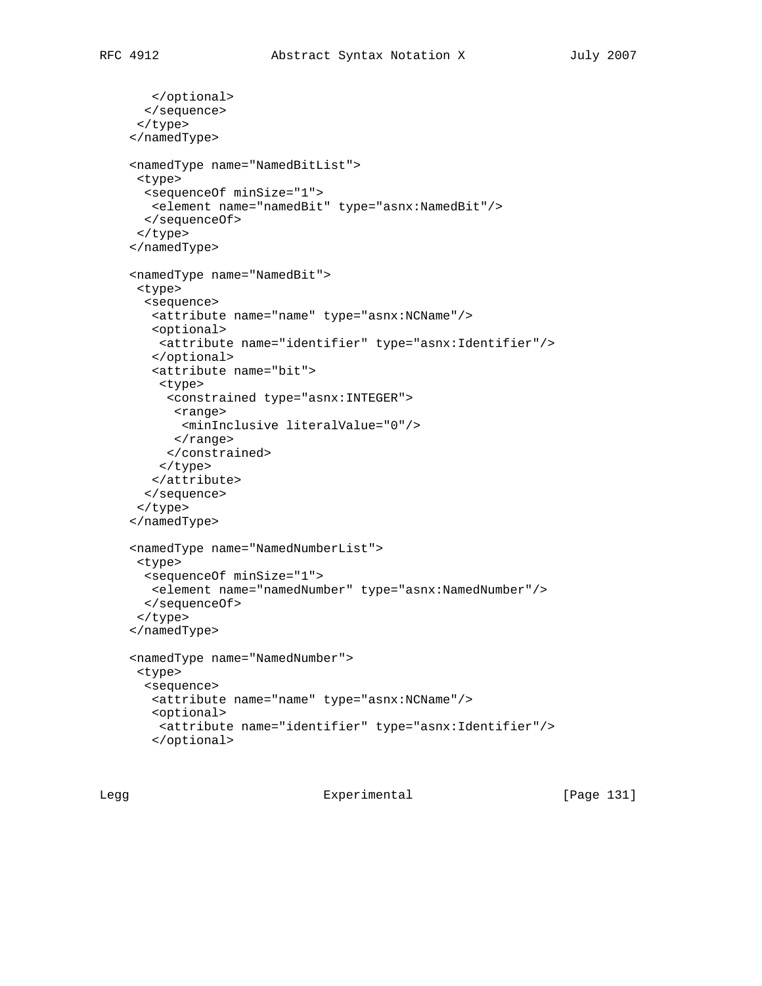```
 </optional>
   </sequence>
  </type>
 </namedType>
 <namedType name="NamedBitList">
 <type>
  <sequenceOf minSize="1">
   <element name="namedBit" type="asnx:NamedBit"/>
  </sequenceOf>
  </type>
 </namedType>
 <namedType name="NamedBit">
  <type>
  <sequence>
   <attribute name="name" type="asnx:NCName"/>
   <optional>
     <attribute name="identifier" type="asnx:Identifier"/>
   </optional>
    <attribute name="bit">
     <type>
      <constrained type="asnx:INTEGER">
       <range>
        <minInclusive literalValue="0"/>
       </range>
      </constrained>
     </type>
   </attribute>
   </sequence>
  </type>
 </namedType>
 <namedType name="NamedNumberList">
  <type>
   <sequenceOf minSize="1">
   <element name="namedNumber" type="asnx:NamedNumber"/>
  </sequenceOf>
  </type>
 </namedType>
 <namedType name="NamedNumber">
 <type>
  <sequence>
   <attribute name="name" type="asnx:NCName"/>
   <optional>
     <attribute name="identifier" type="asnx:Identifier"/>
    </optional>
```
Legg Experimental [Page 131]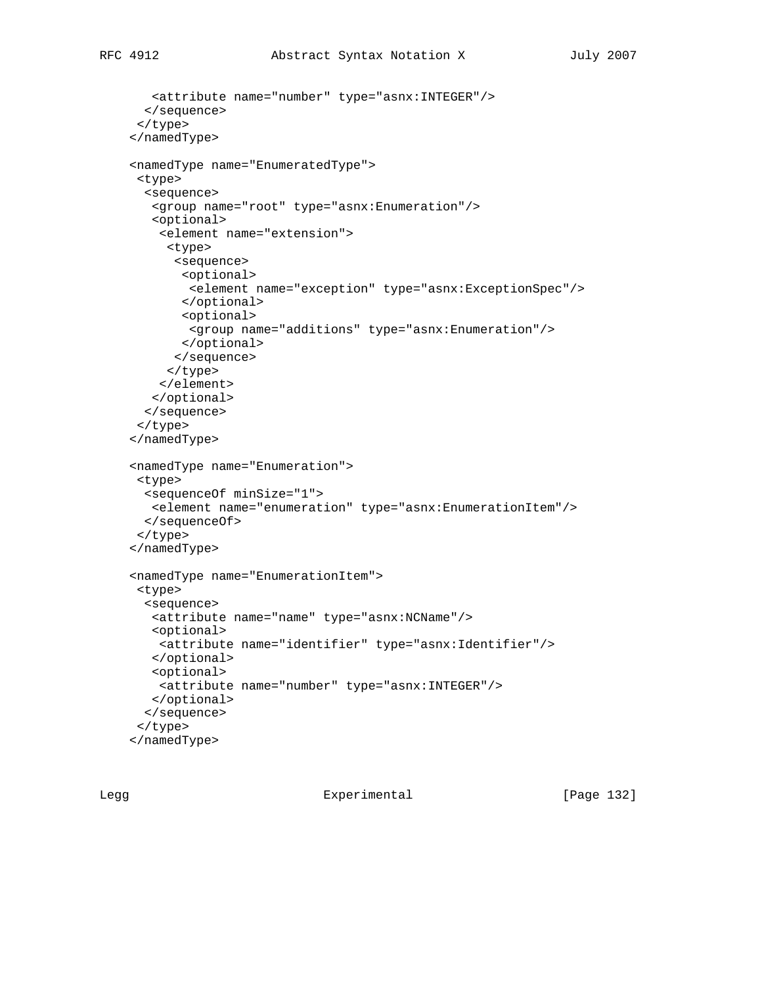<attribute name="number" type="asnx:INTEGER"/>

```
 </sequence>
 </type>
 </namedType>
 <namedType name="EnumeratedType">
 <type>
   <sequence>
   <group name="root" type="asnx:Enumeration"/>
    <optional>
     <element name="extension">
      <type>
       <sequence>
        <optional>
         <element name="exception" type="asnx:ExceptionSpec"/>
        </optional>
        <optional>
         <group name="additions" type="asnx:Enumeration"/>
        </optional>
       </sequence>
      </type>
    </element>
   </optional>
   </sequence>
 </type>
 </namedType>
 <namedType name="Enumeration">
 <type>
  <sequenceOf minSize="1">
   <element name="enumeration" type="asnx:EnumerationItem"/>
  </sequenceOf>
 </type>
 </namedType>
 <namedType name="EnumerationItem">
 <type>
   <sequence>
   <attribute name="name" type="asnx:NCName"/>
   <optional>
    <attribute name="identifier" type="asnx:Identifier"/>
   </optional>
   <optional>
    <attribute name="number" type="asnx:INTEGER"/>
   </optional>
  </sequence>
 </type>
 </namedType>
```
Legg Experimental [Page 132]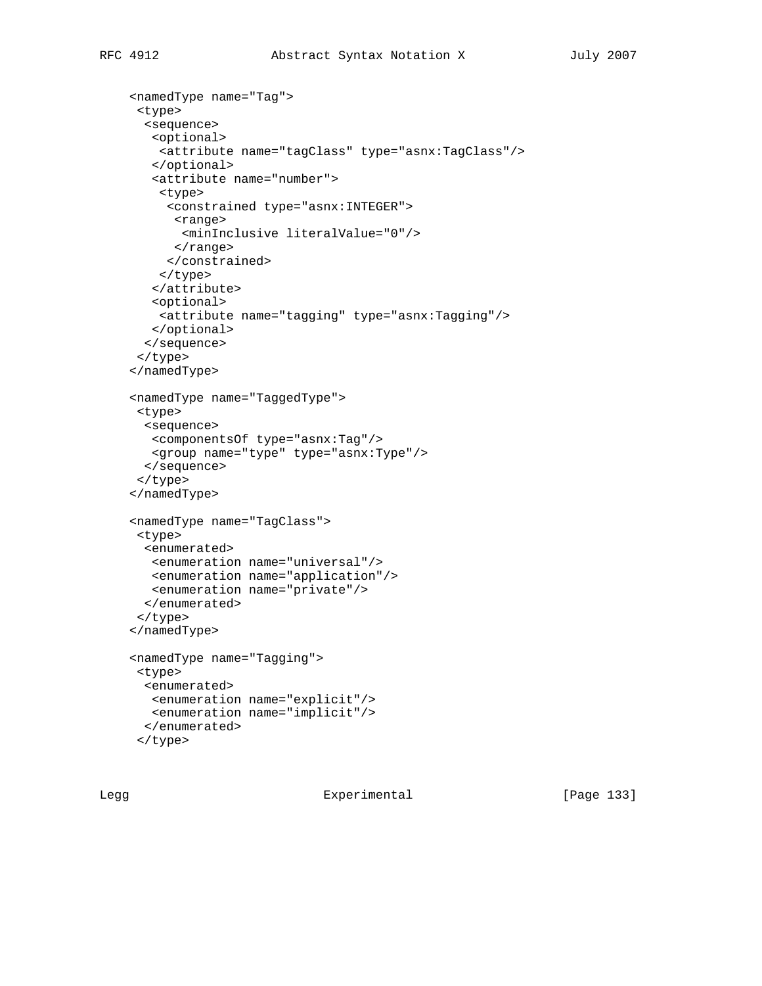```
 <namedType name="Tag">
 <type>
   <sequence>
   <optional>
    <attribute name="tagClass" type="asnx:TagClass"/>
   </optional>
   <attribute name="number">
    <type>
      <constrained type="asnx:INTEGER">
      <range>
        <minInclusive literalValue="0"/>
      </range>
      </constrained>
    </type>
    </attribute>
   <optional>
    <attribute name="tagging" type="asnx:Tagging"/>
   </optional>
   </sequence>
 </type>
 </namedType>
 <namedType name="TaggedType">
 <type>
  <sequence>
   <componentsOf type="asnx:Tag"/>
   <group name="type" type="asnx:Type"/>
  </sequence>
 </type>
 </namedType>
 <namedType name="TagClass">
 <type>
  <enumerated>
   <enumeration name="universal"/>
   <enumeration name="application"/>
   <enumeration name="private"/>
  </enumerated>
 </type>
 </namedType>
 <namedType name="Tagging">
 <type>
  <enumerated>
   <enumeration name="explicit"/>
   <enumeration name="implicit"/>
  </enumerated>
 </type>
```
Legg Experimental [Page 133]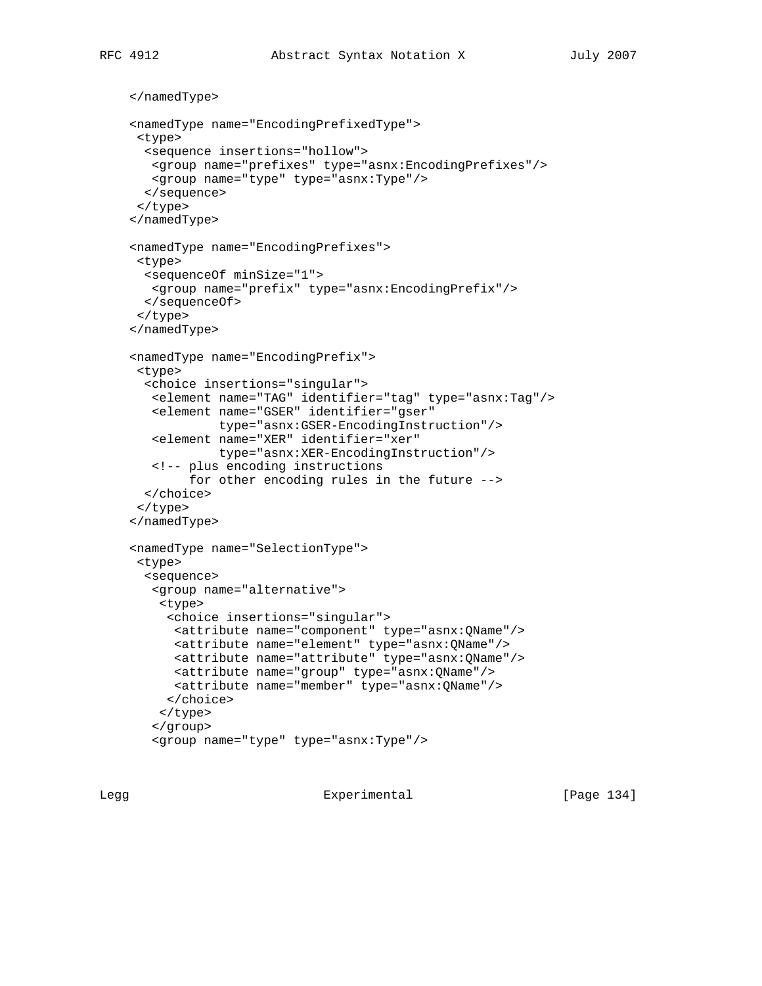```
 </namedType>
 <namedType name="EncodingPrefixedType">
 <type>
  <sequence insertions="hollow">
   <group name="prefixes" type="asnx:EncodingPrefixes"/>
   <group name="type" type="asnx:Type"/>
  </sequence>
  </type>
 </namedType>
 <namedType name="EncodingPrefixes">
 <type>
  <sequenceOf minSize="1">
   <group name="prefix" type="asnx:EncodingPrefix"/>
  </sequenceOf>
 </type>
 </namedType>
 <namedType name="EncodingPrefix">
 <type>
  <choice insertions="singular">
   <element name="TAG" identifier="tag" type="asnx:Tag"/>
   <element name="GSER" identifier="gser"
             type="asnx:GSER-EncodingInstruction"/>
   <element name="XER" identifier="xer"
             type="asnx:XER-EncodingInstruction"/>
    <!-- plus encoding instructions
         for other encoding rules in the future -->
  </choice>
  </type>
 </namedType>
 <namedType name="SelectionType">
  <type>
  <sequence>
    <group name="alternative">
     <type>
      <choice insertions="singular">
      <attribute name="component" type="asnx:QName"/>
       <attribute name="element" type="asnx:QName"/>
      <attribute name="attribute" type="asnx:QName"/>
      <attribute name="group" type="asnx:QName"/>
      <attribute name="member" type="asnx:QName"/>
      </choice>
    </type>
    </group>
    <group name="type" type="asnx:Type"/>
```
Legg Experimental [Page 134]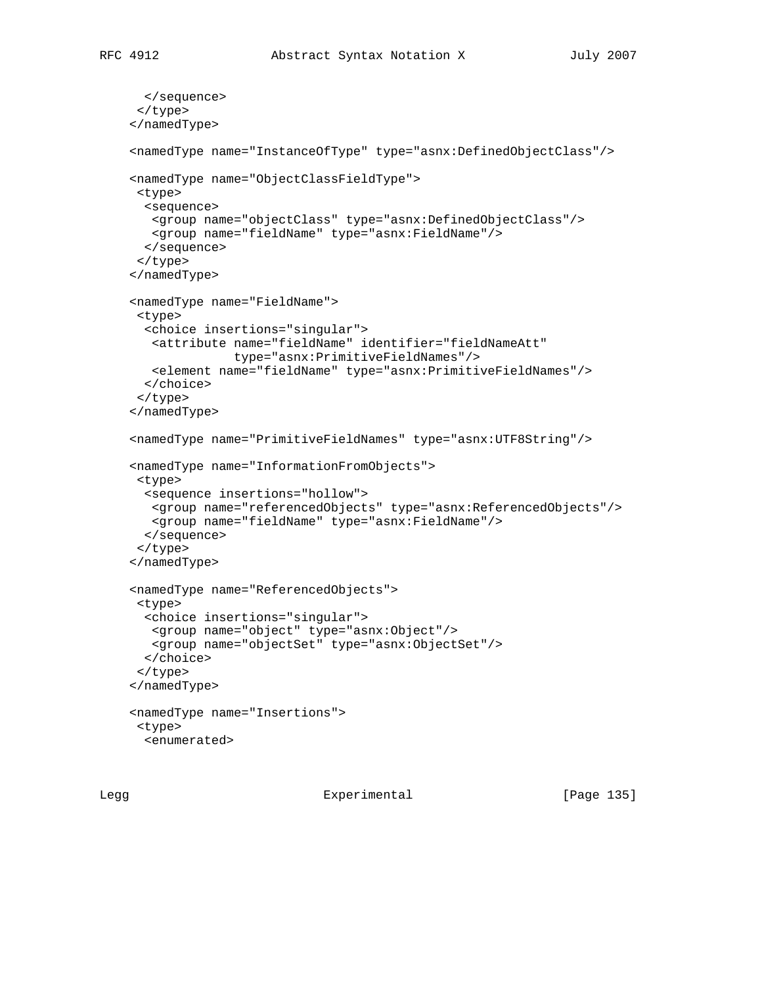```
 </sequence>
  </type>
 </namedType>
 <namedType name="InstanceOfType" type="asnx:DefinedObjectClass"/>
 <namedType name="ObjectClassFieldType">
  <type>
  <sequence>
   <group name="objectClass" type="asnx:DefinedObjectClass"/>
    <group name="fieldName" type="asnx:FieldName"/>
   </sequence>
  </type>
 </namedType>
 <namedType name="FieldName">
 <type>
   <choice insertions="singular">
   <attribute name="fieldName" identifier="fieldNameAtt"
              type="asnx:PrimitiveFieldNames"/>
    <element name="fieldName" type="asnx:PrimitiveFieldNames"/>
   </choice>
  </type>
 </namedType>
 <namedType name="PrimitiveFieldNames" type="asnx:UTF8String"/>
 <namedType name="InformationFromObjects">
 <type>
  <sequence insertions="hollow">
   <group name="referencedObjects" type="asnx:ReferencedObjects"/>
   <group name="fieldName" type="asnx:FieldName"/>
  </sequence>
  </type>
 </namedType>
 <namedType name="ReferencedObjects">
  <type>
   <choice insertions="singular">
   <group name="object" type="asnx:Object"/>
   <group name="objectSet" type="asnx:ObjectSet"/>
   </choice>
  </type>
 </namedType>
 <namedType name="Insertions">
 <type>
   <enumerated>
```
Legg Experimental [Page 135]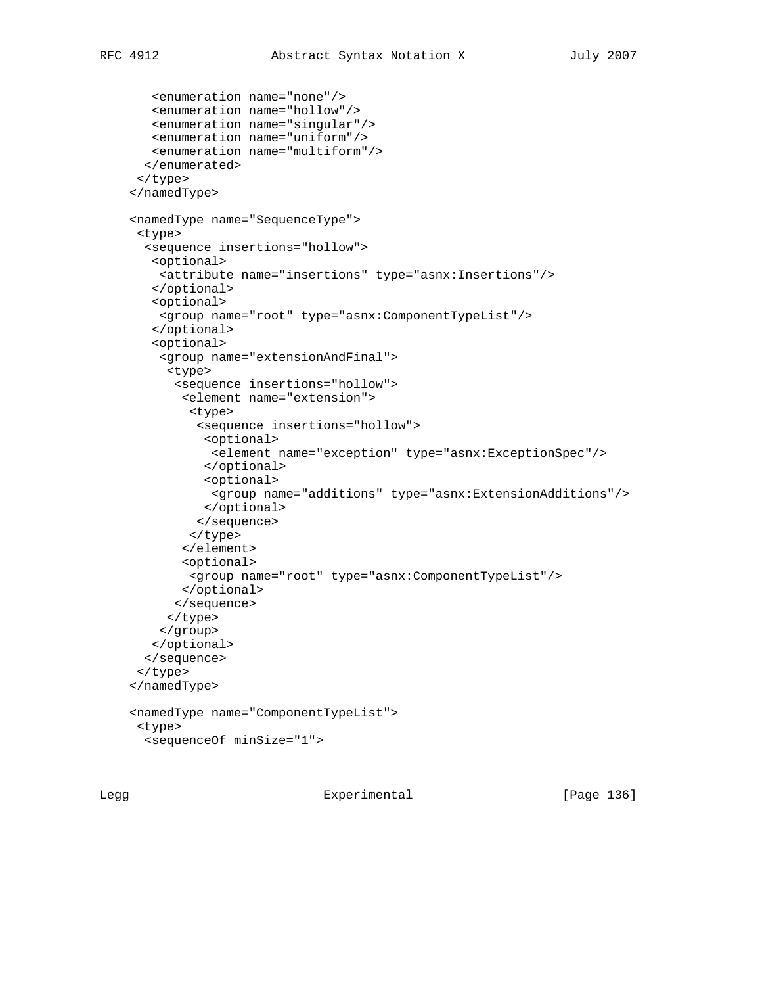```
 <enumeration name="none"/>
    <enumeration name="hollow"/>
   <enumeration name="singular"/>
   <enumeration name="uniform"/>
   <enumeration name="multiform"/>
   </enumerated>
  </type>
 </namedType>
 <namedType name="SequenceType">
  <type>
   <sequence insertions="hollow">
    <optional>
     <attribute name="insertions" type="asnx:Insertions"/>
    </optional>
    <optional>
     <group name="root" type="asnx:ComponentTypeList"/>
    </optional>
    <optional>
     <group name="extensionAndFinal">
      <type>
       <sequence insertions="hollow">
        <element name="extension">
         <type>
          <sequence insertions="hollow">
           <optional>
            <element name="exception" type="asnx:ExceptionSpec"/>
           </optional>
           <optional>
            <group name="additions" type="asnx:ExtensionAdditions"/>
           </optional>
          </sequence>
         </type>
        </element>
        <optional>
         <group name="root" type="asnx:ComponentTypeList"/>
        </optional>
       </sequence>
      </type>
     </group>
   </optional>
   </sequence>
  </type>
 </namedType>
 <namedType name="ComponentTypeList">
  <type>
   <sequenceOf minSize="1">
```
Legg Experimental [Page 136]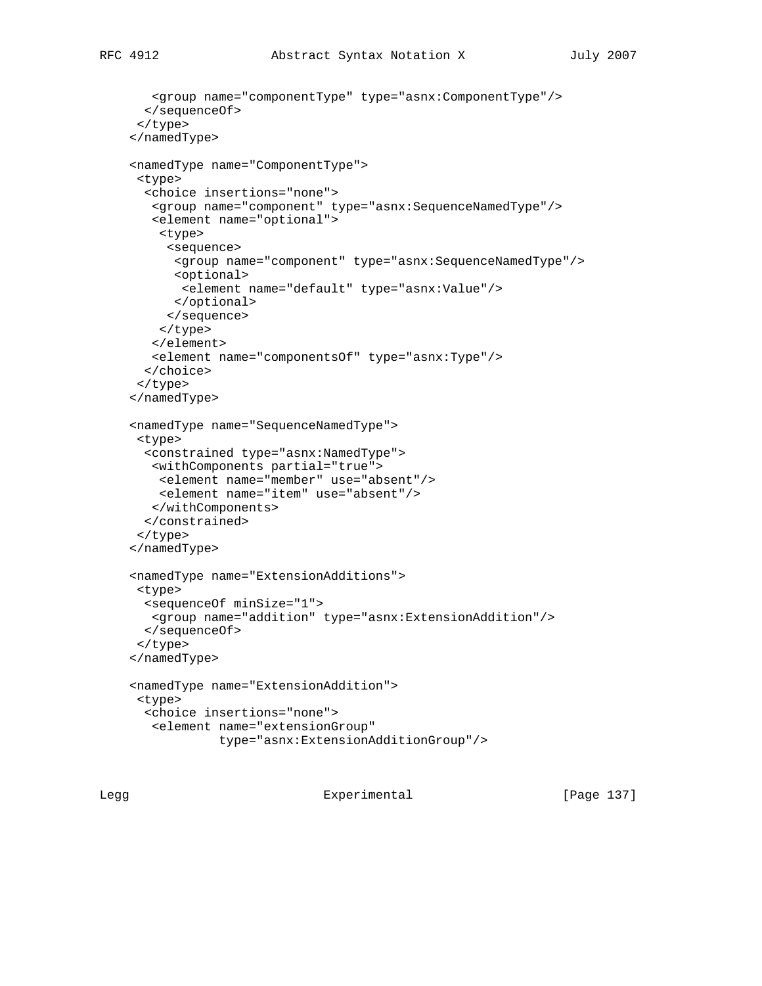```
 <group name="componentType" type="asnx:ComponentType"/>
  </sequenceOf>
 </type>
 </namedType>
 <namedType name="ComponentType">
 <type>
   <choice insertions="none">
   <group name="component" type="asnx:SequenceNamedType"/>
    <element name="optional">
     <type>
      <sequence>
       <group name="component" type="asnx:SequenceNamedType"/>
       <optional>
        <element name="default" type="asnx:Value"/>
       </optional>
     </sequence>
     </type>
    </element>
    <element name="componentsOf" type="asnx:Type"/>
   </choice>
 </type>
 </namedType>
 <namedType name="SequenceNamedType">
 <type>
   <constrained type="asnx:NamedType">
   <withComponents partial="true">
    <element name="member" use="absent"/>
    <element name="item" use="absent"/>
   </withComponents>
   </constrained>
  </type>
 </namedType>
 <namedType name="ExtensionAdditions">
 <type>
   <sequenceOf minSize="1">
   <group name="addition" type="asnx:ExtensionAddition"/>
  </sequenceOf>
 </type>
 </namedType>
 <namedType name="ExtensionAddition">
 <type>
   <choice insertions="none">
    <element name="extensionGroup"
             type="asnx:ExtensionAdditionGroup"/>
```
Legg Experimental [Page 137]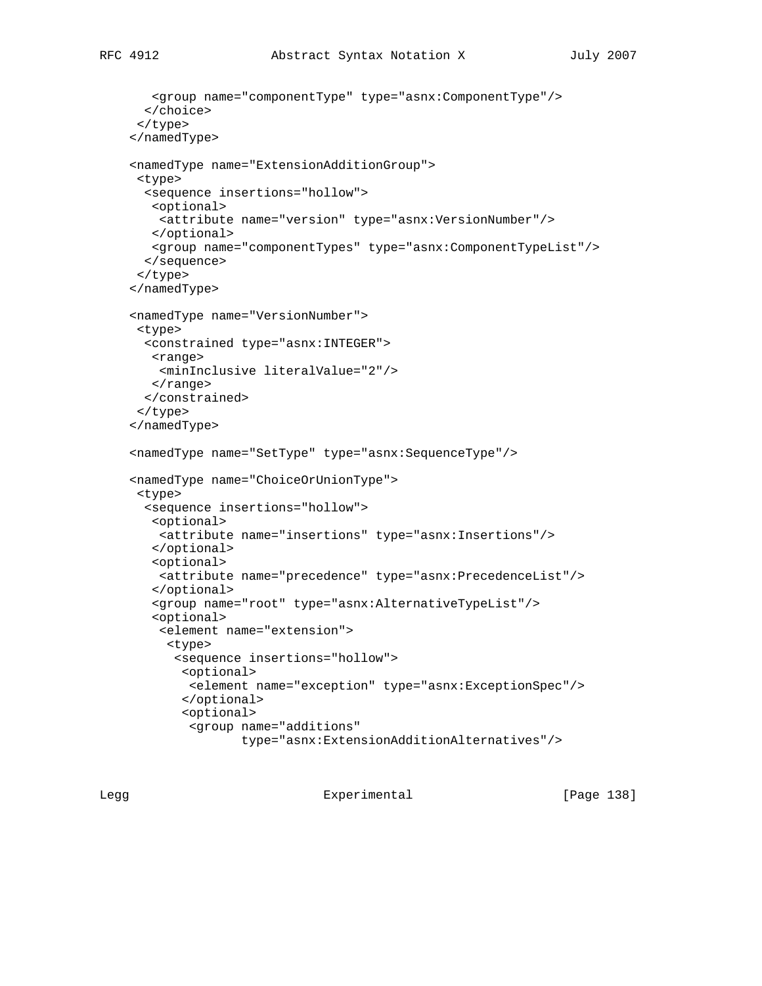```
 <group name="componentType" type="asnx:ComponentType"/>
   </choice>
 </type>
 </namedType>
 <namedType name="ExtensionAdditionGroup">
 <type>
   <sequence insertions="hollow">
   <optional>
    <attribute name="version" type="asnx:VersionNumber"/>
   </optional>
   <group name="componentTypes" type="asnx:ComponentTypeList"/>
   </sequence>
 </type>
 </namedType>
 <namedType name="VersionNumber">
 <type>
```

```
 <constrained type="asnx:INTEGER">
  <range>
    <minInclusive literalValue="2"/>
 \langle range>
 </constrained>
 </type>
```

```
 </namedType>
 <namedType name="SetType" type="asnx:SequenceType"/>
```

```
 <namedType name="ChoiceOrUnionType">
 <type>
  <sequence insertions="hollow">
   <optional>
    <attribute name="insertions" type="asnx:Insertions"/>
   </optional>
    <optional>
    <attribute name="precedence" type="asnx:PrecedenceList"/>
    </optional>
    <group name="root" type="asnx:AlternativeTypeList"/>
    <optional>
     <element name="extension">
      <type>
       <sequence insertions="hollow">
        <optional>
        <element name="exception" type="asnx:ExceptionSpec"/>
        </optional>
        <optional>
         <group name="additions"
                type="asnx:ExtensionAdditionAlternatives"/>
```
Legg Experimental [Page 138]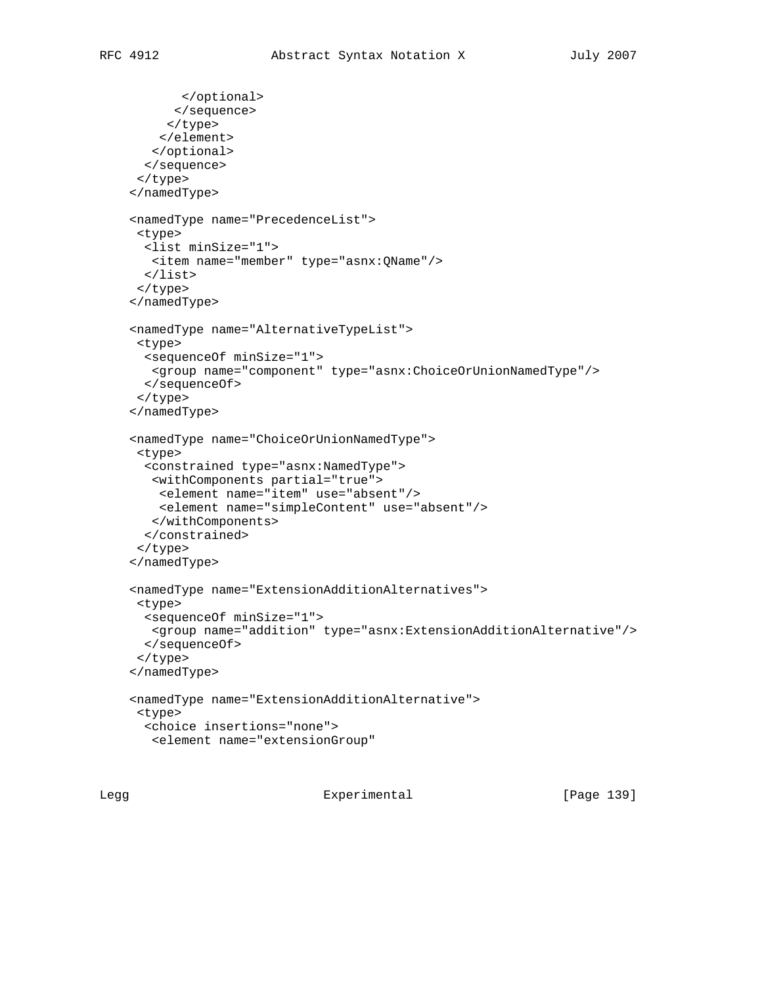```
 </optional>
       </sequence>
      </type>
    </element>
   </optional>
   </sequence>
 </type>
 </namedType>
 <namedType name="PrecedenceList">
 <type>
  <list minSize="1">
   <item name="member" type="asnx:QName"/>
   </list>
 </type>
 </namedType>
 <namedType name="AlternativeTypeList">
 <type>
  <sequenceOf minSize="1">
   <group name="component" type="asnx:ChoiceOrUnionNamedType"/>
  </sequenceOf>
 </type>
 </namedType>
 <namedType name="ChoiceOrUnionNamedType">
 <type>
   <constrained type="asnx:NamedType">
   <withComponents partial="true">
    <element name="item" use="absent"/>
    <element name="simpleContent" use="absent"/>
   </withComponents>
   </constrained>
 </type>
 </namedType>
 <namedType name="ExtensionAdditionAlternatives">
 <type>
   <sequenceOf minSize="1">
   <group name="addition" type="asnx:ExtensionAdditionAlternative"/>
  </sequenceOf>
 </type>
 </namedType>
 <namedType name="ExtensionAdditionAlternative">
 <type>
   <choice insertions="none">
   <element name="extensionGroup"
```
Legg Experimental [Page 139]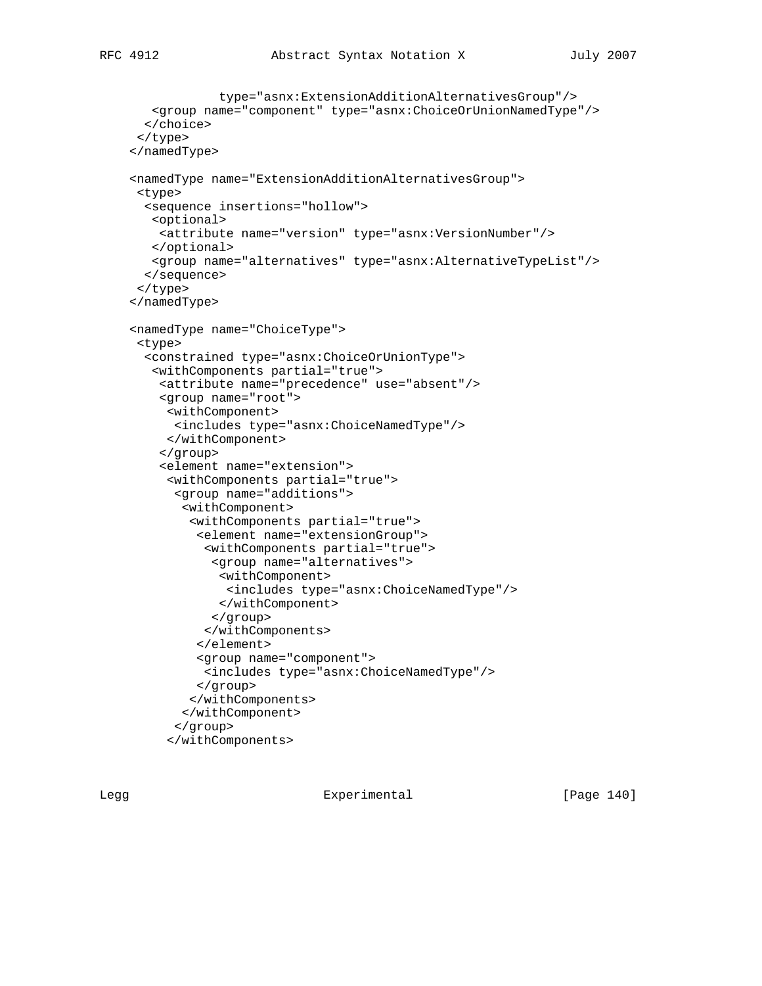```
 type="asnx:ExtensionAdditionAlternativesGroup"/>
    <group name="component" type="asnx:ChoiceOrUnionNamedType"/>
   </choice>
 </type>
 </namedType>
 <namedType name="ExtensionAdditionAlternativesGroup">
 <type>
   <sequence insertions="hollow">
   <optional>
    <attribute name="version" type="asnx:VersionNumber"/>
    </optional>
    <group name="alternatives" type="asnx:AlternativeTypeList"/>
   </sequence>
 </type>
 </namedType>
 <namedType name="ChoiceType">
 <type>
   <constrained type="asnx:ChoiceOrUnionType">
   <withComponents partial="true">
    <attribute name="precedence" use="absent"/>
     <group name="root">
      <withComponent>
       <includes type="asnx:ChoiceNamedType"/>
      </withComponent>
     </group>
     <element name="extension">
      <withComponents partial="true">
       <group name="additions">
        <withComponent>
         <withComponents partial="true">
          <element name="extensionGroup">
           <withComponents partial="true">
            <group name="alternatives">
             <withComponent>
              <includes type="asnx:ChoiceNamedType"/>
             </withComponent>
            </group>
           </withComponents>
          </element>
          <group name="component">
           <includes type="asnx:ChoiceNamedType"/>
          </group>
         </withComponents>
        </withComponent>
       </group>
      </withComponents>
```
Legg Experimental [Page 140]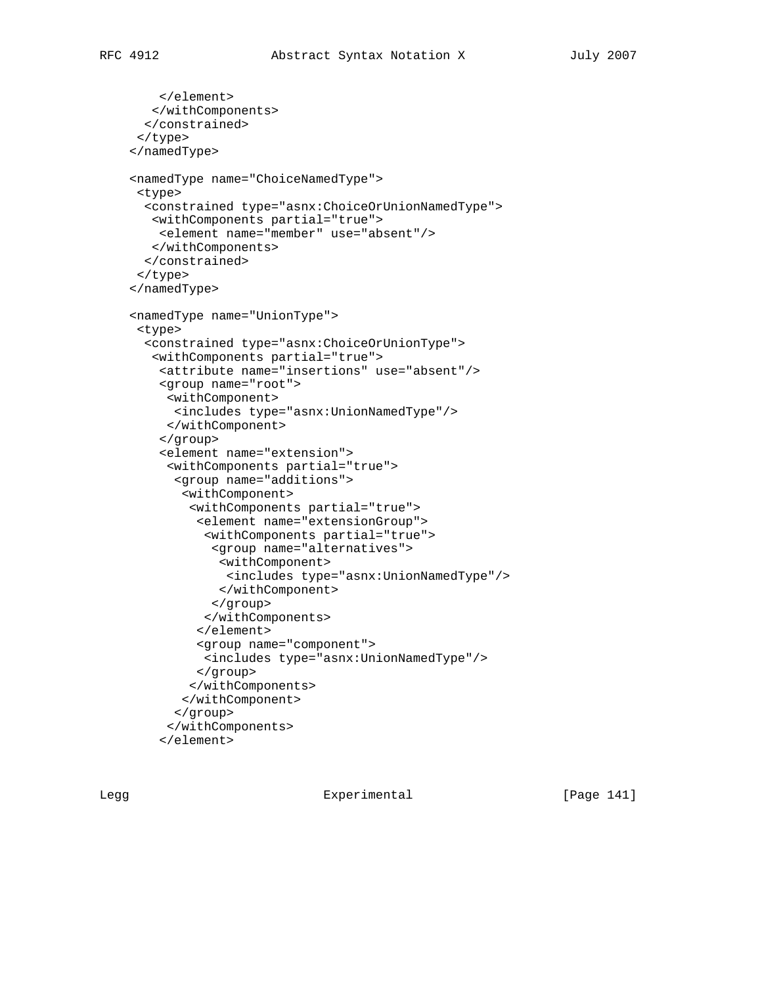```
 </element>
   </withComponents>
   </constrained>
 </type>
 </namedType>
 <namedType name="ChoiceNamedType">
 <type>
   <constrained type="asnx:ChoiceOrUnionNamedType">
   <withComponents partial="true">
     <element name="member" use="absent"/>
    </withComponents>
  </constrained>
 </type>
 </namedType>
 <namedType name="UnionType">
 <type>
   <constrained type="asnx:ChoiceOrUnionType">
   <withComponents partial="true">
    <attribute name="insertions" use="absent"/>
     <group name="root">
      <withComponent>
       <includes type="asnx:UnionNamedType"/>
      </withComponent>
     </group>
     <element name="extension">
      <withComponents partial="true">
       <group name="additions">
        <withComponent>
         <withComponents partial="true">
          <element name="extensionGroup">
           <withComponents partial="true">
            <group name="alternatives">
             <withComponent>
              <includes type="asnx:UnionNamedType"/>
             </withComponent>
            </group>
           </withComponents>
          </element>
          <group name="component">
           <includes type="asnx:UnionNamedType"/>
          </group>
         </withComponents>
        </withComponent>
       </group>
      </withComponents>
     </element>
```
Legg Experimental [Page 141]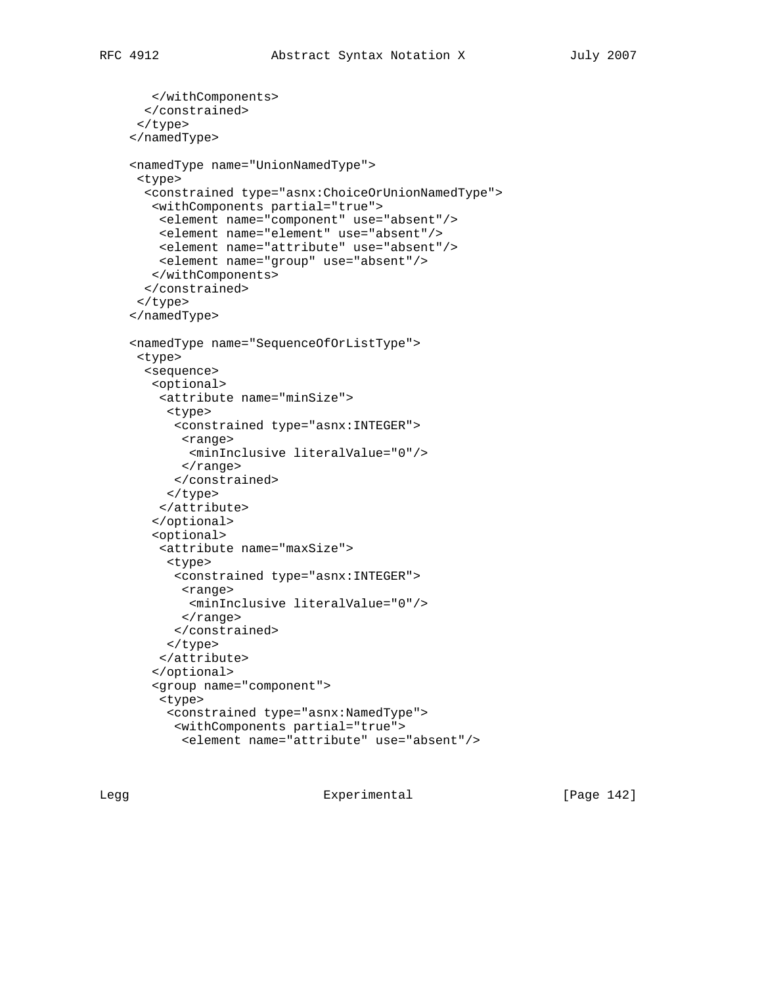```
 </withComponents>
  </constrained>
 </type>
 </namedType>
 <namedType name="UnionNamedType">
 <type>
   <constrained type="asnx:ChoiceOrUnionNamedType">
   <withComponents partial="true">
    <element name="component" use="absent"/>
    <element name="element" use="absent"/>
     <element name="attribute" use="absent"/>
     <element name="group" use="absent"/>
   </withComponents>
   </constrained>
 </type>
 </namedType>
 <namedType name="SequenceOfOrListType">
 <type>
   <sequence>
   <optional>
     <attribute name="minSize">
      <type>
       <constrained type="asnx:INTEGER">
        <range>
         <minInclusive literalValue="0"/>
        </range>
       </constrained>
      </type>
     </attribute>
    </optional>
    <optional>
     <attribute name="maxSize">
      <type>
       <constrained type="asnx:INTEGER">
        <range>
         <minInclusive literalValue="0"/>
        </range>
       </constrained>
     </type>
     </attribute>
    </optional>
    <group name="component">
     <type>
      <constrained type="asnx:NamedType">
       <withComponents partial="true">
        <element name="attribute" use="absent"/>
```
Legg Experimental [Page 142]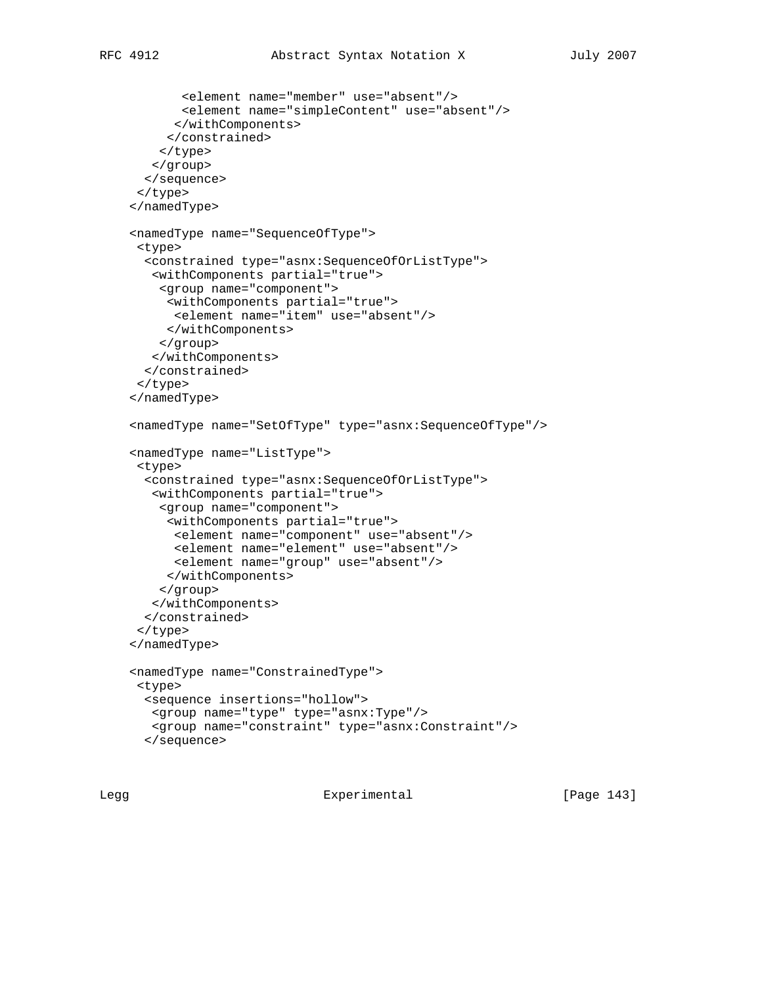```
 <element name="member" use="absent"/>
```

```
 <element name="simpleContent" use="absent"/>
       </withComponents>
      </constrained>
     </type>
   </group>
   </sequence>
 </type>
 </namedType>
 <namedType name="SequenceOfType">
 <type>
   <constrained type="asnx:SequenceOfOrListType">
    <withComponents partial="true">
     <group name="component">
     <withComponents partial="true">
       <element name="item" use="absent"/>
     </withComponents>
    </group>
   </withComponents>
   </constrained>
 </type>
 </namedType>
 <namedType name="SetOfType" type="asnx:SequenceOfType"/>
 <namedType name="ListType">
 <type>
   <constrained type="asnx:SequenceOfOrListType">
   <withComponents partial="true">
    <group name="component">
      <withComponents partial="true">
      <element name="component" use="absent"/>
       <element name="element" use="absent"/>
       <element name="group" use="absent"/>
      </withComponents>
    </group>
    </withComponents>
   </constrained>
 </type>
 </namedType>
 <namedType name="ConstrainedType">
 <type>
  <sequence insertions="hollow">
   <group name="type" type="asnx:Type"/>
   <group name="constraint" type="asnx:Constraint"/>
   </sequence>
```
Legg **Experimental** Experimental [Page 143]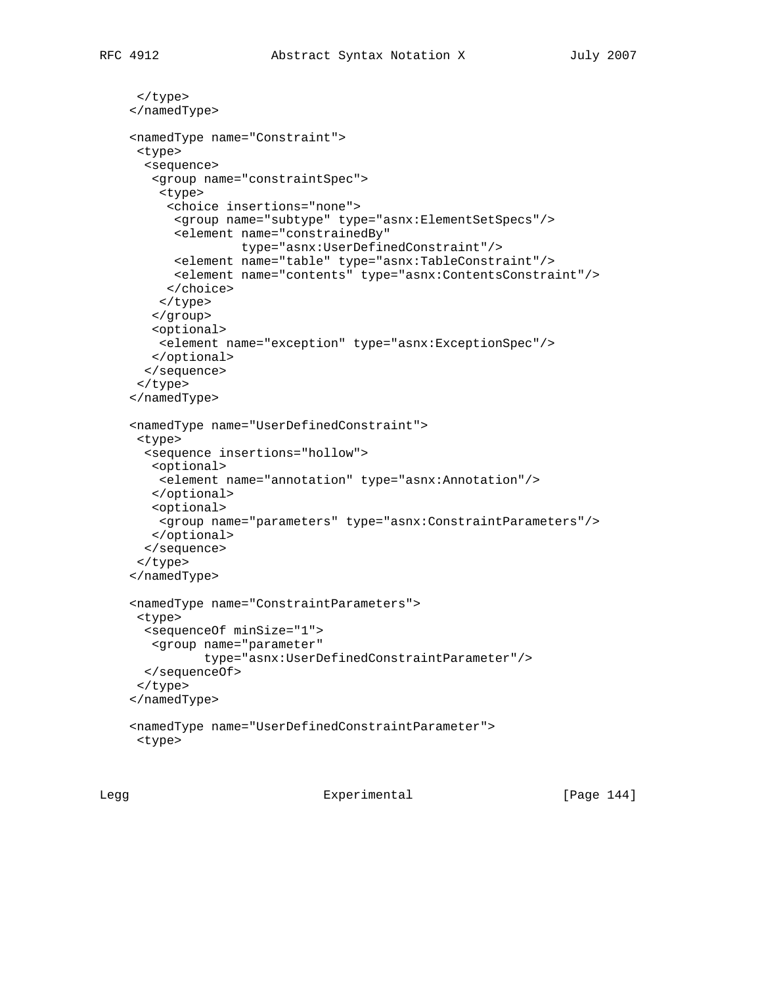```
 </type>
 </namedType>
 <namedType name="Constraint">
 <type>
   <sequence>
   <group name="constraintSpec">
     <type>
      <choice insertions="none">
       <group name="subtype" type="asnx:ElementSetSpecs"/>
       <element name="constrainedBy"
                type="asnx:UserDefinedConstraint"/>
       <element name="table" type="asnx:TableConstraint"/>
       <element name="contents" type="asnx:ContentsConstraint"/>
      </choice>
    </type>
    </group>
    <optional>
    <element name="exception" type="asnx:ExceptionSpec"/>
    </optional>
   </sequence>
 </type>
 </namedType>
 <namedType name="UserDefinedConstraint">
 <type>
   <sequence insertions="hollow">
   <optional>
    <element name="annotation" type="asnx:Annotation"/>
   </optional>
   <optional>
    <group name="parameters" type="asnx:ConstraintParameters"/>
   </optional>
  </sequence>
 </type>
 </namedType>
 <namedType name="ConstraintParameters">
 <type>
   <sequenceOf minSize="1">
   <group name="parameter"
           type="asnx:UserDefinedConstraintParameter"/>
  </sequenceOf>
 </type>
 </namedType>
 <namedType name="UserDefinedConstraintParameter">
 <type>
```
Legg Experimental [Page 144]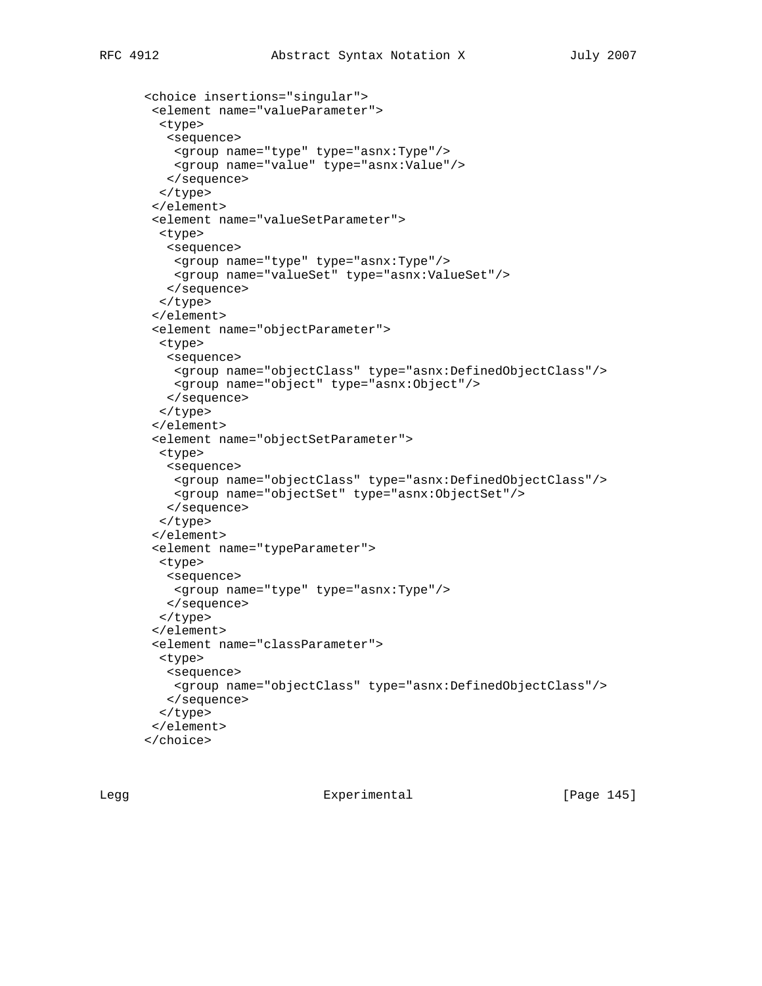```
 <choice insertions="singular">
 <element name="valueParameter">
   <type>
   <sequence>
    <group name="type" type="asnx:Type"/>
    <group name="value" type="asnx:Value"/>
   </sequence>
  </type>
 </element>
 <element name="valueSetParameter">
   <type>
   <sequence>
    <group name="type" type="asnx:Type"/>
     <group name="valueSet" type="asnx:ValueSet"/>
   </sequence>
  </type>
 </element>
 <element name="objectParameter">
  <type>
   <sequence>
    <group name="objectClass" type="asnx:DefinedObjectClass"/>
    <group name="object" type="asnx:Object"/>
   </sequence>
  </type>
 </element>
 <element name="objectSetParameter">
  <type>
   <sequence>
    <group name="objectClass" type="asnx:DefinedObjectClass"/>
    <group name="objectSet" type="asnx:ObjectSet"/>
   </sequence>
  </type>
  </element>
 <element name="typeParameter">
   <type>
   <sequence>
    <group name="type" type="asnx:Type"/>
   </sequence>
  </type>
 </element>
 <element name="classParameter">
  <type>
   <sequence>
    <group name="objectClass" type="asnx:DefinedObjectClass"/>
   </sequence>
  </type>
 </element>
 </choice>
```
Legg Experimental [Page 145]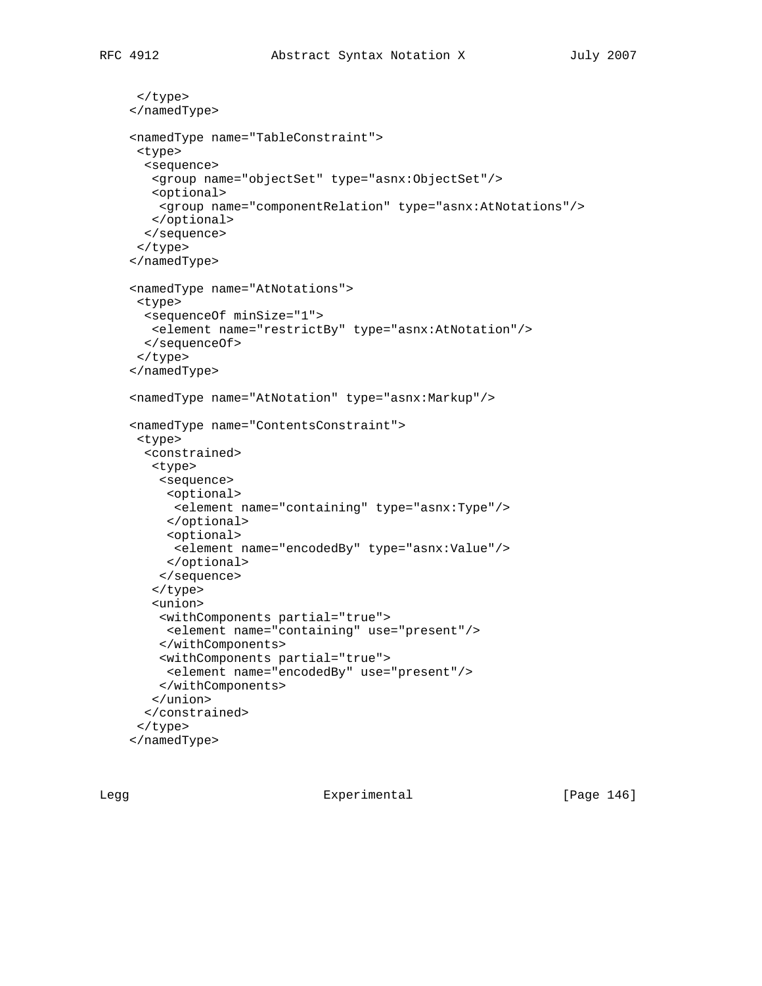```
 </type>
 </namedType>
 <namedType name="TableConstraint">
 <type>
  <sequence>
   <group name="objectSet" type="asnx:ObjectSet"/>
   <optional>
    <group name="componentRelation" type="asnx:AtNotations"/>
   </optional>
  </sequence>
 </type>
 </namedType>
 <namedType name="AtNotations">
 <type>
  <sequenceOf minSize="1">
   <element name="restrictBy" type="asnx:AtNotation"/>
  </sequenceOf>
 </type>
 </namedType>
 <namedType name="AtNotation" type="asnx:Markup"/>
 <namedType name="ContentsConstraint">
 <type>
   <constrained>
   <type>
    <sequence>
     <optional>
      <element name="containing" type="asnx:Type"/>
      </optional>
     <optional>
       <element name="encodedBy" type="asnx:Value"/>
     </optional>
     </sequence>
    </type>
    <union>
     <withComponents partial="true">
     <element name="containing" use="present"/>
     </withComponents>
     <withComponents partial="true">
     <element name="encodedBy" use="present"/>
     </withComponents>
    </union>
   </constrained>
```

```
 </type>
 </namedType>
```
Legg Experimental [Page 146]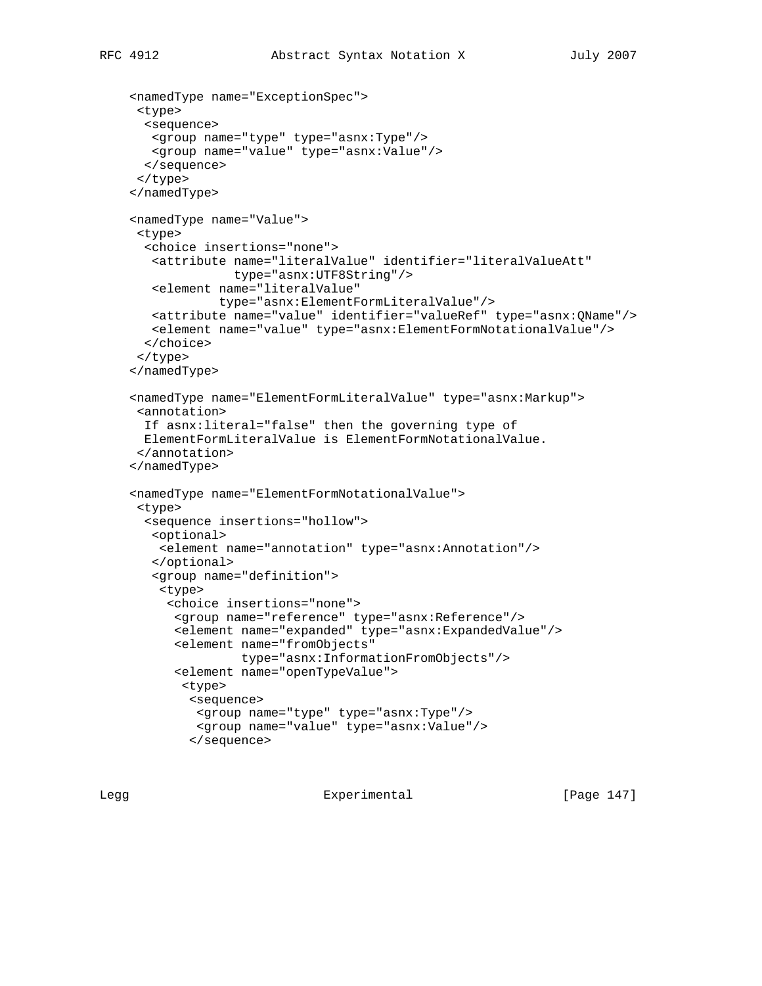```
 <namedType name="ExceptionSpec">
 <type>
  <sequence>
   <group name="type" type="asnx:Type"/>
   <group name="value" type="asnx:Value"/>
  </sequence>
 </type>
 </namedType>
 <namedType name="Value">
 <type>
  <choice insertions="none">
   <attribute name="literalValue" identifier="literalValueAtt"
              type="asnx:UTF8String"/>
    <element name="literalValue"
             type="asnx:ElementFormLiteralValue"/>
   <attribute name="value" identifier="valueRef" type="asnx:QName"/>
   <element name="value" type="asnx:ElementFormNotationalValue"/>
  </choice>
 </type>
 </namedType>
 <namedType name="ElementFormLiteralValue" type="asnx:Markup">
 <annotation>
  If asnx:literal="false" then the governing type of
  ElementFormLiteralValue is ElementFormNotationalValue.
  </annotation>
 </namedType>
 <namedType name="ElementFormNotationalValue">
 <type>
  <sequence insertions="hollow">
    <optional>
    <element name="annotation" type="asnx:Annotation"/>
    </optional>
    <group name="definition">
     <type>
      <choice insertions="none">
       <group name="reference" type="asnx:Reference"/>
       <element name="expanded" type="asnx:ExpandedValue"/>
       <element name="fromObjects"
                type="asnx:InformationFromObjects"/>
       <element name="openTypeValue">
        <type>
         <sequence>
         <group name="type" type="asnx:Type"/>
         <group name="value" type="asnx:Value"/>
         </sequence>
```
Legg **Experimental** Experimental [Page 147]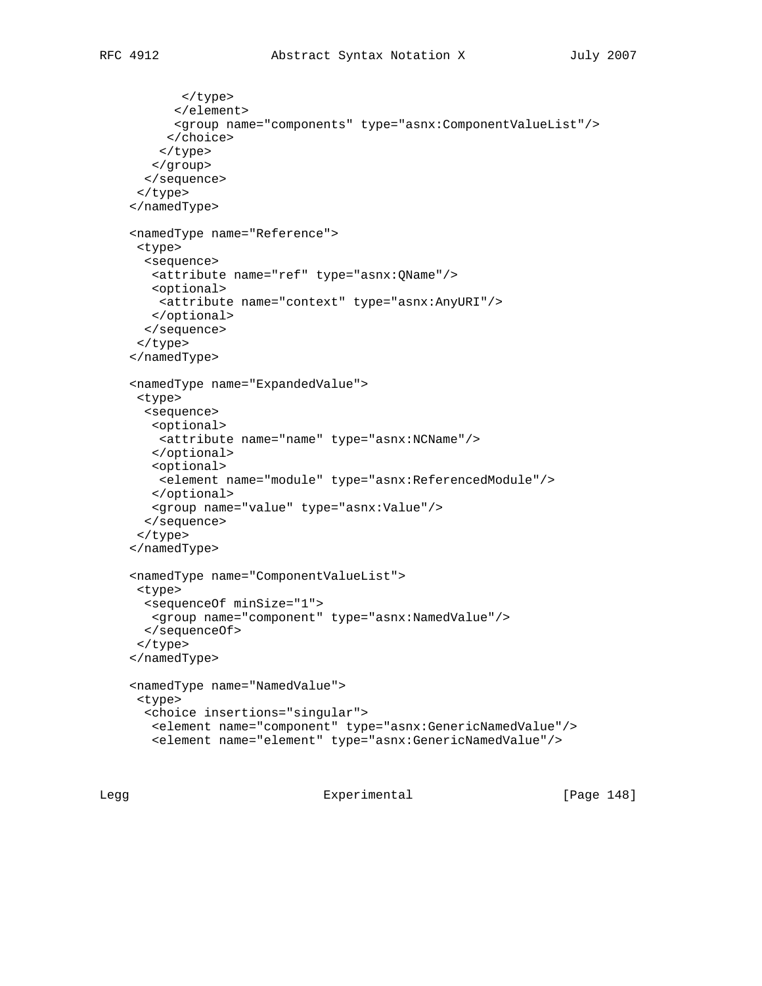```
 </type>
       </element>
       <group name="components" type="asnx:ComponentValueList"/>
      </choice>
     </type>
    </group>
   </sequence>
  </type>
 </namedType>
 <namedType name="Reference">
  <type>
   <sequence>
    <attribute name="ref" type="asnx:QName"/>
   <optional>
     <attribute name="context" type="asnx:AnyURI"/>
   </optional>
   </sequence>
  </type>
 </namedType>
 <namedType name="ExpandedValue">
  <type>
   <sequence>
   <optional>
    <attribute name="name" type="asnx:NCName"/>
    </optional>
   <optional>
    <element name="module" type="asnx:ReferencedModule"/>
   </optional>
   <group name="value" type="asnx:Value"/>
   </sequence>
  </type>
 </namedType>
 <namedType name="ComponentValueList">
  <type>
   <sequenceOf minSize="1">
   <group name="component" type="asnx:NamedValue"/>
  </sequenceOf>
 </type>
 </namedType>
 <namedType name="NamedValue">
 <type>
   <choice insertions="singular">
   <element name="component" type="asnx:GenericNamedValue"/>
   <element name="element" type="asnx:GenericNamedValue"/>
```
Legg Experimental [Page 148]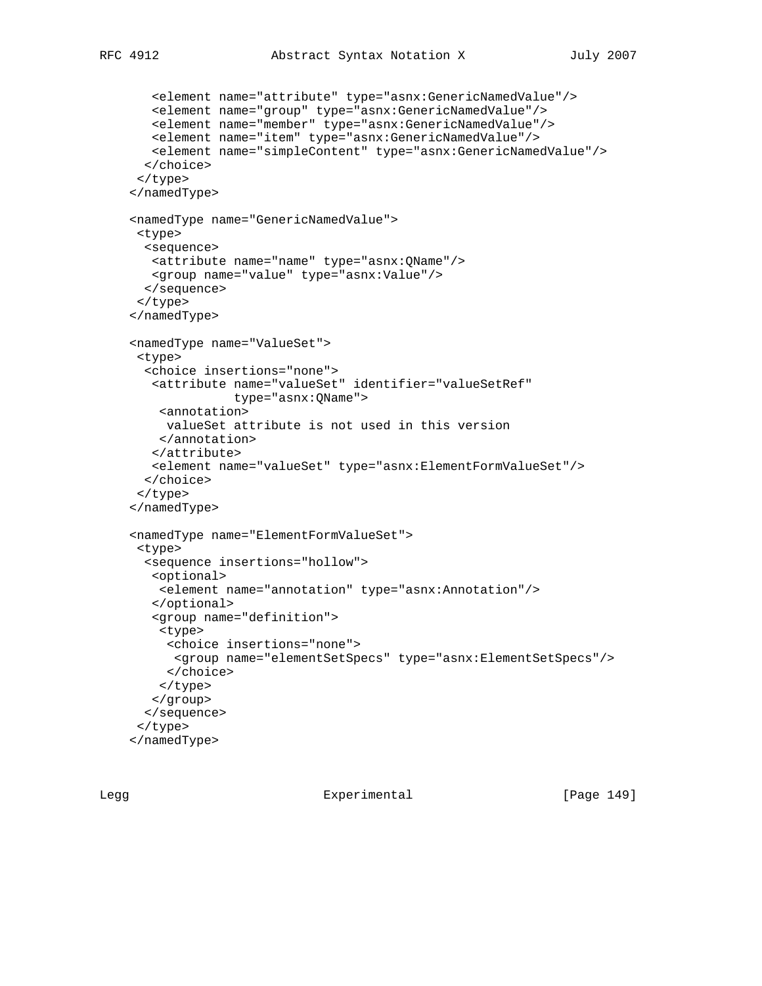```
 <element name="attribute" type="asnx:GenericNamedValue"/>
   <element name="group" type="asnx:GenericNamedValue"/>
   <element name="member" type="asnx:GenericNamedValue"/>
   <element name="item" type="asnx:GenericNamedValue"/>
   <element name="simpleContent" type="asnx:GenericNamedValue"/>
  </choice>
 </type>
 </namedType>
 <namedType name="GenericNamedValue">
 <type>
  <sequence>
   <attribute name="name" type="asnx:QName"/>
   <group name="value" type="asnx:Value"/>
  </sequence>
 </type>
 </namedType>
 <namedType name="ValueSet">
 <type>
  <choice insertions="none">
   <attribute name="valueSet" identifier="valueSetRef"
               type="asnx:QName">
    <annotation>
     valueSet attribute is not used in this version
    </annotation>
    </attribute>
   <element name="valueSet" type="asnx:ElementFormValueSet"/>
  </choice>
 </type>
 </namedType>
 <namedType name="ElementFormValueSet">
 <type>
  <sequence insertions="hollow">
   <optional>
    <element name="annotation" type="asnx:Annotation"/>
    </optional>
    <group name="definition">
    <type>
     <choice insertions="none">
      <group name="elementSetSpecs" type="asnx:ElementSetSpecs"/>
     </choice>
    </type>
   </group>
  </sequence>
  </type>
 </namedType>
```
Legg Experimental [Page 149]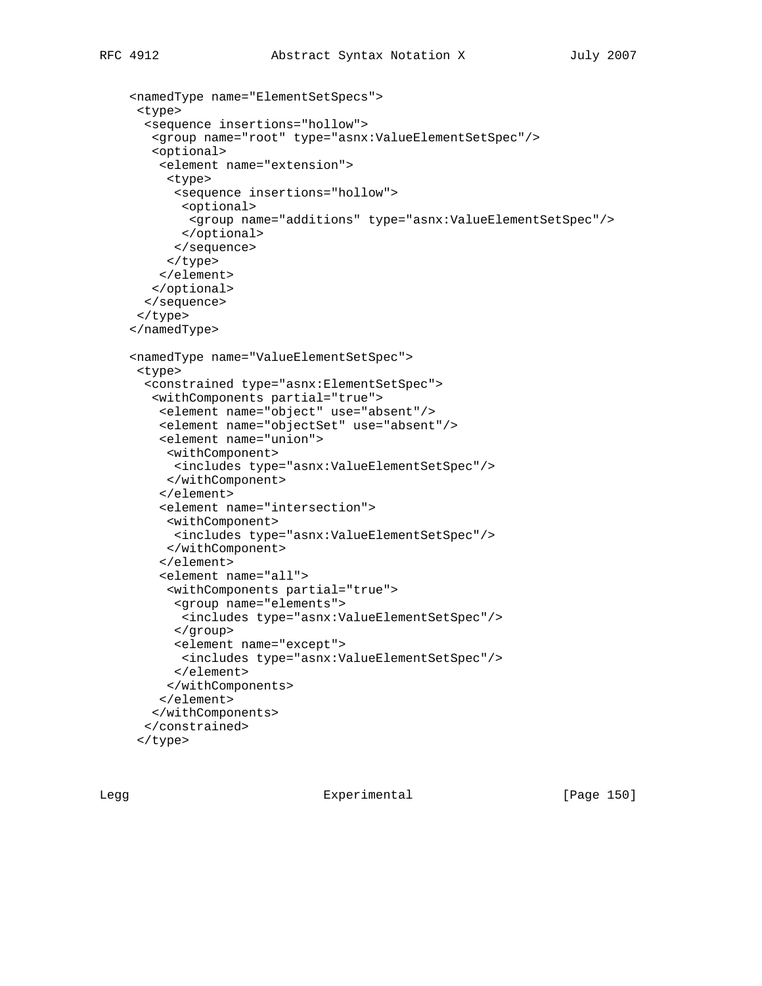```
 <namedType name="ElementSetSpecs">
  <type>
   <sequence insertions="hollow">
   <group name="root" type="asnx:ValueElementSetSpec"/>
    <optional>
     <element name="extension">
      <type>
       <sequence insertions="hollow">
        <optional>
        <group name="additions" type="asnx:ValueElementSetSpec"/>
        </optional>
       </sequence>
      </type>
     </element>
   </optional>
   </sequence>
 </type>
 </namedType>
 <namedType name="ValueElementSetSpec">
 <type>
   <constrained type="asnx:ElementSetSpec">
    <withComponents partial="true">
     <element name="object" use="absent"/>
     <element name="objectSet" use="absent"/>
     <element name="union">
      <withComponent>
       <includes type="asnx:ValueElementSetSpec"/>
      </withComponent>
     </element>
     <element name="intersection">
      <withComponent>
       <includes type="asnx:ValueElementSetSpec"/>
      </withComponent>
     </element>
     <element name="all">
      <withComponents partial="true">
       <group name="elements">
        <includes type="asnx:ValueElementSetSpec"/>
       </group>
       <element name="except">
        <includes type="asnx:ValueElementSetSpec"/>
       </element>
      </withComponents>
     </element>
    </withComponents>
   </constrained>
  </type>
```
Legg Experimental [Page 150]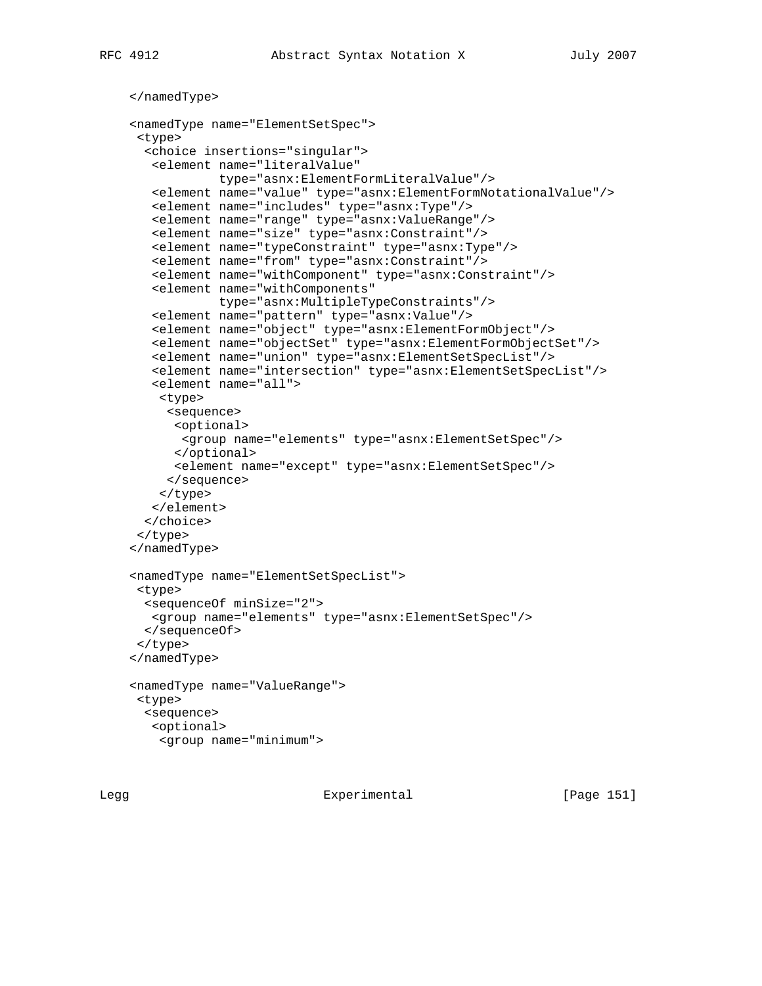```
 </namedType>
 <namedType name="ElementSetSpec">
 <type>
  <choice insertions="singular">
    <element name="literalValue"
             type="asnx:ElementFormLiteralValue"/>
    <element name="value" type="asnx:ElementFormNotationalValue"/>
    <element name="includes" type="asnx:Type"/>
   <element name="range" type="asnx:ValueRange"/>
    <element name="size" type="asnx:Constraint"/>
    <element name="typeConstraint" type="asnx:Type"/>
    <element name="from" type="asnx:Constraint"/>
    <element name="withComponent" type="asnx:Constraint"/>
    <element name="withComponents"
            type="asnx:MultipleTypeConstraints"/>
    <element name="pattern" type="asnx:Value"/>
    <element name="object" type="asnx:ElementFormObject"/>
    <element name="objectSet" type="asnx:ElementFormObjectSet"/>
    <element name="union" type="asnx:ElementSetSpecList"/>
    <element name="intersection" type="asnx:ElementSetSpecList"/>
    <element name="all">
    <type>
      <sequence>
      <optional>
       <group name="elements" type="asnx:ElementSetSpec"/>
      </optional>
      <element name="except" type="asnx:ElementSetSpec"/>
     </sequence>
     </type>
   </element>
  </choice>
  </type>
 </namedType>
 <namedType name="ElementSetSpecList">
 <type>
  <sequenceOf minSize="2">
   <group name="elements" type="asnx:ElementSetSpec"/>
  </sequenceOf>
 </type>
 </namedType>
 <namedType name="ValueRange">
 <type>
  <sequence>
   <optional>
    <group name="minimum">
```
Legg **Experimental** Experimental [Page 151]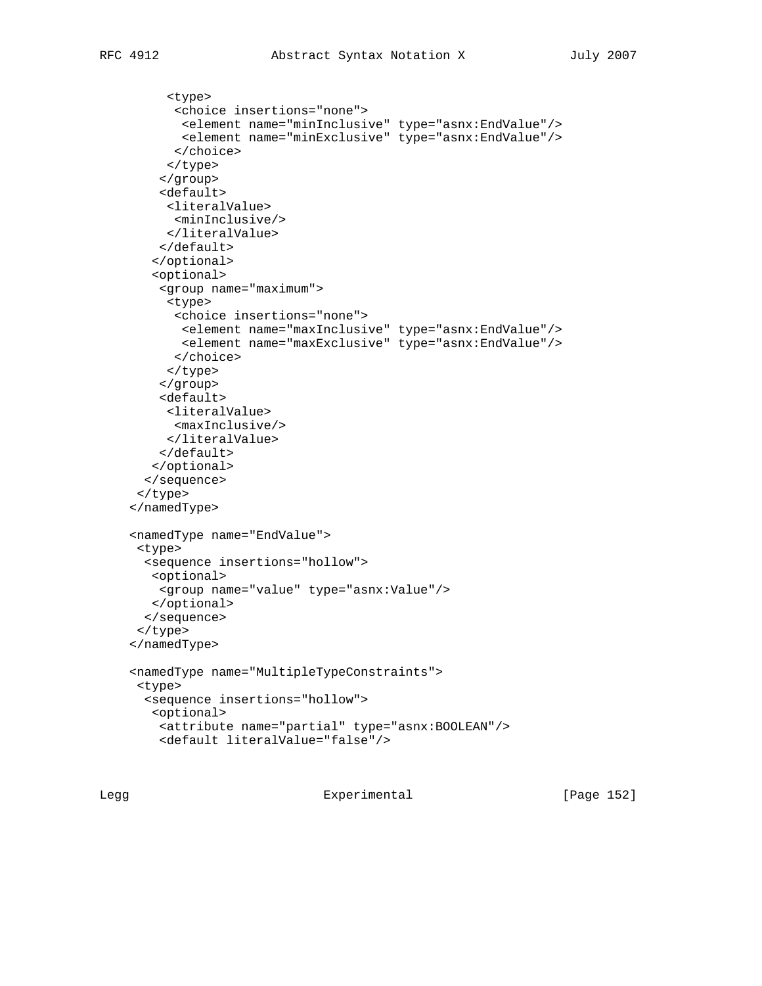```
 <type>
       <choice insertions="none">
        <element name="minInclusive" type="asnx:EndValue"/>
        <element name="minExclusive" type="asnx:EndValue"/>
       </choice>
      </type>
     </group>
     <default>
     <literalValue>
      <minInclusive/>
     </literalValue>
     </default>
    </optional>
    <optional>
     <group name="maximum">
      <type>
       <choice insertions="none">
        <element name="maxInclusive" type="asnx:EndValue"/>
        <element name="maxExclusive" type="asnx:EndValue"/>
      </choice>
     </type>
     </group>
     <default>
     <literalValue>
      <maxInclusive/>
      </literalValue>
    </default>
   </optional>
   </sequence>
 </type>
 </namedType>
 <namedType name="EndValue">
 <type>
   <sequence insertions="hollow">
   <optional>
    <group name="value" type="asnx:Value"/>
   </optional>
  </sequence>
 </type>
 </namedType>
 <namedType name="MultipleTypeConstraints">
 <type>
   <sequence insertions="hollow">
   <optional>
    <attribute name="partial" type="asnx:BOOLEAN"/>
    <default literalValue="false"/>
```
Legg Experimental [Page 152]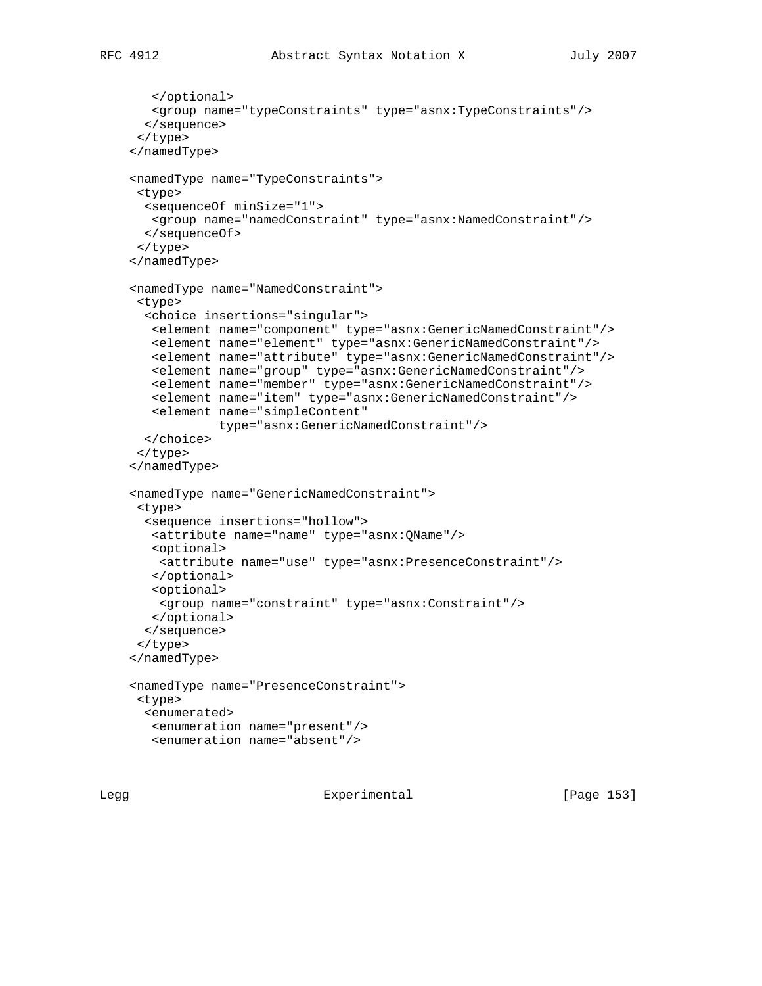```
 </optional>
   <group name="typeConstraints" type="asnx:TypeConstraints"/>
  </sequence>
 </type>
 </namedType>
 <namedType name="TypeConstraints">
 <type>
  <sequenceOf minSize="1">
   <group name="namedConstraint" type="asnx:NamedConstraint"/>
  </sequenceOf>
 </type>
 </namedType>
 <namedType name="NamedConstraint">
 <type>
  <choice insertions="singular">
   <element name="component" type="asnx:GenericNamedConstraint"/>
   <element name="element" type="asnx:GenericNamedConstraint"/>
   <element name="attribute" type="asnx:GenericNamedConstraint"/>
   <element name="group" type="asnx:GenericNamedConstraint"/>
   <element name="member" type="asnx:GenericNamedConstraint"/>
   <element name="item" type="asnx:GenericNamedConstraint"/>
   <element name="simpleContent"
             type="asnx:GenericNamedConstraint"/>
  </choice>
 </type>
 </namedType>
 <namedType name="GenericNamedConstraint">
 <type>
  <sequence insertions="hollow">
   <attribute name="name" type="asnx:QName"/>
   <optional>
    <attribute name="use" type="asnx:PresenceConstraint"/>
    </optional>
    <optional>
    <group name="constraint" type="asnx:Constraint"/>
   </optional>
  </sequence>
 </type>
 </namedType>
 <namedType name="PresenceConstraint">
 <type>
  <enumerated>
   <enumeration name="present"/>
   <enumeration name="absent"/>
```
Legg **Experimental** Experimental [Page 153]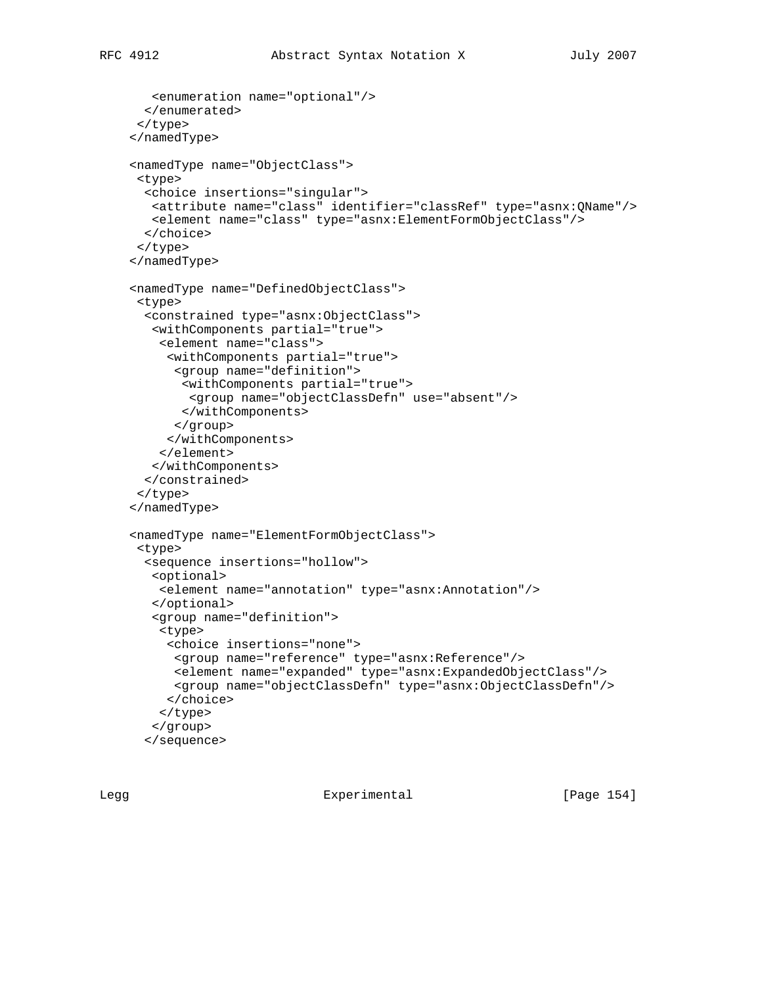```
 <enumeration name="optional"/>
   </enumerated>
 </type>
 </namedType>
 <namedType name="ObjectClass">
 <type>
   <choice insertions="singular">
   <attribute name="class" identifier="classRef" type="asnx:QName"/>
   <element name="class" type="asnx:ElementFormObjectClass"/>
  </choice>
 </type>
 </namedType>
 <namedType name="DefinedObjectClass">
  <type>
   <constrained type="asnx:ObjectClass">
   <withComponents partial="true">
    <element name="class">
      <withComponents partial="true">
       <group name="definition">
        <withComponents partial="true">
         <group name="objectClassDefn" use="absent"/>
        </withComponents>
       </group>
      </withComponents>
     </element>
   </withComponents>
   </constrained>
 </type>
 </namedType>
 <namedType name="ElementFormObjectClass">
 <type>
   <sequence insertions="hollow">
   <optional>
     <element name="annotation" type="asnx:Annotation"/>
    </optional>
    <group name="definition">
```
<type>

 </choice> </type> </group> </sequence>

<choice insertions="none">

Legg Experimental [Page 154]

<group name="reference" type="asnx:Reference"/>

 <element name="expanded" type="asnx:ExpandedObjectClass"/> <group name="objectClassDefn" type="asnx:ObjectClassDefn"/>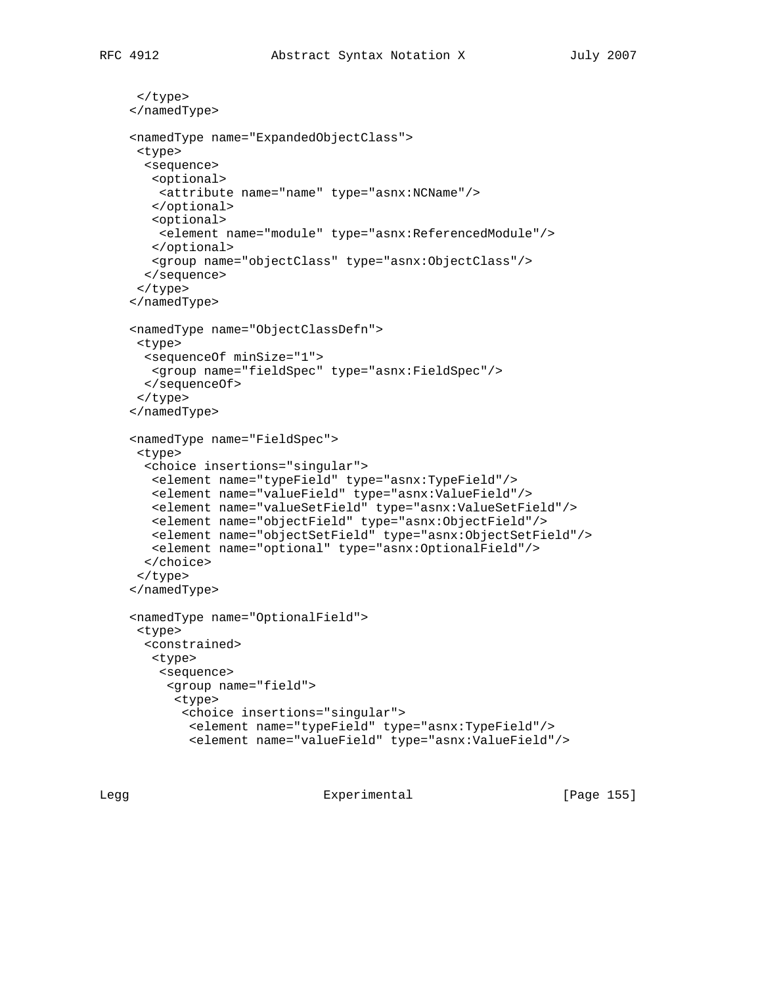```
 </type>
 </namedType>
 <namedType name="ExpandedObjectClass">
 <type>
  <sequence>
   <optional>
    <attribute name="name" type="asnx:NCName"/>
    </optional>
   <optional>
    <element name="module" type="asnx:ReferencedModule"/>
    </optional>
    <group name="objectClass" type="asnx:ObjectClass"/>
  </sequence>
 </type>
 </namedType>
 <namedType name="ObjectClassDefn">
 <type>
  <sequenceOf minSize="1">
   <group name="fieldSpec" type="asnx:FieldSpec"/>
  </sequenceOf>
 </type>
 </namedType>
 <namedType name="FieldSpec">
 <type>
  <choice insertions="singular">
   <element name="typeField" type="asnx:TypeField"/>
   <element name="valueField" type="asnx:ValueField"/>
   <element name="valueSetField" type="asnx:ValueSetField"/>
   <element name="objectField" type="asnx:ObjectField"/>
   <element name="objectSetField" type="asnx:ObjectSetField"/>
   <element name="optional" type="asnx:OptionalField"/>
  </choice>
 </type>
 </namedType>
 <namedType name="OptionalField">
 <type>
  <constrained>
   <type>
    <sequence>
      <group name="field">
       <type>
        <choice insertions="singular">
         <element name="typeField" type="asnx:TypeField"/>
         <element name="valueField" type="asnx:ValueField"/>
```
Legg **Experimental** Experimental [Page 155]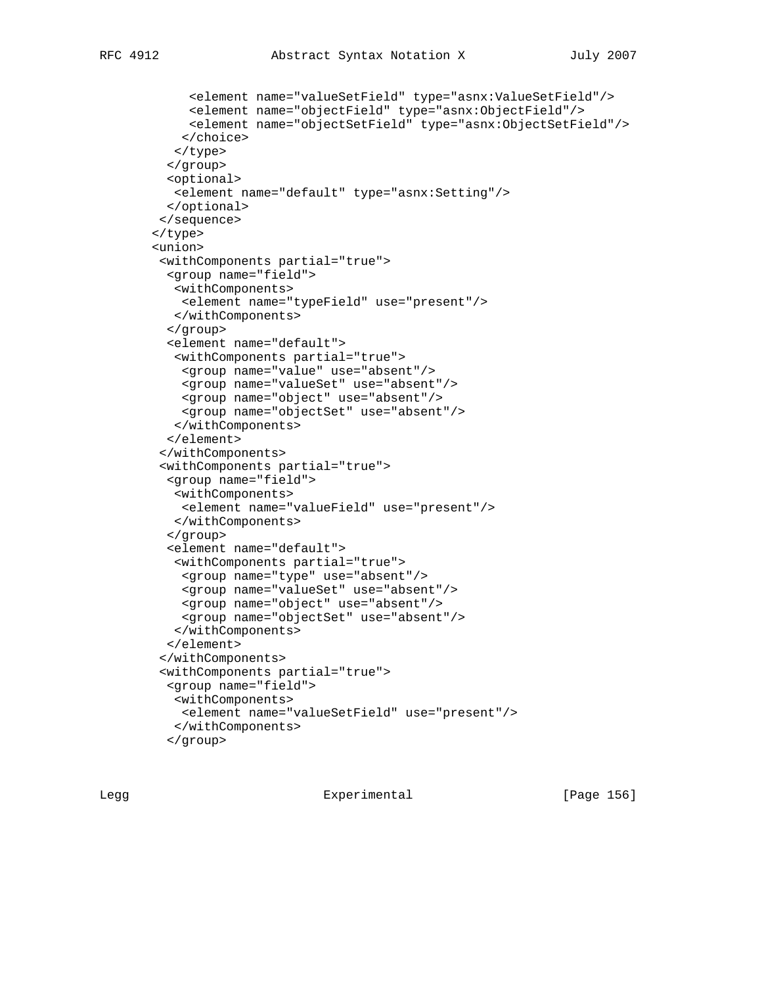```
 <element name="valueSetField" type="asnx:ValueSetField"/>
      <element name="objectField" type="asnx:ObjectField"/>
      <element name="objectSetField" type="asnx:ObjectSetField"/>
     </choice>
    </type>
   </group>
  <optional>
   <element name="default" type="asnx:Setting"/>
   </optional>
 </sequence>
 </type>
 <union>
  <withComponents partial="true">
   <group name="field">
    <withComponents>
    <element name="typeField" use="present"/>
    </withComponents>
   </group>
   <element name="default">
    <withComponents partial="true">
    <group name="value" use="absent"/>
    <group name="valueSet" use="absent"/>
    <group name="object" use="absent"/>
    <group name="objectSet" use="absent"/>
    </withComponents>
   </element>
  </withComponents>
  <withComponents partial="true">
  <group name="field">
    <withComponents>
    <element name="valueField" use="present"/>
    </withComponents>
   </group>
   <element name="default">
    <withComponents partial="true">
     <group name="type" use="absent"/>
     <group name="valueSet" use="absent"/>
     <group name="object" use="absent"/>
    <group name="objectSet" use="absent"/>
    </withComponents>
   </element>
  </withComponents>
  <withComponents partial="true">
  <group name="field">
   <withComponents>
    <element name="valueSetField" use="present"/>
    </withComponents>
   </group>
```
Legg **Experimental** Experimental [Page 156]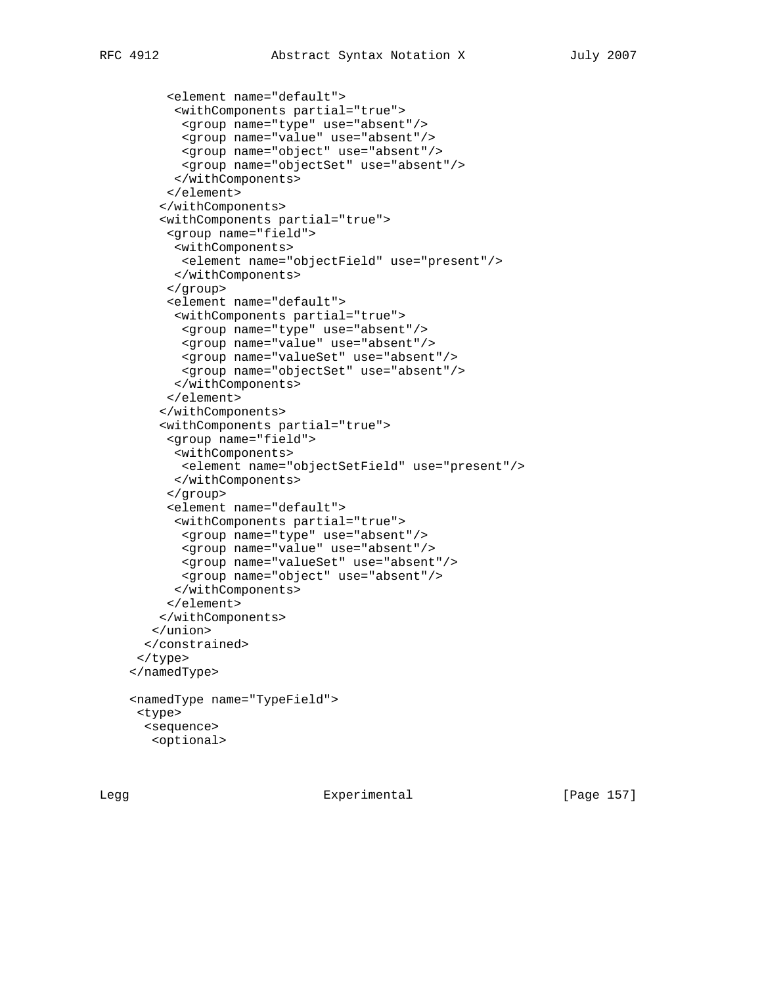```
 <element name="default">
       <withComponents partial="true">
        <group name="type" use="absent"/>
        <group name="value" use="absent"/>
       <group name="object" use="absent"/>
        <group name="objectSet" use="absent"/>
       </withComponents>
      </element>
     </withComponents>
     <withComponents partial="true">
      <group name="field">
       <withComponents>
        <element name="objectField" use="present"/>
       </withComponents>
      </group>
      <element name="default">
       <withComponents partial="true">
        <group name="type" use="absent"/>
        <group name="value" use="absent"/>
        <group name="valueSet" use="absent"/>
        <group name="objectSet" use="absent"/>
       </withComponents>
      </element>
     </withComponents>
     <withComponents partial="true">
      <group name="field">
       <withComponents>
        <element name="objectSetField" use="present"/>
       </withComponents>
      </group>
      <element name="default">
       <withComponents partial="true">
        <group name="type" use="absent"/>
        <group name="value" use="absent"/>
        <group name="valueSet" use="absent"/>
        <group name="object" use="absent"/>
       </withComponents>
      </element>
     </withComponents>
    </union>
   </constrained>
 </type>
 </namedType>
 <namedType name="TypeField">
 <type>
  <sequence>
   <optional>
```
Legg Experimental [Page 157]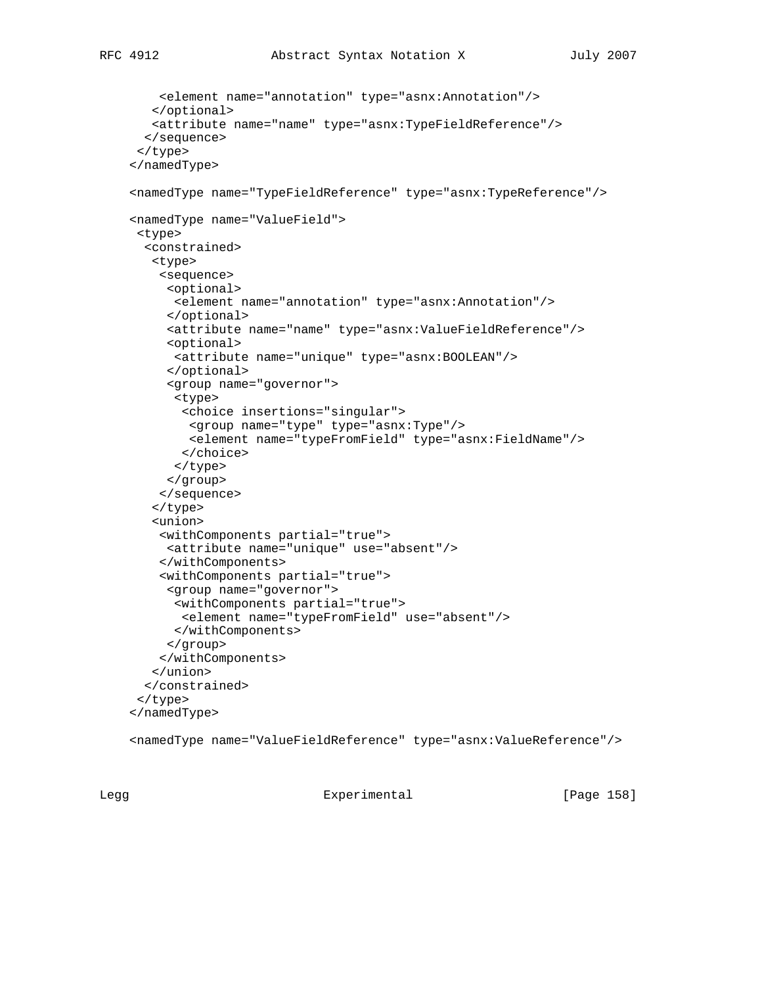```
 <element name="annotation" type="asnx:Annotation"/>
    </optional>
   <attribute name="name" type="asnx:TypeFieldReference"/>
   </sequence>
 </type>
 </namedType>
 <namedType name="TypeFieldReference" type="asnx:TypeReference"/>
 <namedType name="ValueField">
 <type>
   <constrained>
    <type>
     <sequence>
      <optional>
      <element name="annotation" type="asnx:Annotation"/>
      </optional>
      <attribute name="name" type="asnx:ValueFieldReference"/>
      <optional>
      <attribute name="unique" type="asnx:BOOLEAN"/>
      </optional>
      <group name="governor">
      <type>
        <choice insertions="singular">
         <group name="type" type="asnx:Type"/>
        <element name="typeFromField" type="asnx:FieldName"/>
        </choice>
       </type>
     </group>
     </sequence>
    </type>
    <union>
     <withComponents partial="true">
     <attribute name="unique" use="absent"/>
     </withComponents>
     <withComponents partial="true">
      <group name="governor">
       <withComponents partial="true">
        <element name="typeFromField" use="absent"/>
       </withComponents>
     </group>
     </withComponents>
    </union>
   </constrained>
  </type>
 </namedType>
```
<namedType name="ValueFieldReference" type="asnx:ValueReference"/>

Legg Experimental [Page 158]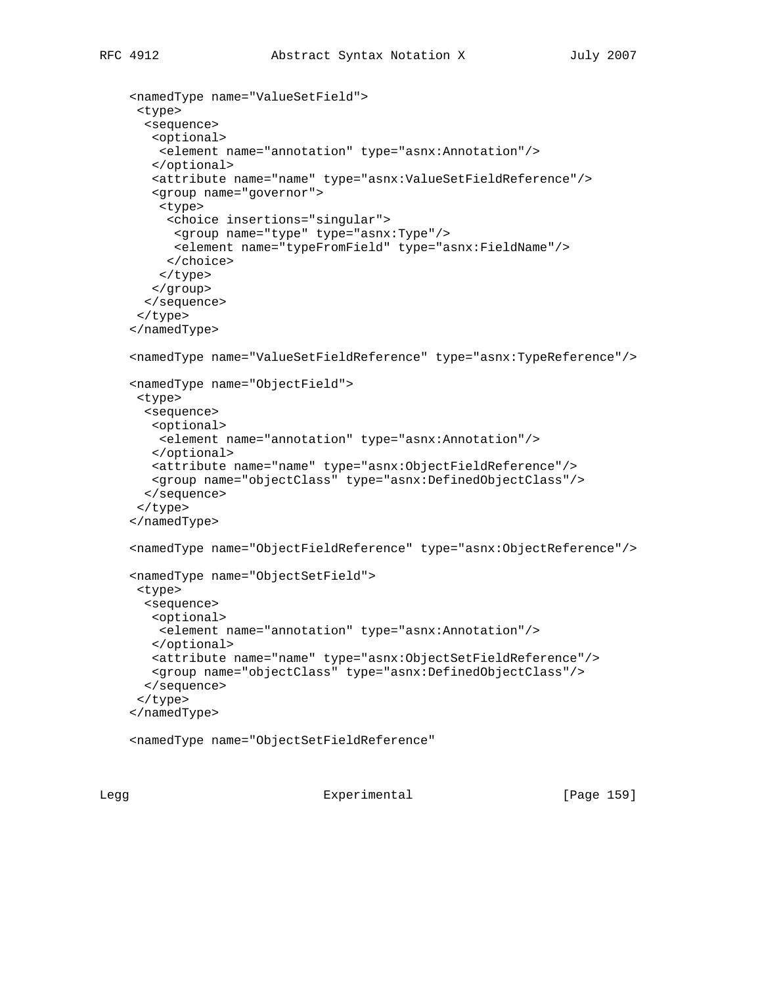```
 <namedType name="ValueSetField">
 <type>
  <sequence>
   <optional>
    <element name="annotation" type="asnx:Annotation"/>
   </optional>
   <attribute name="name" type="asnx:ValueSetFieldReference"/>
    <group name="governor">
    <type>
      <choice insertions="singular">
       <group name="type" type="asnx:Type"/>
       <element name="typeFromField" type="asnx:FieldName"/>
      </choice>
    </type>
   </group>
  </sequence>
 </type>
 </namedType>
 <namedType name="ValueSetFieldReference" type="asnx:TypeReference"/>
 <namedType name="ObjectField">
 <type>
  <sequence>
   <optional>
    <element name="annotation" type="asnx:Annotation"/>
   </optional>
   <attribute name="name" type="asnx:ObjectFieldReference"/>
   <group name="objectClass" type="asnx:DefinedObjectClass"/>
  </sequence>
 </type>
 </namedType>
 <namedType name="ObjectFieldReference" type="asnx:ObjectReference"/>
 <namedType name="ObjectSetField">
  <type>
  <sequence>
   <optional>
    <element name="annotation" type="asnx:Annotation"/>
   </optional>
   <attribute name="name" type="asnx:ObjectSetFieldReference"/>
   <group name="objectClass" type="asnx:DefinedObjectClass"/>
  </sequence>
 </type>
 </namedType>
```
<namedType name="ObjectSetFieldReference"

Legg **Experimental** Experimental [Page 159]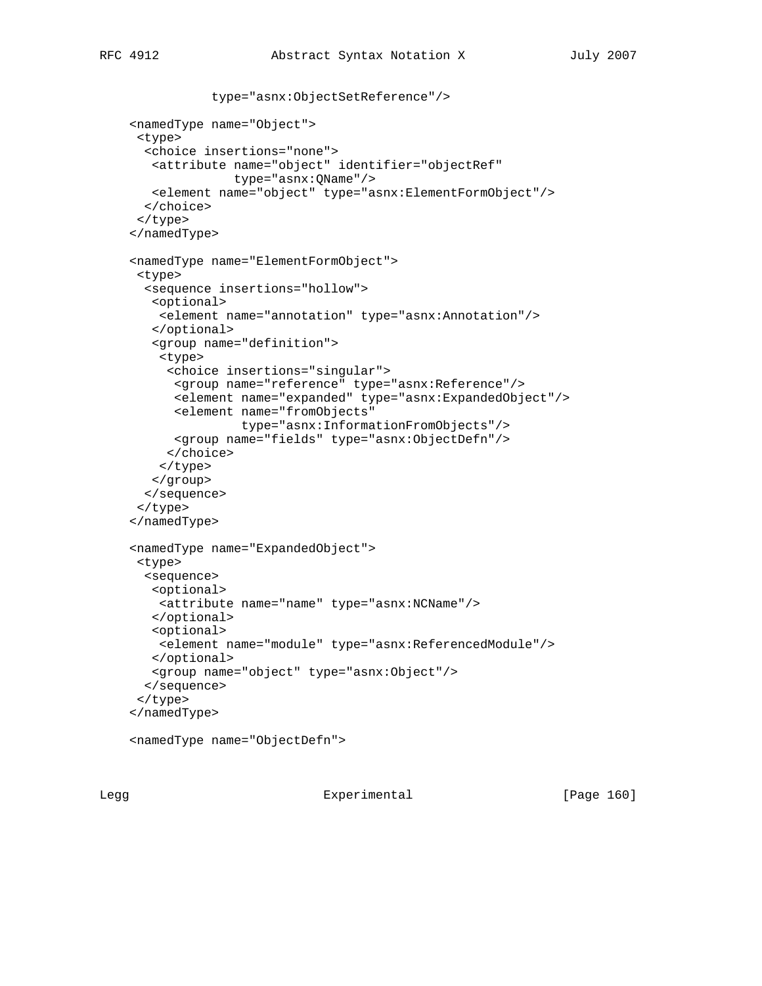```
 type="asnx:ObjectSetReference"/>
 <namedType name="Object">
 <type>
   <choice insertions="none">
   <attribute name="object" identifier="objectRef"
               type="asnx:QName"/>
   <element name="object" type="asnx:ElementFormObject"/>
   </choice>
 </type>
 </namedType>
 <namedType name="ElementFormObject">
 <type>
   <sequence insertions="hollow">
   <optional>
    <element name="annotation" type="asnx:Annotation"/>
    </optional>
    <group name="definition">
     <type>
      <choice insertions="singular">
      <group name="reference" type="asnx:Reference"/>
       <element name="expanded" type="asnx:ExpandedObject"/>
       <element name="fromObjects"
                type="asnx:InformationFromObjects"/>
      <group name="fields" type="asnx:ObjectDefn"/>
      </choice>
    </type>
   </group>
   </sequence>
 </type>
 </namedType>
 <namedType name="ExpandedObject">
 <type>
   <sequence>
   <optional>
    <attribute name="name" type="asnx:NCName"/>
    </optional>
   <optional>
    <element name="module" type="asnx:ReferencedModule"/>
   </optional>
   <group name="object" type="asnx:Object"/>
  </sequence>
  </type>
 </namedType>
 <namedType name="ObjectDefn">
```
Legg Experimental [Page 160]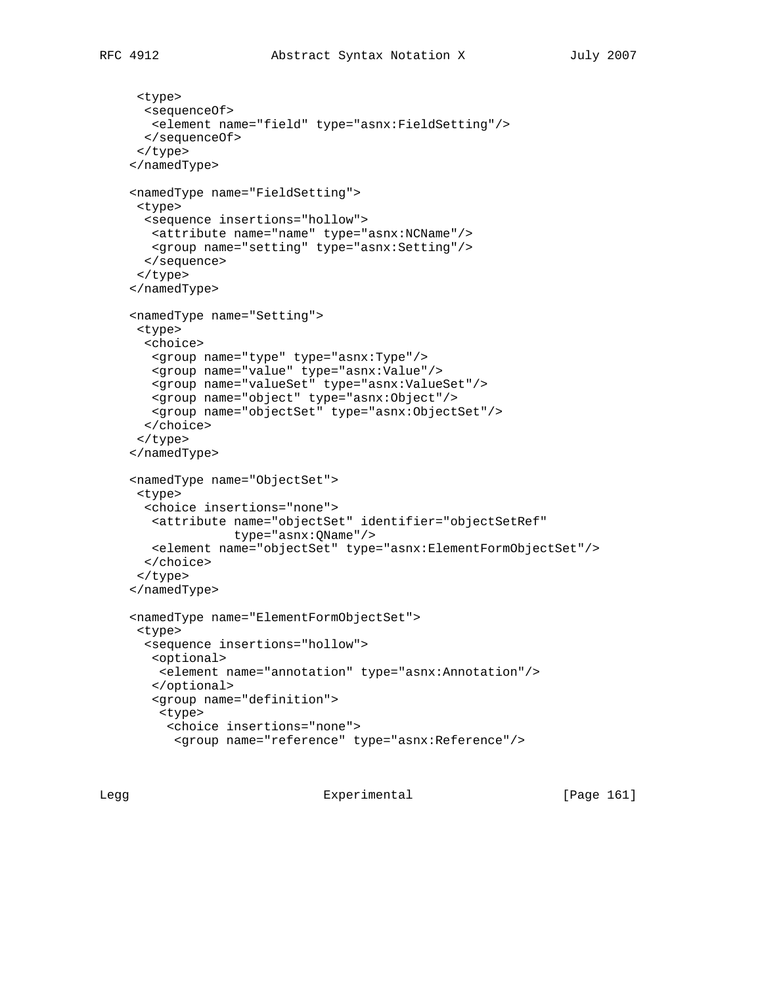```
 <type>
  <sequenceOf>
   <element name="field" type="asnx:FieldSetting"/>
  </sequenceOf>
 </type>
 </namedType>
 <namedType name="FieldSetting">
 <type>
  <sequence insertions="hollow">
   <attribute name="name" type="asnx:NCName"/>
   <group name="setting" type="asnx:Setting"/>
  </sequence>
 </type>
 </namedType>
 <namedType name="Setting">
 <type>
  <choice>
   <group name="type" type="asnx:Type"/>
   <group name="value" type="asnx:Value"/>
   <group name="valueSet" type="asnx:ValueSet"/>
   <group name="object" type="asnx:Object"/>
   <group name="objectSet" type="asnx:ObjectSet"/>
  </choice>
 </type>
 </namedType>
 <namedType name="ObjectSet">
 <type>
  <choice insertions="none">
   <attribute name="objectSet" identifier="objectSetRef"
               type="asnx:QName"/>
   <element name="objectSet" type="asnx:ElementFormObjectSet"/>
  </choice>
  </type>
 </namedType>
 <namedType name="ElementFormObjectSet">
 <type>
  <sequence insertions="hollow">
   <optional>
    <element name="annotation" type="asnx:Annotation"/>
    </optional>
    <group name="definition">
    <type>
      <choice insertions="none">
       <group name="reference" type="asnx:Reference"/>
```
Legg Experimental [Page 161]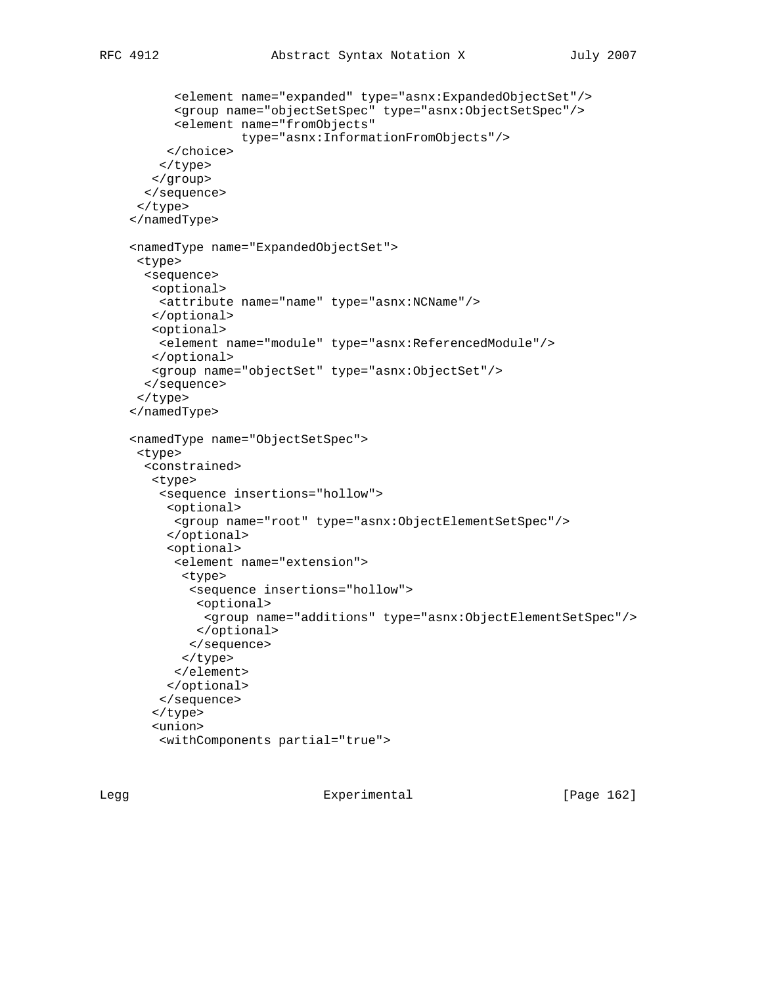```
 <element name="expanded" type="asnx:ExpandedObjectSet"/>
       <group name="objectSetSpec" type="asnx:ObjectSetSpec"/>
       <element name="fromObjects"
                 type="asnx:InformationFromObjects"/>
     </choice>
     </type>
    </group>
   </sequence>
  </type>
 </namedType>
 <namedType name="ExpandedObjectSet">
 <type>
   <sequence>
   <optional>
    <attribute name="name" type="asnx:NCName"/>
   </optional>
   <optional>
    <element name="module" type="asnx:ReferencedModule"/>
   </optional>
   <group name="objectSet" type="asnx:ObjectSet"/>
   </sequence>
 </type>
 </namedType>
 <namedType name="ObjectSetSpec">
 <type>
   <constrained>
   <type>
     <sequence insertions="hollow">
     <optional>
      <group name="root" type="asnx:ObjectElementSetSpec"/>
      </optional>
      <optional>
       <element name="extension">
        <type>
         <sequence insertions="hollow">
          <optional>
           <group name="additions" type="asnx:ObjectElementSetSpec"/>
          </optional>
         </sequence>
        </type>
       </element>
      </optional>
     </sequence>
    </type>
    <union>
     <withComponents partial="true">
```
Legg Experimental [Page 162]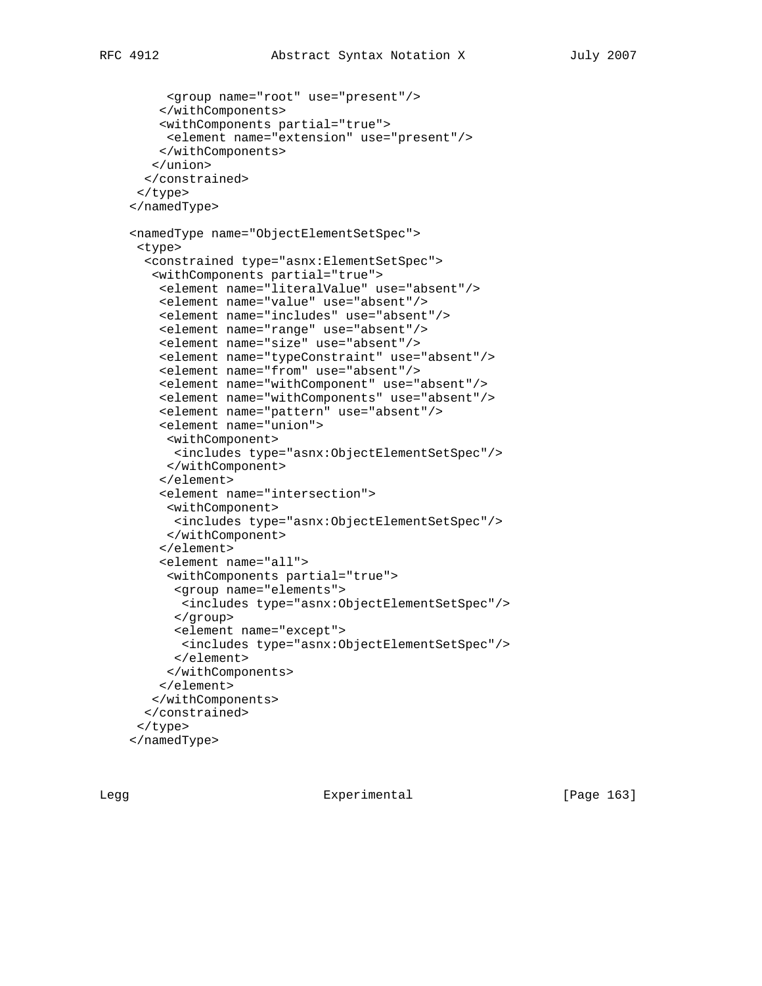```
 <group name="root" use="present"/>
     </withComponents>
     <withComponents partial="true">
      <element name="extension" use="present"/>
     </withComponents>
    </union>
   </constrained>
  </type>
 </namedType>
 <namedType name="ObjectElementSetSpec">
  <type>
   <constrained type="asnx:ElementSetSpec">
    <withComponents partial="true">
     <element name="literalValue" use="absent"/>
     <element name="value" use="absent"/>
     <element name="includes" use="absent"/>
     <element name="range" use="absent"/>
     <element name="size" use="absent"/>
     <element name="typeConstraint" use="absent"/>
     <element name="from" use="absent"/>
     <element name="withComponent" use="absent"/>
     <element name="withComponents" use="absent"/>
     <element name="pattern" use="absent"/>
     <element name="union">
      <withComponent>
       <includes type="asnx:ObjectElementSetSpec"/>
      </withComponent>
     </element>
     <element name="intersection">
      <withComponent>
       <includes type="asnx:ObjectElementSetSpec"/>
      </withComponent>
     </element>
     <element name="all">
      <withComponents partial="true">
       <group name="elements">
        <includes type="asnx:ObjectElementSetSpec"/>
       </group>
       <element name="except">
        <includes type="asnx:ObjectElementSetSpec"/>
       </element>
      </withComponents>
     </element>
    </withComponents>
   </constrained>
  </type>
 </namedType>
```
Legg **Experimental** Experimental [Page 163]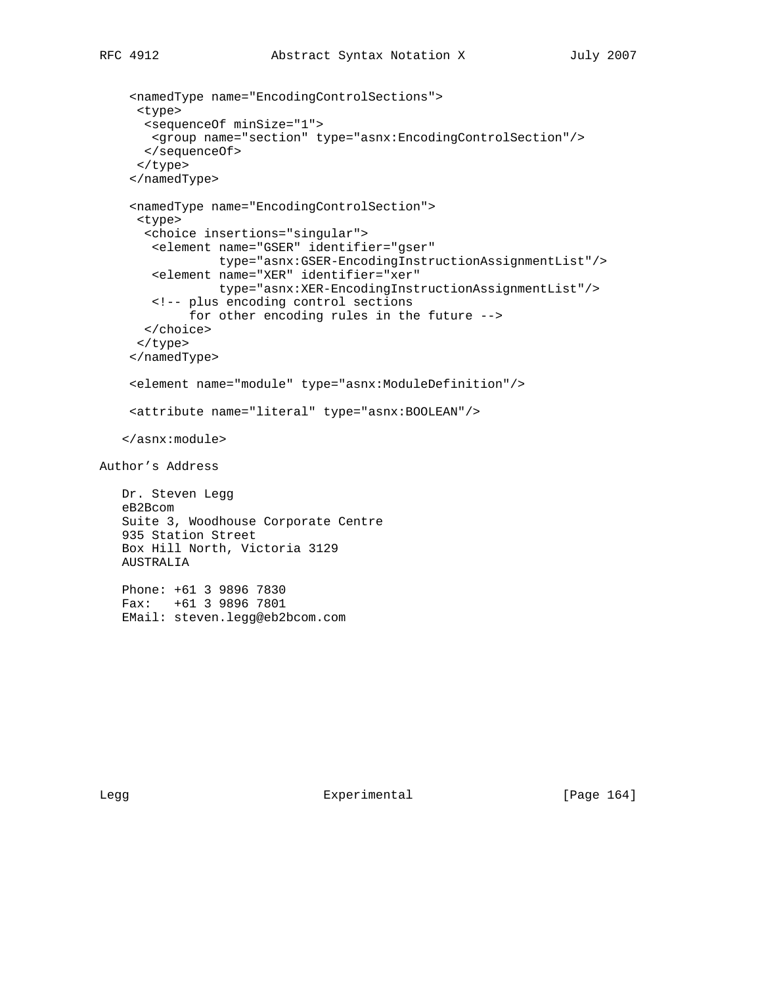```
 <namedType name="EncodingControlSections">
      <type>
       <sequenceOf minSize="1">
       <group name="section" type="asnx:EncodingControlSection"/>
       </sequenceOf>
      </type>
     </namedType>
     <namedType name="EncodingControlSection">
      <type>
       <choice insertions="singular">
        <element name="GSER" identifier="gser"
                 type="asnx:GSER-EncodingInstructionAssignmentList"/>
        <element name="XER" identifier="xer"
                 type="asnx:XER-EncodingInstructionAssignmentList"/>
        <!-- plus encoding control sections
             for other encoding rules in the future -->
       </choice>
      </type>
     </namedType>
     <element name="module" type="asnx:ModuleDefinition"/>
     <attribute name="literal" type="asnx:BOOLEAN"/>
    </asnx:module>
Author's Address
    Dr. Steven Legg
    eB2Bcom
    Suite 3, Woodhouse Corporate Centre
    935 Station Street
    Box Hill North, Victoria 3129
    AUSTRALIA
    Phone: +61 3 9896 7830
    Fax: +61 3 9896 7801
```
EMail: steven.legg@eb2bcom.com

Legg Experimental [Page 164]